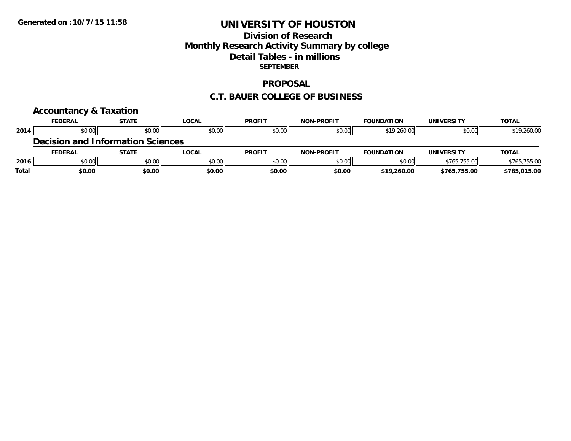### **Division of Research Monthly Research Activity Summary by college Detail Tables - in millions SEPTEMBER**

#### **PROPOSAL**

#### **C.T. BAUER COLLEGE OF BUSINESS**

|              | <b>Accountancy &amp; Taxation</b>        |              |              |               |                   |                   |                   |              |
|--------------|------------------------------------------|--------------|--------------|---------------|-------------------|-------------------|-------------------|--------------|
|              | <b>FEDERAL</b>                           | <b>STATE</b> | <b>LOCAL</b> | <b>PROFIT</b> | <b>NON-PROFIT</b> | <b>FOUNDATION</b> | <b>UNIVERSITY</b> | <b>TOTAL</b> |
| 2014         | \$0.00                                   | \$0.00       | \$0.00       | \$0.00        | \$0.00            | \$19,260.00       | \$0.00            | \$19,260.00  |
|              | <b>Decision and Information Sciences</b> |              |              |               |                   |                   |                   |              |
|              | <b>FEDERAL</b>                           | <b>STATE</b> | LOCAL        | <b>PROFIT</b> | <b>NON-PROFIT</b> | <b>FOUNDATION</b> | <b>UNIVERSITY</b> | <b>TOTAL</b> |
| 2016         | \$0.00                                   | \$0.00       | \$0.00       | \$0.00        | \$0.00            | \$0.00            | \$765,755.00      | \$765,755.00 |
| <b>Total</b> | \$0.00                                   | \$0.00       | \$0.00       | \$0.00        | \$0.00            | \$19,260.00       | \$765,755.00      | \$785,015.00 |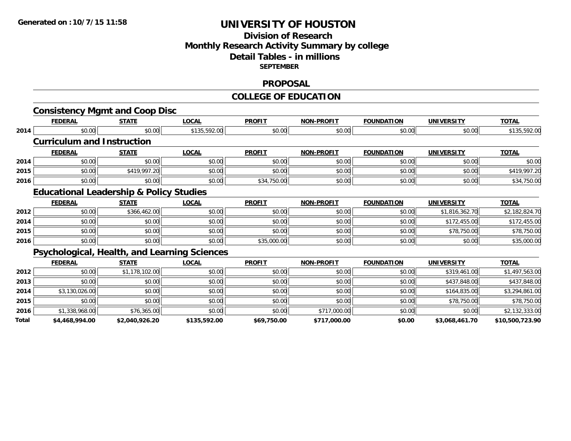### **Division of Research Monthly Research Activity Summary by college Detail Tables - in millions SEPTEMBER**

#### **PROPOSAL**

#### **COLLEGE OF EDUCATION**

|       | <b>FEDERAL</b>                                      | <b>STATE</b>   | <b>LOCAL</b> | <b>PROFIT</b> | <b>NON-PROFIT</b> | <b>FOUNDATION</b> | <b>UNIVERSITY</b> | <b>TOTAL</b>    |
|-------|-----------------------------------------------------|----------------|--------------|---------------|-------------------|-------------------|-------------------|-----------------|
| 2014  | \$0.00                                              | \$0.00         | \$135,592.00 | \$0.00        | \$0.00            | \$0.00            | \$0.00            | \$135,592.00    |
|       | <b>Curriculum and Instruction</b>                   |                |              |               |                   |                   |                   |                 |
|       | <b>FEDERAL</b>                                      | <b>STATE</b>   | <b>LOCAL</b> | <b>PROFIT</b> | <b>NON-PROFIT</b> | <b>FOUNDATION</b> | <b>UNIVERSITY</b> | <b>TOTAL</b>    |
| 2014  | \$0.00                                              | \$0.00         | \$0.00       | \$0.00        | \$0.00            | \$0.00            | \$0.00            | \$0.00          |
| 2015  | \$0.00                                              | \$419,997.20   | \$0.00       | \$0.00        | \$0.00            | \$0.00            | \$0.00            | \$419,997.20    |
| 2016  | \$0.00                                              | \$0.00         | \$0.00       | \$34,750.00   | \$0.00            | \$0.00            | \$0.00            | \$34,750.00     |
|       | <b>Educational Leadership &amp; Policy Studies</b>  |                |              |               |                   |                   |                   |                 |
|       | <b>FEDERAL</b>                                      | <b>STATE</b>   | <b>LOCAL</b> | <b>PROFIT</b> | <b>NON-PROFIT</b> | <b>FOUNDATION</b> | <b>UNIVERSITY</b> | <b>TOTAL</b>    |
| 2012  | \$0.00                                              | \$366,462.00   | \$0.00       | \$0.00        | \$0.00            | \$0.00            | \$1,816,362.70    | \$2,182,824.70  |
| 2014  | \$0.00                                              | \$0.00         | \$0.00       | \$0.00        | \$0.00            | \$0.00            | \$172,455.00      | \$172,455.00    |
| 2015  | \$0.00                                              | \$0.00         | \$0.00       | \$0.00        | \$0.00            | \$0.00            | \$78,750.00       | \$78,750.00     |
| 2016  | \$0.00                                              | \$0.00         | \$0.00       | \$35,000.00   | \$0.00            | \$0.00            | \$0.00            | \$35,000.00     |
|       | <b>Psychological, Health, and Learning Sciences</b> |                |              |               |                   |                   |                   |                 |
|       | <b>FEDERAL</b>                                      | <b>STATE</b>   | <b>LOCAL</b> | <b>PROFIT</b> | <b>NON-PROFIT</b> | <b>FOUNDATION</b> | <b>UNIVERSITY</b> | <b>TOTAL</b>    |
| 2012  | \$0.00                                              | \$1,178,102.00 | \$0.00       | \$0.00        | \$0.00            | \$0.00            | \$319,461.00      | \$1,497,563.00  |
| 2013  | \$0.00                                              | \$0.00         | \$0.00       | \$0.00        | \$0.00            | \$0.00            | \$437,848.00      | \$437,848.00    |
| 2014  | \$3,130,026.00                                      | \$0.00         | \$0.00       | \$0.00        | \$0.00            | \$0.00            | \$164,835.00      | \$3,294,861.00  |
| 2015  | \$0.00                                              | \$0.00         | \$0.00       | \$0.00        | \$0.00            | \$0.00            | \$78,750.00       | \$78,750.00     |
| 2016  | \$1,338,968.00                                      | \$76,365.00    | \$0.00       | \$0.00        | \$717,000.00      | \$0.00            | \$0.00            | \$2,132,333.00  |
| Total | \$4,468,994.00                                      | \$2,040,926.20 | \$135,592.00 | \$69,750.00   | \$717,000.00      | \$0.00            | \$3,068,461.70    | \$10,500,723.90 |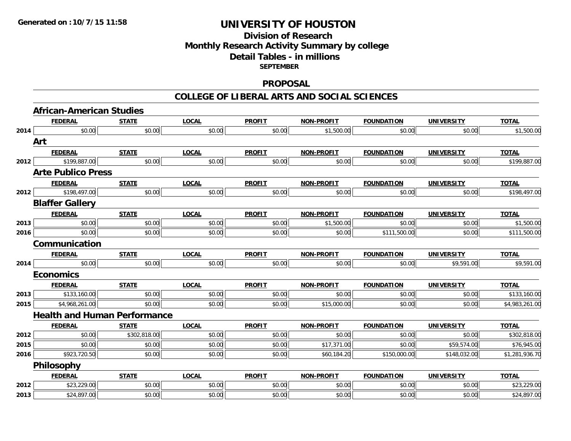# **Division of ResearchMonthly Research Activity Summary by college Detail Tables - in millions SEPTEMBER**

#### **PROPOSAL**

#### **COLLEGE OF LIBERAL ARTS AND SOCIAL SCIENCES**

|                                                                      | African-American Studies            |              |              |               |                   |                   |                   |                |
|----------------------------------------------------------------------|-------------------------------------|--------------|--------------|---------------|-------------------|-------------------|-------------------|----------------|
|                                                                      | <b>FEDERAL</b>                      | <b>STATE</b> | <b>LOCAL</b> | <b>PROFIT</b> | <b>NON-PROFIT</b> | <b>FOUNDATION</b> | <b>UNIVERSITY</b> | <b>TOTAL</b>   |
| 2014<br>2012<br>2012<br>2013<br>2016<br>2014<br>2013<br>2015<br>2012 | \$0.00                              | \$0.00       | \$0.00       | \$0.00        | \$1,500.00        | \$0.00            | \$0.00            | \$1,500.00     |
|                                                                      | Art                                 |              |              |               |                   |                   |                   |                |
|                                                                      | <b>FEDERAL</b>                      | <b>STATE</b> | <b>LOCAL</b> | <b>PROFIT</b> | NON-PROFIT        | <b>FOUNDATION</b> | <b>UNIVERSITY</b> | <b>TOTAL</b>   |
|                                                                      | \$199,887.00                        | \$0.00       | \$0.00       | \$0.00        | \$0.00            | \$0.00            | \$0.00            | \$199,887.00   |
|                                                                      | <b>Arte Publico Press</b>           |              |              |               |                   |                   |                   |                |
|                                                                      | <b>FEDERAL</b>                      | <b>STATE</b> | <b>LOCAL</b> | <b>PROFIT</b> | NON-PROFIT        | <b>FOUNDATION</b> | <b>UNIVERSITY</b> | <b>TOTAL</b>   |
|                                                                      | \$198,497.00                        | \$0.00       | \$0.00       | \$0.00        | \$0.00            | \$0.00            | \$0.00            | \$198,497.00   |
|                                                                      | <b>Blaffer Gallery</b>              |              |              |               |                   |                   |                   |                |
|                                                                      | <b>FEDERAL</b>                      | <b>STATE</b> | <b>LOCAL</b> | <b>PROFIT</b> | <b>NON-PROFIT</b> | <b>FOUNDATION</b> | <b>UNIVERSITY</b> | <b>TOTAL</b>   |
|                                                                      | \$0.00                              | \$0.00       | \$0.00       | \$0.00        | \$1,500.00        | \$0.00            | \$0.00            | \$1,500.00     |
|                                                                      | \$0.00                              | \$0.00       | \$0.00       | \$0.00        | \$0.00            | \$111,500.00      | \$0.00            | \$111,500.00   |
|                                                                      | Communication                       |              |              |               |                   |                   |                   |                |
|                                                                      | <b>FEDERAL</b>                      | <b>STATE</b> | <b>LOCAL</b> | <b>PROFIT</b> | NON-PROFIT        | <b>FOUNDATION</b> | <b>UNIVERSITY</b> | <b>TOTAL</b>   |
|                                                                      | \$0.00                              | \$0.00       | \$0.00       | \$0.00        | \$0.00            | \$0.00            | \$9,591.00        | \$9,591.00     |
|                                                                      | <b>Economics</b>                    |              |              |               |                   |                   |                   |                |
|                                                                      | <b>FEDERAL</b>                      | <b>STATE</b> | <b>LOCAL</b> | <b>PROFIT</b> | NON-PROFIT        | <b>FOUNDATION</b> | <b>UNIVERSITY</b> | <b>TOTAL</b>   |
|                                                                      | \$133,160.00                        | \$0.00       | \$0.00       | \$0.00        | \$0.00            | \$0.00            | \$0.00            | \$133,160.00   |
|                                                                      | \$4,968,261.00                      | \$0.00       | \$0.00       | \$0.00        | \$15,000.00       | \$0.00            | \$0.00            | \$4,983,261.00 |
|                                                                      | <b>Health and Human Performance</b> |              |              |               |                   |                   |                   |                |
|                                                                      | <b>FEDERAL</b>                      | <b>STATE</b> | <b>LOCAL</b> | <b>PROFIT</b> | <b>NON-PROFIT</b> | <b>FOUNDATION</b> | <b>UNIVERSITY</b> | <b>TOTAL</b>   |
|                                                                      | \$0.00                              | \$302,818.00 | \$0.00       | \$0.00        | \$0.00            | \$0.00            | \$0.00            | \$302,818.00   |
| 2015                                                                 | \$0.00                              | \$0.00       | \$0.00       | \$0.00        | \$17,371.00       | \$0.00            | \$59,574.00       | \$76,945.00    |
| 2016                                                                 | \$923,720.50                        | \$0.00       | \$0.00       | \$0.00        | \$60,184.20       | \$150,000.00      | \$148,032.00      | \$1,281,936.70 |
|                                                                      | Philosophy                          |              |              |               |                   |                   |                   |                |
|                                                                      | <b>FEDERAL</b>                      | <b>STATE</b> | <b>LOCAL</b> | <b>PROFIT</b> | <b>NON-PROFIT</b> | <b>FOUNDATION</b> | <b>UNIVERSITY</b> | <b>TOTAL</b>   |
| 2012                                                                 | \$23,229.00                         | \$0.00       | \$0.00       | \$0.00        | \$0.00            | \$0.00            | \$0.00            | \$23,229.00    |
| 2013                                                                 | \$24,897.00                         | \$0.00       | \$0.00       | \$0.00        | \$0.00            | \$0.00            | \$0.00            | \$24,897.00    |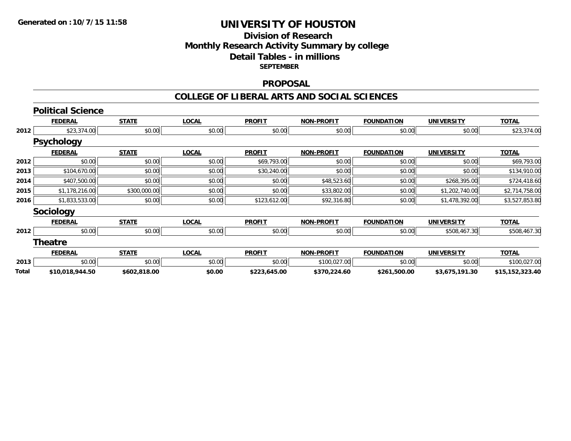### **Division of Research Monthly Research Activity Summary by college Detail Tables - in millions SEPTEMBER**

#### **PROPOSAL**

#### **COLLEGE OF LIBERAL ARTS AND SOCIAL SCIENCES**

|       | <b>Political Science</b> |              |              |               |                   |                   |                   |                 |
|-------|--------------------------|--------------|--------------|---------------|-------------------|-------------------|-------------------|-----------------|
|       | <b>FEDERAL</b>           | <b>STATE</b> | <b>LOCAL</b> | <b>PROFIT</b> | <b>NON-PROFIT</b> | <b>FOUNDATION</b> | <b>UNIVERSITY</b> | <b>TOTAL</b>    |
| 2012  | \$23,374.00              | \$0.00       | \$0.00       | \$0.00        | \$0.00            | \$0.00            | \$0.00            | \$23,374.00     |
|       | <b>Psychology</b>        |              |              |               |                   |                   |                   |                 |
|       | <b>FEDERAL</b>           | <b>STATE</b> | <b>LOCAL</b> | <b>PROFIT</b> | <b>NON-PROFIT</b> | <b>FOUNDATION</b> | <b>UNIVERSITY</b> | <b>TOTAL</b>    |
| 2012  | \$0.00                   | \$0.00       | \$0.00       | \$69,793.00   | \$0.00            | \$0.00            | \$0.00            | \$69,793.00     |
| 2013  | \$104,670.00             | \$0.00       | \$0.00       | \$30,240.00   | \$0.00            | \$0.00            | \$0.00            | \$134,910.00    |
| 2014  | \$407,500.00             | \$0.00       | \$0.00       | \$0.00        | \$48,523.60       | \$0.00            | \$268,395.00      | \$724,418.60    |
| 2015  | \$1,178,216.00           | \$300,000.00 | \$0.00       | \$0.00        | \$33,802.00       | \$0.00            | \$1,202,740.00    | \$2,714,758.00  |
| 2016  | \$1,833,533.00           | \$0.00       | \$0.00       | \$123,612.00  | \$92,316.80       | \$0.00            | \$1,478,392.00    | \$3,527,853.80  |
|       | <b>Sociology</b>         |              |              |               |                   |                   |                   |                 |
|       | <b>FEDERAL</b>           | <b>STATE</b> | <b>LOCAL</b> | <b>PROFIT</b> | <b>NON-PROFIT</b> | <b>FOUNDATION</b> | <b>UNIVERSITY</b> | <b>TOTAL</b>    |
| 2012  | \$0.00                   | \$0.00       | \$0.00       | \$0.00        | \$0.00            | \$0.00            | \$508,467.30      | \$508,467.30    |
|       | <b>Theatre</b>           |              |              |               |                   |                   |                   |                 |
|       | <b>FEDERAL</b>           | <b>STATE</b> | <b>LOCAL</b> | <b>PROFIT</b> | <b>NON-PROFIT</b> | <b>FOUNDATION</b> | <b>UNIVERSITY</b> | <b>TOTAL</b>    |
| 2013  | \$0.00                   | \$0.00       | \$0.00       | \$0.00        | \$100,027.00      | \$0.00            | \$0.00            | \$100,027.00    |
| Total | \$10,018,944.50          | \$602,818.00 | \$0.00       | \$223,645.00  | \$370,224.60      | \$261,500.00      | \$3,675,191.30    | \$15,152,323.40 |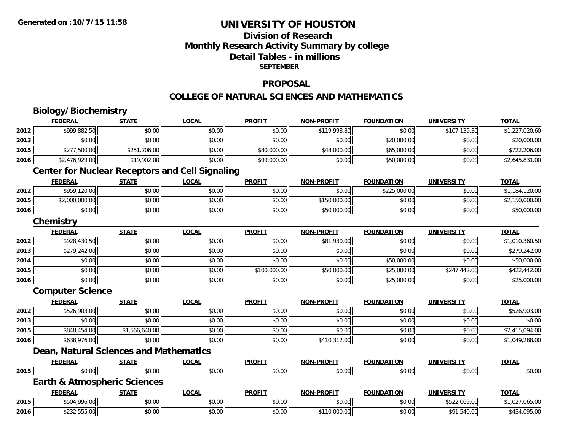# **Division of Research Monthly Research Activity Summary by college Detail Tables - in millions SEPTEMBER**

### **PROPOSAL**

#### **COLLEGE OF NATURAL SCIENCES AND MATHEMATICS**

# **Biology/Biochemistry**

|      | <b>FEDERAL</b>          | <b>STATE</b>                            | <b>LOCAL</b>                                           | <b>PROFIT</b> | <b>NON-PROFIT</b> | <b>FOUNDATION</b> | <b>UNIVERSITY</b> | <b>TOTAL</b>   |
|------|-------------------------|-----------------------------------------|--------------------------------------------------------|---------------|-------------------|-------------------|-------------------|----------------|
| 2012 | \$999,882.50            | \$0.00                                  | \$0.00                                                 | \$0.00        | \$119,998.80      | \$0.00            | \$107,139.30      | \$1,227,020.60 |
| 2013 | \$0.00                  | \$0.00                                  | \$0.00                                                 | \$0.00        | \$0.00            | \$20,000.00       | \$0.00            | \$20,000.00    |
| 2015 | \$277,500.00            | \$251,706.00                            | \$0.00                                                 | \$80,000.00   | \$48,000.00       | \$65,000.00       | \$0.00            | \$722,206.00   |
| 2016 | \$2,476,929.00          | \$19,902.00                             | \$0.00                                                 | \$99,000.00   | \$0.00            | \$50,000.00       | \$0.00            | \$2,645,831.00 |
|      |                         |                                         | <b>Center for Nuclear Receptors and Cell Signaling</b> |               |                   |                   |                   |                |
|      | <b>FEDERAL</b>          | <b>STATE</b>                            | <b>LOCAL</b>                                           | <b>PROFIT</b> | <b>NON-PROFIT</b> | <b>FOUNDATION</b> | <b>UNIVERSITY</b> | <b>TOTAL</b>   |
| 2012 | \$959,120.00            | \$0.00                                  | \$0.00                                                 | \$0.00        | \$0.00            | \$225,000.00      | \$0.00            | \$1,184,120.00 |
| 2015 | \$2,000,000.00          | \$0.00                                  | \$0.00                                                 | \$0.00        | \$150,000.00      | \$0.00            | \$0.00            | \$2,150,000.00 |
| 2016 | \$0.00                  | \$0.00                                  | \$0.00                                                 | \$0.00        | \$50,000.00       | \$0.00            | \$0.00            | \$50,000.00    |
|      | Chemistry               |                                         |                                                        |               |                   |                   |                   |                |
|      | <b>FEDERAL</b>          | <b>STATE</b>                            | <b>LOCAL</b>                                           | <b>PROFIT</b> | <b>NON-PROFIT</b> | <b>FOUNDATION</b> | <b>UNIVERSITY</b> | <b>TOTAL</b>   |
| 2012 | \$928,430.50            | \$0.00                                  | \$0.00                                                 | \$0.00        | \$81,930.00       | \$0.00            | \$0.00            | \$1,010,360.50 |
| 2013 | \$279,242.00            | \$0.00                                  | \$0.00                                                 | \$0.00        | \$0.00            | \$0.00            | \$0.00            | \$279,242.00   |
| 2014 | \$0.00                  | \$0.00                                  | \$0.00                                                 | \$0.00        | \$0.00            | \$50,000.00       | \$0.00            | \$50,000.00    |
| 2015 | \$0.00                  | \$0.00                                  | \$0.00                                                 | \$100,000.00  | \$50,000.00       | \$25,000.00       | \$247,442.00      | \$422,442.00   |
| 2016 | \$0.00                  | \$0.00                                  | \$0.00                                                 | \$0.00        | \$0.00            | \$25,000.00       | \$0.00            | \$25,000.00    |
|      | <b>Computer Science</b> |                                         |                                                        |               |                   |                   |                   |                |
|      | <b>FEDERAL</b>          | <b>STATE</b>                            | <b>LOCAL</b>                                           | <b>PROFIT</b> | <b>NON-PROFIT</b> | <b>FOUNDATION</b> | <b>UNIVERSITY</b> | <b>TOTAL</b>   |
| 2012 | \$526,903.00            | \$0.00                                  | \$0.00                                                 | \$0.00        | \$0.00            | \$0.00            | \$0.00            | \$526,903.00   |
| 2013 | \$0.00                  | \$0.00                                  | \$0.00                                                 | \$0.00        | \$0.00            | \$0.00            | \$0.00            | \$0.00         |
| 2015 | \$848,454.00            | \$1,566,640.00                          | \$0.00                                                 | \$0.00        | \$0.00            | \$0.00            | \$0.00            | \$2,415,094.00 |
| 2016 | \$638,976.00            | \$0.00                                  | \$0.00                                                 | \$0.00        | \$410,312.00      | \$0.00            | \$0.00            | \$1,049,288.00 |
|      |                         | Dean, Natural Sciences and Mathematics  |                                                        |               |                   |                   |                   |                |
|      | <b>FEDERAL</b>          | <b>STATE</b>                            | <b>LOCAL</b>                                           | <b>PROFIT</b> | <b>NON-PROFIT</b> | <b>FOUNDATION</b> | <b>UNIVERSITY</b> | <b>TOTAL</b>   |
| 2015 | \$0.00                  | \$0.00                                  | \$0.00                                                 | \$0.00        | \$0.00            | \$0.00            | \$0.00            | \$0.00         |
|      |                         | <b>Earth &amp; Atmospheric Sciences</b> |                                                        |               |                   |                   |                   |                |
|      | <b>FEDERAL</b>          | <b>STATE</b>                            | <b>LOCAL</b>                                           | <b>PROFIT</b> | <b>NON-PROFIT</b> | <b>FOUNDATION</b> | <b>UNIVERSITY</b> | <b>TOTAL</b>   |
| 2015 | \$504,996.00            | \$0.00                                  | \$0.00                                                 | \$0.00        | \$0.00            | \$0.00            | \$522,069.00      | \$1,027,065.00 |
| 2016 | \$232,555.00            | \$0.00                                  | \$0.00                                                 | \$0.00        | \$110,000.00      | \$0.00            | \$91,540.00       | \$434,095.00   |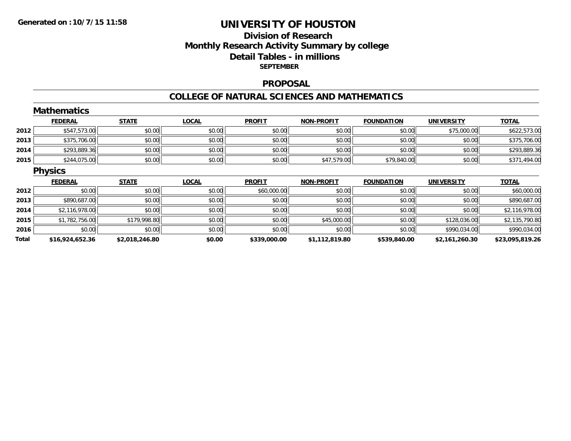# **Division of ResearchMonthly Research Activity Summary by college Detail Tables - in millions SEPTEMBER**

#### **PROPOSAL**

#### **COLLEGE OF NATURAL SCIENCES AND MATHEMATICS**

|      | <b>Mathematics</b> |              |              |               |                   |                   |                   |                |
|------|--------------------|--------------|--------------|---------------|-------------------|-------------------|-------------------|----------------|
|      | <b>FEDERAL</b>     | <b>STATE</b> | <b>LOCAL</b> | <b>PROFIT</b> | <b>NON-PROFIT</b> | <b>FOUNDATION</b> | <b>UNIVERSITY</b> | <b>TOTAL</b>   |
| 2012 | \$547,573.00       | \$0.00       | \$0.00       | \$0.00        | \$0.00            | \$0.00            | \$75,000.00       | \$622,573.00   |
| 2013 | \$375,706.00       | \$0.00       | \$0.00       | \$0.00        | \$0.00            | \$0.00            | \$0.00            | \$375,706.00   |
| 2014 | \$293,889.36       | \$0.00       | \$0.00       | \$0.00        | \$0.00            | \$0.00            | \$0.00            | \$293,889.36   |
| 2015 | \$244,075.00       | \$0.00       | \$0.00       | \$0.00        | \$47,579.00       | \$79,840.00       | \$0.00            | \$371,494.00   |
|      | <b>Physics</b>     |              |              |               |                   |                   |                   |                |
|      |                    |              |              |               |                   |                   |                   |                |
|      | <b>FEDERAL</b>     | <b>STATE</b> | <b>LOCAL</b> | <b>PROFIT</b> | <b>NON-PROFIT</b> | <b>FOUNDATION</b> | <b>UNIVERSITY</b> | <b>TOTAL</b>   |
| 2012 | \$0.00             | \$0.00       | \$0.00       | \$60,000.00   | \$0.00            | \$0.00            | \$0.00            | \$60,000.00    |
| 2013 | \$890,687.00       | \$0.00       | \$0.00       | \$0.00        | \$0.00            | \$0.00            | \$0.00            | \$890,687.00   |
| 2014 | \$2,116,978.00     | \$0.00       | \$0.00       | \$0.00        | \$0.00            | \$0.00            | \$0.00            | \$2,116,978.00 |
| 2015 | \$1,782,756.00     | \$179,998.80 | \$0.00       | \$0.00        | \$45,000.00       | \$0.00            | \$128,036.00      | \$2,135,790.80 |
| 2016 | \$0.00             | \$0.00       | \$0.00       | \$0.00        | \$0.00            | \$0.00            | \$990,034.00      | \$990,034.00   |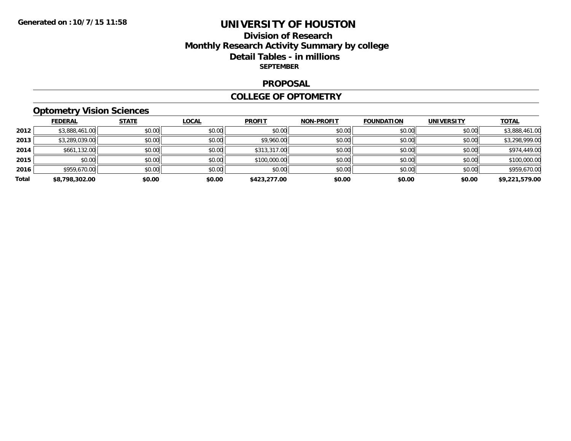# **Division of Research Monthly Research Activity Summary by college Detail Tables - in millions SEPTEMBER**

#### **PROPOSAL**

#### **COLLEGE OF OPTOMETRY**

# **Optometry Vision Sciences**

|       | <b>FEDERAL</b> | <b>STATE</b> | <b>LOCAL</b> | <b>PROFIT</b> | <b>NON-PROFIT</b> | <b>FOUNDATION</b> | <b>UNIVERSITY</b> | <b>TOTAL</b>   |
|-------|----------------|--------------|--------------|---------------|-------------------|-------------------|-------------------|----------------|
| 2012  | \$3,888,461.00 | \$0.00       | \$0.00       | \$0.00        | \$0.00            | \$0.00            | \$0.00            | \$3,888,461.00 |
| 2013  | \$3,289,039.00 | \$0.00       | \$0.00       | \$9,960.00    | \$0.00            | \$0.00            | \$0.00            | \$3,298,999.00 |
| 2014  | \$661,132.00   | \$0.00       | \$0.00       | \$313,317.00  | \$0.00            | \$0.00            | \$0.00            | \$974,449.00   |
| 2015  | \$0.00         | \$0.00       | \$0.00       | \$100,000.00  | \$0.00            | \$0.00            | \$0.00            | \$100,000.00   |
| 2016  | \$959,670.00   | \$0.00       | \$0.00       | \$0.00        | \$0.00            | \$0.00            | \$0.00            | \$959,670.00   |
| Total | \$8,798,302.00 | \$0.00       | \$0.00       | \$423,277.00  | \$0.00            | \$0.00            | \$0.00            | \$9,221,579.00 |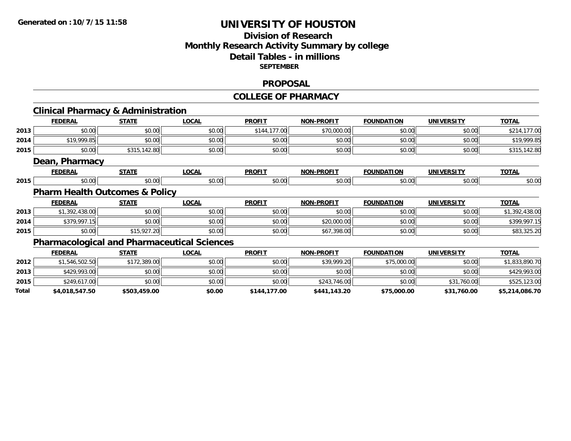# **Division of ResearchMonthly Research Activity Summary by college Detail Tables - in millions SEPTEMBER**

#### **PROPOSAL**

#### **COLLEGE OF PHARMACY**

|       | <b>Clinical Pharmacy &amp; Administration</b> |              |                                                    |               |                   |                   |                   |                |
|-------|-----------------------------------------------|--------------|----------------------------------------------------|---------------|-------------------|-------------------|-------------------|----------------|
|       | <b>FEDERAL</b>                                | <b>STATE</b> | <b>LOCAL</b>                                       | <b>PROFIT</b> | <b>NON-PROFIT</b> | <b>FOUNDATION</b> | <b>UNIVERSITY</b> | <b>TOTAL</b>   |
| 2013  | \$0.00                                        | \$0.00       | \$0.00                                             | \$144,177.00  | \$70,000.00       | \$0.00            | \$0.00            | \$214,177.00   |
| 2014  | \$19,999.85                                   | \$0.00       | \$0.00                                             | \$0.00        | \$0.00            | \$0.00            | \$0.00            | \$19,999.85    |
| 2015  | \$0.00                                        | \$315,142.80 | \$0.00                                             | \$0.00        | \$0.00            | \$0.00            | \$0.00            | \$315,142.80   |
|       | Dean, Pharmacy                                |              |                                                    |               |                   |                   |                   |                |
|       | <b>FEDERAL</b>                                | <b>STATE</b> | <b>LOCAL</b>                                       | <b>PROFIT</b> | <b>NON-PROFIT</b> | <b>FOUNDATION</b> | <b>UNIVERSITY</b> | <b>TOTAL</b>   |
| 2015  | \$0.00                                        | \$0.00       | \$0.00                                             | \$0.00        | \$0.00            | \$0.00            | \$0.00            | \$0.00         |
|       | <b>Pharm Health Outcomes &amp; Policy</b>     |              |                                                    |               |                   |                   |                   |                |
|       | <b>FEDERAL</b>                                | <b>STATE</b> | <b>LOCAL</b>                                       | <b>PROFIT</b> | <b>NON-PROFIT</b> | <b>FOUNDATION</b> | <b>UNIVERSITY</b> | <b>TOTAL</b>   |
| 2013  | \$1,392,438.00                                | \$0.00       | \$0.00                                             | \$0.00        | \$0.00            | \$0.00            | \$0.00            | \$1,392,438.00 |
| 2014  | \$379,997.15                                  | \$0.00       | \$0.00                                             | \$0.00        | \$20,000.00       | \$0.00            | \$0.00            | \$399,997.15   |
| 2015  | \$0.00                                        | \$15,927.20  | \$0.00                                             | \$0.00        | \$67,398.00       | \$0.00            | \$0.00            | \$83,325.20    |
|       |                                               |              | <b>Pharmacological and Pharmaceutical Sciences</b> |               |                   |                   |                   |                |
|       | <b>FEDERAL</b>                                | <b>STATE</b> | <b>LOCAL</b>                                       | <b>PROFIT</b> | <b>NON-PROFIT</b> | <b>FOUNDATION</b> | <b>UNIVERSITY</b> | <b>TOTAL</b>   |
| 2012  | \$1,546,502.50                                | \$172,389.00 | \$0.00                                             | \$0.00        | \$39,999.20       | \$75,000.00       | \$0.00            | \$1,833,890.70 |
| 2013  | \$429,993.00                                  | \$0.00       | \$0.00                                             | \$0.00        | \$0.00            | \$0.00            | \$0.00            | \$429,993.00   |
| 2015  | \$249,617.00                                  | \$0.00       | \$0.00                                             | \$0.00        | \$243,746.00      | \$0.00            | \$31,760.00       | \$525,123.00   |
| Total | \$4,018,547.50                                | \$503,459.00 | \$0.00                                             | \$144,177.00  | \$441,143.20      | \$75,000.00       | \$31,760.00       | \$5,214,086.70 |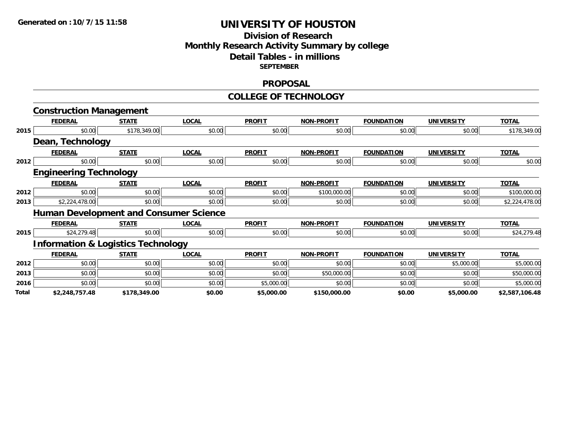### **Division of Research Monthly Research Activity Summary by college Detail Tables - in millions SEPTEMBER**

#### **PROPOSAL**

#### **COLLEGE OF TECHNOLOGY**

|       | <b>Construction Management</b>                |              |                                               |               |                   |                   |                   |                |
|-------|-----------------------------------------------|--------------|-----------------------------------------------|---------------|-------------------|-------------------|-------------------|----------------|
|       | <b>FEDERAL</b>                                | <b>STATE</b> | <b>LOCAL</b>                                  | <b>PROFIT</b> | <b>NON-PROFIT</b> | <b>FOUNDATION</b> | <b>UNIVERSITY</b> | <b>TOTAL</b>   |
| 2015  | \$0.00                                        | \$178,349.00 | \$0.00                                        | \$0.00        | \$0.00            | \$0.00            | \$0.00            | \$178,349.00   |
|       | Dean, Technology                              |              |                                               |               |                   |                   |                   |                |
|       | <b>FEDERAL</b>                                | <b>STATE</b> | <b>LOCAL</b>                                  | <b>PROFIT</b> | <b>NON-PROFIT</b> | <b>FOUNDATION</b> | <b>UNIVERSITY</b> | <b>TOTAL</b>   |
| 2012  | \$0.00                                        | \$0.00       | \$0.00                                        | \$0.00        | \$0.00            | \$0.00            | \$0.00            | \$0.00         |
|       | <b>Engineering Technology</b>                 |              |                                               |               |                   |                   |                   |                |
|       | <b>FEDERAL</b>                                | <b>STATE</b> | <b>LOCAL</b>                                  | <b>PROFIT</b> | <b>NON-PROFIT</b> | <b>FOUNDATION</b> | <b>UNIVERSITY</b> | <b>TOTAL</b>   |
| 2012  | \$0.00                                        | \$0.00       | \$0.00                                        | \$0.00        | \$100,000.00      | \$0.00            | \$0.00            | \$100,000.00   |
| 2013  | \$2,224,478.00                                | \$0.00       | \$0.00                                        | \$0.00        | \$0.00            | \$0.00            | \$0.00            | \$2,224,478.00 |
|       |                                               |              | <b>Human Development and Consumer Science</b> |               |                   |                   |                   |                |
|       | <b>FEDERAL</b>                                | <b>STATE</b> | <b>LOCAL</b>                                  | <b>PROFIT</b> | <b>NON-PROFIT</b> | <b>FOUNDATION</b> | <b>UNIVERSITY</b> | <b>TOTAL</b>   |
| 2015  | \$24,279.48                                   | \$0.00       | \$0.00                                        | \$0.00        | \$0.00            | \$0.00            | \$0.00            | \$24,279.48    |
|       | <b>Information &amp; Logistics Technology</b> |              |                                               |               |                   |                   |                   |                |
|       | <b>FEDERAL</b>                                | <b>STATE</b> | <b>LOCAL</b>                                  | <b>PROFIT</b> | <b>NON-PROFIT</b> | <b>FOUNDATION</b> | <b>UNIVERSITY</b> | <b>TOTAL</b>   |
| 2012  | \$0.00                                        | \$0.00       | \$0.00                                        | \$0.00        | \$0.00            | \$0.00            | \$5,000.00        | \$5,000.00     |
| 2013  | \$0.00                                        | \$0.00       | \$0.00                                        | \$0.00        | \$50,000.00       | \$0.00            | \$0.00            | \$50,000.00    |
| 2016  | \$0.00                                        | \$0.00       | \$0.00                                        | \$5,000.00    | \$0.00            | \$0.00            | \$0.00            | \$5,000.00     |
| Total | \$2,248,757.48                                | \$178,349.00 | \$0.00                                        | \$5,000.00    | \$150,000.00      | \$0.00            | \$5,000.00        | \$2,587,106.48 |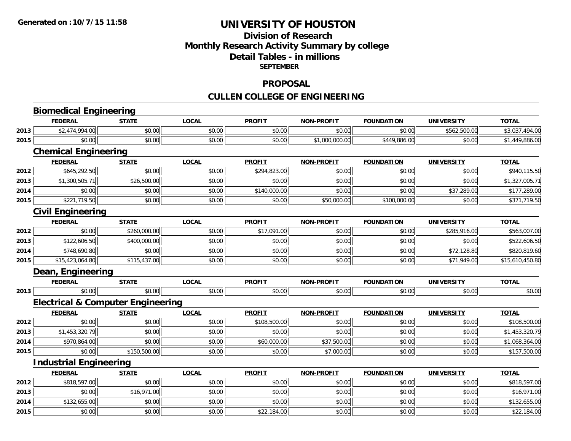# **Division of Research Monthly Research Activity Summary by college Detail Tables - in millions SEPTEMBER**

#### **PROPOSAL**

# **CULLEN COLLEGE OF ENGINEERING**

|      | <b>Biomedical Engineering</b>                |              |              |               |                   |                   |                   |                 |
|------|----------------------------------------------|--------------|--------------|---------------|-------------------|-------------------|-------------------|-----------------|
|      | <b>FEDERAL</b>                               | <b>STATE</b> | <b>LOCAL</b> | <b>PROFIT</b> | <b>NON-PROFIT</b> | <b>FOUNDATION</b> | <b>UNIVERSITY</b> | <b>TOTAL</b>    |
| 2013 | \$2,474,994.00                               | \$0.00       | \$0.00       | \$0.00        | \$0.00            | \$0.00            | \$562,500.00      | \$3,037,494.00  |
| 2015 | \$0.00                                       | \$0.00       | \$0.00       | \$0.00        | \$1,000,000.00    | \$449,886.00      | \$0.00            | \$1,449,886.00  |
|      | <b>Chemical Engineering</b>                  |              |              |               |                   |                   |                   |                 |
|      | <b>FEDERAL</b>                               | STATE        | <b>LOCAL</b> | <b>PROFIT</b> | <b>NON-PROFIT</b> | <b>FOUNDATION</b> | <b>UNIVERSITY</b> | <b>TOTAL</b>    |
| 2012 | \$645,292.50                                 | \$0.00       | \$0.00       | \$294,823.00  | \$0.00            | \$0.00            | \$0.00            | \$940,115.50    |
| 2013 | \$1,300,505.71                               | \$26,500.00  | \$0.00       | \$0.00        | \$0.00            | \$0.00            | \$0.00            | \$1,327,005.71  |
| 2014 | \$0.00                                       | \$0.00       | \$0.00       | \$140,000.00  | \$0.00            | \$0.00            | \$37,289.00       | \$177,289.00    |
| 2015 | \$221,719.50                                 | \$0.00       | \$0.00       | \$0.00        | \$50,000.00       | \$100,000.00      | \$0.00            | \$371,719.50    |
|      | <b>Civil Engineering</b>                     |              |              |               |                   |                   |                   |                 |
|      | <b>FEDERAL</b>                               | <b>STATE</b> | <b>LOCAL</b> | <b>PROFIT</b> | <b>NON-PROFIT</b> | <b>FOUNDATION</b> | <b>UNIVERSITY</b> | <b>TOTAL</b>    |
| 2012 | \$0.00                                       | \$260,000.00 | \$0.00       | \$17,091.00   | \$0.00            | \$0.00            | \$285,916.00      | \$563,007.00    |
| 2013 | \$122,606.50                                 | \$400,000.00 | \$0.00       | \$0.00        | \$0.00            | \$0.00            | \$0.00            | \$522,606.50    |
| 2014 | \$748,690.80                                 | \$0.00       | \$0.00       | \$0.00        | \$0.00            | \$0.00            | \$72,128.80       | \$820,819.60    |
| 2015 | \$15,423,064.80                              | \$115,437.00 | \$0.00       | \$0.00        | \$0.00            | \$0.00            | \$71,949.00       | \$15,610,450.80 |
|      | Dean, Engineering                            |              |              |               |                   |                   |                   |                 |
|      | <b>FEDERAL</b>                               | <b>STATE</b> | <b>LOCAL</b> | <b>PROFIT</b> | <b>NON-PROFIT</b> | <b>FOUNDATION</b> | <b>UNIVERSITY</b> | <b>TOTAL</b>    |
| 2013 | \$0.00                                       | \$0.00       | \$0.00       | \$0.00        | \$0.00            | \$0.00            | \$0.00            | \$0.00          |
|      | <b>Electrical &amp; Computer Engineering</b> |              |              |               |                   |                   |                   |                 |
|      | <b>FEDERAL</b>                               | <b>STATE</b> | <b>LOCAL</b> | <b>PROFIT</b> | <b>NON-PROFIT</b> | <b>FOUNDATION</b> | <b>UNIVERSITY</b> | <b>TOTAL</b>    |
| 2012 | \$0.00                                       | \$0.00       | \$0.00       | \$108,500.00  | \$0.00            | \$0.00            | \$0.00            | \$108,500.00    |
| 2013 | \$1,453,320.79                               | \$0.00       | \$0.00       | \$0.00        | \$0.00            | \$0.00            | \$0.00            | \$1,453,320.79  |
| 2014 | \$970,864.00                                 | \$0.00       | \$0.00       | \$60,000.00   | \$37,500.00       | \$0.00            | \$0.00            | \$1,068,364.00  |
| 2015 | \$0.00                                       | \$150,500.00 | \$0.00       | \$0.00        | \$7,000.00        | \$0.00            | \$0.00            | \$157,500.00    |
|      | <b>Industrial Engineering</b>                |              |              |               |                   |                   |                   |                 |
|      | <b>FEDERAL</b>                               | <b>STATE</b> | <b>LOCAL</b> | <b>PROFIT</b> | <b>NON-PROFIT</b> | <b>FOUNDATION</b> | <b>UNIVERSITY</b> | <b>TOTAL</b>    |
| 2012 | \$818,597.00                                 | \$0.00       | \$0.00       | \$0.00        | \$0.00            | \$0.00            | \$0.00            | \$818,597.00    |
| 2013 | \$0.00                                       | \$16,971.00  | \$0.00       | \$0.00        | \$0.00            | \$0.00            | \$0.00            | \$16,971.00     |
| 2014 | \$132,655.00                                 | \$0.00       | \$0.00       | \$0.00        | \$0.00            | \$0.00            | \$0.00            | \$132,655.00    |
| 2015 | \$0.00                                       | \$0.00       | \$0.00       | \$22,184.00   | \$0.00            | \$0.00            | \$0.00            | \$22,184.00     |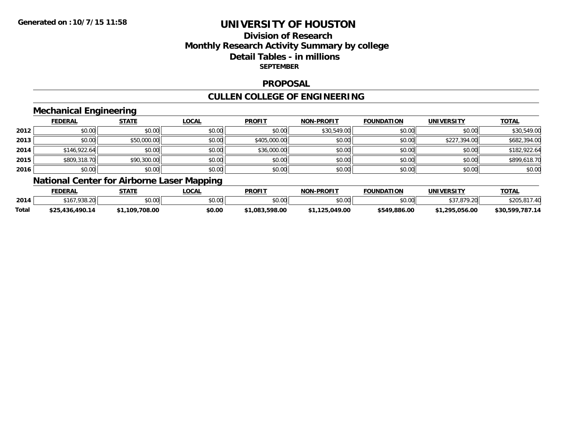# **Division of ResearchMonthly Research Activity Summary by college Detail Tables - in millions SEPTEMBER**

### **PROPOSAL**

# **CULLEN COLLEGE OF ENGINEERING**

### **Mechanical Engineering**

|      | <b>FEDERAL</b> | <b>STATE</b> | <b>LOCAL</b> | <b>PROFIT</b> | <b>NON-PROFIT</b> | <b>FOUNDATION</b> | <b>UNIVERSITY</b> | <b>TOTAL</b> |
|------|----------------|--------------|--------------|---------------|-------------------|-------------------|-------------------|--------------|
| 2012 | \$0.00         | \$0.00       | \$0.00       | \$0.00        | \$30,549.00       | \$0.00            | \$0.00            | \$30,549.00  |
| 2013 | \$0.00         | \$50,000.00  | \$0.00       | \$405,000.00  | \$0.00            | \$0.00            | \$227,394.00      | \$682,394.00 |
| 2014 | \$146,922.64   | \$0.00       | \$0.00       | \$36,000.00   | \$0.00            | \$0.00            | \$0.00            | \$182,922.64 |
| 2015 | \$809,318.70   | \$90,300.00  | \$0.00       | \$0.00        | \$0.00            | \$0.00            | \$0.00            | \$899,618.70 |
| 2016 | \$0.00         | \$0.00       | \$0.00       | \$0.00        | \$0.00            | \$0.00            | \$0.00            | \$0.00       |

# **National Center for Airborne Laser Mapping**

|       | FEDERAL         | <b>СТАТБ</b> | <b>LOCAL</b>  | <b>PROFIT</b>  | <b>NON-PROFIT</b> | <b>FOUNDATION</b>                   | <b>UNIVERSITY</b>       | TOTAL           |
|-------|-----------------|--------------|---------------|----------------|-------------------|-------------------------------------|-------------------------|-----------------|
| 2014  | \$167,938.20    | \$0.00       | 0000<br>JU.UU | \$0.00         | \$0.00            | $\uparrow$ $\land$ $\land$<br>DU.UU | 27020<br>7.ZU           | $\sqrt{2}$      |
| Total | \$25,436,490.14 | .109.708.00  | \$0.00        | \$1.083.598.00 | \$1.125.049.00    | \$549,886.00                        | <b>15.056.00</b><br>20F | \$30,599,787.14 |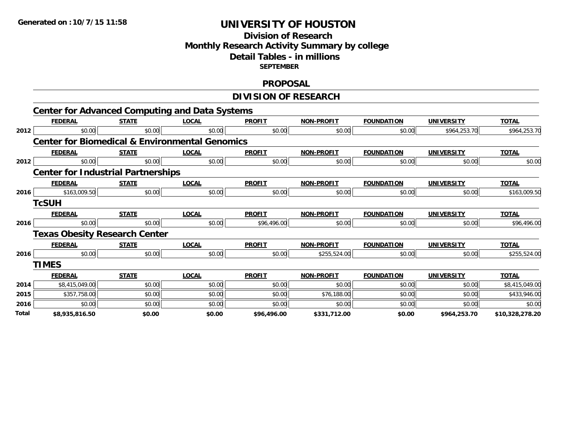### **Division of Research Monthly Research Activity Summary by college Detail Tables - in millions SEPTEMBER**

### **PROPOSAL**

#### **DIVISION OF RESEARCH**

|       |                                           |              | <b>Center for Advanced Computing and Data Systems</b>     |               |                   |                   |                   |                 |
|-------|-------------------------------------------|--------------|-----------------------------------------------------------|---------------|-------------------|-------------------|-------------------|-----------------|
|       | <b>FEDERAL</b>                            | <b>STATE</b> | <b>LOCAL</b>                                              | <b>PROFIT</b> | <b>NON-PROFIT</b> | <b>FOUNDATION</b> | <b>UNIVERSITY</b> | <b>TOTAL</b>    |
| 2012  | \$0.00                                    | \$0.00       | \$0.00                                                    | \$0.00        | \$0.00            | \$0.00            | \$964,253.70      | \$964,253.70    |
|       |                                           |              | <b>Center for Biomedical &amp; Environmental Genomics</b> |               |                   |                   |                   |                 |
|       | <b>FEDERAL</b>                            | <b>STATE</b> | <b>LOCAL</b>                                              | <b>PROFIT</b> | <b>NON-PROFIT</b> | <b>FOUNDATION</b> | <b>UNIVERSITY</b> | <b>TOTAL</b>    |
| 2012  | \$0.00                                    | \$0.00       | \$0.00                                                    | \$0.00        | \$0.00            | \$0.00            | \$0.00            | \$0.00          |
|       | <b>Center for Industrial Partnerships</b> |              |                                                           |               |                   |                   |                   |                 |
|       | <b>FEDERAL</b>                            | <b>STATE</b> | <b>LOCAL</b>                                              | <b>PROFIT</b> | <b>NON-PROFIT</b> | <b>FOUNDATION</b> | <b>UNIVERSITY</b> | <b>TOTAL</b>    |
| 2016  | \$163,009.50                              | \$0.00       | \$0.00                                                    | \$0.00        | \$0.00            | \$0.00            | \$0.00            | \$163,009.50    |
|       | <b>TcSUH</b>                              |              |                                                           |               |                   |                   |                   |                 |
|       | <b>FEDERAL</b>                            | <b>STATE</b> | <b>LOCAL</b>                                              | <b>PROFIT</b> | <b>NON-PROFIT</b> | <b>FOUNDATION</b> | <b>UNIVERSITY</b> | <b>TOTAL</b>    |
| 2016  | \$0.00                                    | \$0.00       | \$0.00                                                    | \$96,496.00   | \$0.00            | \$0.00            | \$0.00            | \$96,496.00     |
|       | <b>Texas Obesity Research Center</b>      |              |                                                           |               |                   |                   |                   |                 |
|       | <b>FEDERAL</b>                            | <b>STATE</b> | <b>LOCAL</b>                                              | <b>PROFIT</b> | <b>NON-PROFIT</b> | <b>FOUNDATION</b> | <b>UNIVERSITY</b> | <b>TOTAL</b>    |
| 2016  | \$0.00                                    | \$0.00       | \$0.00                                                    | \$0.00        | \$255,524.00      | \$0.00            | \$0.00            | \$255,524.00    |
|       | <b>TIMES</b>                              |              |                                                           |               |                   |                   |                   |                 |
|       | <b>FEDERAL</b>                            | <b>STATE</b> | <b>LOCAL</b>                                              | <b>PROFIT</b> | <b>NON-PROFIT</b> | <b>FOUNDATION</b> | <b>UNIVERSITY</b> | <b>TOTAL</b>    |
| 2014  | \$8,415,049.00                            | \$0.00       | \$0.00                                                    | \$0.00        | \$0.00            | \$0.00            | \$0.00            | \$8,415,049.00  |
| 2015  | \$357,758.00                              | \$0.00       | \$0.00                                                    | \$0.00        | \$76,188.00       | \$0.00            | \$0.00            | \$433,946.00    |
| 2016  | \$0.00                                    | \$0.00       | \$0.00                                                    | \$0.00        | \$0.00            | \$0.00            | \$0.00            | \$0.00          |
| Total | \$8,935,816.50                            | \$0.00       | \$0.00                                                    | \$96,496.00   | \$331,712.00      | \$0.00            | \$964,253.70      | \$10,328,278.20 |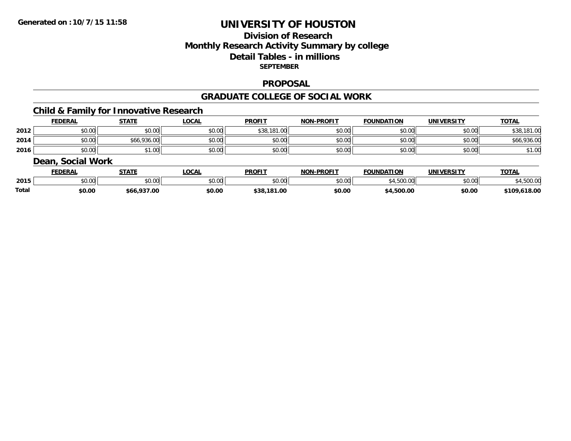# **Division of ResearchMonthly Research Activity Summary by college Detail Tables - in millions SEPTEMBER**

#### **PROPOSAL**

#### **GRADUATE COLLEGE OF SOCIAL WORK**

# **Child & Family for Innovative Research**

|      | <b>FEDERAL</b> | <b>STATE</b> | <u>_OCAL</u> | <b>PROFIT</b> | <b>NON-PROFIT</b> | <b>FOUNDATION</b> | <b>UNIVERSITY</b> | <b>TOTAL</b> |
|------|----------------|--------------|--------------|---------------|-------------------|-------------------|-------------------|--------------|
| 2012 | \$0.00         | \$0.00       | \$0.00       | \$38,181.00   | \$0.00            | \$0.00            | \$0.00            | \$38,181.00  |
| 2014 | \$0.00         | \$66,936.00  | \$0.00       | \$0.00        | \$0.00            | \$0.00            | \$0.00            | \$66,936.00  |
| 2016 | \$0.00         | —ا00…        | \$0.00       | \$0.00        | \$0.00            | \$0.00            | \$0.00            | \$1.00       |

#### **Dean, Social Work**

|       | <b>FEDERAL</b> | $\Upsilon$ TATE    | <b>.OCAL</b>  | <b>PROFIT</b>          | <b>NON-PROFIT</b> | <b>FOUNDATION</b> | <b>UNIVERSITY</b> | TOTAL            |
|-------|----------------|--------------------|---------------|------------------------|-------------------|-------------------|-------------------|------------------|
| 2015  | ሶስ ሰሰ<br>JU.UU | 0.00<br>JU.UU      | 0000<br>JU.UU | 0 <sup>n</sup><br>יש.ט | 0000<br>DU.UG     | 4.OUU.UU          | \$0.00            | 0000<br>4,900.00 |
| Total | \$0.00         | \$66.937.00<br>DOO | \$0.00        | 3.181.00<br>\$38.      | \$0.00            | 4.500.00          | \$0.00            | .618.00<br>109   |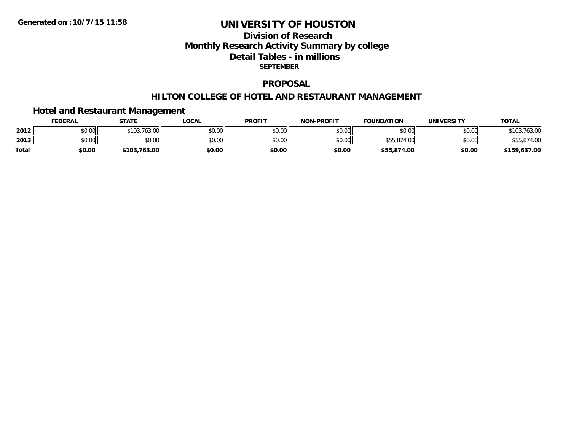# **Division of ResearchMonthly Research Activity Summary by college Detail Tables - in millions SEPTEMBER**

#### **PROPOSAL**

### **HILTON COLLEGE OF HOTEL AND RESTAURANT MANAGEMENT**

### **Hotel and Restaurant Management**

|              | <u>FEDERAL</u> | <b>STATE</b>     | <b>LOCAL</b> | <b>PROFIT</b> | <b>NON-PROFIT</b> | <b>FOUNDATION</b> | UNIVERSITY | <b>TOTAL</b> |
|--------------|----------------|------------------|--------------|---------------|-------------------|-------------------|------------|--------------|
| 2012         | \$0.00         | .763.00<br>\$103 | \$0.00       | \$0.00        | \$0.00            | \$0.00            | \$0.00     | ، 63.u       |
| 2013         | \$0.00         | \$0.00           | \$0.00       | \$0.00        | \$0.00            | \$55,874.00       | \$0.00     |              |
| <b>Total</b> | \$0.00         | \$103,763.00     | \$0.00       | \$0.00        | \$0.00            | \$55,874.00       | \$0.00     | \$159,637.00 |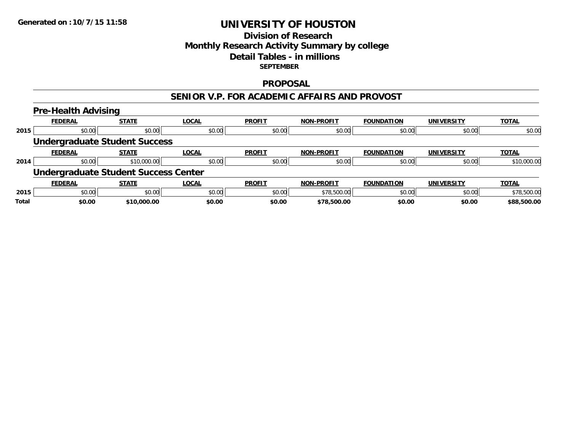# **Division of ResearchMonthly Research Activity Summary by college Detail Tables - in millionsSEPTEMBER**

#### **PROPOSAL**

### **SENIOR V.P. FOR ACADEMIC AFFAIRS AND PROVOST**

#### **Pre-Health Advising FEDERAL STATE LOCAL PROFIT NON-PROFIT FOUNDATION UNIVERSITY TOTALTOTAL 2015** \$0.00 \$0.00 \$0.00 \$0.00 \$0.00 \$0.00 \$0.00 \$0.00 **Undergraduate Student Success FEDERAL STATE LOCAL PROFIT NON-PROFIT FOUNDATION UNIVERSITY TOTALTOTAL 2014**4 \$0.00 \$0.00 \$10,000.00 \$10,000.00 \$0.00 \$0.00 \$0.00 \$0.00 \$0.00 \$0.00 \$0.00 \$0.00 \$0.00 \$10,000.00 **Undergraduate Student Success Center FEDERAL STATE LOCAL PROFIT NON-PROFIT FOUNDATION UNIVERSITY TOTALTOTAL 2015** \$0.00 \$0.00 \$0.00 \$0.00 \$78,500.00 \$0.00 \$0.00 \$78,500.00 **Total \$0.00\$10,000.00 \$0.00 \$0.00 \$78,500.00 \$0.00 \$0.00 \$88,500.00**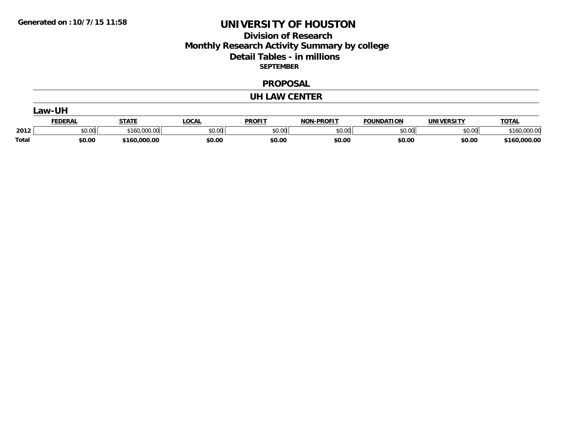# **Division of Research Monthly Research Activity Summary by college Detail Tables - in millions SEPTEMBER**

#### **PROPOSAL**

#### **UH LAW CENTER**

|              | .aw-UH         |              |              |               |                   |                   |            |              |  |  |
|--------------|----------------|--------------|--------------|---------------|-------------------|-------------------|------------|--------------|--|--|
|              | <b>FEDERAL</b> | <b>STATE</b> | <u>LOCAL</u> | <b>PROFIT</b> | <b>NON-PROFIT</b> | <b>FOUNDATION</b> | UNIVERSITY | <b>TOTAL</b> |  |  |
| 2012         | \$0.00         | \$160,000.00 | \$0.00       | \$0.00        | \$0.00            | \$0.00            | \$0.00     | \$160,000.00 |  |  |
| <b>Total</b> | \$0.00         | \$160,000.00 | \$0.00       | \$0.00        | \$0.00            | \$0.00            | \$0.00     | \$160,000.00 |  |  |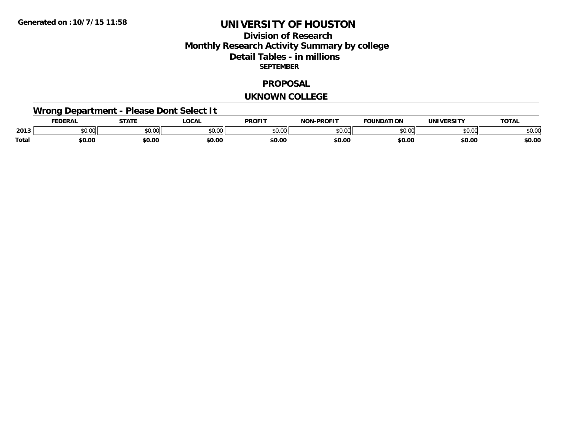# **Division of ResearchMonthly Research Activity Summary by college Detail Tables - in millions SEPTEMBER**

#### **PROPOSAL**

#### **UKNOWN COLLEGE**

# **Wrong Department - Please Dont Select It**

|              |                  | $- - - - -$                                          | OCA               | <b>PROFIT</b> | <b>DDAFIT</b><br>$\sim$ |               |                | $\mathbf{r}$   |
|--------------|------------------|------------------------------------------------------|-------------------|---------------|-------------------------|---------------|----------------|----------------|
| 2013         | $\sim$ 00<br>しいい | $\mathsf{A} \cap \mathsf{A} \cap \mathsf{A}$<br>יש.ט | $\sim$ 00<br>ט.טי | 0.00          | $\sim$ 00<br>וטט.       | $\sim$ $\sim$ | ሐሴ ሰሰ<br>JU.UI | $\sim$<br>DU.U |
| <b>Total</b> | 60.00            | \$0.00                                               | \$0.00            | \$0.00        | \$0.00                  | \$0.00        | \$0.00         | \$0.00         |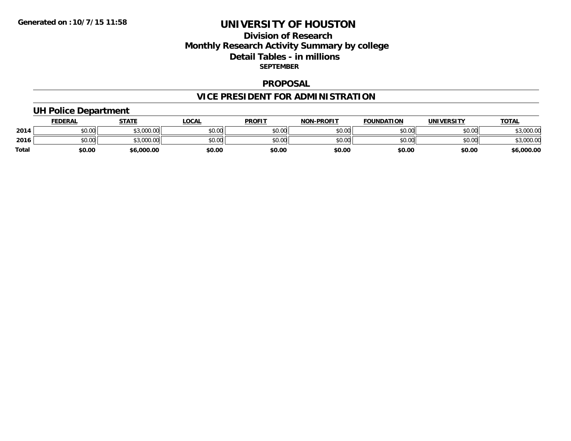# **Division of Research Monthly Research Activity Summary by college Detail Tables - in millions SEPTEMBER**

#### **PROPOSAL**

# **VICE PRESIDENT FOR ADMINISTRATION**

### **UH Police Department**

|              | <b>FEDERAL</b> | <b>STATE</b>         | .OCAL  | <b>PROFIT</b> | <b>NON-PROFIT</b> | <b>FOUNDATION</b> | UNIVERSITY | <b>TOTAL</b> |
|--------------|----------------|----------------------|--------|---------------|-------------------|-------------------|------------|--------------|
| 2014         | \$0.00         | 0.00000<br>wu.uuu,uu | \$0.00 | \$0.00        | \$0.00            | \$0.00            | \$0.00     | ,000.00      |
| 2016         | \$0.00         | 0.00000<br>,uuu.uu   | \$0.00 | \$0.00        | \$0.00            | \$0.00            | \$0.00     | ,000.00      |
| <b>Total</b> | \$0.00         | \$6,000.00           | \$0.00 | \$0.00        | \$0.00            | \$0.00            | \$0.00     | \$6,000.00   |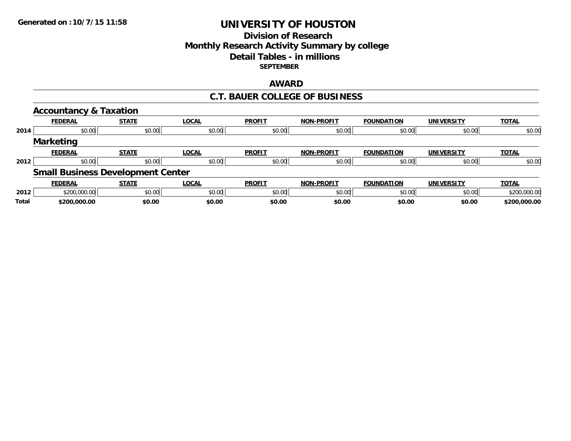# **Division of ResearchMonthly Research Activity Summary by college Detail Tables - in millions SEPTEMBER**

### **AWARD**

### **C.T. BAUER COLLEGE OF BUSINESS**

|       | <b>Accountancy &amp; Taxation</b> |                                          |              |               |                   |                   |                   |              |
|-------|-----------------------------------|------------------------------------------|--------------|---------------|-------------------|-------------------|-------------------|--------------|
|       | <b>FEDERAL</b>                    | <b>STATE</b>                             | <b>LOCAL</b> | <b>PROFIT</b> | <b>NON-PROFIT</b> | <b>FOUNDATION</b> | <b>UNIVERSITY</b> | <b>TOTAL</b> |
| 2014  | \$0.00                            | \$0.00                                   | \$0.00       | \$0.00        | \$0.00            | \$0.00            | \$0.00            | \$0.00       |
|       | <b>Marketing</b>                  |                                          |              |               |                   |                   |                   |              |
|       | <b>FEDERAL</b>                    | <b>STATE</b>                             | <b>LOCAL</b> | <b>PROFIT</b> | <b>NON-PROFIT</b> | <b>FOUNDATION</b> | <b>UNIVERSITY</b> | <b>TOTAL</b> |
| 2012  | \$0.00                            | \$0.00                                   | \$0.00       | \$0.00        | \$0.00            | \$0.00            | \$0.00            | \$0.00       |
|       |                                   | <b>Small Business Development Center</b> |              |               |                   |                   |                   |              |
|       | <b>FEDERAL</b>                    | <b>STATE</b>                             | <b>LOCAL</b> | <b>PROFIT</b> | <b>NON-PROFIT</b> | <b>FOUNDATION</b> | <b>UNIVERSITY</b> | <u>TOTAL</u> |
| 2012  | \$200,000.00                      | \$0.00                                   | \$0.00       | \$0.00        | \$0.00            | \$0.00            | \$0.00            | \$200,000.00 |
| Total | \$200,000.00                      | \$0.00                                   | \$0.00       | \$0.00        | \$0.00            | \$0.00            | \$0.00            | \$200,000.00 |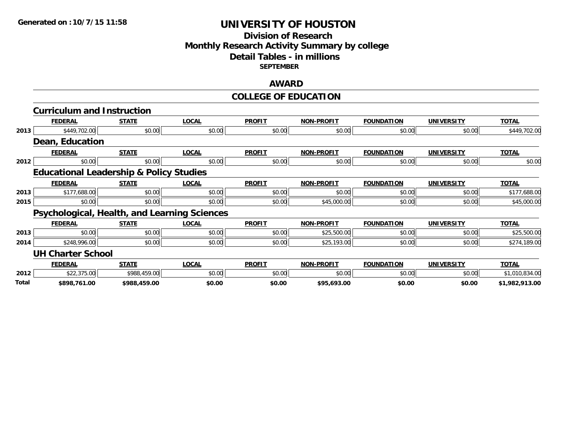# **Division of Research Monthly Research Activity Summary by college Detail Tables - in millions SEPTEMBER**

### **AWARD**

#### **COLLEGE OF EDUCATION**

|       | <b>Curriculum and Instruction</b>                  |              |              |               |                   |                   |                   |                |
|-------|----------------------------------------------------|--------------|--------------|---------------|-------------------|-------------------|-------------------|----------------|
|       | <b>FEDERAL</b>                                     | <b>STATE</b> | <b>LOCAL</b> | <b>PROFIT</b> | <b>NON-PROFIT</b> | <b>FOUNDATION</b> | <b>UNIVERSITY</b> | <b>TOTAL</b>   |
| 2013  | \$449,702.00                                       | \$0.00       | \$0.00       | \$0.00        | \$0.00            | \$0.00            | \$0.00            | \$449,702.00   |
|       | <b>Dean, Education</b>                             |              |              |               |                   |                   |                   |                |
|       | <b>FEDERAL</b>                                     | <b>STATE</b> | <b>LOCAL</b> | <b>PROFIT</b> | <b>NON-PROFIT</b> | <b>FOUNDATION</b> | <b>UNIVERSITY</b> | <b>TOTAL</b>   |
| 2012  | \$0.00                                             | \$0.00       | \$0.00       | \$0.00        | \$0.00            | \$0.00            | \$0.00            | \$0.00         |
|       | <b>Educational Leadership &amp; Policy Studies</b> |              |              |               |                   |                   |                   |                |
|       | <b>FEDERAL</b>                                     | <b>STATE</b> | <b>LOCAL</b> | <b>PROFIT</b> | <b>NON-PROFIT</b> | <b>FOUNDATION</b> | <b>UNIVERSITY</b> | <b>TOTAL</b>   |
| 2013  | \$177,688.00                                       | \$0.00       | \$0.00       | \$0.00        | \$0.00            | \$0.00            | \$0.00            | \$177,688.00   |
| 2015  | \$0.00                                             | \$0.00       | \$0.00       | \$0.00        | \$45,000.00       | \$0.00            | \$0.00            | \$45,000.00    |
|       | Psychological, Health, and Learning Sciences       |              |              |               |                   |                   |                   |                |
|       | <b>FEDERAL</b>                                     | <b>STATE</b> | <b>LOCAL</b> | <b>PROFIT</b> | <b>NON-PROFIT</b> | <b>FOUNDATION</b> | <b>UNIVERSITY</b> | <b>TOTAL</b>   |
| 2013  | \$0.00                                             | \$0.00       | \$0.00       | \$0.00        | \$25,500.00       | \$0.00            | \$0.00            | \$25,500.00    |
| 2014  | \$248,996.00                                       | \$0.00       | \$0.00       | \$0.00        | \$25,193.00       | \$0.00            | \$0.00            | \$274,189.00   |
|       | <b>UH Charter School</b>                           |              |              |               |                   |                   |                   |                |
|       | <b>FEDERAL</b>                                     | <b>STATE</b> | <b>LOCAL</b> | <b>PROFIT</b> | <b>NON-PROFIT</b> | <b>FOUNDATION</b> | <b>UNIVERSITY</b> | <b>TOTAL</b>   |
| 2012  | \$22,375.00                                        | \$988,459.00 | \$0.00       | \$0.00        | \$0.00            | \$0.00            | \$0.00            | \$1,010,834.00 |
| Total | \$898,761.00                                       | \$988,459.00 | \$0.00       | \$0.00        | \$95,693.00       | \$0.00            | \$0.00            | \$1,982,913.00 |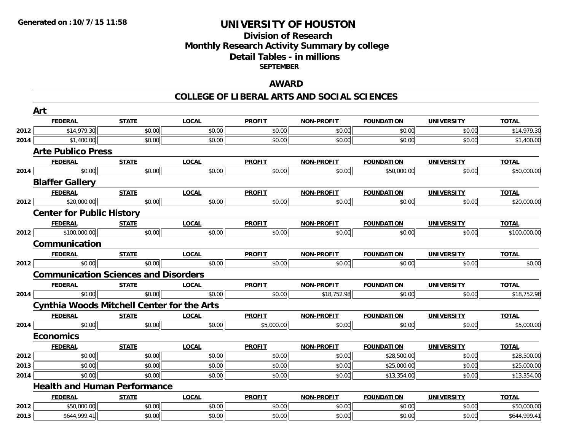### **Division of Research Monthly Research Activity Summary by college Detail Tables - in millions SEPTEMBER**

### **AWARD**

#### **COLLEGE OF LIBERAL ARTS AND SOCIAL SCIENCES**

|      | Art                                               |              |              |               |                   |                   |                   |              |  |  |  |
|------|---------------------------------------------------|--------------|--------------|---------------|-------------------|-------------------|-------------------|--------------|--|--|--|
|      | <b>FEDERAL</b>                                    | <b>STATE</b> | <b>LOCAL</b> | <b>PROFIT</b> | <b>NON-PROFIT</b> | <b>FOUNDATION</b> | UNIVERSITY        | <b>TOTAL</b> |  |  |  |
| 2012 | \$14,979.30                                       | \$0.00       | \$0.00       | \$0.00        | \$0.00            | \$0.00            | \$0.00            | \$14,979.30  |  |  |  |
| 2014 | \$1,400.00                                        | \$0.00       | \$0.00       | \$0.00        | \$0.00            | \$0.00            | \$0.00            | \$1,400.00   |  |  |  |
|      | <b>Arte Publico Press</b>                         |              |              |               |                   |                   |                   |              |  |  |  |
|      | <b>FEDERAL</b>                                    | <b>STATE</b> | <b>LOCAL</b> | <b>PROFIT</b> | <b>NON-PROFIT</b> | <b>FOUNDATION</b> | <b>UNIVERSITY</b> | <b>TOTAL</b> |  |  |  |
| 2014 | \$0.00                                            | \$0.00       | \$0.00       | \$0.00        | \$0.00            | \$50,000.00       | \$0.00            | \$50,000.00  |  |  |  |
|      | <b>Blaffer Gallery</b>                            |              |              |               |                   |                   |                   |              |  |  |  |
|      | <b>FEDERAL</b>                                    | <b>STATE</b> | <b>LOCAL</b> | <b>PROFIT</b> | <b>NON-PROFIT</b> | <b>FOUNDATION</b> | <b>UNIVERSITY</b> | <b>TOTAL</b> |  |  |  |
| 2012 | \$20,000.00                                       | \$0.00       | \$0.00       | \$0.00        | \$0.00            | \$0.00            | \$0.00            | \$20,000.00  |  |  |  |
|      | <b>Center for Public History</b>                  |              |              |               |                   |                   |                   |              |  |  |  |
|      | <b>FEDERAL</b>                                    | <b>STATE</b> | <b>LOCAL</b> | <b>PROFIT</b> | NON-PROFIT        | <b>FOUNDATION</b> | <b>UNIVERSITY</b> | <b>TOTAL</b> |  |  |  |
| 2012 | \$100,000.00                                      | \$0.00       | \$0.00       | \$0.00        | \$0.00            | \$0.00            | \$0.00            | \$100,000.00 |  |  |  |
|      | Communication                                     |              |              |               |                   |                   |                   |              |  |  |  |
|      | <b>FEDERAL</b>                                    | <b>STATE</b> | <b>LOCAL</b> | <b>PROFIT</b> | <u>NON-PROFIT</u> | <b>FOUNDATION</b> | <u>UNIVERSITY</u> | <b>TOTAL</b> |  |  |  |
| 2012 | \$0.00                                            | \$0.00       | \$0.00       | \$0.00        | \$0.00            | \$0.00            | \$0.00            | \$0.00       |  |  |  |
|      | <b>Communication Sciences and Disorders</b>       |              |              |               |                   |                   |                   |              |  |  |  |
|      | <b>FEDERAL</b>                                    | <b>STATE</b> | <u>LOCAL</u> | <b>PROFIT</b> | <b>NON-PROFIT</b> | <b>FOUNDATION</b> | <b>UNIVERSITY</b> | <b>TOTAL</b> |  |  |  |
| 2014 | \$0.00                                            | \$0.00       | \$0.00       | \$0.00        | \$18,752.98       | \$0.00            | \$0.00            | \$18,752.98  |  |  |  |
|      | <b>Cynthia Woods Mitchell Center for the Arts</b> |              |              |               |                   |                   |                   |              |  |  |  |
|      | <b>FEDERAL</b>                                    | <b>STATE</b> | <b>LOCAL</b> | <b>PROFIT</b> | NON-PROFIT        | <b>FOUNDATION</b> | <b>UNIVERSITY</b> | <b>TOTAL</b> |  |  |  |
| 2014 | \$0.00                                            | \$0.00       | \$0.00       | \$5,000.00    | \$0.00            | \$0.00            | \$0.00            | \$5,000.00   |  |  |  |
|      | <b>Economics</b>                                  |              |              |               |                   |                   |                   |              |  |  |  |
|      | <b>FEDERAL</b>                                    | <b>STATE</b> | <b>LOCAL</b> | <b>PROFIT</b> | <b>NON-PROFIT</b> | <b>FOUNDATION</b> | <b>UNIVERSITY</b> | <b>TOTAL</b> |  |  |  |
| 2012 | \$0.00                                            | \$0.00       | \$0.00       | \$0.00        | \$0.00            | \$28,500.00       | \$0.00            | \$28,500.00  |  |  |  |
| 2013 | \$0.00                                            | \$0.00       | \$0.00       | \$0.00        | \$0.00            | \$25,000.00       | \$0.00            | \$25,000.00  |  |  |  |
| 2014 | \$0.00                                            | \$0.00       | \$0.00       | \$0.00        | \$0.00            | \$13,354.00       | \$0.00            | \$13,354.00  |  |  |  |
|      | <b>Health and Human Performance</b>               |              |              |               |                   |                   |                   |              |  |  |  |
|      | <b>FEDERAL</b>                                    | <b>STATE</b> | <b>LOCAL</b> | <b>PROFIT</b> | NON-PROFIT        | <b>FOUNDATION</b> | <b>UNIVERSITY</b> | <b>TOTAL</b> |  |  |  |
| 2012 | \$50,000.00                                       | \$0.00       | \$0.00       | \$0.00        | \$0.00            | \$0.00            | \$0.00            | \$50,000.00  |  |  |  |
| 2013 | \$644,999.41                                      | \$0.00       | \$0.00       | \$0.00        | \$0.00            | \$0.00            | \$0.00            | \$644,999.41 |  |  |  |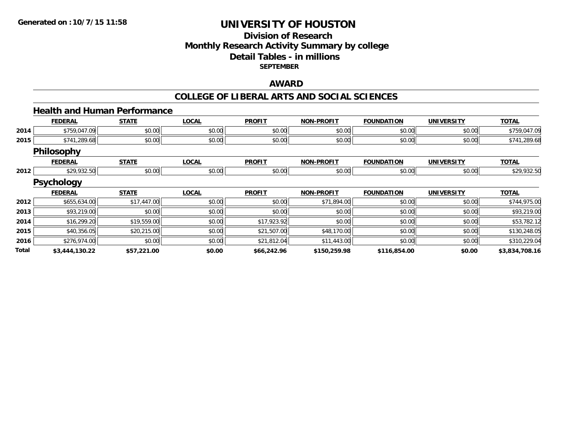### **Division of Research Monthly Research Activity Summary by college Detail Tables - in millions SEPTEMBER**

### **AWARD**

#### **COLLEGE OF LIBERAL ARTS AND SOCIAL SCIENCES**

#### **Health and Human Performance**

|       | <b>FEDERAL</b>    | <b>STATE</b> | <b>LOCAL</b> | <b>PROFIT</b> | <b>NON-PROFIT</b> | <b>FOUNDATION</b> | <b>UNIVERSITY</b> | <b>TOTAL</b>   |
|-------|-------------------|--------------|--------------|---------------|-------------------|-------------------|-------------------|----------------|
| 2014  | \$759,047.09      | \$0.00       | \$0.00       | \$0.00        | \$0.00            | \$0.00            | \$0.00            | \$759,047.09   |
| 2015  | \$741,289.68      | \$0.00       | \$0.00       | \$0.00        | \$0.00            | \$0.00            | \$0.00            | \$741,289.68   |
|       | Philosophy        |              |              |               |                   |                   |                   |                |
|       | <b>FEDERAL</b>    | <b>STATE</b> | <b>LOCAL</b> | <b>PROFIT</b> | <b>NON-PROFIT</b> | <b>FOUNDATION</b> | <b>UNIVERSITY</b> | <b>TOTAL</b>   |
| 2012  | \$29,932.50       | \$0.00       | \$0.00       | \$0.00        | \$0.00            | \$0.00            | \$0.00            | \$29,932.50    |
|       | <b>Psychology</b> |              |              |               |                   |                   |                   |                |
|       | <b>FEDERAL</b>    | <b>STATE</b> | <b>LOCAL</b> | <b>PROFIT</b> | <b>NON-PROFIT</b> | <b>FOUNDATION</b> | <b>UNIVERSITY</b> | <b>TOTAL</b>   |
| 2012  | \$655,634.00      | \$17,447.00  | \$0.00       | \$0.00        | \$71,894.00       | \$0.00            | \$0.00            | \$744,975.00   |
| 2013  | \$93,219.00       | \$0.00       | \$0.00       | \$0.00        | \$0.00            | \$0.00            | \$0.00            | \$93,219.00    |
| 2014  | \$16,299.20       | \$19,559.00  | \$0.00       | \$17,923.92   | \$0.00            | \$0.00            | \$0.00            | \$53,782.12    |
| 2015  | \$40,356.05       | \$20,215.00  | \$0.00       | \$21,507.00   | \$48,170.00       | \$0.00            | \$0.00            | \$130,248.05   |
| 2016  | \$276,974.00      | \$0.00       | \$0.00       | \$21,812.04   | \$11,443.00       | \$0.00            | \$0.00            | \$310,229.04   |
| Total | \$3,444,130.22    | \$57,221.00  | \$0.00       | \$66,242.96   | \$150,259.98      | \$116,854.00      | \$0.00            | \$3,834,708.16 |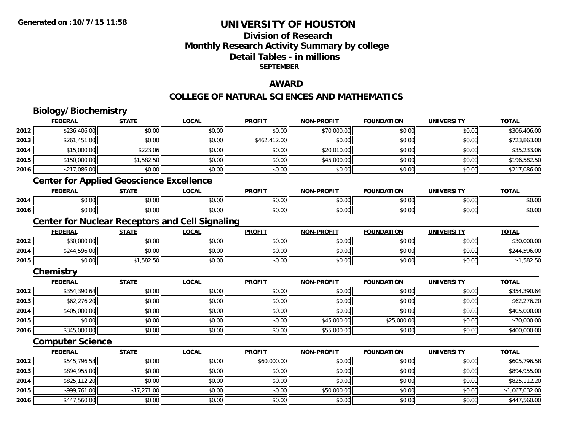# **Division of ResearchMonthly Research Activity Summary by college Detail Tables - in millions SEPTEMBER**

### **AWARD**

#### **COLLEGE OF NATURAL SCIENCES AND MATHEMATICS**

|      | <b>Biology/Biochemistry</b>                            |              |              |               |                   |                   |                   |                |
|------|--------------------------------------------------------|--------------|--------------|---------------|-------------------|-------------------|-------------------|----------------|
|      | <b>FEDERAL</b>                                         | <b>STATE</b> | <b>LOCAL</b> | <b>PROFIT</b> | <b>NON-PROFIT</b> | <b>FOUNDATION</b> | <b>UNIVERSITY</b> | <b>TOTAL</b>   |
| 2012 | \$236,406.00                                           | \$0.00       | \$0.00       | \$0.00        | \$70,000.00       | \$0.00            | \$0.00            | \$306,406.00   |
| 2013 | \$261,451.00                                           | \$0.00       | \$0.00       | \$462,412.00  | \$0.00            | \$0.00            | \$0.00            | \$723,863.00   |
| 2014 | \$15,000.00                                            | \$223.06     | \$0.00       | \$0.00        | \$20,010.00       | \$0.00            | \$0.00            | \$35,233.06    |
| 2015 | \$150,000.00                                           | \$1,582.50   | \$0.00       | \$0.00        | \$45,000.00       | \$0.00            | \$0.00            | \$196,582.50   |
| 2016 | \$217,086.00                                           | \$0.00       | \$0.00       | \$0.00        | \$0.00            | \$0.00            | \$0.00            | \$217,086.00   |
|      | <b>Center for Applied Geoscience Excellence</b>        |              |              |               |                   |                   |                   |                |
|      | <b>FEDERAL</b>                                         | <b>STATE</b> | <b>LOCAL</b> | <b>PROFIT</b> | <b>NON-PROFIT</b> | <b>FOUNDATION</b> | <b>UNIVERSITY</b> | <b>TOTAL</b>   |
| 2014 | \$0.00                                                 | \$0.00       | \$0.00       | \$0.00        | \$0.00            | \$0.00            | \$0.00            | \$0.00         |
| 2016 | \$0.00                                                 | \$0.00       | \$0.00       | \$0.00        | \$0.00            | \$0.00            | \$0.00            | \$0.00         |
|      | <b>Center for Nuclear Receptors and Cell Signaling</b> |              |              |               |                   |                   |                   |                |
|      | <b>FEDERAL</b>                                         | <b>STATE</b> | <b>LOCAL</b> | <b>PROFIT</b> | <b>NON-PROFIT</b> | <b>FOUNDATION</b> | <b>UNIVERSITY</b> | <b>TOTAL</b>   |
| 2012 | \$30,000.00                                            | \$0.00       | \$0.00       | \$0.00        | \$0.00            | \$0.00            | \$0.00            | \$30,000.00    |
| 2014 | \$244,596.00                                           | \$0.00       | \$0.00       | \$0.00        | \$0.00            | \$0.00            | \$0.00            | \$244,596.00   |
| 2015 | \$0.00                                                 | \$1,582.50   | \$0.00       | \$0.00        | \$0.00            | \$0.00            | \$0.00            | \$1,582.50     |
|      | Chemistry                                              |              |              |               |                   |                   |                   |                |
|      | <b>FEDERAL</b>                                         | <b>STATE</b> | <b>LOCAL</b> | <b>PROFIT</b> | <b>NON-PROFIT</b> | <b>FOUNDATION</b> | <b>UNIVERSITY</b> | <b>TOTAL</b>   |
| 2012 | \$354,390.64                                           | \$0.00       | \$0.00       | \$0.00        | \$0.00            | \$0.00            | \$0.00            | \$354,390.64   |
| 2013 | \$62,276.20                                            | \$0.00       | \$0.00       | \$0.00        | \$0.00            | \$0.00            | \$0.00            | \$62,276.20    |
| 2014 | \$405,000.00                                           | \$0.00       | \$0.00       | \$0.00        | \$0.00            | \$0.00            | \$0.00            | \$405,000.00   |
| 2015 | \$0.00                                                 | \$0.00       | \$0.00       | \$0.00        | \$45,000.00       | \$25,000.00       | \$0.00            | \$70,000.00    |
| 2016 | \$345,000.00                                           | \$0.00       | \$0.00       | \$0.00        | \$55,000.00       | \$0.00            | \$0.00            | \$400,000.00   |
|      | <b>Computer Science</b>                                |              |              |               |                   |                   |                   |                |
|      | <b>FEDERAL</b>                                         | <b>STATE</b> | <b>LOCAL</b> | <b>PROFIT</b> | <b>NON-PROFIT</b> | <b>FOUNDATION</b> | <b>UNIVERSITY</b> | <b>TOTAL</b>   |
| 2012 | \$545,796.58                                           | \$0.00       | \$0.00       | \$60,000.00   | \$0.00            | \$0.00            | \$0.00            | \$605,796.58   |
| 2013 | \$894,955.00                                           | \$0.00       | \$0.00       | \$0.00        | \$0.00            | \$0.00            | \$0.00            | \$894,955.00   |
| 2014 | \$825,112.20                                           | \$0.00       | \$0.00       | \$0.00        | \$0.00            | \$0.00            | \$0.00            | \$825,112.20   |
| 2015 | \$999,761.00                                           | \$17,271.00  | \$0.00       | \$0.00        | \$50,000.00       | \$0.00            | \$0.00            | \$1,067,032.00 |
| 2016 | \$447,560.00                                           | \$0.00       | \$0.00       | \$0.00        | \$0.00            | \$0.00            | \$0.00            | \$447,560.00   |

6 \$447,560.00| \$0.00| \$0.00| \$0.00| \$0.00| \$0.00| \$0.00| \$0.00| \$0.00| \$0.00| \$0.00| \$447,560.00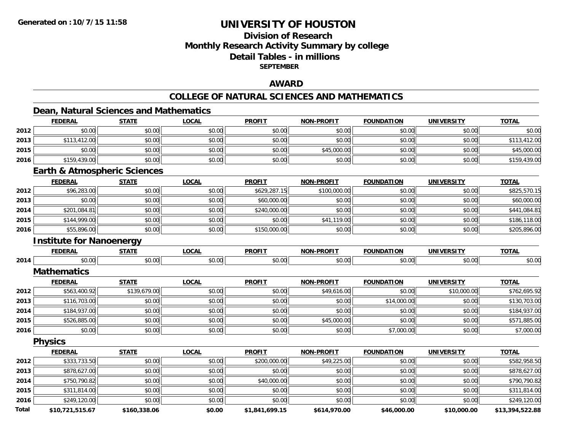# **Division of ResearchMonthly Research Activity Summary by college Detail Tables - in millions SEPTEMBER**

### **AWARD**

# **COLLEGE OF NATURAL SCIENCES AND MATHEMATICS**

### **Dean, Natural Sciences and Mathematics**

|              | <b>FEDERAL</b>                          | <b>STATE</b> | <b>LOCAL</b> | <b>PROFIT</b>  | <b>NON-PROFIT</b> | <b>FOUNDATION</b> | <b>UNIVERSITY</b> | <b>TOTAL</b>    |
|--------------|-----------------------------------------|--------------|--------------|----------------|-------------------|-------------------|-------------------|-----------------|
| 2012         | \$0.00                                  | \$0.00       | \$0.00       | \$0.00         | \$0.00            | \$0.00            | \$0.00            | \$0.00          |
| 2013         | \$113,412.00                            | \$0.00       | \$0.00       | \$0.00         | \$0.00            | \$0.00            | \$0.00            | \$113,412.00    |
| 2015         | \$0.00                                  | \$0.00       | \$0.00       | \$0.00         | \$45,000.00       | \$0.00            | \$0.00            | \$45,000.00     |
| 2016         | \$159,439.00                            | \$0.00       | \$0.00       | \$0.00         | \$0.00            | \$0.00            | \$0.00            | \$159,439.00    |
|              | <b>Earth &amp; Atmospheric Sciences</b> |              |              |                |                   |                   |                   |                 |
|              | <b>FEDERAL</b>                          | <b>STATE</b> | <b>LOCAL</b> | <b>PROFIT</b>  | <b>NON-PROFIT</b> | <b>FOUNDATION</b> | <b>UNIVERSITY</b> | <b>TOTAL</b>    |
| 2012         | \$96,283.00                             | \$0.00       | \$0.00       | \$629,287.15   | \$100,000.00      | \$0.00            | \$0.00            | \$825,570.15    |
| 2013         | \$0.00                                  | \$0.00       | \$0.00       | \$60,000.00    | \$0.00            | \$0.00            | \$0.00            | \$60,000.00     |
| 2014         | \$201,084.81                            | \$0.00       | \$0.00       | \$240,000.00   | \$0.00            | \$0.00            | \$0.00            | \$441,084.81    |
| 2015         | \$144,999.00                            | \$0.00       | \$0.00       | \$0.00         | \$41,119.00       | \$0.00            | \$0.00            | \$186,118.00    |
| 2016         | \$55,896.00                             | \$0.00       | \$0.00       | \$150,000.00   | \$0.00            | \$0.00            | \$0.00            | \$205,896.00    |
|              | <b>Institute for Nanoenergy</b>         |              |              |                |                   |                   |                   |                 |
|              | <b>FEDERAL</b>                          | <b>STATE</b> | <b>LOCAL</b> | <b>PROFIT</b>  | <b>NON-PROFIT</b> | <b>FOUNDATION</b> | <b>UNIVERSITY</b> | <b>TOTAL</b>    |
| 2014         | \$0.00                                  | \$0.00       | \$0.00       | \$0.00         | \$0.00            | \$0.00            | \$0.00            | \$0.00          |
|              | <b>Mathematics</b>                      |              |              |                |                   |                   |                   |                 |
|              | <b>FEDERAL</b>                          | <b>STATE</b> | <b>LOCAL</b> | <b>PROFIT</b>  | <b>NON-PROFIT</b> | <b>FOUNDATION</b> | <b>UNIVERSITY</b> | <b>TOTAL</b>    |
| 2012         | \$563,400.92                            | \$139,679.00 | \$0.00       | \$0.00         | \$49,616.00       | \$0.00            | \$10,000.00       | \$762,695.92    |
| 2013         | \$116,703.00                            | \$0.00       | \$0.00       | \$0.00         | \$0.00            | \$14,000.00       | \$0.00            | \$130,703.00    |
| 2014         | \$184,937.00                            | \$0.00       | \$0.00       | \$0.00         | \$0.00            | \$0.00            | \$0.00            | \$184,937.00    |
| 2015         | \$526,885.00                            | \$0.00       | \$0.00       | \$0.00         | \$45,000.00       | \$0.00            | \$0.00            | \$571,885.00    |
| 2016         | \$0.00                                  | \$0.00       | \$0.00       | \$0.00         | \$0.00            | \$7,000.00        | \$0.00            | \$7,000.00      |
|              | <b>Physics</b>                          |              |              |                |                   |                   |                   |                 |
|              | <b>FEDERAL</b>                          | <b>STATE</b> | <b>LOCAL</b> | <b>PROFIT</b>  | <b>NON-PROFIT</b> | <b>FOUNDATION</b> | <b>UNIVERSITY</b> | <b>TOTAL</b>    |
| 2012         | \$333,733.50                            | \$0.00       | \$0.00       | \$200,000.00   | \$49,225.00       | \$0.00            | \$0.00            | \$582,958.50    |
| 2013         | \$878,627.00                            | \$0.00       | \$0.00       | \$0.00         | \$0.00            | \$0.00            | \$0.00            | \$878,627.00    |
| 2014         | \$750,790.82                            | \$0.00       | \$0.00       | \$40,000.00    | \$0.00            | \$0.00            | \$0.00            | \$790,790.82    |
| 2015         | \$311,814.00                            | \$0.00       | \$0.00       | \$0.00         | \$0.00            | \$0.00            | \$0.00            | \$311,814.00    |
| 2016         | \$249,120.00                            | \$0.00       | \$0.00       | \$0.00         | \$0.00            | \$0.00            | \$0.00            | \$249,120.00    |
| <b>Total</b> | \$10 721 515 67                         | \$160 338 06 | \$0.00       | \$1 841 699 15 | \$614,970,00      | \$46,000,00       | \$10,000,00       | \$13 394 522 88 |

**\$10,721,515.67 \$160,338.06 \$0.00 \$1,841,699.15 \$614,970.00 \$46,000.00 \$10,000.00 \$13,394,522.88**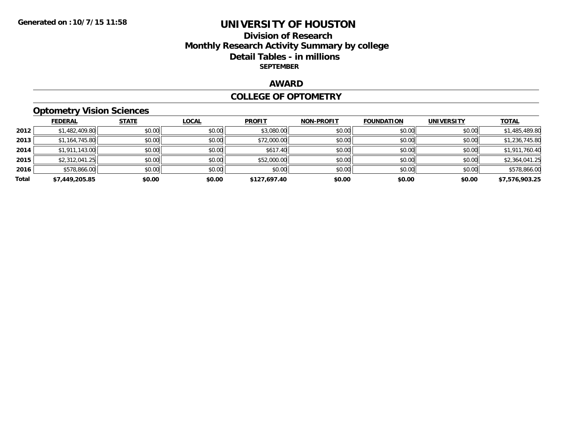### **Division of Research Monthly Research Activity Summary by college Detail Tables - in millions SEPTEMBER**

### **AWARD**

### **COLLEGE OF OPTOMETRY**

# **Optometry Vision Sciences**

|       | <b>FEDERAL</b> | <b>STATE</b> | <b>LOCAL</b> | <b>PROFIT</b> | <b>NON-PROFIT</b> | <b>FOUNDATION</b> | <b>UNIVERSITY</b> | <b>TOTAL</b>   |
|-------|----------------|--------------|--------------|---------------|-------------------|-------------------|-------------------|----------------|
| 2012  | \$1,482,409.80 | \$0.00       | \$0.00       | \$3,080.00    | \$0.00            | \$0.00            | \$0.00            | \$1,485,489.80 |
| 2013  | \$1,164,745.80 | \$0.00       | \$0.00       | \$72,000.00   | \$0.00            | \$0.00            | \$0.00            | \$1,236,745.80 |
| 2014  | \$1,911,143.00 | \$0.00       | \$0.00       | \$617.40      | \$0.00            | \$0.00            | \$0.00            | \$1,911,760.40 |
| 2015  | \$2,312,041.25 | \$0.00       | \$0.00       | \$52,000.00   | \$0.00            | \$0.00            | \$0.00            | \$2,364,041.25 |
| 2016  | \$578,866.00   | \$0.00       | \$0.00       | \$0.00        | \$0.00            | \$0.00            | \$0.00            | \$578,866.00   |
| Total | \$7,449,205.85 | \$0.00       | \$0.00       | \$127,697.40  | \$0.00            | \$0.00            | \$0.00            | \$7,576,903.25 |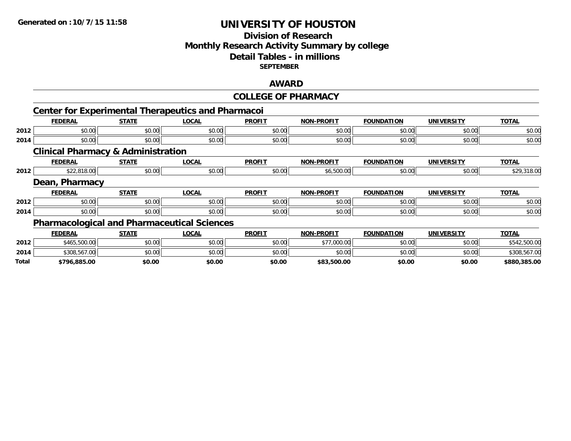# **Division of Research Monthly Research Activity Summary by college Detail Tables - in millions SEPTEMBER**

# **AWARD**

#### **COLLEGE OF PHARMACY**

|       |                                               |              | <b>Center for Experimental Therapeutics and Pharmacoi</b> |               |                   |                   |                   |              |
|-------|-----------------------------------------------|--------------|-----------------------------------------------------------|---------------|-------------------|-------------------|-------------------|--------------|
|       | <b>FEDERAL</b>                                | <b>STATE</b> | <b>LOCAL</b>                                              | <b>PROFIT</b> | <b>NON-PROFIT</b> | <b>FOUNDATION</b> | <b>UNIVERSITY</b> | <b>TOTAL</b> |
| 2012  | \$0.00                                        | \$0.00       | \$0.00                                                    | \$0.00        | \$0.00            | \$0.00            | \$0.00            | \$0.00       |
| 2014  | \$0.00                                        | \$0.00       | \$0.00                                                    | \$0.00        | \$0.00            | \$0.00            | \$0.00            | \$0.00       |
|       | <b>Clinical Pharmacy &amp; Administration</b> |              |                                                           |               |                   |                   |                   |              |
|       | <b>FEDERAL</b>                                | <b>STATE</b> | <b>LOCAL</b>                                              | <b>PROFIT</b> | <b>NON-PROFIT</b> | <b>FOUNDATION</b> | <b>UNIVERSITY</b> | <b>TOTAL</b> |
| 2012  | \$22,818.00                                   | \$0.00       | \$0.00                                                    | \$0.00        | \$6,500.00        | \$0.00            | \$0.00            | \$29,318.00  |
|       | Dean, Pharmacy                                |              |                                                           |               |                   |                   |                   |              |
|       | <b>FEDERAL</b>                                | <b>STATE</b> | <b>LOCAL</b>                                              | <b>PROFIT</b> | <b>NON-PROFIT</b> | <b>FOUNDATION</b> | <b>UNIVERSITY</b> | <b>TOTAL</b> |
| 2012  | \$0.00                                        | \$0.00       | \$0.00                                                    | \$0.00        | \$0.00            | \$0.00            | \$0.00            | \$0.00       |
| 2014  | \$0.00                                        | \$0.00       | \$0.00                                                    | \$0.00        | \$0.00            | \$0.00            | \$0.00            | \$0.00       |
|       |                                               |              | <b>Pharmacological and Pharmaceutical Sciences</b>        |               |                   |                   |                   |              |
|       | <b>FEDERAL</b>                                | <b>STATE</b> | <b>LOCAL</b>                                              | <b>PROFIT</b> | <b>NON-PROFIT</b> | <b>FOUNDATION</b> | <b>UNIVERSITY</b> | <b>TOTAL</b> |
| 2012  | \$465,500.00                                  | \$0.00       | \$0.00                                                    | \$0.00        | \$77,000.00       | \$0.00            | \$0.00            | \$542,500.00 |
| 2014  | \$308,567.00                                  | \$0.00       | \$0.00                                                    | \$0.00        | \$0.00            | \$0.00            | \$0.00            | \$308,567.00 |
| Total | \$796,885.00                                  | \$0.00       | \$0.00                                                    | \$0.00        | \$83,500.00       | \$0.00            | \$0.00            | \$880,385.00 |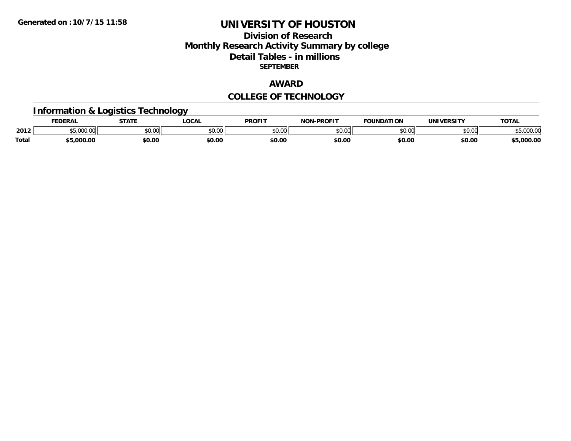### **Division of Research Monthly Research Activity Summary by college Detail Tables - in millions SEPTEMBER**

### **AWARD**

### **COLLEGE OF TECHNOLOGY**

### **Information & Logistics Technology**

|              | EDERAL              | <b>STATE</b>   | <b>LOCAL</b>  | <b>PROFIT</b> | <b>-PROFIT</b><br>NON  | FOUNDATION | <b>'INIVEDSITY</b> | <b>TOTAL</b>    |
|--------------|---------------------|----------------|---------------|---------------|------------------------|------------|--------------------|-----------------|
| 2012         | $+$ $  -$<br>$\sim$ | 0.000<br>JU.UU | 0000<br>JU.UU | 0.00<br>טע.טע | $n \cap \neg$<br>DU.UU | $\sim$ 00  | $\sim$ 00<br>JU.UU | nnn nr<br>uuu.u |
| <b>Total</b> | .000.00             | \$0.00         | \$0.00        | \$0.00        | \$0.00                 | \$0.00     | \$0.00             | 000.00,د        |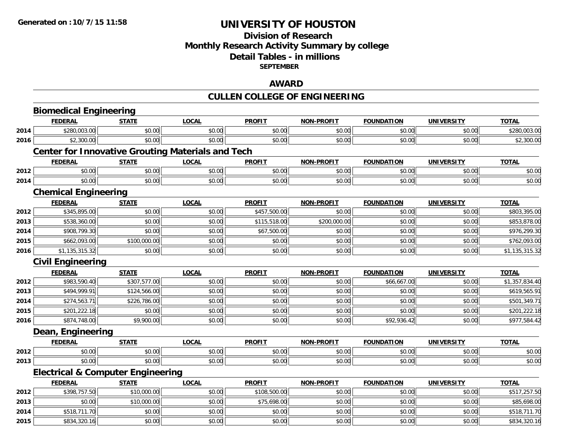### **Division of Research Monthly Research Activity Summary by college Detail Tables - in millions SEPTEMBER**

### **AWARD**

# **CULLEN COLLEGE OF ENGINEERING**

|      | <b>Biomedical Engineering</b>                            |              |              |               |                   |                   |                   |                |
|------|----------------------------------------------------------|--------------|--------------|---------------|-------------------|-------------------|-------------------|----------------|
|      | <b>FEDERAL</b>                                           | <b>STATE</b> | <b>LOCAL</b> | <b>PROFIT</b> | <b>NON-PROFIT</b> | <b>FOUNDATION</b> | <b>UNIVERSITY</b> | <b>TOTAL</b>   |
| 2014 | \$280,003.00                                             | \$0.00       | \$0.00       | \$0.00        | \$0.00            | \$0.00            | \$0.00            | \$280,003.00   |
| 2016 | \$2,300.00                                               | \$0.00       | \$0.00       | \$0.00        | \$0.00            | \$0.00            | \$0.00            | \$2,300.00     |
|      | <b>Center for Innovative Grouting Materials and Tech</b> |              |              |               |                   |                   |                   |                |
|      | <b>FEDERAL</b>                                           | <b>STATE</b> | <b>LOCAL</b> | <b>PROFIT</b> | <b>NON-PROFIT</b> | <b>FOUNDATION</b> | <b>UNIVERSITY</b> | <b>TOTAL</b>   |
| 2012 | \$0.00                                                   | \$0.00       | \$0.00       | \$0.00        | \$0.00            | \$0.00            | \$0.00            | \$0.00         |
| 2014 | \$0.00                                                   | \$0.00       | \$0.00       | \$0.00        | \$0.00            | \$0.00            | \$0.00            | \$0.00         |
|      | <b>Chemical Engineering</b>                              |              |              |               |                   |                   |                   |                |
|      | <b>FEDERAL</b>                                           | <b>STATE</b> | <b>LOCAL</b> | <b>PROFIT</b> | <b>NON-PROFIT</b> | <b>FOUNDATION</b> | <b>UNIVERSITY</b> | <b>TOTAL</b>   |
| 2012 | \$345,895.00                                             | \$0.00       | \$0.00       | \$457,500.00  | \$0.00            | \$0.00            | \$0.00            | \$803,395.00   |
| 2013 | \$538,360.00                                             | \$0.00       | \$0.00       | \$115,518.00  | \$200,000.00      | \$0.00            | \$0.00            | \$853,878.00   |
| 2014 | \$908,799.30                                             | \$0.00       | \$0.00       | \$67,500.00   | \$0.00            | \$0.00            | \$0.00            | \$976,299.30   |
| 2015 | \$662,093.00                                             | \$100,000.00 | \$0.00       | \$0.00        | \$0.00            | \$0.00            | \$0.00            | \$762,093.00   |
| 2016 | \$1,135,315.32                                           | \$0.00       | \$0.00       | \$0.00        | \$0.00            | \$0.00            | \$0.00            | \$1,135,315.32 |
|      | <b>Civil Engineering</b>                                 |              |              |               |                   |                   |                   |                |
|      | <b>FEDERAL</b>                                           | <b>STATE</b> | <b>LOCAL</b> | <b>PROFIT</b> | <b>NON-PROFIT</b> | <b>FOUNDATION</b> | <b>UNIVERSITY</b> | <b>TOTAL</b>   |
| 2012 | \$983,590.40                                             | \$307,577.00 | \$0.00       | \$0.00        | \$0.00            | \$66,667.00       | \$0.00            | \$1,357,834.40 |
| 2013 | \$494,999.91                                             | \$124,566.00 | \$0.00       | \$0.00        | \$0.00            | \$0.00            | \$0.00            | \$619,565.91   |
| 2014 | \$274,563.71                                             | \$226,786.00 | \$0.00       | \$0.00        | \$0.00            | \$0.00            | \$0.00            | \$501,349.71   |
| 2015 | \$201,222.18                                             | \$0.00       | \$0.00       | \$0.00        | \$0.00            | \$0.00            | \$0.00            | \$201,222.18   |
| 2016 | \$874,748.00                                             | \$9,900.00   | \$0.00       | \$0.00        | \$0.00            | \$92,936.42       | \$0.00            | \$977,584.42   |
|      | Dean, Engineering                                        |              |              |               |                   |                   |                   |                |
|      | <b>FEDERAL</b>                                           | <b>STATE</b> | <b>LOCAL</b> | <b>PROFIT</b> | <b>NON-PROFIT</b> | <b>FOUNDATION</b> | <b>UNIVERSITY</b> | <b>TOTAL</b>   |
| 2012 | \$0.00                                                   | \$0.00       | \$0.00       | \$0.00        | \$0.00            | \$0.00            | \$0.00            | \$0.00         |
| 2013 | \$0.00                                                   | \$0.00       | \$0.00       | \$0.00        | \$0.00            | \$0.00            | \$0.00            | \$0.00         |
|      | <b>Electrical &amp; Computer Engineering</b>             |              |              |               |                   |                   |                   |                |
|      | <b>FEDERAL</b>                                           | <b>STATE</b> | <b>LOCAL</b> | <b>PROFIT</b> | <b>NON-PROFIT</b> | <b>FOUNDATION</b> | <b>UNIVERSITY</b> | <b>TOTAL</b>   |
| 2012 | \$398,757.50                                             | \$10,000.00  | \$0.00       | \$108,500.00  | \$0.00            | \$0.00            | \$0.00            | \$517,257.50   |
| 2013 | \$0.00                                                   | \$10,000.00  | \$0.00       | \$75,698.00   | \$0.00            | \$0.00            | \$0.00            | \$85,698.00    |
| 2014 | \$518,711.70                                             | \$0.00       | \$0.00       | \$0.00        | \$0.00            | \$0.00            | \$0.00            | \$518,711.70   |
| 2015 | \$834,320.16                                             | \$0.00       | \$0.00       | \$0.00        | \$0.00            | \$0.00            | \$0.00            | \$834,320.16   |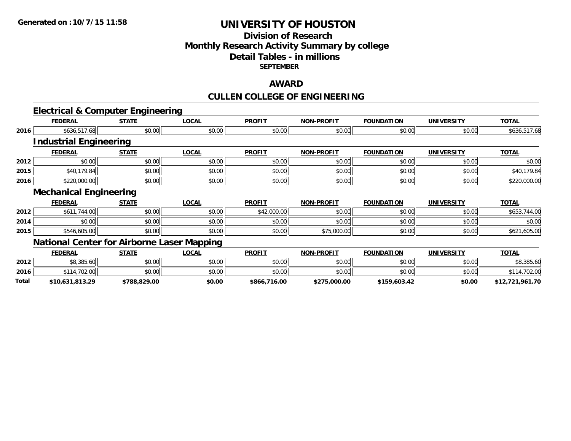# **Division of ResearchMonthly Research Activity Summary by college Detail Tables - in millions SEPTEMBER**

### **AWARD**

# **CULLEN COLLEGE OF ENGINEERING**

|       |                               | <b>Electrical &amp; Computer Engineering</b>      |              |               |                   |                   |                   |                 |
|-------|-------------------------------|---------------------------------------------------|--------------|---------------|-------------------|-------------------|-------------------|-----------------|
|       | <b>FEDERAL</b>                | <b>STATE</b>                                      | <b>LOCAL</b> | <b>PROFIT</b> | <b>NON-PROFIT</b> | <b>FOUNDATION</b> | <b>UNIVERSITY</b> | <b>TOTAL</b>    |
| 2016  | \$636,517.68                  | \$0.00                                            | \$0.00       | \$0.00        | \$0.00            | \$0.00            | \$0.00            | \$636,517.68    |
|       | <b>Industrial Engineering</b> |                                                   |              |               |                   |                   |                   |                 |
|       | <b>FEDERAL</b>                | <b>STATE</b>                                      | <b>LOCAL</b> | <b>PROFIT</b> | <b>NON-PROFIT</b> | <b>FOUNDATION</b> | <b>UNIVERSITY</b> | <b>TOTAL</b>    |
| 2012  | \$0.00                        | \$0.00                                            | \$0.00       | \$0.00        | \$0.00            | \$0.00            | \$0.00            | \$0.00          |
| 2015  | \$40,179.84                   | \$0.00                                            | \$0.00       | \$0.00        | \$0.00            | \$0.00            | \$0.00            | \$40,179.84     |
| 2016  | \$220,000.00                  | \$0.00                                            | \$0.00       | \$0.00        | \$0.00            | \$0.00            | \$0.00            | \$220,000.00    |
|       | <b>Mechanical Engineering</b> |                                                   |              |               |                   |                   |                   |                 |
|       | <b>FEDERAL</b>                | <b>STATE</b>                                      | <b>LOCAL</b> | <b>PROFIT</b> | <b>NON-PROFIT</b> | <b>FOUNDATION</b> | <b>UNIVERSITY</b> | <b>TOTAL</b>    |
| 2012  | \$611,744.00                  | \$0.00                                            | \$0.00       | \$42,000.00   | \$0.00            | \$0.00            | \$0.00            | \$653,744.00    |
| 2014  | \$0.00                        | \$0.00                                            | \$0.00       | \$0.00        | \$0.00            | \$0.00            | \$0.00            | \$0.00          |
| 2015  | \$546,605.00                  | \$0.00                                            | \$0.00       | \$0.00        | \$75,000.00       | \$0.00            | \$0.00            | \$621,605.00    |
|       |                               | <b>National Center for Airborne Laser Mapping</b> |              |               |                   |                   |                   |                 |
|       | <b>FEDERAL</b>                | <b>STATE</b>                                      | <b>LOCAL</b> | <b>PROFIT</b> | <b>NON-PROFIT</b> | <b>FOUNDATION</b> | <b>UNIVERSITY</b> | <b>TOTAL</b>    |
| 2012  | \$8,385.60                    | \$0.00                                            | \$0.00       | \$0.00        | \$0.00            | \$0.00            | \$0.00            | \$8,385.60      |
| 2016  | \$114,702.00                  | \$0.00                                            | \$0.00       | \$0.00        | \$0.00            | \$0.00            | \$0.00            | \$114,702.00    |
| Total | \$10,631,813.29               | \$788,829.00                                      | \$0.00       | \$866,716.00  | \$275,000.00      | \$159,603.42      | \$0.00            | \$12,721,961.70 |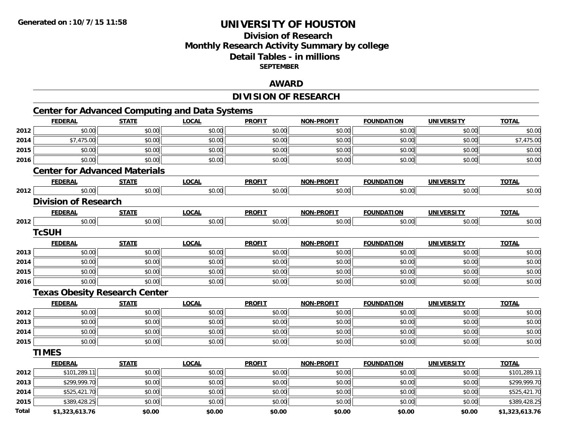# **Division of ResearchMonthly Research Activity Summary by college Detail Tables - in millions SEPTEMBER**

### **AWARD**

# **DIVISION OF RESEARCH**

|              | <b>FEDERAL</b>                       | <b>STATE</b> | <b>LOCAL</b> | <b>PROFIT</b> | <b>NON-PROFIT</b> | <b>FOUNDATION</b> | <b>UNIVERSITY</b> | <b>TOTAL</b>   |
|--------------|--------------------------------------|--------------|--------------|---------------|-------------------|-------------------|-------------------|----------------|
| 2012         | \$0.00                               | \$0.00       | \$0.00       | \$0.00        | \$0.00            | \$0.00            | \$0.00            | \$0.00         |
| 2014         | \$7,475.00                           | \$0.00       | \$0.00       | \$0.00        | \$0.00            | \$0.00            | \$0.00            | \$7,475.00     |
| 2015         | \$0.00                               | \$0.00       | \$0.00       | \$0.00        | \$0.00            | \$0.00            | \$0.00            | \$0.00         |
| 2016         | \$0.00                               | \$0.00       | \$0.00       | \$0.00        | \$0.00            | \$0.00            | \$0.00            | \$0.00         |
|              | <b>Center for Advanced Materials</b> |              |              |               |                   |                   |                   |                |
|              | <b>FEDERAL</b>                       | <b>STATE</b> | <b>LOCAL</b> | <b>PROFIT</b> | <b>NON-PROFIT</b> | <b>FOUNDATION</b> | <b>UNIVERSITY</b> | <b>TOTAL</b>   |
| 2012         | \$0.00                               | \$0.00       | \$0.00       | \$0.00        | \$0.00            | \$0.00            | \$0.00            | \$0.00         |
|              | <b>Division of Research</b>          |              |              |               |                   |                   |                   |                |
|              | <b>FEDERAL</b>                       | <b>STATE</b> | <b>LOCAL</b> | <b>PROFIT</b> | <b>NON-PROFIT</b> | <b>FOUNDATION</b> | <b>UNIVERSITY</b> | <b>TOTAL</b>   |
| 2012         | \$0.00                               | \$0.00       | \$0.00       | \$0.00        | \$0.00            | \$0.00            | \$0.00            | \$0.00         |
|              | <b>TcSUH</b>                         |              |              |               |                   |                   |                   |                |
|              | <b>FEDERAL</b>                       | <b>STATE</b> | <b>LOCAL</b> | <b>PROFIT</b> | <b>NON-PROFIT</b> | <b>FOUNDATION</b> | <b>UNIVERSITY</b> | <b>TOTAL</b>   |
| 2013         | \$0.00                               | \$0.00       | \$0.00       | \$0.00        | \$0.00            | \$0.00            | \$0.00            | \$0.00         |
| 2014         | \$0.00                               | \$0.00       | \$0.00       | \$0.00        | \$0.00            | \$0.00            | \$0.00            | \$0.00         |
| 2015         | \$0.00                               | \$0.00       | \$0.00       | \$0.00        | \$0.00            | \$0.00            | \$0.00            | \$0.00         |
| 2016         | \$0.00                               | \$0.00       | \$0.00       | \$0.00        | \$0.00            | \$0.00            | \$0.00            | \$0.00         |
|              | <b>Texas Obesity Research Center</b> |              |              |               |                   |                   |                   |                |
|              | <b>FEDERAL</b>                       | <b>STATE</b> | <b>LOCAL</b> | <b>PROFIT</b> | <b>NON-PROFIT</b> | <b>FOUNDATION</b> | <b>UNIVERSITY</b> | <b>TOTAL</b>   |
| 2012         | \$0.00                               | \$0.00       | \$0.00       | \$0.00        | \$0.00            | \$0.00            | \$0.00            | \$0.00         |
| 2013         | \$0.00                               | \$0.00       | \$0.00       | \$0.00        | \$0.00            | \$0.00            | \$0.00            | \$0.00         |
| 2014         | \$0.00                               | \$0.00       | \$0.00       | \$0.00        | \$0.00            | \$0.00            | \$0.00            | \$0.00         |
| 2015         | \$0.00                               | \$0.00       | \$0.00       | \$0.00        | \$0.00            | \$0.00            | \$0.00            | \$0.00         |
|              | <b>TIMES</b>                         |              |              |               |                   |                   |                   |                |
|              | <b>FEDERAL</b>                       | <b>STATE</b> | <b>LOCAL</b> | <b>PROFIT</b> | <b>NON-PROFIT</b> | <b>FOUNDATION</b> | <b>UNIVERSITY</b> | <b>TOTAL</b>   |
| 2012         | \$101,289.11                         | \$0.00       | \$0.00       | \$0.00        | \$0.00            | \$0.00            | \$0.00            | \$101,289.11   |
| 2013         | \$299,999.70                         | \$0.00       | \$0.00       | \$0.00        | \$0.00            | \$0.00            | \$0.00            | \$299,999.70   |
| 2014         | \$525,421.70                         | \$0.00       | \$0.00       | \$0.00        | \$0.00            | \$0.00            | \$0.00            | \$525,421.70   |
| 2015         | \$389,428.25                         | \$0.00       | \$0.00       | \$0.00        | \$0.00            | \$0.00            | \$0.00            | \$389,428.25   |
| <b>Total</b> | \$1.323.613.76                       | \$0.00       | \$0.00       | \$0.00        | \$0.00            | \$0.00            | \$0.00            | \$1.323.613.76 |

**\$1,323,613.76 \$0.00 \$0.00 \$0.00 \$0.00 \$0.00 \$0.00 \$1,323,613.76**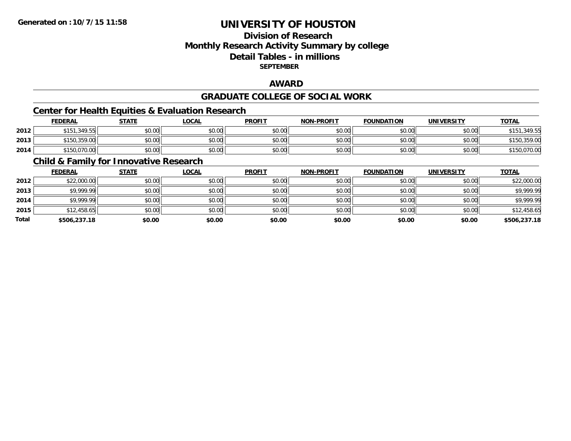# **Division of ResearchMonthly Research Activity Summary by college Detail Tables - in millions SEPTEMBER**

### **AWARD**

### **GRADUATE COLLEGE OF SOCIAL WORK**

# **Center for Health Equities & Evaluation Research**

|      | <b>FEDERAL</b> | <b>STATE</b> | _OCAL  | <b>PROFIT</b> | <b>NON-PROFIT</b> | <b>FOUNDATION</b> | UNIVERSITY | <b>TOTAL</b> |
|------|----------------|--------------|--------|---------------|-------------------|-------------------|------------|--------------|
| 2012 | \$151,349.55   | \$0.00       | \$0.00 | \$0.00        | \$0.00            | \$0.00            | \$0.00     | .349.55      |
| 2013 | \$150,359.00   | \$0.00       | \$0.00 | \$0.00        | \$0.00            | \$0.00            | \$0.00 l   | \$150,359.00 |
| 2014 | \$150,070.00   | \$0.00       | \$0.00 | \$0.00        | \$0.00            | \$0.00            | \$0.00     | \$150,070.00 |

# **Child & Family for Innovative Research**

|       | <b>FEDERAL</b> | <b>STATE</b> | <b>LOCAL</b> | <b>PROFIT</b> | <b>NON-PROFIT</b> | <b>FOUNDATION</b> | <b>UNIVERSITY</b> | <b>TOTAL</b> |
|-------|----------------|--------------|--------------|---------------|-------------------|-------------------|-------------------|--------------|
| 2012  | \$22,000.00    | \$0.00       | \$0.00       | \$0.00        | \$0.00            | \$0.00            | \$0.00            | \$22,000.00  |
| 2013  | \$9,999.99     | \$0.00       | \$0.00       | \$0.00        | \$0.00            | \$0.00            | \$0.00            | \$9,999.99   |
| 2014  | \$9,999.99     | \$0.00       | \$0.00       | \$0.00        | \$0.00            | \$0.00            | \$0.00            | \$9,999.99   |
| 2015  | \$12,458.65    | \$0.00       | \$0.00       | \$0.00        | \$0.00            | \$0.00            | \$0.00            | \$12,458.65  |
| Total | \$506,237.18   | \$0.00       | \$0.00       | \$0.00        | \$0.00            | \$0.00            | \$0.00            | \$506,237.18 |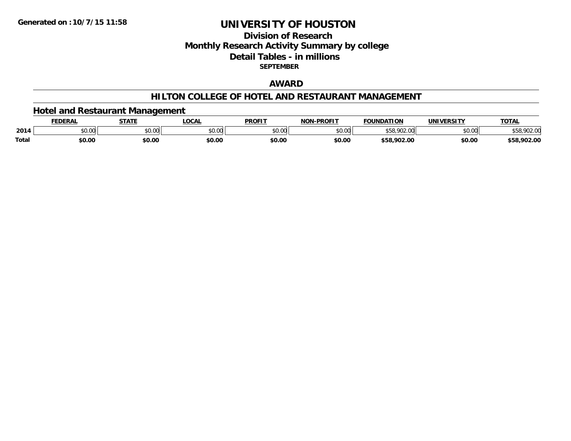# **Division of ResearchMonthly Research Activity Summary by college Detail Tables - in millions SEPTEMBER**

### **AWARD**

### **HILTON COLLEGE OF HOTEL AND RESTAURANT MANAGEMENT**

### **Hotel and Restaurant Management**

|       | <b>FEDERAL</b> | <b>STATE</b> | <b>LOCAL</b> | <b>PROFIT</b> | <b>NON-PROFIT</b> | <b>FOUNDATION</b>                         | <b>UNIVERSITY</b> | <b>TOTAL</b> |
|-------|----------------|--------------|--------------|---------------|-------------------|-------------------------------------------|-------------------|--------------|
| 2014  | \$0.00         | \$0.00       | \$0.00       | \$0.00        | \$0.00            | <b>COO OD</b><br>$\sim$<br>১৩୪,<br>YUZ.UU | tu ∪⊅<br>PU.UU    | 0.902.00     |
| Total | \$0.00         | \$0.00       | \$0.00       | \$0.00        | \$0.00            | \$58,902.00                               | \$0.00            | \$58,902.00  |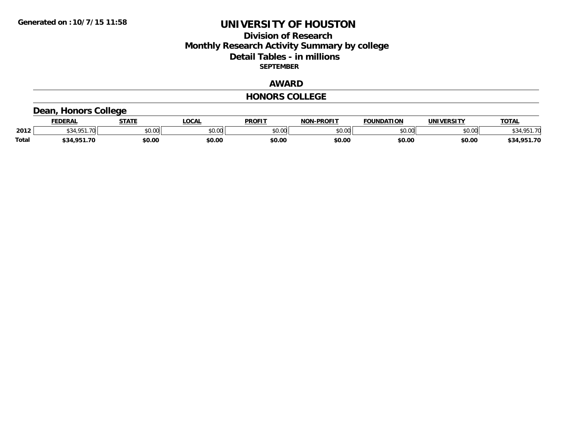### **Division of Research Monthly Research Activity Summary by college Detail Tables - in millions SEPTEMBER**

### **AWARD**

#### **HONORS COLLEGE**

# **Dean, Honors College**

|       | <b>FEDERAL</b> | <b>STATE</b> | <b>OCAL</b>   | <b>PROFIT</b> | <b>NON-PROFIT</b> | <b>FOUNDATION</b> | UNIVERSITY | <b>TOTAL</b>    |
|-------|----------------|--------------|---------------|---------------|-------------------|-------------------|------------|-----------------|
| 2012  | 4 O.E.1<br>.70 | \$0.00       | 0000<br>vv.vv | \$0.00        | ልስ ለሰ<br>PU.UU    | \$0.00            | \$0.00     | \$34,951<br>-70 |
| Total | \$34,951.70    | \$0.00       | \$0.00        | \$0.00        | \$0.00            | \$0.00            | \$0.00     | \$34,951.70     |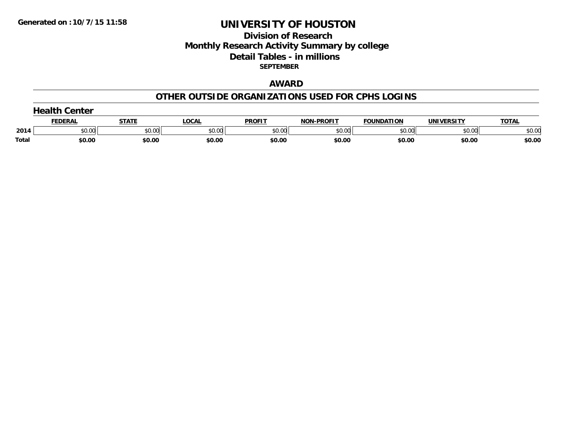# **Division of Research Monthly Research Activity Summary by college Detail Tables - in millions SEPTEMBER**

### **AWARD**

#### **OTHER OUTSIDE ORGANIZATIONS USED FOR CPHS LOGINS**

|       | Center         |        |        |               |                   |                   |            |              |  |  |  |
|-------|----------------|--------|--------|---------------|-------------------|-------------------|------------|--------------|--|--|--|
|       | <b>FEDERAI</b> | STATE  | ∟OCAL  | <b>PROFIT</b> | <b>NON-PROFIT</b> | <b>FOUNDATION</b> | UNIVERSITY | <b>TOTAL</b> |  |  |  |
| 2014  | \$0.00         | \$0.00 | \$0.00 | \$0.00        | \$0.00            | \$0.00            | \$0.00     | \$0.00       |  |  |  |
| Total | \$0.00         | \$0.00 | \$0.00 | \$0.00        | \$0.00            | \$0.00            | \$0.00     | \$0.00       |  |  |  |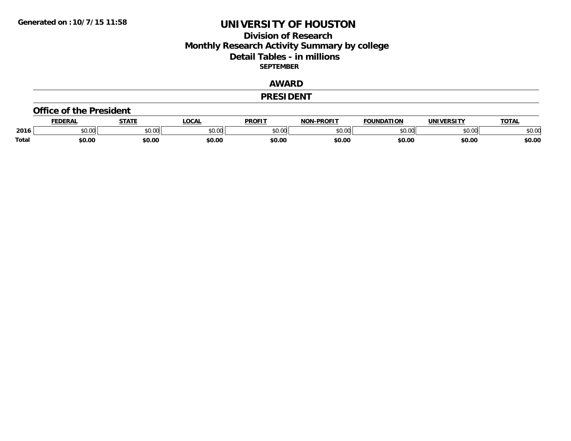### **Division of Research Monthly Research Activity Summary by college Detail Tables - in millions SEPTEMBER**

### **AWARD**

#### **PRESIDENT**

#### **Office of the President**

|              | <b>DERAI</b>    | <b>STATE</b> | LOCAI              | PROFIT          | <b>DDAEIT</b><br>NAN | <b>FOUNDATION</b> | UNIVERSITY | <b>TOTAL</b>   |
|--------------|-----------------|--------------|--------------------|-----------------|----------------------|-------------------|------------|----------------|
| 2016         | $\sim$<br>DU.UU | JU.UU        | $\sim$ 00<br>DU.UL | $\sim$<br>JU.UU | 30.01<br>,u.uu       |                   | \$0.00     | ቀስ ስር<br>⊋∪.∪⊌ |
| <b>Total</b> | \$0.00          | \$0.00       | \$0.00             | \$0.00          | \$0.00               | \$0.00            | \$0.00     | \$0.00         |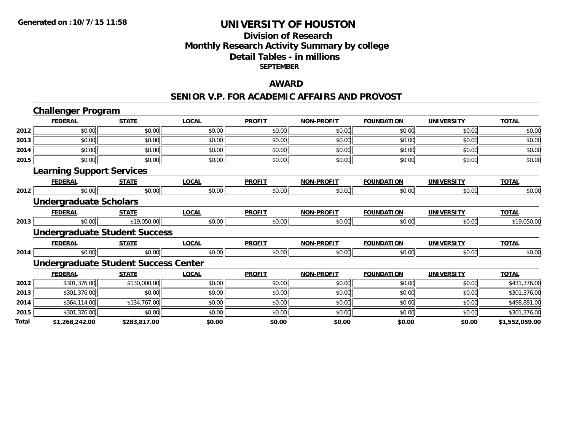### **Division of Research Monthly Research Activity Summary by college Detail Tables - in millions SEPTEMBER**

### **AWARD**

#### **SENIOR V.P. FOR ACADEMIC AFFAIRS AND PROVOST**

|       | <b>Challenger Program</b>        |                                             |              |               |                   |                   |                   |                |  |
|-------|----------------------------------|---------------------------------------------|--------------|---------------|-------------------|-------------------|-------------------|----------------|--|
|       | <b>FEDERAL</b>                   | <b>STATE</b>                                | <b>LOCAL</b> | <b>PROFIT</b> | <b>NON-PROFIT</b> | <b>FOUNDATION</b> | <b>UNIVERSITY</b> | <b>TOTAL</b>   |  |
| 2012  | \$0.00                           | \$0.00                                      | \$0.00       | \$0.00        | \$0.00            | \$0.00            | \$0.00            | \$0.00         |  |
| 2013  | \$0.00                           | \$0.00                                      | \$0.00       | \$0.00        | \$0.00            | \$0.00            | \$0.00            | \$0.00         |  |
| 2014  | \$0.00                           | \$0.00                                      | \$0.00       | \$0.00        | \$0.00            | \$0.00            | \$0.00            | \$0.00         |  |
| 2015  | \$0.00                           | \$0.00                                      | \$0.00       | \$0.00        | \$0.00            | \$0.00            | \$0.00            | \$0.00         |  |
|       | <b>Learning Support Services</b> |                                             |              |               |                   |                   |                   |                |  |
|       | <b>FEDERAL</b>                   | <b>STATE</b>                                | <b>LOCAL</b> | <b>PROFIT</b> | <b>NON-PROFIT</b> | <b>FOUNDATION</b> | <b>UNIVERSITY</b> | <b>TOTAL</b>   |  |
| 2012  | \$0.00                           | \$0.00                                      | \$0.00       | \$0.00        | \$0.00            | \$0.00            | \$0.00            | \$0.00         |  |
|       | <b>Undergraduate Scholars</b>    |                                             |              |               |                   |                   |                   |                |  |
|       | <b>FEDERAL</b>                   | <b>STATE</b>                                | <b>LOCAL</b> | <b>PROFIT</b> | <b>NON-PROFIT</b> | <b>FOUNDATION</b> | <b>UNIVERSITY</b> | <b>TOTAL</b>   |  |
| 2013  | \$0.00                           | \$19,050.00                                 | \$0.00       | \$0.00        | \$0.00            | \$0.00            | \$0.00            | \$19,050.00    |  |
|       |                                  | <b>Undergraduate Student Success</b>        |              |               |                   |                   |                   |                |  |
|       | <b>FEDERAL</b>                   | <b>STATE</b>                                | <b>LOCAL</b> | <b>PROFIT</b> | <b>NON-PROFIT</b> | <b>FOUNDATION</b> | <b>UNIVERSITY</b> | <b>TOTAL</b>   |  |
| 2014  | \$0.00                           | \$0.00                                      | \$0.00       | \$0.00        | \$0.00            | \$0.00            | \$0.00            | \$0.00         |  |
|       |                                  | <b>Undergraduate Student Success Center</b> |              |               |                   |                   |                   |                |  |
|       | <b>FEDERAL</b>                   | <b>STATE</b>                                | <b>LOCAL</b> | <b>PROFIT</b> | <b>NON-PROFIT</b> | <b>FOUNDATION</b> | <b>UNIVERSITY</b> | <b>TOTAL</b>   |  |
| 2012  | \$301,376.00                     | \$130,000.00                                | \$0.00       | \$0.00        | \$0.00            | \$0.00            | \$0.00            | \$431,376.00   |  |
| 2013  | \$301,376.00                     | \$0.00                                      | \$0.00       | \$0.00        | \$0.00            | \$0.00            | \$0.00            | \$301,376.00   |  |
| 2014  | \$364,114.00                     | \$134,767.00                                | \$0.00       | \$0.00        | \$0.00            | \$0.00            | \$0.00            | \$498,881.00   |  |
| 2015  | \$301,376.00                     | \$0.00                                      | \$0.00       | \$0.00        | \$0.00            | \$0.00            | \$0.00            | \$301,376.00   |  |
| Total | \$1,268,242.00                   | \$283,817.00                                | \$0.00       | \$0.00        | \$0.00            | \$0.00            | \$0.00            | \$1,552,059.00 |  |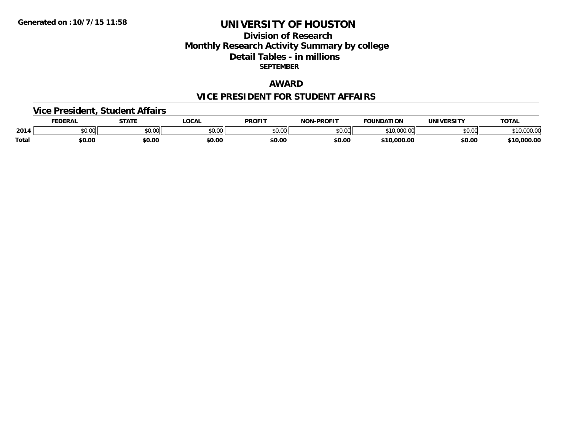## **Division of Research Monthly Research Activity Summary by college Detail Tables - in millions SEPTEMBER**

#### **AWARD**

#### **VICE PRESIDENT FOR STUDENT AFFAIRS**

#### **Vice President, Student Affairs**

|              | <b>EDERAL</b>   | <b>STATE</b>                                      | <b>OCAL</b> | <b>PROFIT</b> | <b>LPROFIT</b><br>חרות | <b>FOUNDATION</b>      | UNIVERSITY | TOTAL            |
|--------------|-----------------|---------------------------------------------------|-------------|---------------|------------------------|------------------------|------------|------------------|
| 2014         | $\sim$<br>JU.UU | $\mathsf{A}\cap\mathsf{A}\cap\mathsf{A}$<br>JU.UU | \$0.00      | 0000<br>JU.UU | \$0.00                 | 340.000<br>- 11<br>.   | \$0.00     | , IU,UUU.Ul      |
| <b>Total</b> | \$0.00          | \$0.00                                            | \$0.00      | \$0.00        | \$0.00                 | 0.000.00<br><b>¢10</b> | \$0.00     | ,000.00<br>$+10$ |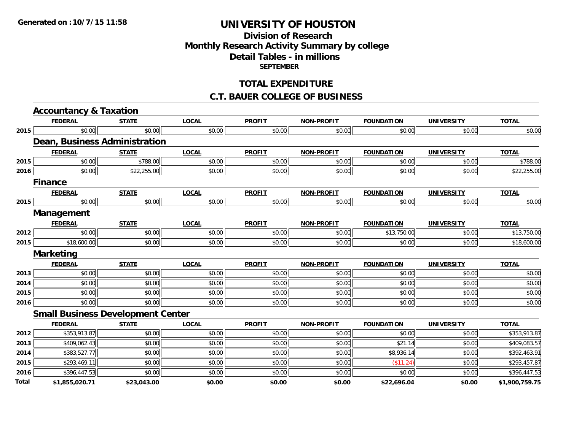## **Division of ResearchMonthly Research Activity Summary by college Detail Tables - in millions SEPTEMBER**

#### **TOTAL EXPENDITURE**

#### **C.T. BAUER COLLEGE OF BUSINESS**

|       | <b>Accountancy &amp; Taxation</b>        |              |              |               |                   |                   |                   |                |
|-------|------------------------------------------|--------------|--------------|---------------|-------------------|-------------------|-------------------|----------------|
|       | <b>FEDERAL</b>                           | <b>STATE</b> | <b>LOCAL</b> | <b>PROFIT</b> | <b>NON-PROFIT</b> | <b>FOUNDATION</b> | <b>UNIVERSITY</b> | <b>TOTAL</b>   |
| 2015  | \$0.00                                   | \$0.00       | \$0.00       | \$0.00        | \$0.00            | \$0.00            | \$0.00            | \$0.00         |
|       | Dean, Business Administration            |              |              |               |                   |                   |                   |                |
|       | <b>FEDERAL</b>                           | <b>STATE</b> | <b>LOCAL</b> | <b>PROFIT</b> | <b>NON-PROFIT</b> | <b>FOUNDATION</b> | <b>UNIVERSITY</b> | <b>TOTAL</b>   |
| 2015  | \$0.00                                   | \$788.00     | \$0.00       | \$0.00        | \$0.00            | \$0.00            | \$0.00            | \$788.00       |
| 2016  | \$0.00                                   | \$22,255.00  | \$0.00       | \$0.00        | \$0.00            | \$0.00            | \$0.00            | \$22,255.00    |
|       | <b>Finance</b>                           |              |              |               |                   |                   |                   |                |
|       | <b>FEDERAL</b>                           | <b>STATE</b> | <b>LOCAL</b> | <b>PROFIT</b> | <b>NON-PROFIT</b> | <b>FOUNDATION</b> | <b>UNIVERSITY</b> | <b>TOTAL</b>   |
| 2015  | \$0.00                                   | \$0.00       | \$0.00       | \$0.00        | \$0.00            | \$0.00            | \$0.00            | \$0.00         |
|       | Management                               |              |              |               |                   |                   |                   |                |
|       | <b>FEDERAL</b>                           | <b>STATE</b> | <b>LOCAL</b> | <b>PROFIT</b> | <b>NON-PROFIT</b> | <b>FOUNDATION</b> | <b>UNIVERSITY</b> | <b>TOTAL</b>   |
| 2012  | \$0.00                                   | \$0.00       | \$0.00       | \$0.00        | \$0.00            | \$13,750.00       | \$0.00            | \$13,750.00    |
| 2015  | \$18,600.00                              | \$0.00       | \$0.00       | \$0.00        | \$0.00            | \$0.00            | \$0.00            | \$18,600.00    |
|       | <b>Marketing</b>                         |              |              |               |                   |                   |                   |                |
|       | <b>FEDERAL</b>                           | <b>STATE</b> | <b>LOCAL</b> | <b>PROFIT</b> | <b>NON-PROFIT</b> | <b>FOUNDATION</b> | <b>UNIVERSITY</b> | <b>TOTAL</b>   |
| 2013  | \$0.00                                   | \$0.00       | \$0.00       | \$0.00        | \$0.00            | \$0.00            | \$0.00            | \$0.00         |
| 2014  | \$0.00                                   | \$0.00       | \$0.00       | \$0.00        | \$0.00            | \$0.00            | \$0.00            | \$0.00         |
| 2015  | \$0.00                                   | \$0.00       | \$0.00       | \$0.00        | \$0.00            | \$0.00            | \$0.00            | \$0.00         |
| 2016  | \$0.00                                   | \$0.00       | \$0.00       | \$0.00        | \$0.00            | \$0.00            | \$0.00            | \$0.00         |
|       | <b>Small Business Development Center</b> |              |              |               |                   |                   |                   |                |
|       | <b>FEDERAL</b>                           | <b>STATE</b> | <b>LOCAL</b> | <b>PROFIT</b> | <b>NON-PROFIT</b> | <b>FOUNDATION</b> | <b>UNIVERSITY</b> | <b>TOTAL</b>   |
| 2012  | \$353,913.87                             | \$0.00       | \$0.00       | \$0.00        | \$0.00            | \$0.00            | \$0.00            | \$353,913.87   |
| 2013  | \$409,062.43                             | \$0.00       | \$0.00       | \$0.00        | \$0.00            | \$21.14           | \$0.00            | \$409,083.57   |
| 2014  | \$383,527.77                             | \$0.00       | \$0.00       | \$0.00        | \$0.00            | \$8,936.14        | \$0.00            | \$392,463.91   |
| 2015  | \$293,469.11                             | \$0.00       | \$0.00       | \$0.00        | \$0.00            | (\$11.24)         | \$0.00            | \$293,457.87   |
| 2016  | \$396,447.53                             | \$0.00       | \$0.00       | \$0.00        | \$0.00            | \$0.00            | \$0.00            | \$396,447.53   |
| Total | \$1,855,020.71                           | \$23,043.00  | \$0.00       | \$0.00        | \$0.00            | \$22,696.04       | \$0.00            | \$1,900,759.75 |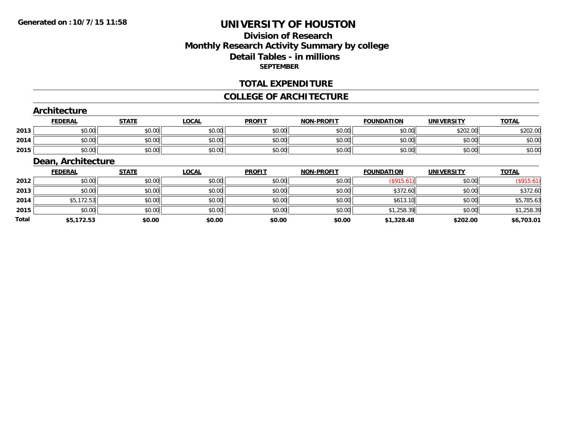## **Division of ResearchMonthly Research Activity Summary by college Detail Tables - in millions SEPTEMBER**

#### **TOTAL EXPENDITURE**

#### **COLLEGE OF ARCHITECTURE**

#### **Architecture**

|      | <b>FEDERAL</b> | <b>STATE</b>   | LOCAL              | <b>PROFIT</b> | <b>NON-PROFIT</b> | <b>FOUNDATION</b> | UNIVERSITY | <b>TOTAL</b> |
|------|----------------|----------------|--------------------|---------------|-------------------|-------------------|------------|--------------|
| 2013 | 0000<br>DU.UU  | ¢∩<br>JU.UU    | 0000<br>JU.UU      | \$0.00        | \$0.00            | \$0.00            | \$202.00   | \$202.00     |
| 2014 | 0000<br>,u.uu  | ≮N UU<br>JU.UU | $\sim$ 00<br>JU.UU | \$0.00        | \$0.00            | \$0.00            | \$0.00     | \$0.OC       |
| 2015 | \$0.00         | \$0.00         | 0000<br>JU.UU      | \$0.00        | \$0.00            | \$0.00            | \$0.00     | \$0.00       |

# **Dean, Architecture**

|       | <b>FEDERAL</b> | <b>STATE</b> | <b>LOCAL</b> | <b>PROFIT</b> | <b>NON-PROFIT</b> | <b>FOUNDATION</b> | <b>UNIVERSITY</b> | <b>TOTAL</b> |
|-------|----------------|--------------|--------------|---------------|-------------------|-------------------|-------------------|--------------|
| 2012  | \$0.00         | \$0.00       | \$0.00       | \$0.00        | \$0.00            | $(\$915.61)$      | \$0.00            | (\$915.61"   |
| 2013  | \$0.00         | \$0.00       | \$0.00       | \$0.00        | \$0.00            | \$372.60          | \$0.00            | \$372.60     |
| 2014  | \$5,172.53     | \$0.00       | \$0.00       | \$0.00        | \$0.00            | \$613.10          | \$0.00            | \$5,785.63   |
| 2015  | \$0.00         | \$0.00       | \$0.00       | \$0.00        | \$0.00            | \$1,258.39        | \$0.00            | \$1,258.39   |
| Total | \$5,172.53     | \$0.00       | \$0.00       | \$0.00        | \$0.00            | \$1,328.48        | \$202.00          | \$6,703.01   |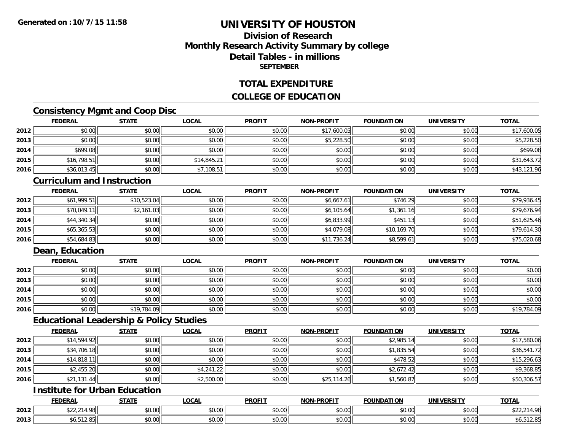## **Division of ResearchMonthly Research Activity Summary by college Detail Tables - in millionsSEPTEMBER**

#### **TOTAL EXPENDITURE**

#### **COLLEGE OF EDUCATION**

## **Consistency Mgmt and Coop Disc**

|      | <b>FEDERAL</b> | <b>STATE</b> | <u>LOCAL</u> | <b>PROFIT</b> | <b>NON-PROFIT</b> | <b>FOUNDATION</b> | <b>UNIVERSITY</b> | <b>TOTAL</b> |
|------|----------------|--------------|--------------|---------------|-------------------|-------------------|-------------------|--------------|
| 2012 | \$0.00         | \$0.00       | \$0.00       | \$0.00        | \$17,600.05       | \$0.00            | \$0.00            | \$17,600.05  |
| 2013 | \$0.00         | \$0.00       | \$0.00       | \$0.00        | \$5,228.50        | \$0.00            | \$0.00            | \$5,228.50   |
| 2014 | \$699.08       | \$0.00       | \$0.00       | \$0.00        | \$0.00            | \$0.00            | \$0.00            | \$699.08     |
| 2015 | \$16,798.51    | \$0.00       | \$14,845.21  | \$0.00        | \$0.00            | \$0.00            | \$0.00            | \$31,643.72  |
| 2016 | \$36,013.45    | \$0.00       | \$7,108.51   | \$0.00        | \$0.00            | \$0.00            | \$0.00            | \$43,121.96  |

#### **Curriculum and Instruction**

|      | <b>FEDERAL</b> | <b>STATE</b> | <b>LOCAL</b> | <b>PROFIT</b> | <b>NON-PROFIT</b> | <b>FOUNDATION</b> | <b>UNIVERSITY</b> | <b>TOTAL</b> |
|------|----------------|--------------|--------------|---------------|-------------------|-------------------|-------------------|--------------|
| 2012 | \$61,999.51    | \$10,523.04  | \$0.00       | \$0.00        | \$6,667.61        | \$746.29          | \$0.00            | \$79,936.45  |
| 2013 | \$70,049.11    | \$2,161.03   | \$0.00       | \$0.00        | \$6,105.64        | \$1,361.16        | \$0.00            | \$79,676.94  |
| 2014 | \$44,340.34    | \$0.00       | \$0.00       | \$0.00        | \$6,833.99        | \$451.13          | \$0.00            | \$51,625.46  |
| 2015 | \$65,365.53    | \$0.00       | \$0.00       | \$0.00        | \$4,079.08        | \$10,169.70       | \$0.00            | \$79,614.30  |
| 2016 | \$54,684.83    | \$0.00       | \$0.00       | \$0.00        | \$11,736.24       | \$8,599.61        | \$0.00            | \$75,020.68  |

## **Dean, Education**

|      | <b>FEDERAL</b> | <b>STATE</b> | <u>LOCAL</u> | <b>PROFIT</b> | <b>NON-PROFIT</b> | <b>FOUNDATION</b> | <b>UNIVERSITY</b> | <b>TOTAL</b> |
|------|----------------|--------------|--------------|---------------|-------------------|-------------------|-------------------|--------------|
| 2012 | \$0.00         | \$0.00       | \$0.00       | \$0.00        | \$0.00            | \$0.00            | \$0.00            | \$0.00       |
| 2013 | \$0.00         | \$0.00       | \$0.00       | \$0.00        | \$0.00            | \$0.00            | \$0.00            | \$0.00       |
| 2014 | \$0.00         | \$0.00       | \$0.00       | \$0.00        | \$0.00            | \$0.00            | \$0.00            | \$0.00       |
| 2015 | \$0.00         | \$0.00       | \$0.00       | \$0.00        | \$0.00            | \$0.00            | \$0.00            | \$0.00       |
| 2016 | \$0.00         | \$19,784.09  | \$0.00       | \$0.00        | \$0.00            | \$0.00            | \$0.00            | \$19,784.09  |

#### **Educational Leadership & Policy Studies**

|      | <b>FEDERAL</b> | <b>STATE</b> | <u>LOCAL</u> | <b>PROFIT</b> | <b>NON-PROFIT</b> | <b>FOUNDATION</b> | <b>UNIVERSITY</b> | <b>TOTAL</b> |
|------|----------------|--------------|--------------|---------------|-------------------|-------------------|-------------------|--------------|
| 2012 | \$14,594.92    | \$0.00       | \$0.00       | \$0.00        | \$0.00            | \$2,985.14        | \$0.00            | \$17,580.06  |
| 2013 | \$34,706.18    | \$0.00       | \$0.00       | \$0.00        | \$0.00            | \$1,835.54        | \$0.00            | \$36,541.72  |
| 2014 | \$14,818.11    | \$0.00       | \$0.00       | \$0.00        | \$0.00            | \$478.52          | \$0.00            | \$15,296.63  |
| 2015 | \$2,455.20     | \$0.00       | \$4,241.22   | \$0.00        | \$0.00            | \$2,672.42        | \$0.00            | \$9,368.85   |
| 2016 | \$21,131.44    | \$0.00       | \$2,500.00   | \$0.00        | \$25,114.26       | \$1,560.87        | \$0.00            | \$50,306.57  |

# **Institute for Urban Education**

|      | <b>FEDERAL</b>                                    | <b>CTATE</b>  | <b>_OCAL</b>          | <b>PROFIT</b>                        | <b>J-PROFIT</b><br><b>BIABI</b> | <b>FOUNDATION</b> | UNIVERSITY           | <b>TOTAL</b>    |
|------|---------------------------------------------------|---------------|-----------------------|--------------------------------------|---------------------------------|-------------------|----------------------|-----------------|
| 2012 | $\uparrow$ $\uparrow$<br>ററ<br>$V = L_1 L$ 14.701 | 0000<br>DU.UU | $\sim$<br>0 t<br>וטט. | $*$ $\circ$ $\circ$ $\circ$<br>DU.UU | 0.00<br>JU.UU                   | \$0.00            | 0000<br><b>JU.UU</b> | 4.98<br>- 14    |
| 2013 | 50.312.85                                         | 0000<br>ט.טע  | $\sim$ 00<br>vv.vv    | $*$ $\cap$ $\cap$<br>DU.UU           | 0.00<br>JU.UU                   | \$0.00            | $\sim$ 00<br>JU.UU   | <b>POID LET</b> |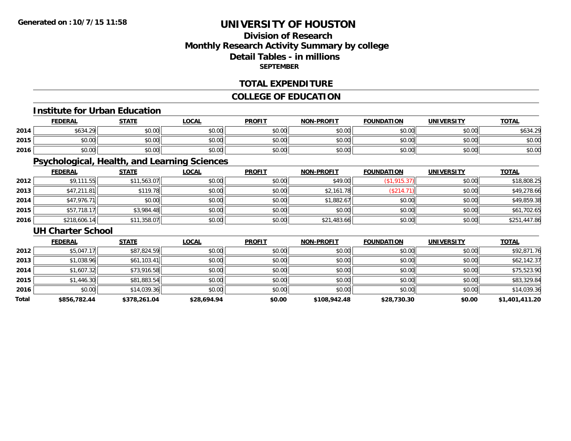## **Division of ResearchMonthly Research Activity Summary by college Detail Tables - in millions SEPTEMBER**

#### **TOTAL EXPENDITURE**

## **COLLEGE OF EDUCATION**

#### **Institute for Urban Education**

|      | FEDERAL  | <b>STATE</b>                               | LOCAL  | <b>PROFIT</b> | <b>NON-PROFIT</b> | <b>FOUNDATION</b> | UNIVERSITY<br>13.JI   | <b>TOTAL</b>   |
|------|----------|--------------------------------------------|--------|---------------|-------------------|-------------------|-----------------------|----------------|
| 2014 | \$634.29 | 40.00<br>vu.vu                             | \$0.00 | \$0.00        | \$0.00            | \$0.00            | <b>co</b> on<br>PU.UU | \$634.29<br>29 |
| 2015 | \$0.00   | $\mathfrak{e}\cap\mathfrak{u}\cap$<br>しいいし | \$0.00 | \$0.00        | \$0.00            | \$0.00            | \$0.00                | \$0.00         |
| 2016 | \$0.00   | \$0.00                                     | \$0.00 | \$0.00        | \$0.00            | \$0.00            | \$0.00                | \$0.00         |

## **Psychological, Health, and Learning Sciences**

|      | <b>FEDERAL</b> | <b>STATE</b> | <u>LOCAL</u> | <b>PROFIT</b> | <b>NON-PROFIT</b> | <b>FOUNDATION</b> | <b>UNIVERSITY</b> | <b>TOTAL</b> |
|------|----------------|--------------|--------------|---------------|-------------------|-------------------|-------------------|--------------|
| 2012 | \$9,111.55     | \$11,563.07  | \$0.00       | \$0.00        | \$49.00           | \$1.915.37        | \$0.00            | \$18,808.25  |
| 2013 | \$47,211.81    | \$119.78     | \$0.00       | \$0.00        | \$2,161.78        | (\$214.71         | \$0.00            | \$49,278.66  |
| 2014 | \$47,976.71    | \$0.00       | \$0.00       | \$0.00        | \$1,882.67        | \$0.00            | \$0.00            | \$49,859.38  |
| 2015 | \$57,718.1     | \$3,984.48   | \$0.00       | \$0.00        | \$0.00            | \$0.00            | \$0.00            | \$61,702.65  |
| 2016 | \$218,606.14   | \$11,358.07  | \$0.00       | \$0.00        | \$21,483.66       | \$0.00            | \$0.00            | \$251,447.86 |

#### **UH Charter School**

|       | <b>FEDERAL</b> | <b>STATE</b> | <b>LOCAL</b> | <b>PROFIT</b> | <b>NON-PROFIT</b> | <b>FOUNDATION</b> | <b>UNIVERSITY</b> | <b>TOTAL</b>   |
|-------|----------------|--------------|--------------|---------------|-------------------|-------------------|-------------------|----------------|
| 2012  | \$5,047.17     | \$87,824.59  | \$0.00       | \$0.00        | \$0.00            | \$0.00            | \$0.00            | \$92,871.76    |
| 2013  | \$1,038.96     | \$61,103.41  | \$0.00       | \$0.00        | \$0.00            | \$0.00            | \$0.00            | \$62,142.37    |
| 2014  | \$1,607.32     | \$73,916.58  | \$0.00       | \$0.00        | \$0.00            | \$0.00            | \$0.00            | \$75,523.90    |
| 2015  | \$1,446.30     | \$81,883.54  | \$0.00       | \$0.00        | \$0.00            | \$0.00            | \$0.00            | \$83,329.84    |
| 2016  | \$0.00         | \$14,039.36  | \$0.00       | \$0.00        | \$0.00            | \$0.00            | \$0.00            | \$14,039.36    |
| Total | \$856,782.44   | \$378,261.04 | \$28,694.94  | \$0.00        | \$108,942.48      | \$28,730.30       | \$0.00            | \$1,401,411.20 |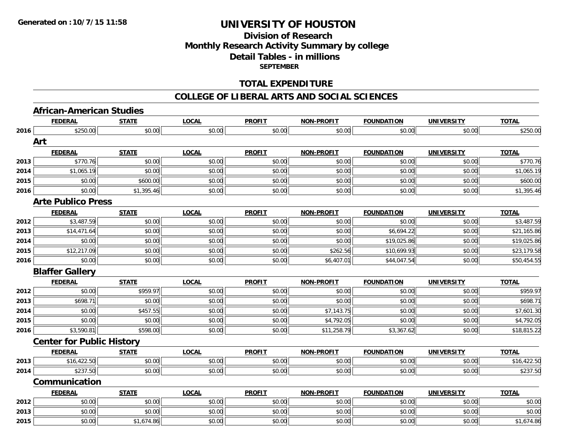## **Division of Research Monthly Research Activity Summary by college Detail Tables - in millions SEPTEMBER**

#### **TOTAL EXPENDITURE**

#### **COLLEGE OF LIBERAL ARTS AND SOCIAL SCIENCES**

#### **African-American Studies**

|      | <b>FEDERAL</b>                   | <b>STATE</b> | <b>LOCAL</b> | <b>PROFIT</b> | <b>NON-PROFIT</b> | <b>FOUNDATION</b> | <b>UNIVERSITY</b> | <b>TOTAL</b> |
|------|----------------------------------|--------------|--------------|---------------|-------------------|-------------------|-------------------|--------------|
| 2016 | \$250.00                         | \$0.00       | \$0.00       | \$0.00        | \$0.00            | \$0.00            | \$0.00            | \$250.00     |
|      | Art                              |              |              |               |                   |                   |                   |              |
|      | <b>FEDERAL</b>                   | <b>STATE</b> | <b>LOCAL</b> | <b>PROFIT</b> | <b>NON-PROFIT</b> | <b>FOUNDATION</b> | <b>UNIVERSITY</b> | <b>TOTAL</b> |
| 2013 | \$770.76                         | \$0.00       | \$0.00       | \$0.00        | \$0.00            | \$0.00            | \$0.00            | \$770.76     |
| 2014 | \$1,065.19                       | \$0.00       | \$0.00       | \$0.00        | \$0.00            | \$0.00            | \$0.00            | \$1,065.19   |
| 2015 | \$0.00                           | \$600.00     | \$0.00       | \$0.00        | \$0.00            | \$0.00            | \$0.00            | \$600.00     |
| 2016 | \$0.00                           | \$1,395.46   | \$0.00       | \$0.00        | \$0.00            | \$0.00            | \$0.00            | \$1,395.46   |
|      | <b>Arte Publico Press</b>        |              |              |               |                   |                   |                   |              |
|      | <b>FEDERAL</b>                   | <b>STATE</b> | <b>LOCAL</b> | <b>PROFIT</b> | <b>NON-PROFIT</b> | <b>FOUNDATION</b> | <b>UNIVERSITY</b> | <b>TOTAL</b> |
| 2012 | \$3,487.59                       | \$0.00       | \$0.00       | \$0.00        | \$0.00            | \$0.00            | \$0.00            | \$3,487.59   |
| 2013 | \$14,471.64                      | \$0.00       | \$0.00       | \$0.00        | \$0.00            | \$6,694.22        | \$0.00            | \$21,165.86  |
| 2014 | \$0.00                           | \$0.00       | \$0.00       | \$0.00        | \$0.00            | \$19,025.86       | \$0.00            | \$19,025.86  |
| 2015 | \$12,217.09                      | \$0.00       | \$0.00       | \$0.00        | \$262.56          | \$10,699.93       | \$0.00            | \$23,179.58  |
| 2016 | \$0.00                           | \$0.00       | \$0.00       | \$0.00        | \$6,407.01        | \$44,047.54       | \$0.00            | \$50,454.55  |
|      | <b>Blaffer Gallery</b>           |              |              |               |                   |                   |                   |              |
|      | <b>FEDERAL</b>                   | <b>STATE</b> | <b>LOCAL</b> | <b>PROFIT</b> | <b>NON-PROFIT</b> | <b>FOUNDATION</b> | <b>UNIVERSITY</b> | <b>TOTAL</b> |
| 2012 | \$0.00                           | \$959.97     | \$0.00       | \$0.00        | \$0.00            | \$0.00            | \$0.00            | \$959.97     |
| 2013 | \$698.71                         | \$0.00       | \$0.00       | \$0.00        | \$0.00            | \$0.00            | \$0.00            | \$698.71     |
| 2014 | \$0.00                           | \$457.55     | \$0.00       | \$0.00        | \$7,143.75        | \$0.00            | \$0.00            | \$7,601.30   |
| 2015 | \$0.00                           | \$0.00       | \$0.00       | \$0.00        | \$4,792.05        | \$0.00            | \$0.00            | \$4,792.05   |
| 2016 | \$3,590.81                       | \$598.00     | \$0.00       | \$0.00        | \$11,258.79       | \$3,367.62        | \$0.00            | \$18,815.22  |
|      | <b>Center for Public History</b> |              |              |               |                   |                   |                   |              |
|      | <b>FEDERAL</b>                   | <b>STATE</b> | <b>LOCAL</b> | <b>PROFIT</b> | <b>NON-PROFIT</b> | <b>FOUNDATION</b> | <b>UNIVERSITY</b> | <b>TOTAL</b> |
| 2013 | \$16,422.50                      | \$0.00       | \$0.00       | \$0.00        | \$0.00            | \$0.00            | \$0.00            | \$16,422.50  |
| 2014 | \$237.50                         | \$0.00       | \$0.00       | \$0.00        | \$0.00            | \$0.00            | \$0.00            | \$237.50     |
|      | Communication                    |              |              |               |                   |                   |                   |              |
|      | <b>FEDERAL</b>                   | <b>STATE</b> | <b>LOCAL</b> | <b>PROFIT</b> | <b>NON-PROFIT</b> | <b>FOUNDATION</b> | <b>UNIVERSITY</b> | <b>TOTAL</b> |
| 2012 | \$0.00                           | \$0.00       | \$0.00       | \$0.00        | \$0.00            | \$0.00            | \$0.00            | \$0.00       |
| 2013 | \$0.00                           | \$0.00       | \$0.00       | \$0.00        | \$0.00            | \$0.00            | \$0.00            | \$0.00       |
| 2015 | \$0.00                           | \$1,674.86   | \$0.00       | \$0.00        | \$0.00            | \$0.00            | \$0.00            | \$1,674.86   |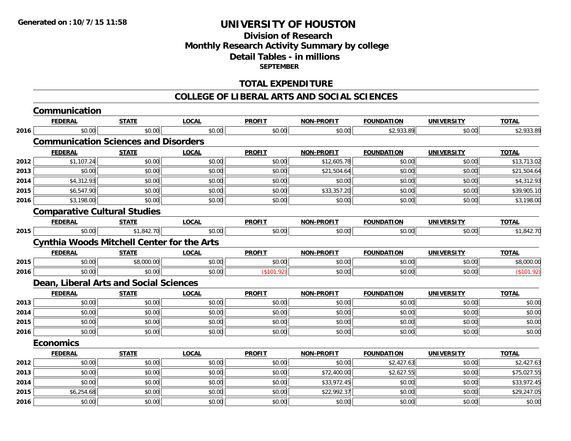## **Division of Research Monthly Research Activity Summary by college Detail Tables - in millions SEPTEMBER**

#### **TOTAL EXPENDITURE**

#### **COLLEGE OF LIBERAL ARTS AND SOCIAL SCIENCES**

|      | Communication                                     |              |              |               |                   |                   |                   |              |
|------|---------------------------------------------------|--------------|--------------|---------------|-------------------|-------------------|-------------------|--------------|
|      | <b>FEDERAL</b>                                    | <b>STATE</b> | <b>LOCAL</b> | <b>PROFIT</b> | NON-PROFIT        | <b>FOUNDATION</b> | <b>UNIVERSITY</b> | <b>TOTAL</b> |
| 2016 | \$0.00                                            | \$0.00       | \$0.00       | \$0.00        | \$0.00            | \$2,933.89        | \$0.00            | \$2,933.89   |
|      | <b>Communication Sciences and Disorders</b>       |              |              |               |                   |                   |                   |              |
|      | <b>FEDERAL</b>                                    | <b>STATE</b> | <b>LOCAL</b> | <b>PROFIT</b> | <b>NON-PROFIT</b> | <b>FOUNDATION</b> | <b>UNIVERSITY</b> | <b>TOTAL</b> |
| 2012 | \$1,107.24                                        | \$0.00       | \$0.00       | \$0.00        | \$12,605.78       | \$0.00            | \$0.00            | \$13,713.02  |
| 2013 | \$0.00                                            | \$0.00       | \$0.00       | \$0.00        | \$21,504.64       | \$0.00            | \$0.00            | \$21,504.64  |
| 2014 | \$4,312.93                                        | \$0.00       | \$0.00       | \$0.00        | \$0.00            | \$0.00            | \$0.00            | \$4,312.93   |
| 2015 | \$6,547.90                                        | \$0.00       | \$0.00       | \$0.00        | \$33,357.20       | \$0.00            | \$0.00            | \$39,905.10  |
| 2016 | \$3,198.00                                        | \$0.00       | \$0.00       | \$0.00        | \$0.00            | \$0.00            | \$0.00            | \$3,198.00   |
|      | <b>Comparative Cultural Studies</b>               |              |              |               |                   |                   |                   |              |
|      | <b>FEDERAL</b>                                    | <b>STATE</b> | <b>LOCAL</b> | <b>PROFIT</b> | <b>NON-PROFIT</b> | <b>FOUNDATION</b> | <b>UNIVERSITY</b> | <b>TOTAL</b> |
| 2015 | \$0.00                                            | \$1,842.70   | \$0.00       | \$0.00        | \$0.00            | \$0.00            | \$0.00            | \$1,842.70   |
|      | <b>Cynthia Woods Mitchell Center for the Arts</b> |              |              |               |                   |                   |                   |              |
|      | <b>FEDERAL</b>                                    | <b>STATE</b> | <b>LOCAL</b> | <b>PROFIT</b> | <b>NON-PROFIT</b> | <b>FOUNDATION</b> | <b>UNIVERSITY</b> | <b>TOTAL</b> |
| 2015 | \$0.00                                            | \$8,000.00   | \$0.00       | \$0.00        | \$0.00            | \$0.00            | \$0.00            | \$8,000.00   |
| 2016 | \$0.00                                            | \$0.00       | \$0.00       | (\$101.92)    | \$0.00            | \$0.00            | \$0.00            | (\$101.92)   |
|      | Dean, Liberal Arts and Social Sciences            |              |              |               |                   |                   |                   |              |
|      | <b>FEDERAL</b>                                    | <b>STATE</b> | <b>LOCAL</b> | <b>PROFIT</b> | <b>NON-PROFIT</b> | <b>FOUNDATION</b> | <b>UNIVERSITY</b> | <b>TOTAL</b> |
| 2013 | \$0.00                                            | \$0.00       | \$0.00       | \$0.00        | \$0.00            | \$0.00            | \$0.00            | \$0.00       |
| 2014 | \$0.00                                            | \$0.00       | \$0.00       | \$0.00        | \$0.00            | \$0.00            | \$0.00            | \$0.00       |
| 2015 | \$0.00                                            | \$0.00       | \$0.00       | \$0.00        | \$0.00            | \$0.00            | \$0.00            | \$0.00       |
| 2016 | \$0.00                                            | \$0.00       | \$0.00       | \$0.00        | \$0.00            | \$0.00            | \$0.00            | \$0.00       |
|      | <b>Economics</b>                                  |              |              |               |                   |                   |                   |              |
|      | <b>FEDERAL</b>                                    | <b>STATE</b> | <b>LOCAL</b> | <b>PROFIT</b> | <b>NON-PROFIT</b> | <b>FOUNDATION</b> | <b>UNIVERSITY</b> | <b>TOTAL</b> |
| 2012 | \$0.00                                            | \$0.00       | \$0.00       | \$0.00        | \$0.00            | \$2,427.63        | \$0.00            | \$2,427.63   |
| 2013 | \$0.00                                            | \$0.00       | \$0.00       | \$0.00        | \$72,400.00       | \$2,627.55        | \$0.00            | \$75,027.55  |
| 2014 | \$0.00                                            | \$0.00       | \$0.00       | \$0.00        | \$33,972.45       | \$0.00            | \$0.00            | \$33,972.45  |
| 2015 | \$6,254.68                                        | \$0.00       | \$0.00       | \$0.00        | \$22,992.37       | \$0.00            | \$0.00            | \$29,247.05  |
| 2016 | \$0.00                                            | \$0.00       | \$0.00       | \$0.00        | \$0.00            | \$0.00            | \$0.00            | \$0.00       |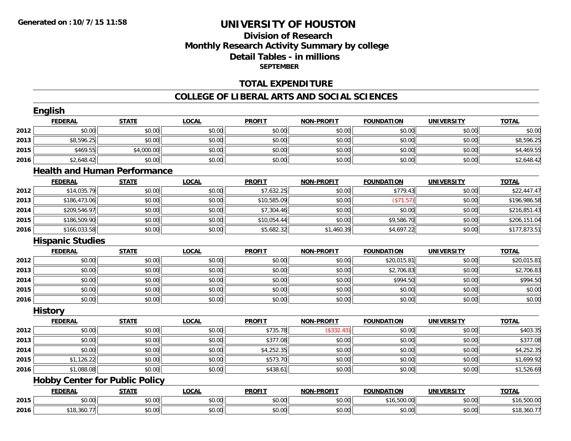## **Division of ResearchMonthly Research Activity Summary by college Detail Tables - in millions SEPTEMBER**

#### **TOTAL EXPENDITURE**

#### **COLLEGE OF LIBERAL ARTS AND SOCIAL SCIENCES**

|      | English                 |                                       |              |               |                   |                   |                   |              |
|------|-------------------------|---------------------------------------|--------------|---------------|-------------------|-------------------|-------------------|--------------|
|      | <b>FEDERAL</b>          | <b>STATE</b>                          | <b>LOCAL</b> | <b>PROFIT</b> | NON-PROFIT        | <b>FOUNDATION</b> | <b>UNIVERSITY</b> | <b>TOTAL</b> |
| 2012 | \$0.00                  | \$0.00                                | \$0.00       | \$0.00        | \$0.00            | \$0.00            | \$0.00            | \$0.00       |
| 2013 | \$8,596.25              | \$0.00                                | \$0.00       | \$0.00        | \$0.00            | \$0.00            | \$0.00            | \$8,596.25   |
| 2015 | \$469.55                | \$4,000.00                            | \$0.00       | \$0.00        | \$0.00            | \$0.00            | \$0.00            | \$4,469.55   |
| 2016 | \$2,648.42              | \$0.00                                | \$0.00       | \$0.00        | \$0.00            | \$0.00            | \$0.00            | \$2,648.42   |
|      |                         | <b>Health and Human Performance</b>   |              |               |                   |                   |                   |              |
|      | <b>FEDERAL</b>          | <b>STATE</b>                          | <b>LOCAL</b> | <b>PROFIT</b> | NON-PROFIT        | <b>FOUNDATION</b> | <b>UNIVERSITY</b> | <b>TOTAL</b> |
| 2012 | \$14,035.79             | \$0.00                                | \$0.00       | \$7,632.25    | \$0.00            | \$779.43          | \$0.00            | \$22,447.47  |
| 2013 | \$186,473.06            | \$0.00                                | \$0.00       | \$10,585.09   | \$0.00            | (\$71.57)         | \$0.00            | \$196,986.58 |
| 2014 | \$209,546.97            | \$0.00                                | \$0.00       | \$7,304.46    | \$0.00            | \$0.00            | \$0.00            | \$216,851.43 |
| 2015 | \$186,509.90            | \$0.00                                | \$0.00       | \$10,054.44   | \$0.00            | \$9,586.70        | \$0.00            | \$206,151.04 |
| 2016 | \$166,033.58            | \$0.00                                | \$0.00       | \$5,682.32    | \$1,460.39        | \$4,697.22        | \$0.00            | \$177,873.51 |
|      | <b>Hispanic Studies</b> |                                       |              |               |                   |                   |                   |              |
|      | <b>FEDERAL</b>          | <b>STATE</b>                          | <b>LOCAL</b> | <b>PROFIT</b> | <b>NON-PROFIT</b> | <b>FOUNDATION</b> | <b>UNIVERSITY</b> | <b>TOTAL</b> |
| 2012 | \$0.00                  | \$0.00                                | \$0.00       | \$0.00        | \$0.00            | \$20,015.81       | \$0.00            | \$20,015.81  |
| 2013 | \$0.00                  | \$0.00                                | \$0.00       | \$0.00        | \$0.00            | \$2,706.83        | \$0.00            | \$2,706.83   |
| 2014 | \$0.00                  | \$0.00                                | \$0.00       | \$0.00        | \$0.00            | \$994.50          | \$0.00            | \$994.50     |
| 2015 | \$0.00                  | \$0.00                                | \$0.00       | \$0.00        | \$0.00            | \$0.00            | \$0.00            | \$0.00       |
| 2016 | \$0.00                  | \$0.00                                | \$0.00       | \$0.00        | \$0.00            | \$0.00            | \$0.00            | \$0.00       |
|      | <b>History</b>          |                                       |              |               |                   |                   |                   |              |
|      | <b>FEDERAL</b>          | <b>STATE</b>                          | <b>LOCAL</b> | <b>PROFIT</b> | NON-PROFIT        | <b>FOUNDATION</b> | <b>UNIVERSITY</b> | <b>TOTAL</b> |
| 2012 | \$0.00                  | \$0.00                                | \$0.00       | \$735.78      | (\$332.43)        | \$0.00            | \$0.00            | \$403.35     |
| 2013 | \$0.00                  | \$0.00                                | \$0.00       | \$377.08      | \$0.00            | \$0.00            | \$0.00            | \$377.08     |
| 2014 | \$0.00                  | \$0.00                                | \$0.00       | \$4,252.35    | \$0.00            | \$0.00            | \$0.00            | \$4,252.35   |
| 2015 | \$1,126.22              | \$0.00                                | \$0.00       | \$573.70      | \$0.00            | \$0.00            | \$0.00            | \$1,699.92   |
| 2016 | \$1,088.08              | \$0.00                                | \$0.00       | \$438.61      | \$0.00            | \$0.00            | \$0.00            | \$1,526.69   |
|      |                         | <b>Hobby Center for Public Policy</b> |              |               |                   |                   |                   |              |
|      | <b>FEDERAL</b>          | <b>STATE</b>                          | <b>LOCAL</b> | <b>PROFIT</b> | <b>NON-PROFIT</b> | <b>FOUNDATION</b> | <b>UNIVERSITY</b> | <b>TOTAL</b> |
| 2015 | \$0.00                  | \$0.00                                | \$0.00       | \$0.00        | \$0.00            | \$16,500.00       | \$0.00            | \$16,500.00  |
| 2016 | \$18,360.77             | \$0.00                                | \$0.00       | \$0.00        | \$0.00            | \$0.00            | \$0.00            | \$18,360.77  |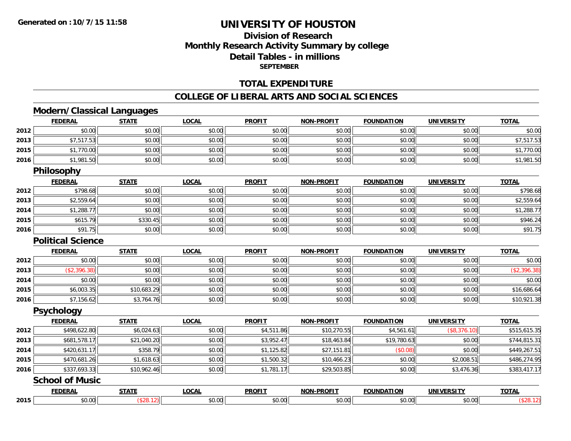# **Division of ResearchMonthly Research Activity Summary by college Detail Tables - in millions SEPTEMBER**

#### **TOTAL EXPENDITURE**

#### **COLLEGE OF LIBERAL ARTS AND SOCIAL SCIENCES**

## **Modern/Classical Languages**

|      | <b>FEDERAL</b>           | <b>STATE</b> | <b>LOCAL</b> | <b>PROFIT</b> | <b>NON-PROFIT</b> | <b>FOUNDATION</b> | <b>UNIVERSITY</b> | <b>TOTAL</b> |
|------|--------------------------|--------------|--------------|---------------|-------------------|-------------------|-------------------|--------------|
| 2012 | \$0.00                   | \$0.00       | \$0.00       | \$0.00        | \$0.00            | \$0.00            | \$0.00            | \$0.00       |
| 2013 | \$7,517.53               | \$0.00       | \$0.00       | \$0.00        | \$0.00            | \$0.00            | \$0.00            | \$7,517.53   |
| 2015 | \$1,770.00               | \$0.00       | \$0.00       | \$0.00        | \$0.00            | \$0.00            | \$0.00            | \$1,770.00   |
| 2016 | \$1,981.50               | \$0.00       | \$0.00       | \$0.00        | \$0.00            | \$0.00            | \$0.00            | \$1,981.50   |
|      | Philosophy               |              |              |               |                   |                   |                   |              |
|      | <b>FEDERAL</b>           | <b>STATE</b> | <b>LOCAL</b> | <b>PROFIT</b> | <b>NON-PROFIT</b> | <b>FOUNDATION</b> | <b>UNIVERSITY</b> | <b>TOTAL</b> |
| 2012 | \$798.68                 | \$0.00       | \$0.00       | \$0.00        | \$0.00            | \$0.00            | \$0.00            | \$798.68     |
| 2013 | \$2,559.64               | \$0.00       | \$0.00       | \$0.00        | \$0.00            | \$0.00            | \$0.00            | \$2,559.64   |
| 2014 | \$1,288.77               | \$0.00       | \$0.00       | \$0.00        | \$0.00            | \$0.00            | \$0.00            | \$1,288.77   |
| 2015 | \$615.79                 | \$330.45     | \$0.00       | \$0.00        | \$0.00            | \$0.00            | \$0.00            | \$946.24     |
| 2016 | \$91.75                  | \$0.00       | \$0.00       | \$0.00        | \$0.00            | \$0.00            | \$0.00            | \$91.75      |
|      | <b>Political Science</b> |              |              |               |                   |                   |                   |              |
|      | <b>FEDERAL</b>           | <b>STATE</b> | <b>LOCAL</b> | <b>PROFIT</b> | <b>NON-PROFIT</b> | <b>FOUNDATION</b> | <b>UNIVERSITY</b> | <b>TOTAL</b> |
| 2012 | \$0.00                   | \$0.00       | \$0.00       | \$0.00        | \$0.00            | \$0.00            | \$0.00            | \$0.00       |
| 2013 | (\$2,396.38)             | \$0.00       | \$0.00       | \$0.00        | \$0.00            | \$0.00            | \$0.00            | (\$2,396.38) |
| 2014 | \$0.00                   | \$0.00       | \$0.00       | \$0.00        | \$0.00            | \$0.00            | \$0.00            | \$0.00       |
| 2015 | \$6,003.35               | \$10,683.29  | \$0.00       | \$0.00        | \$0.00            | \$0.00            | \$0.00            | \$16,686.64  |
| 2016 | \$7,156.62               | \$3,764.76   | \$0.00       | \$0.00        | \$0.00            | \$0.00            | \$0.00            | \$10,921.38  |
|      | <b>Psychology</b>        |              |              |               |                   |                   |                   |              |
|      | <b>FEDERAL</b>           | <b>STATE</b> | <b>LOCAL</b> | <b>PROFIT</b> | <b>NON-PROFIT</b> | <b>FOUNDATION</b> | <b>UNIVERSITY</b> | <b>TOTAL</b> |
| 2012 | \$498,622.80             | \$6,024.63   | \$0.00       | \$4,511.86    | \$10,270.55       | \$4,561.61        | (\$8,376.10)      | \$515,615.35 |
| 2013 | \$681,578.17             | \$21,040.20  | \$0.00       | \$3,952.47    | \$18,463.84       | \$19,780.63       | \$0.00            | \$744,815.31 |
| 2014 | \$420,631.17             | \$358.79     | \$0.00       | \$1,125.82    | \$27,151.81       | (\$0.08)          | \$0.00            | \$449,267.51 |
| 2015 | \$470,681.26             | \$1,618.63   | \$0.00       | \$1,500.32    | \$10,466.23       | \$0.00            | \$2,008.51        | \$486,274.95 |
| 2016 | \$337,693.33             | \$10,962.46  | \$0.00       | \$1,781.17    | \$29,503.85       | \$0.00            | \$3,476.36        | \$383,417.17 |
|      | <b>School of Music</b>   |              |              |               |                   |                   |                   |              |
|      | <b>FEDERAL</b>           | <b>STATE</b> | <b>LOCAL</b> | <b>PROFIT</b> | <b>NON-PROFIT</b> | <b>FOUNDATION</b> | <b>UNIVERSITY</b> | <b>TOTAL</b> |
| 2015 | \$0.00                   | (\$28.12)    | \$0.00       | \$0.00        | \$0.00            | \$0.00            | \$0.00            | (\$28.12)    |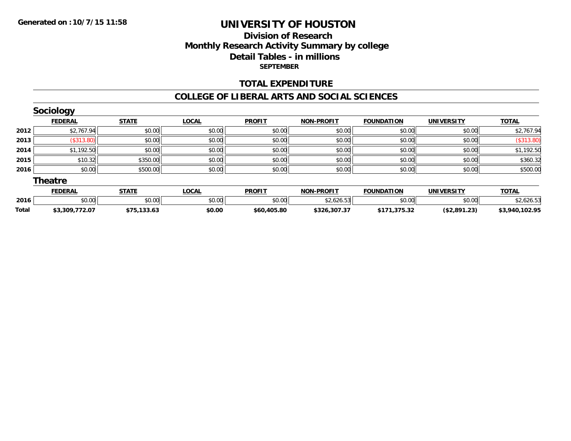## **Division of ResearchMonthly Research Activity Summary by college Detail Tables - in millions SEPTEMBER**

#### **TOTAL EXPENDITURE**

#### **COLLEGE OF LIBERAL ARTS AND SOCIAL SCIENCES**

|              | Sociology      |              |              |               |                   |                   |                   |                |
|--------------|----------------|--------------|--------------|---------------|-------------------|-------------------|-------------------|----------------|
|              | <b>FEDERAL</b> | <b>STATE</b> | <b>LOCAL</b> | <b>PROFIT</b> | <b>NON-PROFIT</b> | <b>FOUNDATION</b> | <b>UNIVERSITY</b> | <b>TOTAL</b>   |
| 2012         | \$2,767.94     | \$0.00       | \$0.00       | \$0.00        | \$0.00            | \$0.00            | \$0.00            | \$2,767.94     |
| 2013         | (\$313.80)     | \$0.00       | \$0.00       | \$0.00        | \$0.00            | \$0.00            | \$0.00            | (\$313.80)     |
| 2014         | \$1,192.50     | \$0.00       | \$0.00       | \$0.00        | \$0.00            | \$0.00            | \$0.00            | \$1,192.50     |
| 2015         | \$10.32        | \$350.00     | \$0.00       | \$0.00        | \$0.00            | \$0.00            | \$0.00            | \$360.32       |
| 2016         | \$0.00         | \$500.00     | \$0.00       | \$0.00        | \$0.00            | \$0.00            | \$0.00            | \$500.00       |
|              | <b>Theatre</b> |              |              |               |                   |                   |                   |                |
|              | <b>FEDERAL</b> | <b>STATE</b> | <b>LOCAL</b> | <b>PROFIT</b> | <b>NON-PROFIT</b> | <b>FOUNDATION</b> | <b>UNIVERSITY</b> | <b>TOTAL</b>   |
| 2016         | \$0.00         | \$0.00       | \$0.00       | \$0.00        | \$2,626.53        | \$0.00            | \$0.00            | \$2,626.53     |
| <b>Total</b> | \$3.309.772.07 | \$75.133.63  | \$0.00       | \$60.405.80   | \$326.307.37      | \$171.375.32      | (S2.891.23)       | \$3.940.102.95 |

**\$3,309,772.07 \$75,133.63 \$0.00 \$60,405.80 \$326,307.37 \$171,375.32 (\$2,891.23) \$3,940,102.95**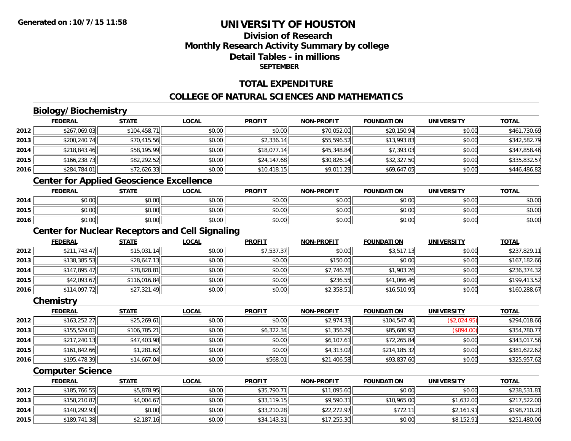## **Division of ResearchMonthly Research Activity Summary by college Detail Tables - in millionsSEPTEMBER**

#### **TOTAL EXPENDITURE**

## **COLLEGE OF NATURAL SCIENCES AND MATHEMATICS**

# **Biology/Biochemistry**

|      | <b>FEDERAL</b> | <b>STATE</b> | <u>LOCAL</u> | <b>PROFIT</b> | <b>NON-PROFIT</b> | <b>FOUNDATION</b> | <b>UNIVERSITY</b> | <b>TOTAL</b> |
|------|----------------|--------------|--------------|---------------|-------------------|-------------------|-------------------|--------------|
| 2012 | \$267,069.03   | \$104,458.71 | \$0.00       | \$0.00        | \$70,052.00       | \$20,150.94       | \$0.00            | \$461,730.69 |
| 2013 | \$200,240.74   | \$70,415.56  | \$0.00       | \$2,336.14    | \$55,596.52       | \$13,993.83       | \$0.00            | \$342,582.79 |
| 2014 | \$218,843.46   | \$58,195.99  | \$0.00       | \$18,077.14   | \$45,348.84       | \$7,393.03        | \$0.00            | \$347,858.46 |
| 2015 | \$166,238.73   | \$82,292.52  | \$0.00       | \$24,147.68   | \$30,826.14       | \$32,327.50       | \$0.00            | \$335,832.57 |
| 2016 | \$284,784.01   | \$72,626.33  | \$0.00       | \$10,418.15   | \$9,011.29        | \$69,647.05       | \$0.00            | \$446,486.82 |
|      |                |              |              |               |                   |                   |                   |              |

#### **Center for Applied Geoscience Excellence**

|      | <b>FEDERAL</b>                           | <b>STATE</b>                       | <u>LOCAL</u> | <b>PROFIT</b> | <b>NON-PROFIT</b> | <b>FOUNDATION</b> | <b>UNIVERSITY</b> | <b>TOTAL</b> |
|------|------------------------------------------|------------------------------------|--------------|---------------|-------------------|-------------------|-------------------|--------------|
| 2014 | ሖ ∩<br>$\sim$<br>vv.vv                   | \$0.00                             | \$0.00       | \$0.00        | \$0.00            | \$0.00            | \$0.00            | \$0.00       |
| 2015 | ሖ ∩<br>$\sim$<br>JU.UU                   | \$0.00                             | \$0.00       | \$0.00        | \$0.00            | \$0.00            | \$0.00            | \$0.00       |
| 2016 | $\uparrow$ $\uparrow$<br>$\sim$<br>pu.uu | $\uparrow$ $\cap$ $\cap$<br>\$U.UU | \$0.00       | \$0.00        | \$0.00            | \$0.00            | \$0.00            | \$0.00       |

## **Center for Nuclear Receptors and Cell Signaling**

|      | <b>FEDERAL</b> | <u>STATE</u> | <u>LOCAL</u> | <b>PROFIT</b> | <b>NON-PROFIT</b> | <b>FOUNDATION</b> | <b>UNIVERSITY</b> | <b>TOTAL</b> |
|------|----------------|--------------|--------------|---------------|-------------------|-------------------|-------------------|--------------|
| 2012 | \$211,743.47   | \$15,031.14  | \$0.00       | \$7,537.37    | \$0.00            | \$3,517.13        | \$0.00            | \$237,829.11 |
| 2013 | \$138,385.53   | \$28,647.13  | \$0.00       | \$0.00        | \$150.00          | \$0.00            | \$0.00            | \$167,182.66 |
| 2014 | \$147.895.47   | \$78,828.81  | \$0.00       | \$0.00        | \$7,746.78        | \$1,903.26        | \$0.00            | \$236,374.32 |
| 2015 | \$42,093.67    | \$116,016.84 | \$0.00       | \$0.00        | \$236.55          | \$41,066.46       | \$0.00            | \$199,413.52 |
| 2016 | \$114,097.72   | \$27,321.49  | \$0.00       | \$0.00        | \$2,358.51        | \$16,510.95       | \$0.00            | \$160,288.67 |

#### **Chemistry**

|      | <b>FEDERAL</b> | <b>STATE</b> | <b>LOCAL</b> | <b>PROFIT</b> | <b>NON-PROFIT</b> | <b>FOUNDATION</b> | <b>UNIVERSITY</b> | <b>TOTAL</b> |
|------|----------------|--------------|--------------|---------------|-------------------|-------------------|-------------------|--------------|
| 2012 | \$163,252.27   | \$25,269.61  | \$0.00       | \$0.00        | \$2,974.33        | \$104,547.40      | (\$2,024.95)      | \$294,018.66 |
| 2013 | \$155,524.01   | \$106,785.21 | \$0.00       | \$6,322.34    | \$1,356.29        | \$85,686.92       | (\$894.00)        | \$354,780.77 |
| 2014 | \$217,240.13   | \$47,403.98  | \$0.00       | \$0.00        | \$6,107.61        | \$72,265.84       | \$0.00            | \$343,017.56 |
| 2015 | \$161,842.66   | \$1,281.62   | \$0.00       | \$0.00        | \$4,313.02        | \$214,185.32      | \$0.00            | \$381,622.62 |
| 2016 | \$195,478.39   | \$14,667.04  | \$0.00       | \$568.01      | \$21,406.58       | \$93,837.60       | \$0.00            | \$325,957.62 |

#### **Computer Science**

|      | <b>FEDERAL</b> | <u>STATE</u> | <u>LOCAL</u> | <b>PROFIT</b> | <b>NON-PROFIT</b> | <b>FOUNDATION</b> | UNIVERSITY | <b>TOTAL</b> |
|------|----------------|--------------|--------------|---------------|-------------------|-------------------|------------|--------------|
| 2012 | \$185.766.55   | \$5,878.95   | \$0.00       | \$35,790.71   | \$11,095.60       | \$0.00            | \$0.00     | \$238,531.81 |
| 2013 | \$158,210.87   | \$4,004.67   | \$0.00       | \$33,119.15   | \$9.590.31        | \$10,965.00       | \$1,632.00 | \$217,522.00 |
| 2014 | \$140,292.93   | \$0.00       | \$0.00       | \$33,210.28   | \$22,272.97       | \$772.11          | \$2,161.91 | \$198,710.20 |
| 2015 | \$189,741.38   | \$2,187.16   | \$0.00       | \$34,143.31   | \$17,255.30       | \$0.00            | \$8,152.91 | \$251,480.06 |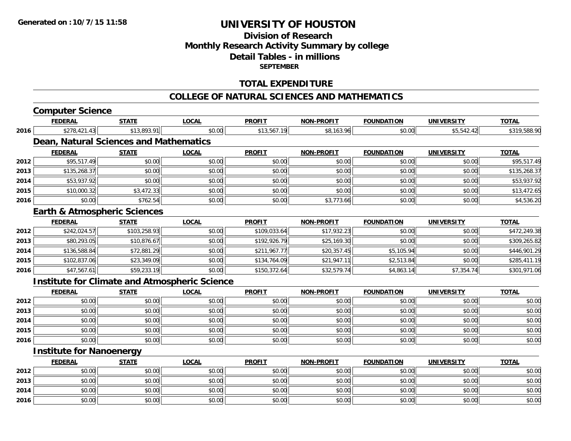## **Division of Research Monthly Research Activity Summary by college Detail Tables - in millions SEPTEMBER**

#### **TOTAL EXPENDITURE**

#### **COLLEGE OF NATURAL SCIENCES AND MATHEMATICS**

# **Computer Science**

|      | <b>FEDERAL</b>                  | <b>STATE</b>                                         | LOCAL        | <b>PROFIT</b> | <b>NON-PROFIT</b> | <b>FOUNDATION</b>  | UNIVERSITY        | <b>TOTAL</b> |
|------|---------------------------------|------------------------------------------------------|--------------|---------------|-------------------|--------------------|-------------------|--------------|
| 2016 | \$278,421.43                    | \$13,893.91                                          | \$0.00       | \$13,567.19   | \$8,163.96        | \$0.00             | \$5,542.42        | \$319,588.90 |
|      |                                 | Dean, Natural Sciences and Mathematics               |              |               |                   |                    |                   |              |
|      | <b>FEDERAL</b>                  | <b>STATE</b>                                         | <b>LOCAL</b> | <b>PROFIT</b> | <b>NON-PROFIT</b> | <b>FOUNDATION</b>  | <b>UNIVERSITY</b> | <b>TOTAL</b> |
| 2012 | \$95,517.49                     | \$0.00                                               | \$0.00       | \$0.00        | \$0.00            | \$0.00             | \$0.00            | \$95,517.49  |
| 2013 | \$135,268.37                    | \$0.00                                               | \$0.00       | \$0.00        | \$0.00            | \$0.00             | \$0.00            | \$135,268.37 |
| 2014 | \$53,937.92                     | \$0.00                                               | \$0.00       | \$0.00        | \$0.00            | \$0.00             | \$0.00            | \$53,937.92  |
| 2015 | \$10,000.32                     | \$3,472.33                                           | \$0.00       | \$0.00        | \$0.00            | \$0.00             | \$0.00            | \$13,472.65  |
| 2016 | \$0.00                          | \$762.54                                             | \$0.00       | \$0.00        | \$3,773.66        | \$0.00             | \$0.00            | \$4,536.20   |
|      |                                 | <b>Earth &amp; Atmospheric Sciences</b>              |              |               |                   |                    |                   |              |
|      | <b>FEDERAL</b>                  | <b>STATE</b>                                         | <b>LOCAL</b> | <b>PROFIT</b> | <b>NON-PROFIT</b> | <b>FOUNDATION</b>  | <b>UNIVERSITY</b> | <b>TOTAL</b> |
| 2012 | \$242,024.57                    | \$103,258.93                                         | \$0.00       | \$109,033.64  | \$17,932.23       | \$0.00             | \$0.00            | \$472,249.38 |
| 2013 | \$80,293.05                     | \$10,876.67                                          | \$0.00       | \$192,926.79  | \$25,169.30       | \$0.00             | \$0.00            | \$309,265.82 |
| 2014 | \$136,588.84                    | \$72,881.29                                          | \$0.00       | \$211,967.77  | \$20,357.45       | \$5,105.94         | \$0.00            | \$446,901.29 |
| 2015 | \$102,837.06                    | \$23,349.09                                          | \$0.00       | \$134,764.09  | \$21,947.11       | \$2,513.84         | \$0.00            | \$285,411.19 |
| 2016 | \$47,567.61                     | \$59,233.19                                          | \$0.00       | \$150,372.64  | \$32,579.74       | \$4,863.14         | \$7,354.74        | \$301,971.06 |
|      |                                 | <b>Institute for Climate and Atmospheric Science</b> |              |               |                   |                    |                   |              |
|      | <b>FEDERAL</b>                  | <b>STATE</b>                                         | <b>LOCAL</b> | <b>PROFIT</b> | <b>NON-PROFIT</b> | <b>FOUNDATION</b>  | <b>UNIVERSITY</b> | <b>TOTAL</b> |
| 2012 | \$0.00                          | \$0.00                                               | \$0.00       | \$0.00        | \$0.00            | \$0.00             | \$0.00            | \$0.00       |
| 2013 | \$0.00                          | \$0.00                                               | \$0.00       | \$0.00        | \$0.00            | \$0.00             | \$0.00            | \$0.00       |
| 2014 | \$0.00                          | \$0.00                                               | \$0.00       | \$0.00        | \$0.00            | \$0.00             | \$0.00            | \$0.00       |
| 2015 | \$0.00                          | \$0.00                                               | \$0.00       | \$0.00        | \$0.00            | \$0.00             | \$0.00            | \$0.00       |
| 2016 | \$0.00                          | \$0.00                                               | \$0.00       | \$0.00        | \$0.00            | \$0.00             | \$0.00            | \$0.00       |
|      | <b>Institute for Nanoenergy</b> |                                                      |              |               |                   |                    |                   |              |
|      | <b>FEBEBAL</b>                  | <b>CTATE</b>                                         | 10001        | <b>DDAFIT</b> | NON BROEIT        | <b>COUNIDATION</b> | $1181111F$ $R1$   | <b>TOTAL</b> |

|      | <u>FEDERAL</u> | <b>STATE</b> | <u>LOCAL</u> | <b>PROFIT</b> | <b>NON-PROFIT</b> | <b>FOUNDATION</b> | <b>UNIVERSITY</b> | <b>TOTAL</b> |
|------|----------------|--------------|--------------|---------------|-------------------|-------------------|-------------------|--------------|
| 2012 | \$0.00         | \$0.00       | \$0.00       | \$0.00        | \$0.00            | \$0.00            | \$0.00            | \$0.00       |
| 2013 | \$0.00         | \$0.00       | \$0.00       | \$0.00        | \$0.00            | \$0.00            | \$0.00            | \$0.00       |
| 2014 | \$0.00         | \$0.00       | \$0.00       | \$0.00        | \$0.00            | \$0.00            | \$0.00            | \$0.00       |
| 2016 | \$0.00         | \$0.00       | \$0.00       | \$0.00        | \$0.00            | \$0.00            | \$0.00            | \$0.00       |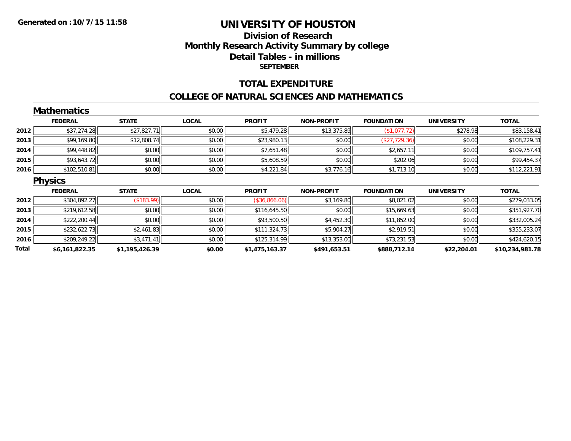## **Division of ResearchMonthly Research Activity Summary by college Detail Tables - in millions SEPTEMBER**

#### **TOTAL EXPENDITURE**

#### **COLLEGE OF NATURAL SCIENCES AND MATHEMATICS**

|       | <b>Mathematics</b> |                |              |                |                   |                   |                   |                 |
|-------|--------------------|----------------|--------------|----------------|-------------------|-------------------|-------------------|-----------------|
|       | <b>FEDERAL</b>     | <b>STATE</b>   | <b>LOCAL</b> | <b>PROFIT</b>  | <b>NON-PROFIT</b> | <b>FOUNDATION</b> | <b>UNIVERSITY</b> | <b>TOTAL</b>    |
| 2012  | \$37,274.28        | \$27,827.71    | \$0.00       | \$5,479.28     | \$13,375.89       | (\$1,077.72)      | \$278.98          | \$83,158.41     |
| 2013  | \$99,169.80        | \$12,808.74    | \$0.00       | \$23,980.13    | \$0.00            | (\$27,729.36)     | \$0.00            | \$108,229.31    |
| 2014  | \$99,448.82        | \$0.00         | \$0.00       | \$7,651.48     | \$0.00            | \$2,657.11        | \$0.00            | \$109,757.41    |
| 2015  | \$93,643.72        | \$0.00         | \$0.00       | \$5,608.59     | \$0.00            | \$202.06          | \$0.00            | \$99,454.37     |
| 2016  | \$102,510.81       | \$0.00         | \$0.00       | \$4,221.84     | \$3,776.16        | \$1,713.10        | \$0.00            | \$112,221.91    |
|       | <b>Physics</b>     |                |              |                |                   |                   |                   |                 |
|       | <b>FEDERAL</b>     | <b>STATE</b>   | <b>LOCAL</b> | <b>PROFIT</b>  | <b>NON-PROFIT</b> | <b>FOUNDATION</b> | <b>UNIVERSITY</b> | <b>TOTAL</b>    |
| 2012  | \$304,892.27       | (\$183.99)     | \$0.00       | (\$36,866.06)  | \$3,169.80        | \$8,021.02        | \$0.00            | \$279,033.05    |
| 2013  | \$219,612.58       | \$0.00         | \$0.00       | \$116,645.50   | \$0.00            | \$15,669.63       | \$0.00            | \$351,927.70    |
| 2014  | \$222,200.44       | \$0.00         | \$0.00       | \$93,500.50    | \$4,452.30        | \$11,852.00       | \$0.00            | \$332,005.24    |
| 2015  | \$232,622.73       | \$2,461.83     | \$0.00       | \$111,324.73   | \$5,904.27        | \$2,919.51        | \$0.00            | \$355,233.07    |
| 2016  | \$209,249.22       | \$3,471.41     | \$0.00       | \$125,314.99   | \$13,353.00       | \$73,231.53       | \$0.00            | \$424,620.15    |
| Total | \$6,161,822.35     | \$1,195,426.39 | \$0.00       | \$1,475,163.37 | \$491,653.51      | \$888,712.14      | \$22,204.01       | \$10,234,981.78 |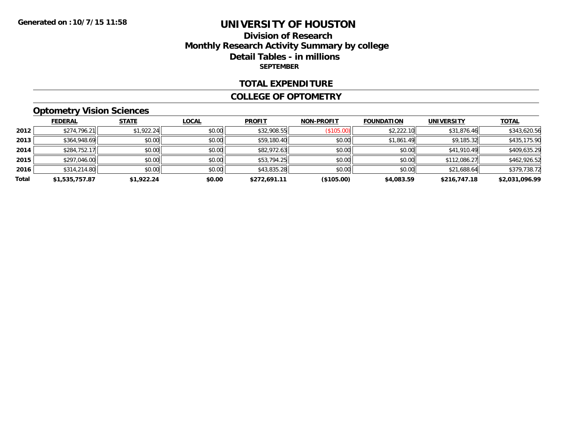## **Division of Research Monthly Research Activity Summary by college Detail Tables - in millions SEPTEMBER**

#### **TOTAL EXPENDITURE**

#### **COLLEGE OF OPTOMETRY**

# **Optometry Vision Sciences**

|       | <b>FEDERAL</b> | <b>STATE</b> | <b>LOCAL</b> | <b>PROFIT</b> | <b>NON-PROFIT</b> | <b>FOUNDATION</b> | <b>UNIVERSITY</b> | <b>TOTAL</b>   |
|-------|----------------|--------------|--------------|---------------|-------------------|-------------------|-------------------|----------------|
| 2012  | \$274,796.21   | \$1,922.24   | \$0.00       | \$32,908.55   | (\$105.00)        | \$2,222.10        | \$31,876.46       | \$343,620.56   |
| 2013  | \$364,948.69   | \$0.00       | \$0.00       | \$59,180.40   | \$0.00            | \$1,861.49        | \$9,185.32        | \$435,175.90   |
| 2014  | \$284,752.17   | \$0.00       | \$0.00       | \$82,972.63   | \$0.00            | \$0.00            | \$41,910.49       | \$409,635.29   |
| 2015  | \$297,046.00   | \$0.00       | \$0.00       | \$53,794.25   | \$0.00            | \$0.00            | \$112,086.27      | \$462,926.52   |
| 2016  | \$314,214.80   | \$0.00       | \$0.00       | \$43,835.28   | \$0.00            | \$0.00            | \$21,688.64       | \$379,738.72   |
| Total | \$1,535,757.87 | \$1,922.24   | \$0.00       | \$272.691.11  | (\$105.00)        | \$4,083.59        | \$216,747.18      | \$2,031,096.99 |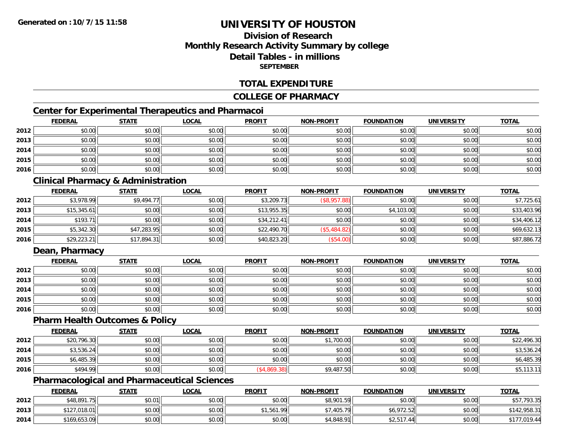## **Division of ResearchMonthly Research Activity Summary by college Detail Tables - in millionsSEPTEMBER**

#### **TOTAL EXPENDITURE**

#### **COLLEGE OF PHARMACY**

## **Center for Experimental Therapeutics and Pharmacoi**

|      | <b>FEDERAL</b> | <b>STATE</b> | <u>LOCAL</u> | <b>PROFIT</b> | <b>NON-PROFIT</b> | <b>FOUNDATION</b> | <b>UNIVERSITY</b> | <b>TOTAL</b> |
|------|----------------|--------------|--------------|---------------|-------------------|-------------------|-------------------|--------------|
| 2012 | \$0.00         | \$0.00       | \$0.00       | \$0.00        | \$0.00            | \$0.00            | \$0.00            | \$0.00       |
| 2013 | \$0.00         | \$0.00       | \$0.00       | \$0.00        | \$0.00            | \$0.00            | \$0.00            | \$0.00       |
| 2014 | \$0.00         | \$0.00       | \$0.00       | \$0.00        | \$0.00            | \$0.00            | \$0.00            | \$0.00       |
| 2015 | \$0.00         | \$0.00       | \$0.00       | \$0.00        | \$0.00            | \$0.00            | \$0.00            | \$0.00       |
| 2016 | \$0.00         | \$0.00       | \$0.00       | \$0.00        | \$0.00            | \$0.00            | \$0.00            | \$0.00       |

## **Clinical Pharmacy & Administration**

|      | <u>FEDERAL</u> | <b>STATE</b> | <u>LOCAL</u> | <b>PROFIT</b> | <b>NON-PROFIT</b> | <b>FOUNDATION</b> | <b>UNIVERSITY</b> | <b>TOTAL</b> |
|------|----------------|--------------|--------------|---------------|-------------------|-------------------|-------------------|--------------|
| 2012 | \$3,978.99     | \$9,494.77   | \$0.00       | \$3,209.73    | (\$8,957.88)      | \$0.00            | \$0.00            | \$7,725.61   |
| 2013 | \$15,345.61    | \$0.00       | \$0.00       | \$13,955.35   | \$0.00            | \$4,103.00        | \$0.00            | \$33,403.96  |
| 2014 | \$193.71       | \$0.00       | \$0.00       | \$34,212.41   | \$0.00            | \$0.00            | \$0.00            | \$34,406.12  |
| 2015 | \$5,342.30     | \$47,283.95  | \$0.00       | \$22,490.70   | (\$5,484.82)      | \$0.00            | \$0.00            | \$69,632.13  |
| 2016 | \$29,223.21    | \$17,894.31  | \$0.00       | \$40,823.20   | (\$54.00)         | \$0.00            | \$0.00            | \$87,886.72  |

## **Dean, Pharmacy**

|      | <b>FEDERAL</b> | <b>STATE</b> | <u>LOCAL</u> | <b>PROFIT</b> | <b>NON-PROFIT</b> | <b>FOUNDATION</b> | <b>UNIVERSITY</b> | <b>TOTAL</b> |
|------|----------------|--------------|--------------|---------------|-------------------|-------------------|-------------------|--------------|
| 2012 | \$0.00         | \$0.00       | \$0.00       | \$0.00        | \$0.00            | \$0.00            | \$0.00            | \$0.00       |
| 2013 | \$0.00         | \$0.00       | \$0.00       | \$0.00        | \$0.00            | \$0.00            | \$0.00            | \$0.00       |
| 2014 | \$0.00         | \$0.00       | \$0.00       | \$0.00        | \$0.00            | \$0.00            | \$0.00            | \$0.00       |
| 2015 | \$0.00         | \$0.00       | \$0.00       | \$0.00        | \$0.00            | \$0.00            | \$0.00            | \$0.00       |
| 2016 | \$0.00         | \$0.00       | \$0.00       | \$0.00        | \$0.00            | \$0.00            | \$0.00            | \$0.00       |

#### **Pharm Health Outcomes & Policy**

|      | <b>FEDERAL</b> | <u>STATE</u> | <u>LOCAL</u> | <b>PROFIT</b> | <b>NON-PROFIT</b> | <b>FOUNDATION</b> | <b>UNIVERSITY</b> | <b>TOTAL</b> |
|------|----------------|--------------|--------------|---------------|-------------------|-------------------|-------------------|--------------|
| 2012 | \$20,796.30    | \$0.00       | \$0.00       | \$0.00        | ,700.00           | \$0.00            | \$0.00            | \$22,496.30  |
| 2014 | \$3,536.24     | \$0.00       | \$0.00       | \$0.00        | \$0.00            | \$0.00            | \$0.00            | \$3,536.24   |
| 2015 | \$6,485.39     | \$0.00       | \$0.00       | \$0.00        | \$0.00            | \$0.00            | \$0.00            | \$6,485.39   |
| 2016 | \$494.99       | \$0.00       | \$0.00       | \$4,869.38    | \$9,487.50        | \$0.00            | \$0.00            | \$5,113.11   |

# **Pharmacological and Pharmaceutical Sciences**

|      | <b>FEDERAL</b> | <b>STATE</b> | <u>LOCAL</u> | <b>PROFIT</b> | <b>NON-PROFIT</b>     | <b>FOUNDATION</b>           | <b>UNIVERSITY</b> | <b>TOTAL</b> |
|------|----------------|--------------|--------------|---------------|-----------------------|-----------------------------|-------------------|--------------|
| 2012 | \$48,891.75    | \$0.01       | \$0.00       | \$0.00        | <b>\$8.901</b><br>.59 | \$0.00                      | \$0.00            | \$57,793.35  |
| 2013 | \$127,018.01   | \$0.00       | \$0.00       | \$1,561.99    | .405.79               | \$6,972.52                  | \$0.00            | \$142,958.31 |
| 2014 | \$169,653.09   | \$0.00       | \$0.00       | \$0.00        | \$4,848.91            | $A \cap F A$<br>44<br>2,511 | \$0.00            | \$177,019.44 |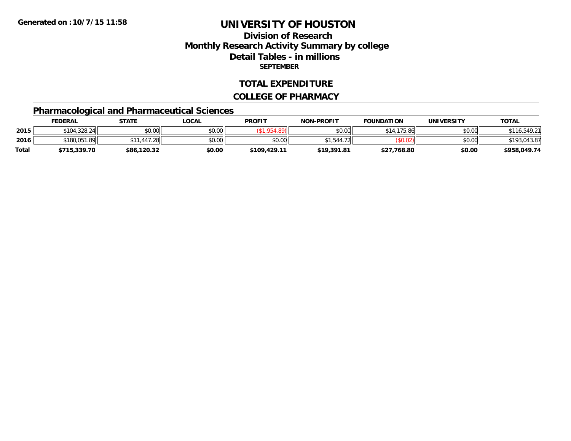## **Division of ResearchMonthly Research Activity Summary by college Detail Tables - in millions SEPTEMBER**

#### **TOTAL EXPENDITURE**

#### **COLLEGE OF PHARMACY**

# **Pharmacological and Pharmaceutical Sciences**

|       | <b>FEDERAL</b> | STATE       | <u>LOCAL</u> | <b>PROFIT</b> | <b>NON-PROFIT</b> | <b>FOUNDATION</b> | <b>UNIVERSITY</b> | <b>TOTAL</b>     |
|-------|----------------|-------------|--------------|---------------|-------------------|-------------------|-------------------|------------------|
| 2015  | \$104,328.24   | \$0.00      | \$0.00       |               | \$0.00            | \$14,175.86       | \$0.00            | .549.2           |
| 2016  | \$180,051.89   | .447.28     | \$0.00       | \$0.00        | ¢1<br>1.544       |                   | \$0.00            | .043.87<br>*193. |
| Total | \$715,339.70   | \$86,120.32 | \$0.00       | \$109,429.11  | \$19,391.81       | \$27,768.80       | \$0.00            | \$958,049.74     |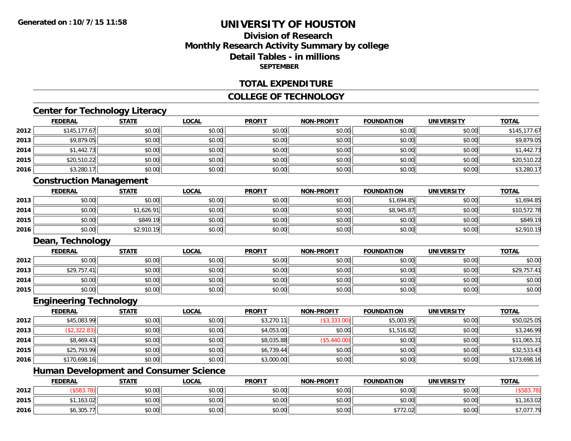## **Division of ResearchMonthly Research Activity Summary by college Detail Tables - in millions SEPTEMBER**

#### **TOTAL EXPENDITURE**

#### **COLLEGE OF TECHNOLOGY**

# **Center for Technology Literacy**

|                  |                                | -------      |              |               |                   |                   |                   |              |
|------------------|--------------------------------|--------------|--------------|---------------|-------------------|-------------------|-------------------|--------------|
|                  | <b>FEDERAL</b>                 | <b>STATE</b> | <b>LOCAL</b> | <b>PROFIT</b> | <b>NON-PROFIT</b> | <b>FOUNDATION</b> | <b>UNIVERSITY</b> | <b>TOTAL</b> |
| 2012             | \$145, 177.67                  | \$0.00       | \$0.00       | \$0.00        | \$0.00            | \$0.00            | \$0.00            | \$145,177.67 |
| 2013             | \$9,879.05                     | \$0.00       | \$0.00       | \$0.00        | \$0.00            | \$0.00            | \$0.00            | \$9,879.05   |
| 2014             | \$1,442.73                     | \$0.00       | \$0.00       | \$0.00        | \$0.00            | \$0.00            | \$0.00            | \$1,442.73   |
| 2015             | \$20,510.22                    | \$0.00       | \$0.00       | \$0.00        | \$0.00            | \$0.00            | \$0.00            | \$20,510.22  |
| 2016             | \$3,280.17                     | \$0.00       | \$0.00       | \$0.00        | \$0.00            | \$0.00            | \$0.00            | \$3,280.17   |
|                  | <b>Construction Management</b> |              |              |               |                   |                   |                   |              |
|                  | <b>FEDERAL</b>                 | <b>STATE</b> | <b>LOCAL</b> | <b>PROFIT</b> | <b>NON-PROFIT</b> | <b>FOUNDATION</b> | <b>UNIVERSITY</b> | <b>TOTAL</b> |
| 2013             | \$0.00                         | \$0.00       | \$0.00       | \$0.00        | \$0.00            | \$1,694.85        | \$0.00            | \$1,694.85   |
| 2014             | \$0.00                         | \$1,626.91   | \$0.00       | \$0.00        | \$0.00            | \$8,945.87        | \$0.00            | \$10,572.78  |
| 2015             | \$0.00                         | \$849.19     | \$0.00       | \$0.00        | \$0.00            | \$0.00            | \$0.00            | \$849.19     |
| 2016             | \$0.00                         | \$2,910.19   | \$0.00       | \$0.00        | \$0.00            | \$0.00            | \$0.00            | \$2,910.19   |
| Dean, Technology |                                |              |              |               |                   |                   |                   |              |
|                  | <b>FEDERAL</b>                 | <b>STATE</b> | <b>LOCAL</b> | <b>PROFIT</b> | <b>NON-PROFIT</b> | <b>FOUNDATION</b> | <b>UNIVERSITY</b> | <b>TOTAL</b> |
| 2012             | \$0.00                         | \$0.00       | \$0.00       | \$0.00        | \$0.00            | \$0.00            | \$0.00            | \$0.00       |
| 2013             | \$29,757.41                    | \$0.00       | \$0.00       | \$0.00        | \$0.00            | \$0.00            | \$0.00            | \$29,757.41  |
| 2014             | \$0.00                         | \$0.00       | \$0.00       | \$0.00        | \$0.00            | \$0.00            | \$0.00            | \$0.00       |
| 2015             | \$0.00                         | \$0.00       | \$0.00       | \$0.00        | \$0.00            | \$0.00            | \$0.00            | \$0.00       |
|                  | <b>Engineering Technology</b>  |              |              |               |                   |                   |                   |              |
|                  | <b>FEDERAL</b>                 | <b>STATE</b> | <b>LOCAL</b> | <b>PROFIT</b> | <b>NON-PROFIT</b> | <b>FOUNDATION</b> | <b>UNIVERSITY</b> | <b>TOTAL</b> |
| 2012             | \$45,083.99                    | \$0.00       | \$0.00       | \$3,270.11    | (\$3,333.00)      | \$5,003.95        | \$0.00            | \$50,025.05  |
| 2013             | (\$2,322.83)                   | \$0.00       | \$0.00       | \$4,053.00    | \$0.00            | \$1,516.82        | \$0.00            | \$3,246.99   |
| 2014             | \$8,469.43                     | \$0.00       | \$0.00       | \$8,035.88    | (\$5,440.00)      | \$0.00            | \$0.00            | \$11,065.31  |
| 2015             | \$25,793.99                    | \$0.00       | \$0.00       | \$6,739.44    | \$0.00            | \$0.00            | \$0.00            | \$32,533.43  |

## **Human Development and Consumer Science**

**2016**

|      | <b>FEDERAL</b> | <b>STATE</b> | <u>LOCAL</u>  | <b>PROFIT</b> | <b>NON-PROFIT</b> | <b>FOUNDATION</b> | UNIVERSITY | <b>TOTAL</b>        |
|------|----------------|--------------|---------------|---------------|-------------------|-------------------|------------|---------------------|
| 2012 |                | \$0.00       | 0000<br>ง∪.∪บ | \$0.00        | \$0.00            | \$0.00            | \$0.00     |                     |
| 2015 | .163.02        | \$0.00       | \$0.00        | \$0.00        | \$0.00            | \$0.00            | \$0.00     | 163.02              |
| 2016 | \$6,305.       | \$0.00       | 0000<br>ง∪.∪บ | \$0.00        | \$0.00            | ホココハ<br>\$772.02  | \$0.00     | $- - -$<br>\$1,011. |

6 \$170,698.16 \$0.00 \$0.00 \$0.00 \$0.00 \$0.00 \$0.00 \$3,000.00 \$0.00 \$0.00 \$0.00 \$0.00 \$173,698.16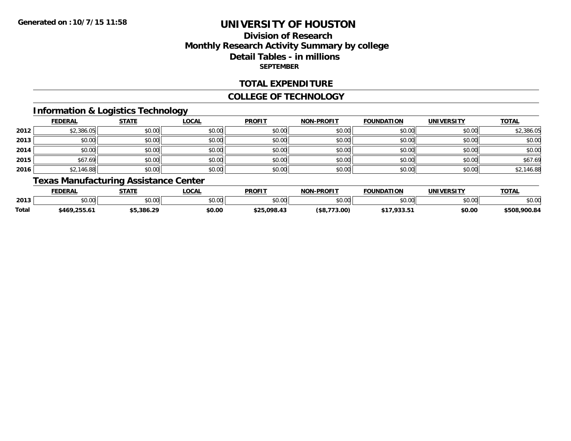## **Division of ResearchMonthly Research Activity Summary by college Detail Tables - in millions SEPTEMBER**

#### **TOTAL EXPENDITURE**

#### **COLLEGE OF TECHNOLOGY**

## **Information & Logistics Technology**

|      | <b>FEDERAL</b> | <b>STATE</b> | <b>LOCAL</b> | <b>PROFIT</b> | <b>NON-PROFIT</b> | <b>FOUNDATION</b> | <b>UNIVERSITY</b> | <b>TOTAL</b> |
|------|----------------|--------------|--------------|---------------|-------------------|-------------------|-------------------|--------------|
| 2012 | \$2,386.05     | \$0.00       | \$0.00       | \$0.00        | \$0.00            | \$0.00            | \$0.00            | \$2,386.05   |
| 2013 | \$0.00         | \$0.00       | \$0.00       | \$0.00        | \$0.00            | \$0.00            | \$0.00            | \$0.00       |
| 2014 | \$0.00         | \$0.00       | \$0.00       | \$0.00        | \$0.00            | \$0.00            | \$0.00            | \$0.00       |
| 2015 | \$67.69        | \$0.00       | \$0.00       | \$0.00        | \$0.00            | \$0.00            | \$0.00            | \$67.69      |
| 2016 | \$2,146.88     | \$0.00       | \$0.00       | \$0.00        | \$0.00            | \$0.00            | \$0.00            | \$2,146.88   |

# **Texas Manufacturing Assistance Center**

|       | FEDERAL           | <b>CTATE</b>   | <b>LOCAL</b>  | <b>PROFIT</b>  | -PROFIT<br><b>NON</b> | <b>FOUNDATION</b>    | <b>UNIVERSITY</b> | $T$ $T$ $T$ $R$<br>101n |
|-------|-------------------|----------------|---------------|----------------|-----------------------|----------------------|-------------------|-------------------------|
| 2013  | $\cdots$<br>JU.UU | nn on<br>DU.UU | 0.00<br>JU.UU | \$0.00         | 40.00<br>DU.UU        | $\sim$ 00<br>JU.UU   | 0.00<br>DU.UG     | \$0.00                  |
| Total | \$469,255.6       | -5.386.29      | \$0.00        | ぐつに<br>.098.43 | 73.00<br>эõ.          | * 4 -<br>$\sim$<br>. | \$0.00            | \$508,900.84            |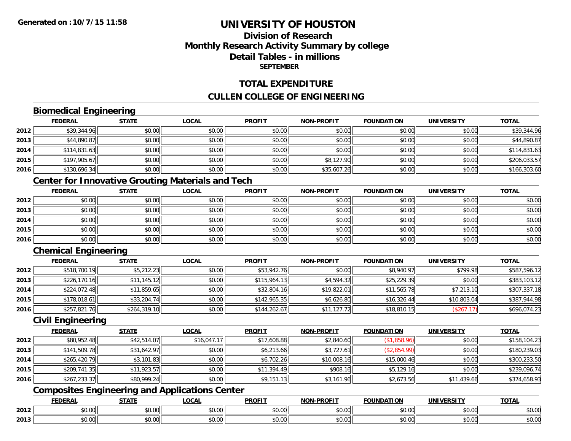## **Division of ResearchMonthly Research Activity Summary by college Detail Tables - in millionsSEPTEMBER**

#### **TOTAL EXPENDITURE**

## **CULLEN COLLEGE OF ENGINEERING**

## **Biomedical Engineering**

|      | <b>FEDERAL</b> | <b>STATE</b> | <b>LOCAL</b> | <b>PROFIT</b> | <b>NON-PROFIT</b> | <b>FOUNDATION</b> | <b>UNIVERSITY</b> | <u>TOTAL</u> |
|------|----------------|--------------|--------------|---------------|-------------------|-------------------|-------------------|--------------|
| 2012 | \$39,344.96    | \$0.00       | \$0.00       | \$0.00        | \$0.00            | \$0.00            | \$0.00            | \$39,344.96  |
| 2013 | \$44,890.87    | \$0.00       | \$0.00       | \$0.00        | \$0.00            | \$0.00            | \$0.00            | \$44,890.87  |
| 2014 | \$114,831.63   | \$0.00       | \$0.00       | \$0.00        | \$0.00            | \$0.00            | \$0.00            | \$114,831.63 |
| 2015 | \$197,905.67   | \$0.00       | \$0.00       | \$0.00        | \$8,127.90        | \$0.00            | \$0.00            | \$206,033.57 |
| 2016 | \$130,696.34   | \$0.00       | \$0.00       | \$0.00        | \$35,607.26       | \$0.00            | \$0.00            | \$166,303.60 |

## **Center for Innovative Grouting Materials and Tech**

|      | <b>FEDERAL</b> | <b>STATE</b> | <u>LOCAL</u> | <b>PROFIT</b> | <b>NON-PROFIT</b> | <b>FOUNDATION</b> | <b>UNIVERSITY</b> | <b>TOTAL</b> |
|------|----------------|--------------|--------------|---------------|-------------------|-------------------|-------------------|--------------|
| 2012 | \$0.00         | \$0.00       | \$0.00       | \$0.00        | \$0.00            | \$0.00            | \$0.00            | \$0.00       |
| 2013 | \$0.00         | \$0.00       | \$0.00       | \$0.00        | \$0.00            | \$0.00            | \$0.00            | \$0.00       |
| 2014 | \$0.00         | \$0.00       | \$0.00       | \$0.00        | \$0.00            | \$0.00            | \$0.00            | \$0.00       |
| 2015 | \$0.00         | \$0.00       | \$0.00       | \$0.00        | \$0.00            | \$0.00            | \$0.00            | \$0.00       |
| 2016 | \$0.00         | \$0.00       | \$0.00       | \$0.00        | \$0.00            | \$0.00            | \$0.00            | \$0.00       |

## **Chemical Engineering**

|      | <b>FEDERAL</b> | <b>STATE</b> | <b>LOCAL</b> | <b>PROFIT</b> | <b>NON-PROFIT</b> | <b>FOUNDATION</b> | <b>UNIVERSITY</b> | <b>TOTAL</b> |
|------|----------------|--------------|--------------|---------------|-------------------|-------------------|-------------------|--------------|
| 2012 | \$518,700.19   | \$5,212.23   | \$0.00       | \$53,942.76   | \$0.00            | \$8,940.97        | \$799.98          | \$587,596.12 |
| 2013 | \$226,170.16   | \$11,145.12  | \$0.00       | \$115,964.13  | \$4,594.32        | \$25,229.39       | \$0.00            | \$383,103.12 |
| 2014 | \$224,072.48   | \$11,859.65  | \$0.00       | \$32,804.16   | \$19,822.01       | \$11,565.78       | \$7,213.10        | \$307,337.18 |
| 2015 | \$178,018.61   | \$33,204.74  | \$0.00       | \$142,965.35  | \$6,626.80        | \$16,326.44       | \$10,803.04       | \$387,944.98 |
| 2016 | \$257,821.76   | \$264,319.10 | \$0.00       | \$144,262.67  | \$11,127.72       | \$18,810.15       | (\$267.17)        | \$696,074.23 |

#### **Civil Engineering**

|      | <b>FEDERAL</b> | <u>STATE</u> | <u>LOCAL</u> | <b>PROFIT</b> | <b>NON-PROFIT</b> | <b>FOUNDATION</b> | <b>UNIVERSITY</b> | <b>TOTAL</b> |
|------|----------------|--------------|--------------|---------------|-------------------|-------------------|-------------------|--------------|
| 2012 | \$80,952.48    | \$42,514.07  | \$16,047.17  | \$17,608.88   | \$2,840.60        | (\$1,858.96)      | \$0.00            | \$158,104.23 |
| 2013 | \$141,509.78   | \$31,642.97  | \$0.00       | \$6,213.66    | \$3,727.61        | (\$2,854.99)      | \$0.00            | \$180,239.03 |
| 2014 | \$265,420.79   | \$3,101.83   | \$0.00       | \$6,702.26    | \$10,008.16       | \$15,000.46       | \$0.00            | \$300,233.50 |
| 2015 | \$209,741.35   | \$11,923.57  | \$0.00       | \$11,394.49   | \$908.16          | \$5,129.16        | \$0.00            | \$239,096.74 |
| 2016 | \$267,233.37   | \$80,999.24  | \$0.00       | \$9,151.13    | \$3,161.96        | \$2,673.56        | \$11,439.66       | \$374,658.93 |

# **Composites Engineering and Applications Center**

|      | <b>DERAL</b>                    | <b>CTATI</b>          | $\bigcap$<br>.OCAI     | <b>PROFIT</b>         | <b>DDAEIT</b><br><b>NION</b> | .<br>ב נוחו<br>LION | - R.J.         | <b>TOTAL</b>   |
|------|---------------------------------|-----------------------|------------------------|-----------------------|------------------------------|---------------------|----------------|----------------|
| 2012 | $\sim$<br>$. \cup . \cup \cup$  | $\overline{ }$<br>ט.ט | $\sim$ 00<br>pu.uu     | $\sim$ 00<br>ັ⊎ບ.ບບ,  | 0.00<br>PO.OO                | vv.vv               | 0.001<br>vv.vv | 0000<br>\$U.UU |
| 2013 | $\sim$ $\sim$<br>$\sim$<br>o.uu | しいい                   | $\sim$ $\sim$<br>vu.uu | $\sim$ 00<br>ັ້ນບ.ບເ∞ | 0.00<br>PO.OO                | JU.UU               | 0.00<br>PO.OO  | ስ ለሰ<br>JU.UU  |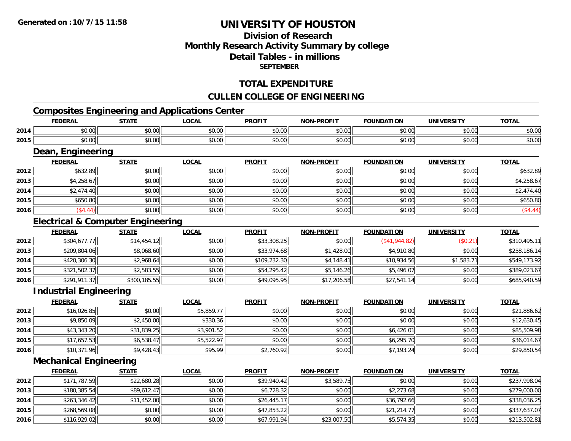## **Division of ResearchMonthly Research Activity Summary by college Detail Tables - in millions SEPTEMBER**

## **TOTAL EXPENDITURE**

## **CULLEN COLLEGE OF ENGINEERING**

# **Composites Engineering and Applications Center**

|      | <b>FEDERAL</b>                               | <b>STATE</b> | <b>LOCAL</b> | <b>PROFIT</b> | <b>NON-PROFIT</b> | <b>FOUNDATION</b> | <b>UNIVERSITY</b> | <b>TOTAL</b> |
|------|----------------------------------------------|--------------|--------------|---------------|-------------------|-------------------|-------------------|--------------|
| 2014 | \$0.00                                       | \$0.00       | \$0.00       | \$0.00        | \$0.00            | \$0.00            | \$0.00            | \$0.00       |
| 2015 | \$0.00                                       | \$0.00       | \$0.00       | \$0.00        | \$0.00            | \$0.00            | \$0.00            | \$0.00       |
|      | Dean, Engineering                            |              |              |               |                   |                   |                   |              |
|      | <b>FEDERAL</b>                               | <b>STATE</b> | <b>LOCAL</b> | <b>PROFIT</b> | <b>NON-PROFIT</b> | <b>FOUNDATION</b> | <b>UNIVERSITY</b> | <b>TOTAL</b> |
| 2012 | \$632.89                                     | \$0.00       | \$0.00       | \$0.00        | \$0.00            | \$0.00            | \$0.00            | \$632.89     |
| 2013 | \$4,258.67                                   | \$0.00       | \$0.00       | \$0.00        | \$0.00            | \$0.00            | \$0.00            | \$4,258.67   |
| 2014 | \$2,474.40                                   | \$0.00       | \$0.00       | \$0.00        | \$0.00            | \$0.00            | \$0.00            | \$2,474.40   |
| 2015 | \$650.80                                     | \$0.00       | \$0.00       | \$0.00        | \$0.00            | \$0.00            | \$0.00            | \$650.80     |
| 2016 | (\$4.44)                                     | \$0.00       | \$0.00       | \$0.00        | \$0.00            | \$0.00            | \$0.00            | (\$4.44)     |
|      | <b>Electrical &amp; Computer Engineering</b> |              |              |               |                   |                   |                   |              |
|      | <b>FEDERAL</b>                               | <b>STATE</b> | <b>LOCAL</b> | <b>PROFIT</b> | <b>NON-PROFIT</b> | <b>FOUNDATION</b> | <b>UNIVERSITY</b> | <b>TOTAL</b> |
| 2012 | \$304,677.77                                 | \$14,454.12  | \$0.00       | \$33,308.25   | \$0.00            | (\$41,944.82)     | (\$0.21)          | \$310,495.11 |
| 2013 | \$209,804.06                                 | \$8,068.60   | \$0.00       | \$33,974.68   | \$1,428.00        | \$4,910.80        | \$0.00            | \$258,186.14 |
| 2014 | \$420,306.30                                 | \$2,968.64   | \$0.00       | \$109,232.30  | \$4,148.41        | \$10,934.56       | \$1,583.71        | \$549,173.92 |
| 2015 | \$321,502.37                                 | \$2,583.55   | \$0.00       | \$54,295.42   | \$5,146.26        | \$5,496.07        | \$0.00            | \$389,023.67 |
| 2016 | \$291,911.37                                 | \$300,185.55 | \$0.00       | \$49,095.95   | \$17,206.58       | \$27,541.14       | \$0.00            | \$685,940.59 |
|      | <b>Industrial Engineering</b>                |              |              |               |                   |                   |                   |              |
|      | <b>FEDERAL</b>                               | <b>STATE</b> | <b>LOCAL</b> | <b>PROFIT</b> | <b>NON-PROFIT</b> | <b>FOUNDATION</b> | <b>UNIVERSITY</b> | <b>TOTAL</b> |
| 2012 | \$16,026.85                                  | \$0.00       | \$5,859.77   | \$0.00        | \$0.00            | \$0.00            | \$0.00            | \$21,886.62  |
| 2013 | \$9,850.09                                   | \$2,450.00   | \$330.36     | \$0.00        | \$0.00            | \$0.00            | \$0.00            | \$12,630.45  |
| 2014 | \$43,343.20                                  | \$31,839.25  | \$3,901.52   | \$0.00        | \$0.00            | \$6,426.01        | \$0.00            | \$85,509.98  |
| 2015 | \$17,657.53                                  | \$6,538.47   | \$5,522.97   | \$0.00        | \$0.00            | \$6,295.70        | \$0.00            | \$36,014.67  |
| 2016 | \$10,371.96                                  | \$9,428.43   | \$95.99      | \$2,760.92    | \$0.00            | \$7,193.24        | \$0.00            | \$29,850.54  |

#### **Mechanical Engineering**

|      | <b>FEDERAL</b> | <u>STATE</u> | <u>LOCAL</u> | <b>PROFIT</b> | <b>NON-PROFIT</b> | <b>FOUNDATION</b> | <b>UNIVERSITY</b> | <b>TOTAL</b> |
|------|----------------|--------------|--------------|---------------|-------------------|-------------------|-------------------|--------------|
| 2012 | \$171,787.59   | \$22,680.28  | \$0.00       | \$39,940.42   | \$3,589.75        | \$0.00            | \$0.00            | \$237,998.04 |
| 2013 | \$180,385.54   | \$89,612.47  | \$0.00       | \$6,728.32    | \$0.00            | \$2,273.68        | \$0.00            | \$279,000.00 |
| 2014 | \$263,346.42   | \$11,452.00  | \$0.00       | \$26,445.17   | \$0.00            | \$36,792.66       | \$0.00            | \$338,036.25 |
| 2015 | \$268,569.08   | \$0.00       | \$0.00       | \$47,853.22   | \$0.00            | \$21,214.77       | \$0.00            | \$337,637.07 |
| 2016 | \$116,929.02   | \$0.00       | \$0.00       | \$67,991.94   | \$23,007.50       | \$5,574.35        | \$0.00            | \$213,502.81 |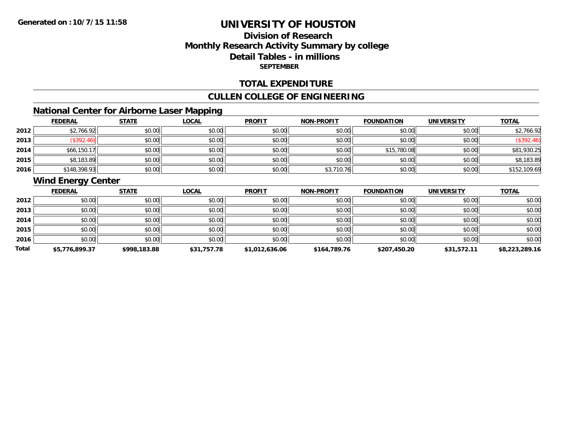## **Division of ResearchMonthly Research Activity Summary by college Detail Tables - in millions SEPTEMBER**

#### **TOTAL EXPENDITURE**

#### **CULLEN COLLEGE OF ENGINEERING**

## **National Center for Airborne Laser Mapping**

|      | <b>FEDERAL</b> | <b>STATE</b> | <b>LOCAL</b> | <b>PROFIT</b> | NON-PROFIT | <b>FOUNDATION</b> | <b>UNIVERSITY</b> | <b>TOTAL</b> |
|------|----------------|--------------|--------------|---------------|------------|-------------------|-------------------|--------------|
| 2012 | \$2,766.92     | \$0.00       | \$0.00       | \$0.00        | \$0.00     | \$0.00            | \$0.00            | \$2,766.92   |
| 2013 | \$392.46]      | \$0.00       | \$0.00       | \$0.00        | \$0.00     | \$0.00            | \$0.00            | \$392.46     |
| 2014 | \$66,150.17    | \$0.00       | \$0.00       | \$0.00        | \$0.00     | \$15,780.08       | \$0.00            | \$81,930.25  |
| 2015 | \$8,183.89     | \$0.00       | \$0.00       | \$0.00        | \$0.00     | \$0.00            | \$0.00            | \$8,183.89   |
| 2016 | \$148,398.93   | \$0.00       | \$0.00       | \$0.00        | \$3,710.76 | \$0.00            | \$0.00            | \$152,109.69 |

## **Wind Energy Center**

|       | <b>FEDERAL</b> | <b>STATE</b> | <b>LOCAL</b> | <b>PROFIT</b>  | <b>NON-PROFIT</b> | <b>FOUNDATION</b> | <b>UNIVERSITY</b> | <b>TOTAL</b>   |
|-------|----------------|--------------|--------------|----------------|-------------------|-------------------|-------------------|----------------|
| 2012  | \$0.00         | \$0.00       | \$0.00       | \$0.00         | \$0.00            | \$0.00            | \$0.00            | \$0.00         |
| 2013  | \$0.00         | \$0.00       | \$0.00       | \$0.00         | \$0.00            | \$0.00            | \$0.00            | \$0.00         |
| 2014  | \$0.00         | \$0.00       | \$0.00       | \$0.00         | \$0.00            | \$0.00            | \$0.00            | \$0.00         |
| 2015  | \$0.00         | \$0.00       | \$0.00       | \$0.00         | \$0.00            | \$0.00            | \$0.00            | \$0.00         |
| 2016  | \$0.00         | \$0.00       | \$0.00       | \$0.00         | \$0.00            | \$0.00            | \$0.00            | \$0.00         |
| Total | \$5,776,899.37 | \$998,183.88 | \$31,757.78  | \$1,012,636.06 | \$164,789.76      | \$207,450.20      | \$31,572.11       | \$8,223,289.16 |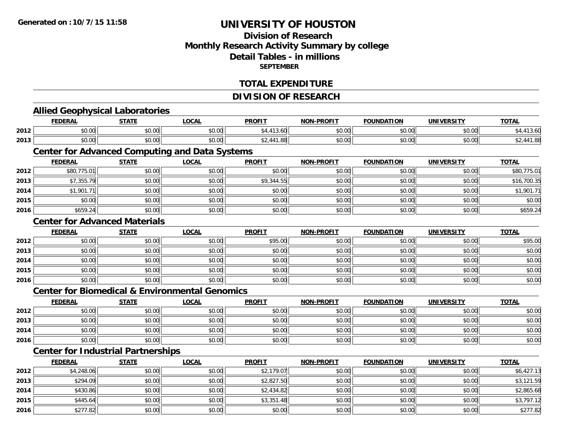## **Division of ResearchMonthly Research Activity Summary by college Detail Tables - in millionsSEPTEMBER**

#### **TOTAL EXPENDITURE**

#### **DIVISION OF RESEARCH**

# **Allied Geophysical Laboratories**

|      | <b>FEDERAL</b> | <b>STATL</b>   | $\sim$<br>.UUAI    | <b>PROFIT</b>  | <b>NON-PROFIT</b> | <b>FOUNDATION</b> | UNIVERSITY            | <b>TOTAL</b> |
|------|----------------|----------------|--------------------|----------------|-------------------|-------------------|-----------------------|--------------|
| 2012 | 0000<br>pu.uu  | ტი იი<br>JU.U' | 0.00<br>pu.uu      |                | 0000<br>PO.OO     | 4000<br>U.UU      | 0.001<br><b>JU.UU</b> |              |
| 2013 | 0000<br>ט.טע   | 0000<br>vu.vu  | $\sim$ 00<br>JU.UU | $\overline{a}$ | 0000<br>PO.OO     | \$0.00            | 0.001<br>DU.UG        |              |

# **Center for Advanced Computing and Data Systems**

|      | <b>FEDERAL</b> | <b>STATE</b> | <b>LOCAL</b> | <b>PROFIT</b> | <b>NON-PROFIT</b> | <b>FOUNDATION</b> | <b>UNIVERSITY</b> | <b>TOTAL</b> |
|------|----------------|--------------|--------------|---------------|-------------------|-------------------|-------------------|--------------|
| 2012 | \$80,775.01    | \$0.00       | \$0.00       | \$0.00        | \$0.00            | \$0.00            | \$0.00            | \$80,775.01  |
| 2013 | \$7,355.79     | \$0.00       | \$0.00       | \$9,344.55    | \$0.00            | \$0.00            | \$0.00            | \$16,700.35  |
| 2014 | \$1,901.71     | \$0.00       | \$0.00       | \$0.00        | \$0.00            | \$0.00            | \$0.00            | \$1,901.71   |
| 2015 | \$0.00         | \$0.00       | \$0.00       | \$0.00        | \$0.00            | \$0.00            | \$0.00            | \$0.00       |
| 2016 | \$659.24       | \$0.00       | \$0.00       | \$0.00        | \$0.00            | \$0.00            | \$0.00            | \$659.24     |

#### **Center for Advanced Materials**

|      | <u>FEDERAL</u> | <b>STATE</b> | <u>LOCAL</u> | <b>PROFIT</b> | <b>NON-PROFIT</b> | <b>FOUNDATION</b> | <b>UNIVERSITY</b> | <b>TOTAL</b> |
|------|----------------|--------------|--------------|---------------|-------------------|-------------------|-------------------|--------------|
| 2012 | \$0.00         | \$0.00       | \$0.00       | \$95.00       | \$0.00            | \$0.00            | \$0.00            | \$95.00      |
| 2013 | \$0.00         | \$0.00       | \$0.00       | \$0.00        | \$0.00            | \$0.00            | \$0.00            | \$0.00       |
| 2014 | \$0.00         | \$0.00       | \$0.00       | \$0.00        | \$0.00            | \$0.00            | \$0.00            | \$0.00       |
| 2015 | \$0.00         | \$0.00       | \$0.00       | \$0.00        | \$0.00            | \$0.00            | \$0.00            | \$0.00       |
| 2016 | \$0.00         | \$0.00       | \$0.00       | \$0.00        | \$0.00            | \$0.00            | \$0.00            | \$0.00       |

## **Center for Biomedical & Environmental Genomics**

|      | <b>FEDERAL</b> | <b>STATE</b> | <u>LOCAL</u> | <b>PROFIT</b> | <b>NON-PROFIT</b> | <b>FOUNDATION</b> | UNIVERSITY | <b>TOTAL</b> |
|------|----------------|--------------|--------------|---------------|-------------------|-------------------|------------|--------------|
| 2012 | \$0.00         | \$0.00       | \$0.00       | \$0.00        | \$0.00            | \$0.00            | \$0.00     | \$0.00       |
| 2013 | \$0.00         | \$0.00       | \$0.00       | \$0.00        | \$0.00            | \$0.00            | \$0.00     | \$0.00       |
| 2014 | \$0.00         | \$0.00       | \$0.00       | \$0.00        | \$0.00            | \$0.00            | \$0.00     | \$0.00       |
| 2016 | \$0.00         | \$0.00       | \$0.00       | \$0.00        | \$0.00            | \$0.00            | \$0.00     | \$0.00       |

## **Center for Industrial Partnerships**

|      | <b>FEDERAL</b> | <b>STATE</b> | <b>LOCAL</b> | <b>PROFIT</b> | <b>NON-PROFIT</b> | <b>FOUNDATION</b> | <b>UNIVERSITY</b> | <b>TOTAL</b> |
|------|----------------|--------------|--------------|---------------|-------------------|-------------------|-------------------|--------------|
| 2012 | \$4,248.06     | \$0.00       | \$0.00       | \$2,179.07    | \$0.00            | \$0.00            | \$0.00            | \$6,427.13   |
| 2013 | \$294.09       | \$0.00       | \$0.00       | \$2,827.50    | \$0.00            | \$0.00            | \$0.00            | \$3,121.59   |
| 2014 | \$430.86       | \$0.00       | \$0.00       | \$2,434.82    | \$0.00            | \$0.00            | \$0.00            | \$2,865.68   |
| 2015 | \$445.64       | \$0.00       | \$0.00       | \$3,351.48    | \$0.00            | \$0.00            | \$0.00            | \$3,797.12   |
| 2016 | \$277.82       | \$0.00       | \$0.00       | \$0.00        | \$0.00            | \$0.00            | \$0.00            | \$277.82     |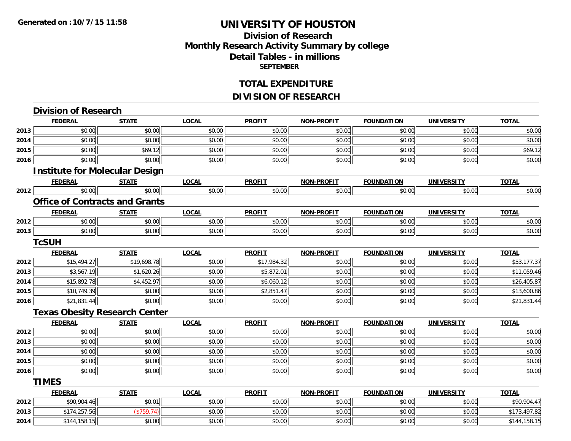## **Division of ResearchMonthly Research Activity Summary by college Detail Tables - in millions SEPTEMBER**

#### **TOTAL EXPENDITURE**

## **DIVISION OF RESEARCH**

|      | <b>Division of Research</b>           |              |              |               |                   |                   |                   |              |
|------|---------------------------------------|--------------|--------------|---------------|-------------------|-------------------|-------------------|--------------|
|      | <b>FEDERAL</b>                        | <b>STATE</b> | <b>LOCAL</b> | <b>PROFIT</b> | <b>NON-PROFIT</b> | <b>FOUNDATION</b> | <b>UNIVERSITY</b> | <b>TOTAL</b> |
| 2013 | \$0.00                                | \$0.00       | \$0.00       | \$0.00        | \$0.00            | \$0.00            | \$0.00            | \$0.00       |
| 2014 | \$0.00                                | \$0.00       | \$0.00       | \$0.00        | \$0.00            | \$0.00            | \$0.00            | \$0.00       |
| 2015 | \$0.00                                | \$69.12      | \$0.00       | \$0.00        | \$0.00            | \$0.00            | \$0.00            | \$69.12      |
| 2016 | \$0.00                                | \$0.00       | \$0.00       | \$0.00        | \$0.00            | \$0.00            | \$0.00            | \$0.00       |
|      | <b>Institute for Molecular Design</b> |              |              |               |                   |                   |                   |              |
|      | <b>FEDERAL</b>                        | <b>STATE</b> | <b>LOCAL</b> | <b>PROFIT</b> | NON-PROFIT        | <b>FOUNDATION</b> | <b>UNIVERSITY</b> | <b>TOTAL</b> |
| 2012 | \$0.00                                | \$0.00       | \$0.00       | \$0.00        | \$0.00            | \$0.00            | \$0.00            | \$0.00       |
|      | <b>Office of Contracts and Grants</b> |              |              |               |                   |                   |                   |              |
|      | <b>FEDERAL</b>                        | <b>STATE</b> | <b>LOCAL</b> | <b>PROFIT</b> | <b>NON-PROFIT</b> | <b>FOUNDATION</b> | <b>UNIVERSITY</b> | <b>TOTAL</b> |
| 2012 | \$0.00                                | \$0.00       | \$0.00       | \$0.00        | \$0.00            | \$0.00            | \$0.00            | \$0.00       |
| 2013 | \$0.00                                | \$0.00       | \$0.00       | \$0.00        | \$0.00            | \$0.00            | \$0.00            | \$0.00       |
|      | <b>TcSUH</b>                          |              |              |               |                   |                   |                   |              |
|      | <b>FEDERAL</b>                        | <b>STATE</b> | <b>LOCAL</b> | <b>PROFIT</b> | NON-PROFIT        | <b>FOUNDATION</b> | <b>UNIVERSITY</b> | <b>TOTAL</b> |
| 2012 | \$15,494.27                           | \$19,698.78  | \$0.00       | \$17,984.32   | \$0.00            | \$0.00            | \$0.00            | \$53,177.37  |
| 2013 | \$3,567.19                            | \$1,620.26   | \$0.00       | \$5,872.01    | \$0.00            | \$0.00            | \$0.00            | \$11,059.46  |
| 2014 | \$15,892.78                           | \$4,452.97   | \$0.00       | \$6,060.12    | \$0.00            | \$0.00            | \$0.00            | \$26,405.87  |
| 2015 | \$10,749.39                           | \$0.00       | \$0.00       | \$2,851.47    | \$0.00            | \$0.00            | \$0.00            | \$13,600.86  |
| 2016 | \$21,831.44                           | \$0.00       | \$0.00       | \$0.00        | \$0.00            | \$0.00            | \$0.00            | \$21,831.44  |
|      | <b>Texas Obesity Research Center</b>  |              |              |               |                   |                   |                   |              |
|      | <b>FEDERAL</b>                        | <b>STATE</b> | <b>LOCAL</b> | <b>PROFIT</b> | <b>NON-PROFIT</b> | <b>FOUNDATION</b> | <b>UNIVERSITY</b> | <b>TOTAL</b> |
| 2012 | \$0.00                                | \$0.00       | \$0.00       | \$0.00        | \$0.00            | \$0.00            | \$0.00            | \$0.00       |
| 2013 | \$0.00                                | \$0.00       | \$0.00       | \$0.00        | \$0.00            | \$0.00            | \$0.00            | \$0.00       |
| 2014 | \$0.00                                | \$0.00       | \$0.00       | \$0.00        | \$0.00            | \$0.00            | \$0.00            | \$0.00       |
| 2015 | \$0.00                                | \$0.00       | \$0.00       | \$0.00        | \$0.00            | \$0.00            | \$0.00            | \$0.00       |
| 2016 | \$0.00                                | \$0.00       | \$0.00       | \$0.00        | \$0.00            | \$0.00            | \$0.00            | \$0.00       |
|      | <b>TIMES</b>                          |              |              |               |                   |                   |                   |              |
|      | <b>FEDERAL</b>                        | <b>STATE</b> | <b>LOCAL</b> | <b>PROFIT</b> | NON-PROFIT        | <b>FOUNDATION</b> | <b>UNIVERSITY</b> | <b>TOTAL</b> |
| 2012 | \$90,904.46                           | \$0.01       | \$0.00       | \$0.00        | \$0.00            | \$0.00            | \$0.00            | \$90,904.47  |
| 2013 | \$174,257.56                          | (\$759.74)   | \$0.00       | \$0.00        | \$0.00            | \$0.00            | \$0.00            | \$173,497.82 |
| 2014 | \$144,158.15                          | \$0.00       | \$0.00       | \$0.00        | \$0.00            | \$0.00            | \$0.00            | \$144,158.15 |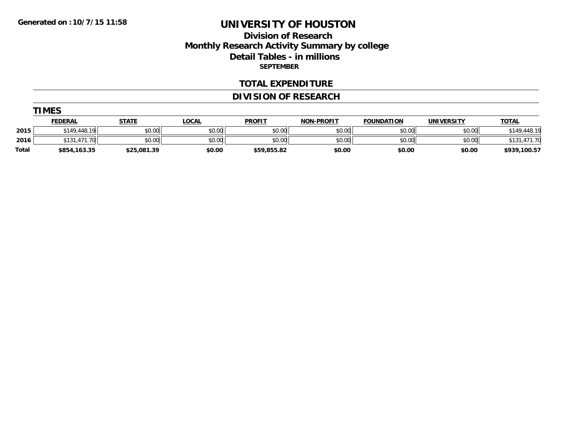## **Division of Research Monthly Research Activity Summary by college Detail Tables - in millions SEPTEMBER**

#### **TOTAL EXPENDITURE**

## **DIVISION OF RESEARCH**

| Л<br>v<br>m |  |
|-------------|--|
|-------------|--|

|              | <b>FEDERAL</b>         | <b>STATE</b> | <b>OCAL</b> | <b>PROFIT</b> | <b>NON-PROFIT</b> | <b>FOUNDATION</b> | <b>UNIVERSITY</b> | <b>TOTAL</b>   |
|--------------|------------------------|--------------|-------------|---------------|-------------------|-------------------|-------------------|----------------|
| 2015         | \$149.448.19           | \$0.00       | \$0.00      | \$0.00        | \$0.00            | \$0.00            | \$0.00            | .448.19<br>149 |
| 2016         | .471.70<br><b>¢191</b> | \$0.00       | \$0.00      | \$0.00        | \$0.00            | \$0.00            | \$0.00            |                |
| <b>Total</b> | \$854,163.35           | \$25,081.39  | \$0.00      | \$59,855.82   | \$0.00            | \$0.00            | \$0.00            | \$939,100.57   |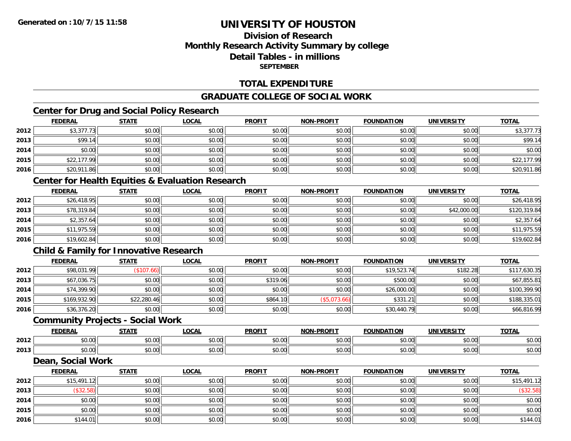## **Division of ResearchMonthly Research Activity Summary by college Detail Tables - in millionsSEPTEMBER**

## **TOTAL EXPENDITURE**

## **GRADUATE COLLEGE OF SOCIAL WORK**

# **Center for Drug and Social Policy Research**

|      | <b>FEDERAL</b> | <b>STATE</b> | <b>LOCAL</b> | <b>PROFIT</b> | <b>NON-PROFIT</b> | <b>FOUNDATION</b> | <b>UNIVERSITY</b> | <b>TOTAL</b> |
|------|----------------|--------------|--------------|---------------|-------------------|-------------------|-------------------|--------------|
| 2012 | \$3,377.73     | \$0.00       | \$0.00       | \$0.00        | \$0.00            | \$0.00            | \$0.00            | \$3,377.73   |
| 2013 | \$99.14        | \$0.00       | \$0.00       | \$0.00        | \$0.00            | \$0.00            | \$0.00            | \$99.14      |
| 2014 | \$0.00         | \$0.00       | \$0.00       | \$0.00        | \$0.00            | \$0.00            | \$0.00            | \$0.00       |
| 2015 | \$22,177.99    | \$0.00       | \$0.00       | \$0.00        | \$0.00            | \$0.00            | \$0.00            | \$22,177.99  |
| 2016 | \$20,911.86    | \$0.00       | \$0.00       | \$0.00        | \$0.00            | \$0.00            | \$0.00            | \$20,911.86  |

# **Center for Health Equities & Evaluation Research**

|      | <b>FEDERAL</b> | <b>STATE</b> | <u>LOCAL</u> | <b>PROFIT</b> | <b>NON-PROFIT</b> | <b>FOUNDATION</b> | <b>UNIVERSITY</b> | <b>TOTAL</b> |
|------|----------------|--------------|--------------|---------------|-------------------|-------------------|-------------------|--------------|
| 2012 | \$26,418.95    | \$0.00       | \$0.00       | \$0.00        | \$0.00            | \$0.00            | \$0.00            | \$26,418.95  |
| 2013 | \$78,319.84    | \$0.00       | \$0.00       | \$0.00        | \$0.00            | \$0.00            | \$42,000.00       | \$120,319.84 |
| 2014 | \$2,357.64     | \$0.00       | \$0.00       | \$0.00        | \$0.00            | \$0.00            | \$0.00            | \$2,357.64   |
| 2015 | \$11,975.59    | \$0.00       | \$0.00       | \$0.00        | \$0.00            | \$0.00            | \$0.00            | \$11,975.59  |
| 2016 | \$19,602.84    | \$0.00       | \$0.00       | \$0.00        | \$0.00            | \$0.00            | \$0.00            | \$19,602.84  |

## **Child & Family for Innovative Research**

|      | <b>FEDERAL</b> | <b>STATE</b> | <b>LOCAL</b> | <b>PROFIT</b> | <b>NON-PROFIT</b> | <b>FOUNDATION</b> | <b>UNIVERSITY</b> | <b>TOTAL</b> |
|------|----------------|--------------|--------------|---------------|-------------------|-------------------|-------------------|--------------|
| 2012 | \$98,031.99    | \$107.66     | \$0.00       | \$0.00        | \$0.00            | \$19,523.74       | \$182.28          | \$117,630.35 |
| 2013 | \$67,036.75    | \$0.00       | \$0.00       | \$319.06      | \$0.00            | \$500.00          | \$0.00            | \$67,855.81  |
| 2014 | \$74,399.90    | \$0.00       | \$0.00       | \$0.00        | \$0.00            | \$26,000.00       | \$0.00            | \$100,399.90 |
| 2015 | \$169,932.90   | \$22,280.46  | \$0.00       | \$864.10      | (\$5,073.66)      | \$331.21          | \$0.00            | \$188,335.01 |
| 2016 | \$36,376.20    | \$0.00       | \$0.00       | \$0.00        | \$0.00            | \$30,440.79       | \$0.00            | \$66,816.99  |

#### **Community Projects - Social Work**

|      | EENEDA<br>LIVE                | <b>CTATE</b>           | $\sim$<br>.UCAL | <b>PROFIT</b>                                       | <b>-PROFIT</b><br>NON. | <b>FOUNDATION</b>      | UNIVERSITY           | <b>TOTAL</b>  |
|------|-------------------------------|------------------------|-----------------|-----------------------------------------------------|------------------------|------------------------|----------------------|---------------|
| 2012 | $\sim$ $\sim$ $\sim$<br>vv.vv | $\sim$ $\sim$<br>90.UU | 0.00<br>vv.vv   | $\uparrow$ $\uparrow$ $\uparrow$ $\uparrow$<br>υυ., | 0000<br>vv.vv          | 0 <sub>n</sub><br>u.uu | $\sigma \cap \Delta$ | 0000<br>DU.UG |
| 2013 | $\sim$ $\sim$<br>PU.UU        | $\sim$ 00<br>DU.UU     | 0.00<br>JU.UU   | JU.                                                 | 0000<br>PO.OO          | 0000<br>u.uu           | 0000<br>JU.UU        | \$0.00        |

#### **Dean, Social Work**

|      | <b>FEDERAL</b> | <b>STATE</b> | <b>LOCAL</b> | <b>PROFIT</b> | NON-PROFIT | <b>FOUNDATION</b> | <b>UNIVERSITY</b> | <b>TOTAL</b> |
|------|----------------|--------------|--------------|---------------|------------|-------------------|-------------------|--------------|
| 2012 | \$15,491.12    | \$0.00       | \$0.00       | \$0.00        | \$0.00     | \$0.00            | \$0.00            | \$15,491.12  |
| 2013 | (\$32.58)      | \$0.00       | \$0.00       | \$0.00        | \$0.00     | \$0.00            | \$0.00            | (\$32.58)    |
| 2014 | \$0.00         | \$0.00       | \$0.00       | \$0.00        | \$0.00     | \$0.00            | \$0.00            | \$0.00       |
| 2015 | \$0.00         | \$0.00       | \$0.00       | \$0.00        | \$0.00     | \$0.00            | \$0.00            | \$0.00       |
| 2016 | \$144.01       | \$0.00       | \$0.00       | \$0.00        | \$0.00     | \$0.00            | \$0.00            | \$144.01     |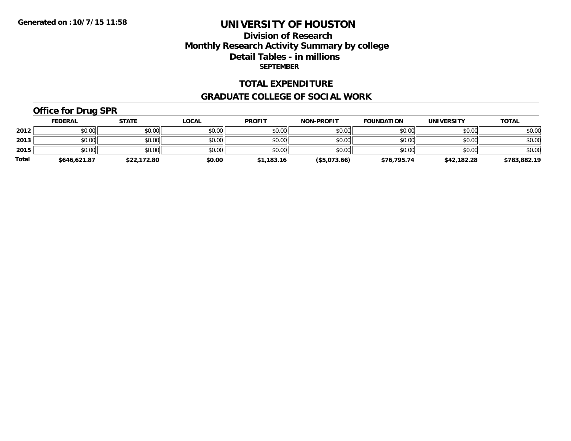## **Division of Research Monthly Research Activity Summary by college Detail Tables - in millions SEPTEMBER**

#### **TOTAL EXPENDITURE**

#### **GRADUATE COLLEGE OF SOCIAL WORK**

# **Office for Drug SPR**

|              | <b>FEDERAL</b> | <b>STATE</b> | <u>LOCAL</u> | <b>PROFIT</b> | <b>NON-PROFIT</b> | <b>FOUNDATION</b> | <b>UNIVERSITY</b> | <b>TOTAL</b> |
|--------------|----------------|--------------|--------------|---------------|-------------------|-------------------|-------------------|--------------|
| 2012         | \$0.00         | \$0.00       | \$0.00       | \$0.00        | \$0.00            | \$0.00            | \$0.00            | \$0.00       |
| 2013         | \$0.00         | \$0.00       | \$0.00       | \$0.00        | \$0.00            | \$0.00            | \$0.00            | \$0.00       |
| 2015         | \$0.00         | \$0.00       | \$0.00       | \$0.00        | \$0.00            | \$0.00            | \$0.00            | \$0.00       |
| <b>Total</b> | \$646.621.87   | \$22,172.80  | \$0.00       | \$1,183.16    | (\$5,073.66)      | \$76.795.74       | \$42,182.28       | \$783,882.19 |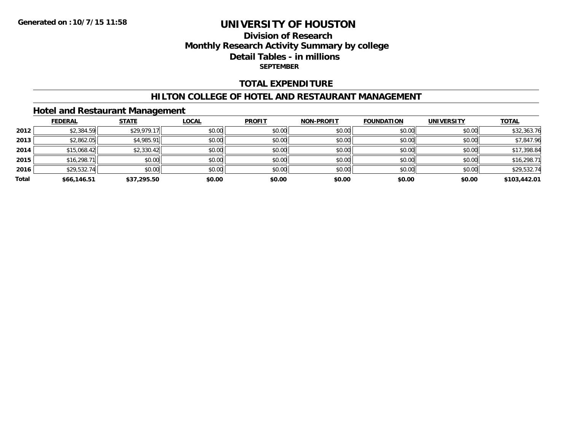## **Division of Research Monthly Research Activity Summary by college Detail Tables - in millions SEPTEMBER**

#### **TOTAL EXPENDITURE**

#### **HILTON COLLEGE OF HOTEL AND RESTAURANT MANAGEMENT**

#### **Hotel and Restaurant Management**

|       | <b>FEDERAL</b> | <b>STATE</b> | <b>LOCAL</b> | <b>PROFIT</b> | NON-PROFIT | <b>FOUNDATION</b> | <b>UNIVERSITY</b> | <b>TOTAL</b> |
|-------|----------------|--------------|--------------|---------------|------------|-------------------|-------------------|--------------|
| 2012  | \$2,384.59     | \$29,979.17  | \$0.00       | \$0.00        | \$0.00     | \$0.00            | \$0.00            | \$32,363.76  |
| 2013  | \$2,862.05     | \$4,985.91   | \$0.00       | \$0.00        | \$0.00     | \$0.00            | \$0.00            | \$7,847.96   |
| 2014  | \$15,068.42    | \$2,330.42   | \$0.00       | \$0.00        | \$0.00     | \$0.00            | \$0.00            | \$17,398.84  |
| 2015  | \$16,298.71    | \$0.00       | \$0.00       | \$0.00        | \$0.00     | \$0.00            | \$0.00            | \$16,298.71  |
| 2016  | \$29,532.74    | \$0.00       | \$0.00       | \$0.00        | \$0.00     | \$0.00            | \$0.00            | \$29,532.74  |
| Total | \$66,146.51    | \$37,295.50  | \$0.00       | \$0.00        | \$0.00     | \$0.00            | \$0.00            | \$103,442.01 |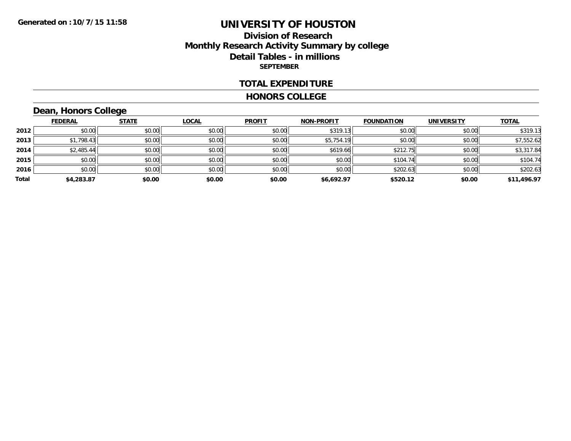#### **Division of Research Monthly Research Activity Summary by college Detail Tables - in millions SEPTEMBER**

#### **TOTAL EXPENDITURE**

#### **HONORS COLLEGE**

# **Dean, Honors College**

|       | <b>FEDERAL</b> | <b>STATE</b> | <b>LOCAL</b> | <b>PROFIT</b> | <b>NON-PROFIT</b> | <b>FOUNDATION</b> | <b>UNIVERSITY</b> | <b>TOTAL</b> |
|-------|----------------|--------------|--------------|---------------|-------------------|-------------------|-------------------|--------------|
| 2012  | \$0.00         | \$0.00       | \$0.00       | \$0.00        | \$319.13          | \$0.00            | \$0.00            | \$319.13     |
| 2013  | \$1,798.43     | \$0.00       | \$0.00       | \$0.00        | \$5,754.19        | \$0.00            | \$0.00            | \$7,552.62   |
| 2014  | \$2,485.44     | \$0.00       | \$0.00       | \$0.00        | \$619.66          | \$212.75          | \$0.00            | \$3,317.84   |
| 2015  | \$0.00         | \$0.00       | \$0.00       | \$0.00        | \$0.00            | \$104.74          | \$0.00            | \$104.74     |
| 2016  | \$0.00         | \$0.00       | \$0.00       | \$0.00        | \$0.00            | \$202.63          | \$0.00            | \$202.63     |
| Total | \$4,283.87     | \$0.00       | \$0.00       | \$0.00        | \$6,692.97        | \$520.12          | \$0.00            | \$11,496.97  |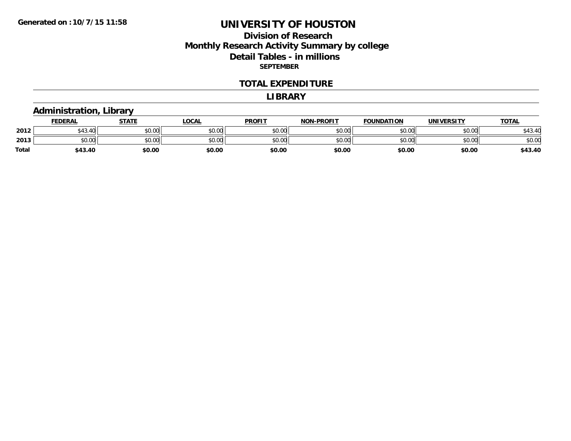## **Division of Research Monthly Research Activity Summary by college Detail Tables - in millions SEPTEMBER**

#### **TOTAL EXPENDITURE**

#### **LIBRARY**

# **Administration, Library**

|       | <b>FEDERAL</b>                             | STATE  | <u>LOCAL</u> | <b>PROFIT</b> | <b>NON-PROFIT</b> | <b>FOUNDATION</b> | <b>UNIVERSITY</b> | <u>TOTAL</u>             |
|-------|--------------------------------------------|--------|--------------|---------------|-------------------|-------------------|-------------------|--------------------------|
| 2012  | A <sub>0</sub><br>$\overline{10}$<br>43.4° | \$0.00 | \$0.00       | \$0.00        | \$0.00            | \$0.00            | \$0.00            | $\overline{ }$<br>643.41 |
| 2013  | ስስ ስስ<br>JU.UU                             | \$0.00 | \$0.00       | \$0.00        | \$0.00            | \$0.00            | \$0.00            | \$0.00                   |
| Total | \$43.40                                    | \$0.00 | \$0.00       | \$0.00        | \$0.00            | \$0.00            | \$0.00            | \$43.40                  |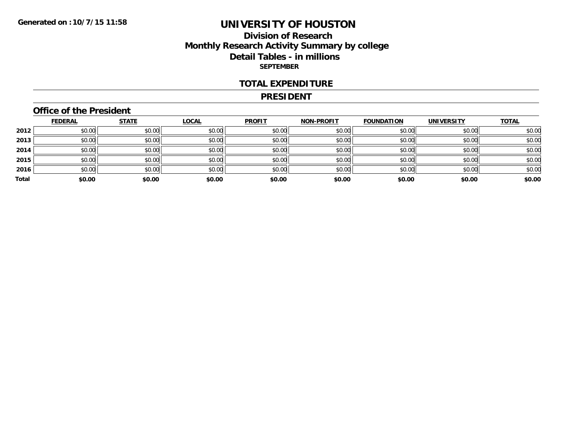## **Division of Research Monthly Research Activity Summary by college Detail Tables - in millions SEPTEMBER**

#### **TOTAL EXPENDITURE**

#### **PRESIDENT**

## **Office of the President**

|       | <u>FEDERAL</u> | <b>STATE</b> | <b>LOCAL</b> | <b>PROFIT</b> | <b>NON-PROFIT</b> | <b>FOUNDATION</b> | <b>UNIVERSITY</b> | <b>TOTAL</b> |
|-------|----------------|--------------|--------------|---------------|-------------------|-------------------|-------------------|--------------|
| 2012  | \$0.00         | \$0.00       | \$0.00       | \$0.00        | \$0.00            | \$0.00            | \$0.00            | \$0.00       |
| 2013  | \$0.00         | \$0.00       | \$0.00       | \$0.00        | \$0.00            | \$0.00            | \$0.00            | \$0.00       |
| 2014  | \$0.00         | \$0.00       | \$0.00       | \$0.00        | \$0.00            | \$0.00            | \$0.00            | \$0.00       |
| 2015  | \$0.00         | \$0.00       | \$0.00       | \$0.00        | \$0.00            | \$0.00            | \$0.00            | \$0.00       |
| 2016  | \$0.00         | \$0.00       | \$0.00       | \$0.00        | \$0.00            | \$0.00            | \$0.00            | \$0.00       |
| Total | \$0.00         | \$0.00       | \$0.00       | \$0.00        | \$0.00            | \$0.00            | \$0.00            | \$0.00       |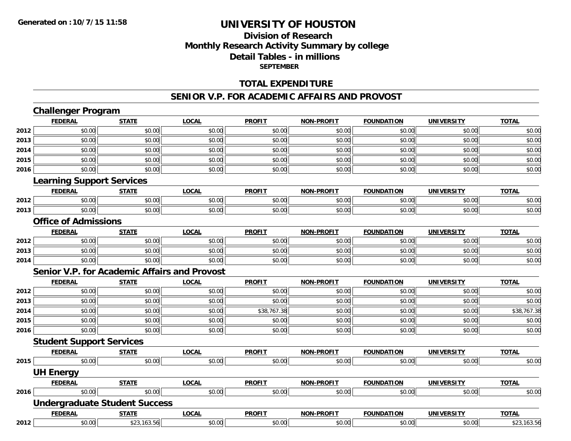## **Division of Research Monthly Research Activity Summary by college Detail Tables - in millions SEPTEMBER**

#### **TOTAL EXPENDITURE**

#### **SENIOR V.P. FOR ACADEMIC AFFAIRS AND PROVOST**

# **Challenger Program**

|      | <b>FEDERAL</b>                       | <b>STATE</b> | <b>LOCAL</b>                                        | <b>PROFIT</b> | <b>NON-PROFIT</b> | <b>FOUNDATION</b> | <b>UNIVERSITY</b> | <b>TOTAL</b> |
|------|--------------------------------------|--------------|-----------------------------------------------------|---------------|-------------------|-------------------|-------------------|--------------|
| 2012 | \$0.00                               | \$0.00       | \$0.00                                              | \$0.00        | \$0.00            | \$0.00            | \$0.00            | \$0.00       |
| 2013 | \$0.00                               | \$0.00       | \$0.00                                              | \$0.00        | \$0.00            | \$0.00            | \$0.00            | \$0.00       |
| 2014 | \$0.00                               | \$0.00       | \$0.00                                              | \$0.00        | \$0.00            | \$0.00            | \$0.00            | \$0.00       |
| 2015 | \$0.00                               | \$0.00       | \$0.00                                              | \$0.00        | \$0.00            | \$0.00            | \$0.00            | \$0.00       |
| 2016 | \$0.00                               | \$0.00       | \$0.00                                              | \$0.00        | \$0.00            | \$0.00            | \$0.00            | \$0.00       |
|      | <b>Learning Support Services</b>     |              |                                                     |               |                   |                   |                   |              |
|      | <b>FEDERAL</b>                       | <b>STATE</b> | <b>LOCAL</b>                                        | <b>PROFIT</b> | <b>NON-PROFIT</b> | <b>FOUNDATION</b> | <b>UNIVERSITY</b> | <b>TOTAL</b> |
| 2012 | \$0.00                               | \$0.00       | \$0.00                                              | \$0.00        | \$0.00            | \$0.00            | \$0.00            | \$0.00       |
| 2013 | \$0.00                               | \$0.00       | \$0.00                                              | \$0.00        | \$0.00            | \$0.00            | \$0.00            | \$0.00       |
|      | <b>Office of Admissions</b>          |              |                                                     |               |                   |                   |                   |              |
|      | <b>FEDERAL</b>                       | <b>STATE</b> | <b>LOCAL</b>                                        | <b>PROFIT</b> | <b>NON-PROFIT</b> | <b>FOUNDATION</b> | <b>UNIVERSITY</b> | <b>TOTAL</b> |
| 2012 | \$0.00                               | \$0.00       | \$0.00                                              | \$0.00        | \$0.00            | \$0.00            | \$0.00            | \$0.00       |
| 2013 | \$0.00                               | \$0.00       | \$0.00                                              | \$0.00        | \$0.00            | \$0.00            | \$0.00            | \$0.00       |
| 2014 | \$0.00                               | \$0.00       | \$0.00                                              | \$0.00        | \$0.00            | \$0.00            | \$0.00            | \$0.00       |
|      |                                      |              | <b>Senior V.P. for Academic Affairs and Provost</b> |               |                   |                   |                   |              |
|      | <b>FEDERAL</b>                       | <b>STATE</b> | <b>LOCAL</b>                                        | <b>PROFIT</b> | <b>NON-PROFIT</b> | <b>FOUNDATION</b> | <b>UNIVERSITY</b> | <b>TOTAL</b> |
| 2012 | \$0.00                               | \$0.00       | \$0.00                                              | \$0.00        | \$0.00            | \$0.00            | \$0.00            | \$0.00       |
| 2013 | \$0.00                               | \$0.00       | \$0.00                                              | \$0.00        | \$0.00            | \$0.00            | \$0.00            | \$0.00       |
| 2014 | \$0.00                               | \$0.00       | \$0.00                                              | \$38,767.38   | \$0.00            | \$0.00            | \$0.00            | \$38,767.38  |
| 2015 | \$0.00                               | \$0.00       | \$0.00                                              | \$0.00        | \$0.00            | \$0.00            | \$0.00            | \$0.00       |
| 2016 | \$0.00                               | \$0.00       | \$0.00                                              | \$0.00        | \$0.00            | \$0.00            | \$0.00            | \$0.00       |
|      | <b>Student Support Services</b>      |              |                                                     |               |                   |                   |                   |              |
|      | <b>FEDERAL</b>                       | <b>STATE</b> | <b>LOCAL</b>                                        | <b>PROFIT</b> | <b>NON-PROFIT</b> | <b>FOUNDATION</b> | <b>UNIVERSITY</b> | <b>TOTAL</b> |
| 2015 | \$0.00                               | \$0.00       | \$0.00                                              | \$0.00        | \$0.00            | \$0.00            | \$0.00            | \$0.00       |
|      | <b>UH Energy</b>                     |              |                                                     |               |                   |                   |                   |              |
|      | <b>FEDERAL</b>                       | <b>STATE</b> | <b>LOCAL</b>                                        | <b>PROFIT</b> | <b>NON-PROFIT</b> | <b>FOUNDATION</b> | <b>UNIVERSITY</b> | <b>TOTAL</b> |
| 2016 | \$0.00                               | \$0.00       | \$0.00                                              | \$0.00        | \$0.00            | \$0.00            | \$0.00            | \$0.00       |
|      | <b>Undergraduate Student Success</b> |              |                                                     |               |                   |                   |                   |              |
|      | <b>FEDERAL</b>                       | <b>STATE</b> | <b>LOCAL</b>                                        | <b>PROFIT</b> | <b>NON-PROFIT</b> | <b>FOUNDATION</b> | <b>UNIVERSITY</b> | <b>TOTAL</b> |
| 2012 | \$0.00                               | \$23,163.56  | \$0.00                                              | \$0.00        | \$0.00            | \$0.00            | \$0.00            | \$23,163.56  |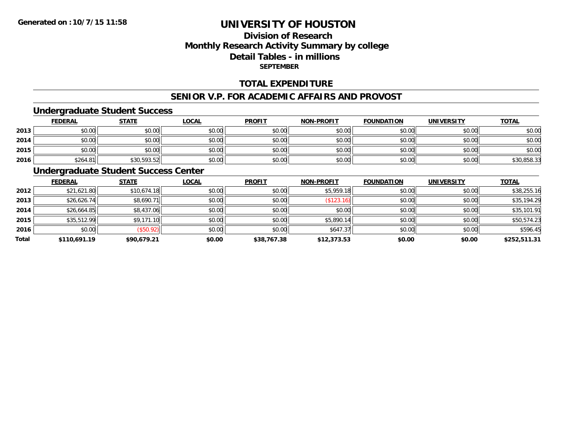## **Division of ResearchMonthly Research Activity Summary by college Detail Tables - in millions SEPTEMBER**

#### **TOTAL EXPENDITURE**

#### **SENIOR V.P. FOR ACADEMIC AFFAIRS AND PROVOST**

#### **Undergraduate Student Success**

|      | <b>FEDERAL</b> | <b>STATE</b> | <b>LOCAL</b> | <b>PROFIT</b> | <b>NON-PROFIT</b> | <b>FOUNDATION</b> | <b>UNIVERSITY</b> | <b>TOTAL</b> |
|------|----------------|--------------|--------------|---------------|-------------------|-------------------|-------------------|--------------|
| 2013 | \$0.00         | \$0.00       | \$0.00       | \$0.00        | \$0.00            | \$0.00            | \$0.00            | \$0.00       |
| 2014 | \$0.00         | \$0.00       | \$0.00       | \$0.00        | \$0.00            | \$0.00            | \$0.00            | \$0.00       |
| 2015 | \$0.00         | \$0.00       | \$0.00       | \$0.00        | \$0.00            | \$0.00            | \$0.00            | \$0.00       |
| 2016 | \$264.81       | \$30,593.52  | \$0.00       | \$0.00        | \$0.00            | \$0.00            | \$0.00            | \$30,858.33  |

#### **Undergraduate Student Success Center**

|       | <b>FEDERAL</b> | <b>STATE</b> | <b>LOCAL</b> | <b>PROFIT</b> | <b>NON-PROFIT</b> | <b>FOUNDATION</b> | <b>UNIVERSITY</b> | <b>TOTAL</b> |
|-------|----------------|--------------|--------------|---------------|-------------------|-------------------|-------------------|--------------|
| 2012  | \$21,621.80    | \$10,674.18  | \$0.00       | \$0.00        | \$5,959.18        | \$0.00            | \$0.00            | \$38,255.16  |
| 2013  | \$26,626.74    | \$8,690.71   | \$0.00       | \$0.00        | (S123.16)         | \$0.00            | \$0.00            | \$35,194.29  |
| 2014  | \$26,664.85    | \$8,437.06   | \$0.00       | \$0.00        | \$0.00            | \$0.00            | \$0.00            | \$35,101.91  |
| 2015  | \$35,512.99    | \$9,171.10   | \$0.00       | \$0.00        | \$5,890.14        | \$0.00            | \$0.00            | \$50,574.23  |
| 2016  | \$0.00         | (\$50.92)    | \$0.00       | \$0.00        | \$647.37          | \$0.00            | \$0.00            | \$596.45     |
| Total | \$110,691.19   | \$90,679.21  | \$0.00       | \$38,767.38   | \$12,373.53       | \$0.00            | \$0.00            | \$252,511.31 |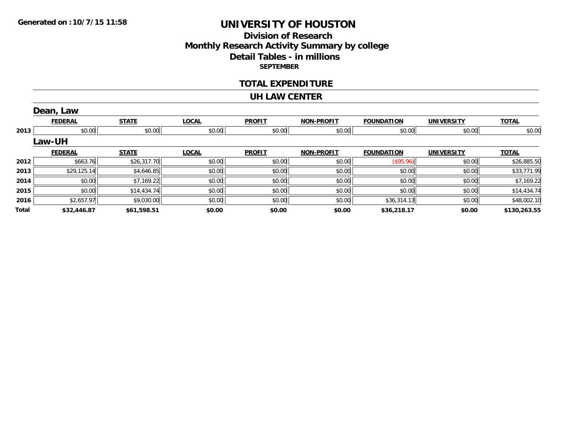## **Division of ResearchMonthly Research Activity Summary by college Detail Tables - in millions SEPTEMBER**

#### **TOTAL EXPENDITURE**

#### **UH LAW CENTER**

|       | Dean, Law      |              |              |               |                   |                   |                   |              |
|-------|----------------|--------------|--------------|---------------|-------------------|-------------------|-------------------|--------------|
|       | <b>FEDERAL</b> | <b>STATE</b> | <b>LOCAL</b> | <b>PROFIT</b> | <b>NON-PROFIT</b> | <b>FOUNDATION</b> | <b>UNIVERSITY</b> | <b>TOTAL</b> |
| 2013  | \$0.00         | \$0.00       | \$0.00       | \$0.00        | \$0.00            | \$0.00            | \$0.00            | \$0.00       |
|       | Law-UH         |              |              |               |                   |                   |                   |              |
|       | <b>FEDERAL</b> | <b>STATE</b> | <b>LOCAL</b> | <b>PROFIT</b> | <b>NON-PROFIT</b> | <b>FOUNDATION</b> | <b>UNIVERSITY</b> | <b>TOTAL</b> |
| 2012  | \$663.76       | \$26,317.70  | \$0.00       | \$0.00        | \$0.00            | $($ \$95.96) $  $ | \$0.00            | \$26,885.50  |
| 2013  | \$29,125.14    | \$4,646.85   | \$0.00       | \$0.00        | \$0.00            | \$0.00            | \$0.00            | \$33,771.99  |
| 2014  | \$0.00         | \$7,169.22   | \$0.00       | \$0.00        | \$0.00            | \$0.00            | \$0.00            | \$7,169.22   |
| 2015  | \$0.00         | \$14,434.74  | \$0.00       | \$0.00        | \$0.00            | \$0.00            | \$0.00            | \$14,434.74  |
| 2016  | \$2,657.97     | \$9,030.00   | \$0.00       | \$0.00        | \$0.00            | \$36,314.13       | \$0.00            | \$48,002.10  |
| Total | \$32,446.87    | \$61,598.51  | \$0.00       | \$0.00        | \$0.00            | \$36,218.17       | \$0.00            | \$130,263.55 |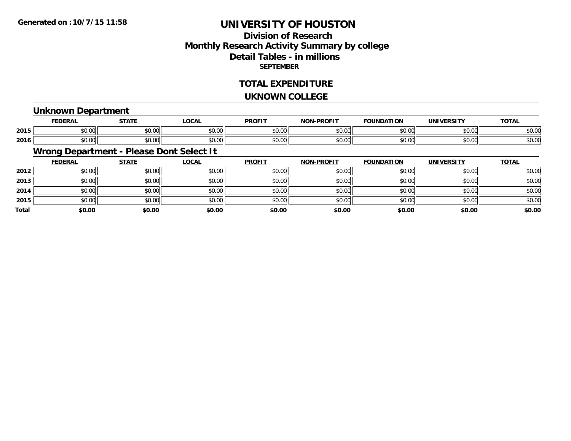## **Division of ResearchMonthly Research Activity Summary by college Detail Tables - in millions SEPTEMBER**

#### **TOTAL EXPENDITURE**

#### **UKNOWN COLLEGE**

#### **Unknown Department**

|      | <b>FEDERAL</b>                        | $   -$                 | <b>_OCAI</b> | <b>DDOFIT</b>            | <b>DRAFIT</b><br>יממ | וסו<br>IΊΔ             |                    | $T^{\prime}$<br>101r    |
|------|---------------------------------------|------------------------|--------------|--------------------------|----------------------|------------------------|--------------------|-------------------------|
| 2015 | $\sim$<br>ት ヘ<br>יש.ש                 | $\sim$ $\sim$<br>JU.UU | \$0.00       | $\epsilon$ n nr<br>JU.UV | $\sim$ 00<br>וטטוע   | $\sim$ $\sim$<br>טט.טע | 0.000<br>DU.UG     | $\sim$ $\sim$<br>50.UC  |
| 2016 | $\sim$ $\sim$<br>$\triangle$<br>JU.UU | $\sim$ $\sim$<br>JU.UU | \$0.00       | \$0.00                   | $\sim$ 00<br>וטטוע   | $\sim$ 00<br>JU.UU     | $\sim$ 00<br>JU.UU | $\sim$ $\sim$<br>\$U.UC |

# **Wrong Department - Please Dont Select It**

|              | <b>FEDERAL</b> | <b>STATE</b> | <u>LOCAL</u> | <b>PROFIT</b> | <b>NON-PROFIT</b> | <b>FOUNDATION</b> | <b>UNIVERSITY</b> | <b>TOTAL</b> |
|--------------|----------------|--------------|--------------|---------------|-------------------|-------------------|-------------------|--------------|
| 2012         | \$0.00         | \$0.00       | \$0.00       | \$0.00        | \$0.00            | \$0.00            | \$0.00            | \$0.00       |
| 2013         | \$0.00         | \$0.00       | \$0.00       | \$0.00        | \$0.00            | \$0.00            | \$0.00            | \$0.00       |
| 2014         | \$0.00         | \$0.00       | \$0.00       | \$0.00        | \$0.00            | \$0.00            | \$0.00            | \$0.00       |
| 2015         | \$0.00         | \$0.00       | \$0.00       | \$0.00        | \$0.00            | \$0.00            | \$0.00            | \$0.00       |
| <b>Total</b> | \$0.00         | \$0.00       | \$0.00       | \$0.00        | \$0.00            | \$0.00            | \$0.00            | \$0.00       |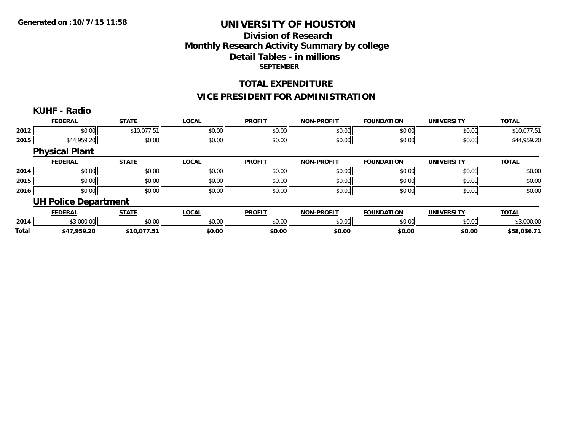#### **Division of Research Monthly Research Activity Summary by college Detail Tables - in millions SEPTEMBER**

#### **TOTAL EXPENDITURE**

## **VICE PRESIDENT FOR ADMINISTRATION**

|              | <b>KUHF - Radio</b>         |              |              |               |                   |                   |                   |              |
|--------------|-----------------------------|--------------|--------------|---------------|-------------------|-------------------|-------------------|--------------|
|              | <b>FEDERAL</b>              | <b>STATE</b> | <b>LOCAL</b> | <b>PROFIT</b> | <b>NON-PROFIT</b> | <b>FOUNDATION</b> | <b>UNIVERSITY</b> | <b>TOTAL</b> |
| 2012         | \$0.00                      | \$10,077.51  | \$0.00       | \$0.00        | \$0.00            | \$0.00            | \$0.00            | \$10,077.51  |
| 2015         | \$44,959.20                 | \$0.00       | \$0.00       | \$0.00        | \$0.00            | \$0.00            | \$0.00            | \$44,959.20  |
|              | <b>Physical Plant</b>       |              |              |               |                   |                   |                   |              |
|              | <b>FEDERAL</b>              | <b>STATE</b> | <b>LOCAL</b> | <b>PROFIT</b> | <b>NON-PROFIT</b> | <b>FOUNDATION</b> | <b>UNIVERSITY</b> | <b>TOTAL</b> |
| 2014         | \$0.00                      | \$0.00       | \$0.00       | \$0.00        | \$0.00            | \$0.00            | \$0.00            | \$0.00       |
| 2015         | \$0.00                      | \$0.00       | \$0.00       | \$0.00        | \$0.00            | \$0.00            | \$0.00            | \$0.00       |
| 2016         | \$0.00                      | \$0.00       | \$0.00       | \$0.00        | \$0.00            | \$0.00            | \$0.00            | \$0.00       |
|              | <b>UH Police Department</b> |              |              |               |                   |                   |                   |              |
|              | <b>FEDERAL</b>              | <b>STATE</b> | <b>LOCAL</b> | <b>PROFIT</b> | <b>NON-PROFIT</b> | <b>FOUNDATION</b> | <b>UNIVERSITY</b> | <b>TOTAL</b> |
| 2014         | \$3,000.00                  | \$0.00       | \$0.00       | \$0.00        | \$0.00            | \$0.00            | \$0.00            | \$3,000.00   |
| <b>Total</b> | \$47,959.20                 | \$10,077.51  | \$0.00       | \$0.00        | \$0.00            | \$0.00            | \$0.00            | \$58,036.71  |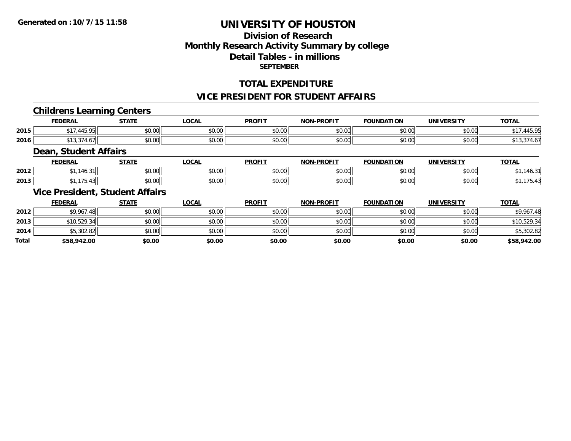## **Division of ResearchMonthly Research Activity Summary by college Detail Tables - in millions SEPTEMBER**

## **TOTAL EXPENDITURE**

#### **VICE PRESIDENT FOR STUDENT AFFAIRS**

#### **Childrens Learning Centers**

|      | EEDEDAI      | <b>CTATE</b>   | $\sim$<br>.uuni        | <b>PROFIT</b>  | <b>DDAEI</b><br>ורות<br>า⊫⊥ | I OB          | <b>UNIVERSITY</b>      | <b>TOTA</b>                  |
|------|--------------|----------------|------------------------|----------------|-----------------------------|---------------|------------------------|------------------------------|
| 2015 | 115<br>$+J.$ | ሶስ ሰሰ<br>JU.UU | $\sim$ $\sim$<br>JU.UU | 0.001<br>JU.UU | \$0.00                      | 0000<br>JU.UU | 0.00<br>JU.UU          | <b>45 OF</b><br>. . <i>.</i> |
| 2016 |              | ሐሴ ሰሰ<br>JU.UU | $\sim$ $\sim$<br>pu.uu | 0.00<br>JU.UU  | \$0.00                      | 0000<br>JU.UU | $\sim$ $\sim$<br>JU.UU | . U                          |

#### **Dean, Student Affairs**

|      | <b>FEDERAI</b>   | <b>CTATE</b>  | ne N<br>. осн.         | <b>PROFIT</b>  | <b>DDOCIT</b><br><b>MONE</b> | <b>FOUNDATION</b> | UNIVERSITY     | <b>TOTAL</b> |
|------|------------------|---------------|------------------------|----------------|------------------------------|-------------------|----------------|--------------|
| 2012 | $\sim$<br>140.JH | 0.00<br>JU.UU | $\sim$ $\sim$<br>vu.vu | 40.00<br>JU.UU | 0.00<br>PU.UU                | 0000<br>DU.UU.    | 0.001<br>JU.UU |              |
| 2013 |                  | 0000<br>JU.UU | vu.vu                  | 0000<br>JU.UL  | 0.00<br>pu.uu                | 0000<br>vu.uu     | 0000<br>JU.UU  |              |

## **Vice President, Student Affairs**

|              | <b>FEDERAL</b> | <u>STATE</u> | <b>LOCAL</b> | <b>PROFIT</b> | <b>NON-PROFIT</b> | <b>FOUNDATION</b> | UNIVERSITY | <b>TOTAL</b> |
|--------------|----------------|--------------|--------------|---------------|-------------------|-------------------|------------|--------------|
| 2012         | \$9,967.48     | \$0.00       | \$0.00       | \$0.00        | \$0.00            | \$0.00            | \$0.00     | \$9,967.48   |
| 2013         | \$10,529.34    | \$0.00       | \$0.00       | \$0.00        | \$0.00            | \$0.00            | \$0.00     | \$10,529.34  |
| 2014         | \$5,302.82     | \$0.00       | \$0.00       | \$0.00        | \$0.00            | \$0.00            | \$0.00     | \$5,302.82   |
| <b>Total</b> | \$58,942.00    | \$0.00       | \$0.00       | \$0.00        | \$0.00            | \$0.00            | \$0.00     | \$58,942.00  |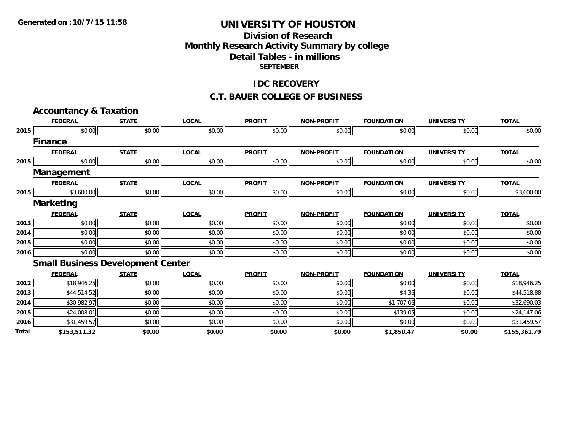### **Division of Research Monthly Research Activity Summary by college Detail Tables - in millions SEPTEMBER**

### **IDC RECOVERY**

#### **C.T. BAUER COLLEGE OF BUSINESS**

|       | <b>Accountancy &amp; Taxation</b>        |              |              |               |                   |                   |                   |              |
|-------|------------------------------------------|--------------|--------------|---------------|-------------------|-------------------|-------------------|--------------|
|       | <b>FEDERAL</b>                           | <b>STATE</b> | <b>LOCAL</b> | <b>PROFIT</b> | <b>NON-PROFIT</b> | <b>FOUNDATION</b> | <b>UNIVERSITY</b> | <b>TOTAL</b> |
| 2015  | \$0.00                                   | \$0.00       | \$0.00       | \$0.00        | \$0.00            | \$0.00            | \$0.00            | \$0.00       |
|       | <b>Finance</b>                           |              |              |               |                   |                   |                   |              |
|       | <b>FEDERAL</b>                           | <b>STATE</b> | <b>LOCAL</b> | <b>PROFIT</b> | <b>NON-PROFIT</b> | <b>FOUNDATION</b> | <b>UNIVERSITY</b> | <b>TOTAL</b> |
| 2015  | \$0.00                                   | \$0.00       | \$0.00       | \$0.00        | \$0.00            | \$0.00            | \$0.00            | \$0.00       |
|       | Management                               |              |              |               |                   |                   |                   |              |
|       | <b>FEDERAL</b>                           | <b>STATE</b> | <b>LOCAL</b> | <b>PROFIT</b> | <b>NON-PROFIT</b> | <b>FOUNDATION</b> | <b>UNIVERSITY</b> | <b>TOTAL</b> |
| 2015  | \$3,600.00                               | \$0.00       | \$0.00       | \$0.00        | \$0.00            | \$0.00            | \$0.00            | \$3,600.00   |
|       | <b>Marketing</b>                         |              |              |               |                   |                   |                   |              |
|       | <b>FEDERAL</b>                           | <b>STATE</b> | <b>LOCAL</b> | <b>PROFIT</b> | <b>NON-PROFIT</b> | <b>FOUNDATION</b> | <b>UNIVERSITY</b> | <b>TOTAL</b> |
| 2013  | \$0.00                                   | \$0.00       | \$0.00       | \$0.00        | \$0.00            | \$0.00            | \$0.00            | \$0.00       |
| 2014  | \$0.00                                   | \$0.00       | \$0.00       | \$0.00        | \$0.00            | \$0.00            | \$0.00            | \$0.00       |
| 2015  | \$0.00                                   | \$0.00       | \$0.00       | \$0.00        | \$0.00            | \$0.00            | \$0.00            | \$0.00       |
| 2016  | \$0.00                                   | \$0.00       | \$0.00       | \$0.00        | \$0.00            | \$0.00            | \$0.00            | \$0.00       |
|       | <b>Small Business Development Center</b> |              |              |               |                   |                   |                   |              |
|       | <b>FEDERAL</b>                           | <b>STATE</b> | <b>LOCAL</b> | <b>PROFIT</b> | <b>NON-PROFIT</b> | <b>FOUNDATION</b> | <b>UNIVERSITY</b> | <b>TOTAL</b> |
| 2012  | \$18,946.25                              | \$0.00       | \$0.00       | \$0.00        | \$0.00            | \$0.00            | \$0.00            | \$18,946.25  |
| 2013  | \$44,514.52                              | \$0.00       | \$0.00       | \$0.00        | \$0.00            | \$4.36            | \$0.00            | \$44,518.88  |
| 2014  | \$30,982.97                              | \$0.00       | \$0.00       | \$0.00        | \$0.00            | \$1,707.06        | \$0.00            | \$32,690.03  |
| 2015  | \$24,008.01                              | \$0.00       | \$0.00       | \$0.00        | \$0.00            | \$139.05          | \$0.00            | \$24,147.06  |
| 2016  | \$31,459.57                              | \$0.00       | \$0.00       | \$0.00        | \$0.00            | \$0.00            | \$0.00            | \$31,459.57  |
| Total | \$153,511.32                             | \$0.00       | \$0.00       | \$0.00        | \$0.00            | \$1,850.47        | \$0.00            | \$155,361.79 |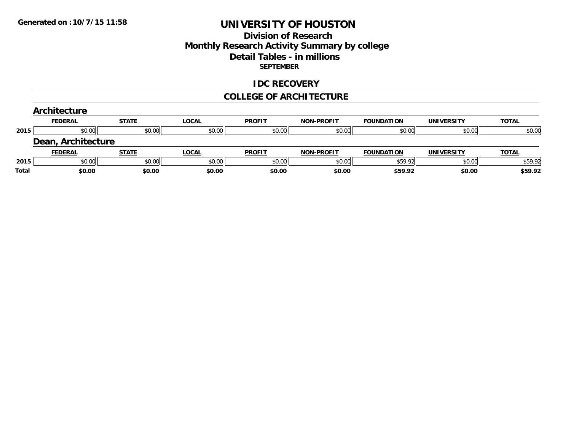# **Division of Research Monthly Research Activity Summary by college Detail Tables - in millions SEPTEMBER**

#### **IDC RECOVERY**

#### **COLLEGE OF ARCHITECTURE**

|       | <b>Architecture</b> |              |              |               |                   |                   |                   |              |
|-------|---------------------|--------------|--------------|---------------|-------------------|-------------------|-------------------|--------------|
|       | <b>FEDERAL</b>      | <b>STATE</b> | <b>LOCAL</b> | <b>PROFIT</b> | <b>NON-PROFIT</b> | <b>FOUNDATION</b> | <b>UNIVERSITY</b> | <b>TOTAL</b> |
| 2015  | \$0.00              | \$0.00       | \$0.00       | \$0.00        | \$0.00            | \$0.00            | \$0.00            | \$0.00       |
|       | Dean, Architecture  |              |              |               |                   |                   |                   |              |
|       | <b>FEDERAL</b>      | <b>STATE</b> | <b>LOCAL</b> | <b>PROFIT</b> | <b>NON-PROFIT</b> | <b>FOUNDATION</b> | <b>UNIVERSITY</b> | <b>TOTAL</b> |
| 2015  | \$0.00              | \$0.00       | \$0.00       | \$0.00        | \$0.00            | \$59.92           | \$0.00            | \$59.92      |
| Total | \$0.00              | \$0.00       | \$0.00       | \$0.00        | \$0.00            | \$59.92           | \$0.00            | \$59.92      |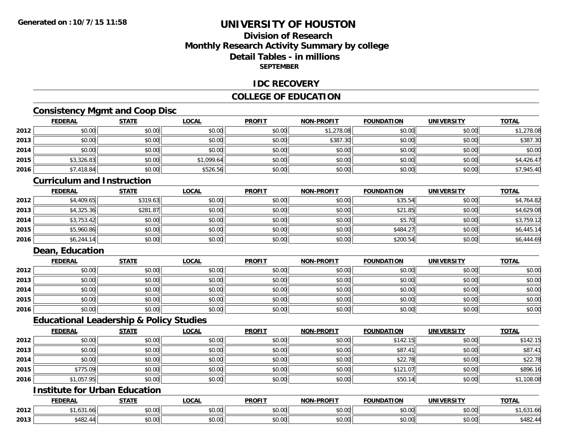# **Division of ResearchMonthly Research Activity Summary by college Detail Tables - in millionsSEPTEMBER**

### **IDC RECOVERY**

# **COLLEGE OF EDUCATION**

# **Consistency Mgmt and Coop Disc**

|      | <b>FEDERAL</b> | <b>STATE</b> | <u>LOCAL</u> | <b>PROFIT</b> | NON-PROFIT | <b>FOUNDATION</b> | <b>UNIVERSITY</b> | <b>TOTAL</b> |
|------|----------------|--------------|--------------|---------------|------------|-------------------|-------------------|--------------|
| 2012 | \$0.00         | \$0.00       | \$0.00       | \$0.00        | \$1,278.08 | \$0.00            | \$0.00            | \$1,278.08   |
| 2013 | \$0.00         | \$0.00       | \$0.00       | \$0.00        | \$387.30   | \$0.00            | \$0.00            | \$387.30     |
| 2014 | \$0.00         | \$0.00       | \$0.00       | \$0.00        | \$0.00     | \$0.00            | \$0.00            | \$0.00       |
| 2015 | \$3,326.83     | \$0.00       | \$1,099.64   | \$0.00        | \$0.00     | \$0.00            | \$0.00            | \$4,426.47   |
| 2016 | \$7,418.84     | \$0.00       | \$526.56     | \$0.00        | \$0.00     | \$0.00            | \$0.00            | \$7,945.40   |

#### **Curriculum and Instruction**

|      | <b>FEDERAL</b> | <u>STATE</u> | <u>LOCAL</u> | <b>PROFIT</b> | <b>NON-PROFIT</b> | <b>FOUNDATION</b> | <b>UNIVERSITY</b> | <b>TOTAL</b> |
|------|----------------|--------------|--------------|---------------|-------------------|-------------------|-------------------|--------------|
| 2012 | \$4,409.65     | \$319.63     | \$0.00       | \$0.00        | \$0.00            | \$35.54           | \$0.00            | \$4,764.82   |
| 2013 | \$4,325.36     | \$281.87     | \$0.00       | \$0.00        | \$0.00            | \$21.85           | \$0.00            | \$4,629.08   |
| 2014 | \$3,753.42     | \$0.00       | \$0.00       | \$0.00        | \$0.00            | \$5.70            | \$0.00            | \$3,759.12   |
| 2015 | \$5,960.86     | \$0.00       | \$0.00       | \$0.00        | \$0.00            | \$484.27          | \$0.00            | \$6,445.14   |
| 2016 | \$6,244.14     | \$0.00       | \$0.00       | \$0.00        | \$0.00            | \$200.54          | \$0.00            | \$6,444.69   |

# **Dean, Education**

|      | <b>FEDERAL</b> | <b>STATE</b> | <u>LOCAL</u> | <b>PROFIT</b> | <b>NON-PROFIT</b> | <b>FOUNDATION</b> | <b>UNIVERSITY</b> | <b>TOTAL</b> |
|------|----------------|--------------|--------------|---------------|-------------------|-------------------|-------------------|--------------|
| 2012 | \$0.00         | \$0.00       | \$0.00       | \$0.00        | \$0.00            | \$0.00            | \$0.00            | \$0.00       |
| 2013 | \$0.00         | \$0.00       | \$0.00       | \$0.00        | \$0.00            | \$0.00            | \$0.00            | \$0.00       |
| 2014 | \$0.00         | \$0.00       | \$0.00       | \$0.00        | \$0.00            | \$0.00            | \$0.00            | \$0.00       |
| 2015 | \$0.00         | \$0.00       | \$0.00       | \$0.00        | \$0.00            | \$0.00            | \$0.00            | \$0.00       |
| 2016 | \$0.00         | \$0.00       | \$0.00       | \$0.00        | \$0.00            | \$0.00            | \$0.00            | \$0.00       |

#### **Educational Leadership & Policy Studies**

|      | <b>FEDERAL</b> | <b>STATE</b> | <b>LOCAL</b> | <b>PROFIT</b> | <b>NON-PROFIT</b> | <b>FOUNDATION</b> | <b>UNIVERSITY</b> | <b>TOTAL</b> |
|------|----------------|--------------|--------------|---------------|-------------------|-------------------|-------------------|--------------|
| 2012 | \$0.00         | \$0.00       | \$0.00       | \$0.00        | \$0.00            | \$142.15          | \$0.00            | \$142.15     |
| 2013 | \$0.00         | \$0.00       | \$0.00       | \$0.00        | \$0.00            | \$87.41           | \$0.00            | \$87.41      |
| 2014 | \$0.00         | \$0.00       | \$0.00       | \$0.00        | \$0.00            | \$22.78           | \$0.00            | \$22.78      |
| 2015 | \$775.09       | \$0.00       | \$0.00       | \$0.00        | \$0.00            | \$121.07          | \$0.00            | \$896.16     |
| 2016 | \$1,057.95     | \$0.00       | \$0.00       | \$0.00        | \$0.00            | \$50.14           | \$0.00            | \$1,108.08   |

# **Institute for Urban Education**

|      | <b>FEDERAL</b>                 | <b>CTATE</b>  | <b>_OCAL</b>          | <b>PROFIT</b>      | <b>M-PROFIT</b><br><b>BIABI</b> | <b>FOUNDATION</b> | <b>UNIVERSITY</b>         | <b>TOTAL</b> |
|------|--------------------------------|---------------|-----------------------|--------------------|---------------------------------|-------------------|---------------------------|--------------|
| 2012 | $\sqrt{24}$<br>1.00<br>. . U U | 0000<br>DU.UU | $\sim$<br>0 t<br>וטט. | $\sim$ 00<br>DU.UU | 0.00<br>JU.UU                   | \$0.00            | $\sim$ 00<br><b>JU.UU</b> | 1,031.00     |
| 2013 | $+100$<br>$\mathbf{u}$<br>בשדי | 0.00<br>ט.טע  | $\sim$ 00<br>vv.vv    | $\sim$ 00<br>DU.UU | 0.00<br>JU.UU                   | \$0.00            | $\sim$ 00<br>JU.UU        | Ψ⊤∪∠.        |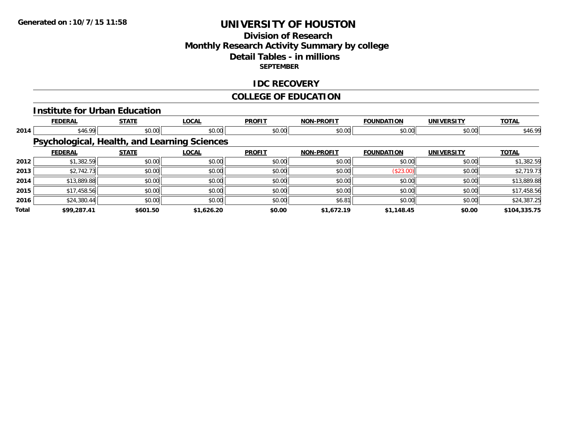# **Division of ResearchMonthly Research Activity Summary by college Detail Tables - in millions SEPTEMBER**

### **IDC RECOVERY**

# **COLLEGE OF EDUCATION**

#### **Institute for Urban Education**

|       | <b>FEDERAL</b> | <b>STATE</b>                                        | <b>LOCAL</b> | <b>PROFIT</b> | <b>NON-PROFIT</b> | <b>FOUNDATION</b> | <b>UNIVERSITY</b> | <b>TOTAL</b> |
|-------|----------------|-----------------------------------------------------|--------------|---------------|-------------------|-------------------|-------------------|--------------|
| 2014  | \$46.99        | \$0.00                                              | \$0.00       | \$0.00        | \$0.00            | \$0.00            | \$0.00            | \$46.99      |
|       |                | <b>Psychological, Health, and Learning Sciences</b> |              |               |                   |                   |                   |              |
|       | <b>FEDERAL</b> | <b>STATE</b>                                        | <b>LOCAL</b> | <b>PROFIT</b> | <b>NON-PROFIT</b> | <b>FOUNDATION</b> | <b>UNIVERSITY</b> | <b>TOTAL</b> |
| 2012  | \$1,382.59     | \$0.00                                              | \$0.00       | \$0.00        | \$0.00            | \$0.00            | \$0.00            | \$1,382.59   |
| 2013  | \$2,742.73     | \$0.00                                              | \$0.00       | \$0.00        | \$0.00            | (\$23.00)         | \$0.00            | \$2,719.73   |
| 2014  | \$13,889.88    | \$0.00                                              | \$0.00       | \$0.00        | \$0.00            | \$0.00            | \$0.00            | \$13,889.88  |
| 2015  | \$17,458.56    | \$0.00                                              | \$0.00       | \$0.00        | \$0.00            | \$0.00            | \$0.00            | \$17,458.56  |
| 2016  | \$24,380.44    | \$0.00                                              | \$0.00       | \$0.00        | \$6.81            | \$0.00            | \$0.00            | \$24,387.25  |
| Total | \$99,287.41    | \$601.50                                            | \$1,626.20   | \$0.00        | \$1,672.19        | \$1,148.45        | \$0.00            | \$104,335.75 |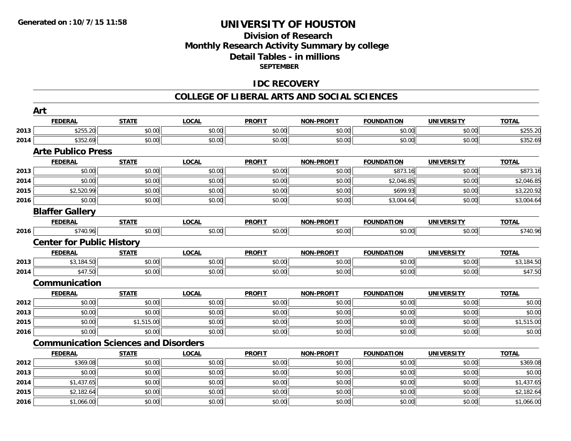# **Division of ResearchMonthly Research Activity Summary by college Detail Tables - in millions SEPTEMBER**

### **IDC RECOVERY**

|      | Art                                         |              |              |               |                   |                   |                   |              |
|------|---------------------------------------------|--------------|--------------|---------------|-------------------|-------------------|-------------------|--------------|
|      | <b>FEDERAL</b>                              | <b>STATE</b> | <b>LOCAL</b> | <b>PROFIT</b> | <b>NON-PROFIT</b> | <b>FOUNDATION</b> | <b>UNIVERSITY</b> | <b>TOTAL</b> |
| 2013 | \$255.20                                    | \$0.00       | \$0.00       | \$0.00        | \$0.00            | \$0.00            | \$0.00            | \$255.20     |
| 2014 | \$352.69                                    | \$0.00       | \$0.00       | \$0.00        | \$0.00            | \$0.00            | \$0.00            | \$352.69     |
|      | <b>Arte Publico Press</b>                   |              |              |               |                   |                   |                   |              |
|      | <b>FEDERAL</b>                              | <b>STATE</b> | <b>LOCAL</b> | <b>PROFIT</b> | <b>NON-PROFIT</b> | <b>FOUNDATION</b> | <b>UNIVERSITY</b> | <b>TOTAL</b> |
| 2013 | \$0.00                                      | \$0.00       | \$0.00       | \$0.00        | \$0.00            | \$873.16          | \$0.00            | \$873.16     |
| 2014 | \$0.00                                      | \$0.00       | \$0.00       | \$0.00        | \$0.00            | \$2,046.85        | \$0.00            | \$2,046.85   |
| 2015 | \$2,520.99                                  | \$0.00       | \$0.00       | \$0.00        | \$0.00            | \$699.93          | \$0.00            | \$3,220.92   |
| 2016 | \$0.00                                      | \$0.00       | \$0.00       | \$0.00        | \$0.00            | \$3,004.64        | \$0.00            | \$3,004.64   |
|      | <b>Blaffer Gallery</b>                      |              |              |               |                   |                   |                   |              |
|      | <b>FEDERAL</b>                              | <b>STATE</b> | <b>LOCAL</b> | <b>PROFIT</b> | <b>NON-PROFIT</b> | <b>FOUNDATION</b> | <b>UNIVERSITY</b> | <b>TOTAL</b> |
| 2016 | \$740.96                                    | \$0.00       | \$0.00       | \$0.00        | \$0.00            | \$0.00            | \$0.00            | \$740.96     |
|      | <b>Center for Public History</b>            |              |              |               |                   |                   |                   |              |
|      | <b>FEDERAL</b>                              | <b>STATE</b> | <b>LOCAL</b> | <b>PROFIT</b> | <b>NON-PROFIT</b> | <b>FOUNDATION</b> | <b>UNIVERSITY</b> | <b>TOTAL</b> |
| 2013 | \$3,184.50                                  | \$0.00       | \$0.00       | \$0.00        | \$0.00            | \$0.00            | \$0.00            | \$3,184.50   |
| 2014 | \$47.50                                     | \$0.00       | \$0.00       | \$0.00        | \$0.00            | \$0.00            | \$0.00            | \$47.50      |
|      | Communication                               |              |              |               |                   |                   |                   |              |
|      | <b>FEDERAL</b>                              | <b>STATE</b> | <b>LOCAL</b> | <b>PROFIT</b> | <b>NON-PROFIT</b> | <b>FOUNDATION</b> | <b>UNIVERSITY</b> | <b>TOTAL</b> |
| 2012 | \$0.00                                      | \$0.00       | \$0.00       | \$0.00        | \$0.00            | \$0.00            | \$0.00            | \$0.00       |
| 2013 | \$0.00                                      | \$0.00       | \$0.00       | \$0.00        | \$0.00            | \$0.00            | \$0.00            | \$0.00       |
| 2015 | \$0.00                                      | \$1,515.00   | \$0.00       | \$0.00        | \$0.00            | \$0.00            | \$0.00            | \$1,515.00   |
| 2016 | \$0.00                                      | \$0.00       | \$0.00       | \$0.00        | \$0.00            | \$0.00            | \$0.00            | \$0.00       |
|      | <b>Communication Sciences and Disorders</b> |              |              |               |                   |                   |                   |              |
|      | <b>FEDERAL</b>                              | <b>STATE</b> | <b>LOCAL</b> | <b>PROFIT</b> | <b>NON-PROFIT</b> | <b>FOUNDATION</b> | <b>UNIVERSITY</b> | <b>TOTAL</b> |
| 2012 | \$369.08                                    | \$0.00       | \$0.00       | \$0.00        | \$0.00            | \$0.00            | \$0.00            | \$369.08     |
| 2013 | \$0.00                                      | \$0.00       | \$0.00       | \$0.00        | \$0.00            | \$0.00            | \$0.00            | \$0.00       |
| 2014 | \$1,437.65                                  | \$0.00       | \$0.00       | \$0.00        | \$0.00            | \$0.00            | \$0.00            | \$1,437.65   |
| 2015 | \$2,182.64                                  | \$0.00       | \$0.00       | \$0.00        | \$0.00            | \$0.00            | \$0.00            | \$2,182.64   |
| 2016 | \$1,066.00                                  | \$0.00       | \$0.00       | \$0.00        | \$0.00            | \$0.00            | \$0.00            | \$1,066.00   |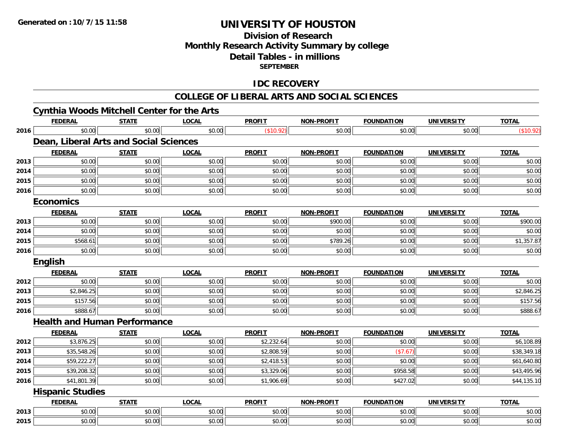# **Division of Research Monthly Research Activity Summary by college Detail Tables - in millions SEPTEMBER**

## **IDC RECOVERY**

|      | <b>Cynthia Woods Mitchell Center for the Arts</b> |              |              |               |                   |                   |                   |              |
|------|---------------------------------------------------|--------------|--------------|---------------|-------------------|-------------------|-------------------|--------------|
|      | <b>FEDERAL</b>                                    | <b>STATE</b> | <b>LOCAL</b> | <b>PROFIT</b> | <b>NON-PROFIT</b> | <b>FOUNDATION</b> | <b>UNIVERSITY</b> | <b>TOTAL</b> |
| 2016 | \$0.00                                            | \$0.00       | \$0.00       | (\$10.92)     | \$0.00            | \$0.00            | \$0.00            | (\$10.92)    |
|      | Dean, Liberal Arts and Social Sciences            |              |              |               |                   |                   |                   |              |
|      | <b>FEDERAL</b>                                    | <b>STATE</b> | <b>LOCAL</b> | <b>PROFIT</b> | <b>NON-PROFIT</b> | <b>FOUNDATION</b> | <b>UNIVERSITY</b> | <b>TOTAL</b> |
| 2013 | \$0.00                                            | \$0.00       | \$0.00       | \$0.00        | \$0.00            | \$0.00            | \$0.00            | \$0.00       |
| 2014 | \$0.00                                            | \$0.00       | \$0.00       | \$0.00        | \$0.00            | \$0.00            | \$0.00            | \$0.00       |
| 2015 | \$0.00                                            | \$0.00       | \$0.00       | \$0.00        | \$0.00            | \$0.00            | \$0.00            | \$0.00       |
| 2016 | \$0.00                                            | \$0.00       | \$0.00       | \$0.00        | \$0.00            | \$0.00            | \$0.00            | \$0.00       |
|      | <b>Economics</b>                                  |              |              |               |                   |                   |                   |              |
|      | <b>FEDERAL</b>                                    | <b>STATE</b> | <b>LOCAL</b> | <b>PROFIT</b> | <b>NON-PROFIT</b> | <b>FOUNDATION</b> | <b>UNIVERSITY</b> | <b>TOTAL</b> |
| 2013 | \$0.00                                            | \$0.00       | \$0.00       | \$0.00        | \$900.00          | \$0.00            | \$0.00            | \$900.00     |
| 2014 | \$0.00                                            | \$0.00       | \$0.00       | \$0.00        | \$0.00            | \$0.00            | \$0.00            | \$0.00       |
| 2015 | \$568.61                                          | \$0.00       | \$0.00       | \$0.00        | \$789.26          | \$0.00            | \$0.00            | \$1,357.87   |
| 2016 | \$0.00                                            | \$0.00       | \$0.00       | \$0.00        | \$0.00            | \$0.00            | \$0.00            | \$0.00       |
|      | <b>English</b>                                    |              |              |               |                   |                   |                   |              |
|      | <b>FEDERAL</b>                                    | <b>STATE</b> | <b>LOCAL</b> | <b>PROFIT</b> | <b>NON-PROFIT</b> | <b>FOUNDATION</b> | <b>UNIVERSITY</b> | <b>TOTAL</b> |
| 2012 | \$0.00                                            | \$0.00       | \$0.00       | \$0.00        | \$0.00            | \$0.00            | \$0.00            | \$0.00       |
| 2013 | \$2,846.25                                        | \$0.00       | \$0.00       | \$0.00        | \$0.00            | \$0.00            | \$0.00            | \$2,846.25   |
| 2015 | \$157.56                                          | \$0.00       | \$0.00       | \$0.00        | \$0.00            | \$0.00            | \$0.00            | \$157.56     |
| 2016 | \$888.67                                          | \$0.00       | \$0.00       | \$0.00        | \$0.00            | \$0.00            | \$0.00            | \$888.67     |
|      | <b>Health and Human Performance</b>               |              |              |               |                   |                   |                   |              |
|      | <b>FEDERAL</b>                                    | <b>STATE</b> | <b>LOCAL</b> | <b>PROFIT</b> | <b>NON-PROFIT</b> | <b>FOUNDATION</b> | <b>UNIVERSITY</b> | <b>TOTAL</b> |
| 2012 | \$3,876.25                                        | \$0.00       | \$0.00       | \$2,232.64    | \$0.00            | \$0.00            | \$0.00            | \$6,108.89   |
| 2013 | \$35,548.26                                       | \$0.00       | \$0.00       | \$2,808.59    | \$0.00            | (\$7.67)          | \$0.00            | \$38,349.18  |
| 2014 | \$59,222.27                                       | \$0.00       | \$0.00       | \$2,418.53    | \$0.00            | \$0.00            | \$0.00            | \$61,640.80  |
| 2015 | \$39,208.32                                       | \$0.00       | \$0.00       | \$3,329.06    | \$0.00            | \$958.58          | \$0.00            | \$43,495.96  |
| 2016 | \$41,801.39                                       | \$0.00       | \$0.00       | \$1,906.69    | \$0.00            | \$427.02          | \$0.00            | \$44,135.10  |
|      | <b>Hispanic Studies</b>                           |              |              |               |                   |                   |                   |              |
|      | <b>FEDERAL</b>                                    | <b>STATE</b> | <b>LOCAL</b> | <b>PROFIT</b> | <b>NON-PROFIT</b> | <b>FOUNDATION</b> | <b>UNIVERSITY</b> | <b>TOTAL</b> |
| 2013 | \$0.00                                            | \$0.00       | \$0.00       | \$0.00        | \$0.00            | \$0.00            | \$0.00            | \$0.00       |
| 2015 | \$0.00                                            | \$0.00       | \$0.00       | \$0.00        | \$0.00            | \$0.00            | \$0.00            | \$0.00       |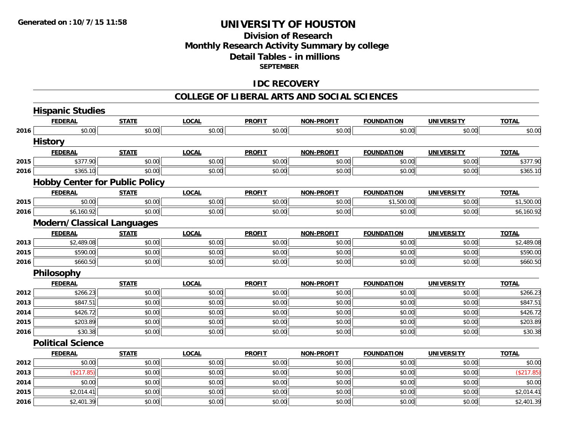# **Division of Research Monthly Research Activity Summary by college Detail Tables - in millions SEPTEMBER**

### **IDC RECOVERY**

|      | <b>Hispanic Studies</b>               |              |              |               |                   |                   |                   |              |
|------|---------------------------------------|--------------|--------------|---------------|-------------------|-------------------|-------------------|--------------|
|      | <b>FEDERAL</b>                        | <b>STATE</b> | <b>LOCAL</b> | <b>PROFIT</b> | <b>NON-PROFIT</b> | <b>FOUNDATION</b> | <b>UNIVERSITY</b> | <b>TOTAL</b> |
| 2016 | \$0.00                                | \$0.00       | \$0.00       | \$0.00        | \$0.00            | \$0.00            | \$0.00            | \$0.00       |
|      | <b>History</b>                        |              |              |               |                   |                   |                   |              |
|      | <b>FEDERAL</b>                        | <b>STATE</b> | <b>LOCAL</b> | <b>PROFIT</b> | <b>NON-PROFIT</b> | <b>FOUNDATION</b> | <b>UNIVERSITY</b> | <b>TOTAL</b> |
| 2015 | \$377.90                              | \$0.00       | \$0.00       | \$0.00        | \$0.00            | \$0.00            | \$0.00            | \$377.90     |
| 2016 | \$365.10                              | \$0.00       | \$0.00       | \$0.00        | \$0.00            | \$0.00            | \$0.00            | \$365.10     |
|      | <b>Hobby Center for Public Policy</b> |              |              |               |                   |                   |                   |              |
|      | <b>FEDERAL</b>                        | <b>STATE</b> | <b>LOCAL</b> | <b>PROFIT</b> | <b>NON-PROFIT</b> | <b>FOUNDATION</b> | <b>UNIVERSITY</b> | <b>TOTAL</b> |
| 2015 | \$0.00                                | \$0.00       | \$0.00       | \$0.00        | \$0.00            | \$1,500.00        | \$0.00            | \$1,500.00   |
| 2016 | \$6,160.92                            | \$0.00       | \$0.00       | \$0.00        | \$0.00            | \$0.00            | \$0.00            | \$6,160.92   |
|      | <b>Modern/Classical Languages</b>     |              |              |               |                   |                   |                   |              |
|      | <b>FEDERAL</b>                        | <b>STATE</b> | <b>LOCAL</b> | <b>PROFIT</b> | <b>NON-PROFIT</b> | <b>FOUNDATION</b> | <b>UNIVERSITY</b> | <b>TOTAL</b> |
| 2013 | \$2,489.08                            | \$0.00       | \$0.00       | \$0.00        | \$0.00            | \$0.00            | \$0.00            | \$2,489.08   |
| 2015 | \$590.00                              | \$0.00       | \$0.00       | \$0.00        | \$0.00            | \$0.00            | \$0.00            | \$590.00     |
| 2016 | \$660.50                              | \$0.00       | \$0.00       | \$0.00        | \$0.00            | \$0.00            | \$0.00            | \$660.50     |
|      | <b>Philosophy</b>                     |              |              |               |                   |                   |                   |              |
|      | <b>FEDERAL</b>                        | <b>STATE</b> | <b>LOCAL</b> | <b>PROFIT</b> | <b>NON-PROFIT</b> | <b>FOUNDATION</b> | <b>UNIVERSITY</b> | <b>TOTAL</b> |
| 2012 | \$266.23                              | \$0.00       | \$0.00       | \$0.00        | \$0.00            | \$0.00            | \$0.00            | \$266.23     |
| 2013 | \$847.51                              | \$0.00       | \$0.00       | \$0.00        | \$0.00            | \$0.00            | \$0.00            | \$847.51     |
| 2014 | \$426.72                              | \$0.00       | \$0.00       | \$0.00        | \$0.00            | \$0.00            | \$0.00            | \$426.72     |
| 2015 | \$203.89                              | \$0.00       | \$0.00       | \$0.00        | \$0.00            | \$0.00            | \$0.00            | \$203.89     |
| 2016 | \$30.38                               | \$0.00       | \$0.00       | \$0.00        | \$0.00            | \$0.00            | \$0.00            | \$30.38      |
|      | <b>Political Science</b>              |              |              |               |                   |                   |                   |              |
|      | <b>FEDERAL</b>                        | <b>STATE</b> | <b>LOCAL</b> | <b>PROFIT</b> | <b>NON-PROFIT</b> | <b>FOUNDATION</b> | <b>UNIVERSITY</b> | <b>TOTAL</b> |
| 2012 | \$0.00                                | \$0.00       | \$0.00       | \$0.00        | \$0.00            | \$0.00            | \$0.00            | \$0.00       |
| 2013 | (\$217.85)                            | \$0.00       | \$0.00       | \$0.00        | \$0.00            | \$0.00            | \$0.00            | (\$217.85)   |
| 2014 | \$0.00                                | \$0.00       | \$0.00       | \$0.00        | \$0.00            | \$0.00            | \$0.00            | \$0.00       |
| 2015 | \$2,014.41                            | \$0.00       | \$0.00       | \$0.00        | \$0.00            | \$0.00            | \$0.00            | \$2,014.41   |
| 2016 | \$2,401.39                            | \$0.00       | \$0.00       | \$0.00        | \$0.00            | \$0.00            | \$0.00            | \$2,401.39   |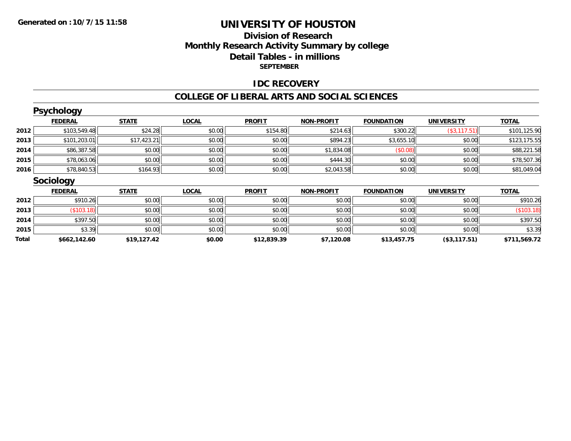# **Division of ResearchMonthly Research Activity Summary by college Detail Tables - in millions SEPTEMBER**

### **IDC RECOVERY**

|              | <b>Psychology</b> |              |              |               |                   |                   |                   |              |
|--------------|-------------------|--------------|--------------|---------------|-------------------|-------------------|-------------------|--------------|
|              | <b>FEDERAL</b>    | <b>STATE</b> | <b>LOCAL</b> | <b>PROFIT</b> | <b>NON-PROFIT</b> | <b>FOUNDATION</b> | <b>UNIVERSITY</b> | <b>TOTAL</b> |
| 2012         | \$103,549.48      | \$24.28      | \$0.00       | \$154.80      | \$214.63          | \$300.22          | (\$3, 117.51)     | \$101,125.90 |
| 2013         | \$101,203.01      | \$17,423.21  | \$0.00       | \$0.00        | \$894.23          | \$3,655.10        | \$0.00            | \$123,175.55 |
| 2014         | \$86,387.58       | \$0.00       | \$0.00       | \$0.00        | \$1,834.08        | (\$0.08)          | \$0.00            | \$88,221.58  |
| 2015         | \$78,063.06       | \$0.00       | \$0.00       | \$0.00        | \$444.30          | \$0.00            | \$0.00            | \$78,507.36  |
| 2016         | \$78,840.53       | \$164.93     | \$0.00       | \$0.00        | \$2,043.58        | \$0.00            | \$0.00            | \$81,049.04  |
|              | <b>Sociology</b>  |              |              |               |                   |                   |                   |              |
|              | <b>FEDERAL</b>    | <b>STATE</b> | <b>LOCAL</b> | <b>PROFIT</b> | <b>NON-PROFIT</b> | <b>FOUNDATION</b> | <b>UNIVERSITY</b> | <b>TOTAL</b> |
| 2012         | \$910.26          | \$0.00       | \$0.00       | \$0.00        | \$0.00            | \$0.00            | \$0.00            | \$910.26     |
| 2013         | (\$103.18)        | \$0.00       | \$0.00       | \$0.00        | \$0.00            | \$0.00            | \$0.00            | (\$103.18)   |
| 2014         | \$397.50          | \$0.00       | \$0.00       | \$0.00        | \$0.00            | \$0.00            | \$0.00            | \$397.50     |
| 2015         | \$3.39            | \$0.00       | \$0.00       | \$0.00        | \$0.00            | \$0.00            | \$0.00            | \$3.39       |
| <b>Total</b> | \$662,142.60      | \$19,127.42  | \$0.00       | \$12,839.39   | \$7,120.08        | \$13,457.75       | (\$3,117.51)      | \$711,569.72 |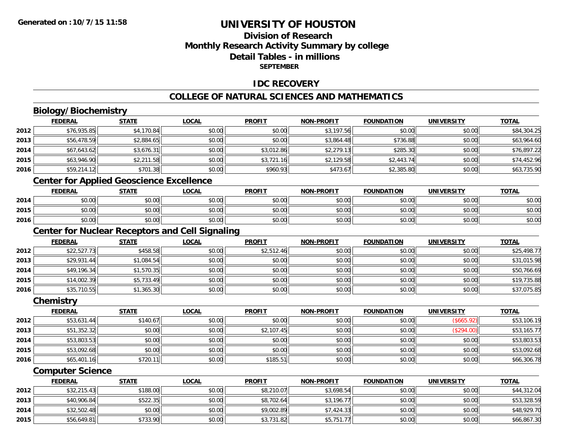# **Division of ResearchMonthly Research Activity Summary by college Detail Tables - in millionsSEPTEMBER**

### **IDC RECOVERY**

# **COLLEGE OF NATURAL SCIENCES AND MATHEMATICS**

# **Biology/Biochemistry**

|      | <b>FEDERAL</b> | <b>STATE</b>                                                                                                | <u>LOCAL</u> | <b>PROFIT</b> | <b>NON-PROFIT</b> | <b>FOUNDATION</b> | <b>UNIVERSITY</b> | <b>TOTAL</b> |
|------|----------------|-------------------------------------------------------------------------------------------------------------|--------------|---------------|-------------------|-------------------|-------------------|--------------|
| 2012 | \$76,935.85    | \$4,170.84                                                                                                  | \$0.00       | \$0.00        | \$3,197.56        | \$0.00            | \$0.00            | \$84,304.25  |
| 2013 | \$56,478.59    | \$2,884.65                                                                                                  | \$0.00       | \$0.00        | \$3,864.48        | \$736.88          | \$0.00            | \$63,964.60  |
| 2014 | \$67,643.62    | \$3,676.31                                                                                                  | \$0.00       | \$3,012.86    | \$2,279.13        | \$285.30          | \$0.00            | \$76,897.22  |
| 2015 | \$63,946.90    | \$2,211.58                                                                                                  | \$0.00       | \$3,721.16    | \$2,129.58        | \$2,443.74        | \$0.00            | \$74,452.96  |
| 2016 | \$59,214.12    | \$701.38                                                                                                    | \$0.00       | \$960.93      | \$473.67          | \$2,385.80        | \$0.00            | \$63,735.90  |
|      |                | $\mathbf{A}$ . The contract of the contract of the contract of $\mathbf{A}$ is the contract of $\mathbf{A}$ |              |               |                   |                   |                   |              |

#### **Center for Applied Geoscience Excellence**

|      | <b>FEDERAL</b>        | STATE                                       | <b>LOCAL</b> | <b>PROFIT</b> | <b>NON-PROFIT</b> | <b>FOUNDATION</b> | UNIVERSITY | <b>TOTAL</b> |
|------|-----------------------|---------------------------------------------|--------------|---------------|-------------------|-------------------|------------|--------------|
| 2014 | ልስ ሰሰ<br>DU.UU        | $\mathfrak{c}\cap\mathfrak{c}\cap$<br>JU.UU | \$0.00       | \$0.00        | \$0.00            | \$0.00            | \$0.00     | \$0.00       |
| 2015 | ልስ ሀህ<br>DU.UU        | 0000<br><b>JU.UU</b>                        | \$0.00       | \$0.00        | \$0.00            | \$0.00            | \$0.00     | \$0.00       |
| 2016 | tη<br>$\cap$<br>DU.UG | 0000<br><b>DU.UU</b>                        | \$0.00       | \$0.00        | \$0.00            | \$0.00            | \$0.00     | \$0.00       |

# **Center for Nuclear Receptors and Cell Signaling**

|      | <b>FEDERAL</b> | <u>STATE</u> | <u>LOCAL</u> | <b>PROFIT</b> | <b>NON-PROFIT</b> | <b>FOUNDATION</b> | <b>UNIVERSITY</b> | <b>TOTAL</b> |
|------|----------------|--------------|--------------|---------------|-------------------|-------------------|-------------------|--------------|
| 2012 | \$22,527.73    | \$458.58     | \$0.00       | \$2,512.46    | \$0.00            | \$0.00            | \$0.00            | \$25,498.77  |
| 2013 | \$29,931.44    | \$1,084.54   | \$0.00       | \$0.00        | \$0.00            | \$0.00            | \$0.00            | \$31,015.98  |
| 2014 | \$49,196.34    | \$1,570.35   | \$0.00       | \$0.00        | \$0.00            | \$0.00            | \$0.00            | \$50,766.69  |
| 2015 | \$14,002.39    | \$5,733.49   | \$0.00       | \$0.00        | \$0.00            | \$0.00            | \$0.00            | \$19,735.88  |
| 2016 | \$35,710.55    | \$1,365.30   | \$0.00       | \$0.00        | \$0.00            | \$0.00            | \$0.00            | \$37,075.85  |

#### **Chemistry**

|      | <b>FEDERAL</b> | <b>STATE</b> | <u>LOCAL</u> | <b>PROFIT</b> | <b>NON-PROFIT</b> | <b>FOUNDATION</b> | <b>UNIVERSITY</b> | <b>TOTAL</b> |
|------|----------------|--------------|--------------|---------------|-------------------|-------------------|-------------------|--------------|
| 2012 | \$53,631.44    | \$140.67     | \$0.00       | \$0.00        | \$0.00            | \$0.00            | (\$665.92)        | \$53,106.19  |
| 2013 | \$51,352.32    | \$0.00       | \$0.00       | \$2,107.45    | \$0.00            | \$0.00            | (\$294.00)        | \$53,165.77  |
| 2014 | \$53,803.53    | \$0.00       | \$0.00       | \$0.00        | \$0.00            | \$0.00            | \$0.00            | \$53,803.53  |
| 2015 | \$53,092.68    | \$0.00       | \$0.00       | \$0.00        | \$0.00            | \$0.00            | \$0.00            | \$53,092.68  |
| 2016 | \$65,401.16    | \$720.11     | \$0.00       | \$185.51      | \$0.00            | \$0.00            | \$0.00            | \$66,306.78  |

### **Computer Science**

|      | <b>FEDERAL</b> | <b>STATE</b> | <u>LOCAL</u> | <b>PROFIT</b> | <b>NON-PROFIT</b> | <b>FOUNDATION</b> | <b>UNIVERSITY</b> | <b>TOTAL</b> |
|------|----------------|--------------|--------------|---------------|-------------------|-------------------|-------------------|--------------|
| 2012 | \$32,215.43    | \$188.00     | \$0.00       | \$8,210.07    | \$3,698.54        | \$0.00            | \$0.00            | \$44,312.04  |
| 2013 | \$40,906.84    | \$522.35     | \$0.00       | \$8,702.64    | \$3,196.77        | \$0.00            | \$0.00            | \$53,328.59  |
| 2014 | \$32,502.48    | \$0.00       | \$0.00       | \$9,002.89    | \$7,424.33        | \$0.00            | \$0.00            | \$48,929.70  |
| 2015 | \$56,649.81    | \$733.90     | \$0.00       | \$3,731.82    | \$5,751.77        | \$0.00            | \$0.00            | \$66,867.30  |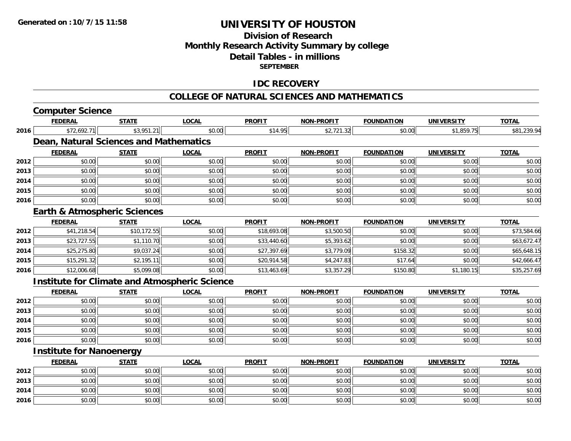**2016**

# **UNIVERSITY OF HOUSTON**

# **Division of ResearchMonthly Research Activity Summary by college Detail Tables - in millions SEPTEMBER**

### **IDC RECOVERY**

#### **COLLEGE OF NATURAL SCIENCES AND MATHEMATICS**

|      | <b>Computer Science</b>         |                                         |                                                      |               |                   |                   |                   |              |
|------|---------------------------------|-----------------------------------------|------------------------------------------------------|---------------|-------------------|-------------------|-------------------|--------------|
|      | <b>FEDERAL</b>                  | <b>STATE</b>                            | <b>LOCAL</b>                                         | <b>PROFIT</b> | <b>NON-PROFIT</b> | <b>FOUNDATION</b> | <b>UNIVERSITY</b> | <b>TOTAL</b> |
| 2016 | \$72,692.71                     | \$3,951.21                              | \$0.00                                               | \$14.95       | \$2,721.32        | \$0.00            | \$1,859.75        | \$81,239.94  |
|      |                                 | Dean, Natural Sciences and Mathematics  |                                                      |               |                   |                   |                   |              |
|      | <b>FEDERAL</b>                  | <b>STATE</b>                            | <b>LOCAL</b>                                         | <b>PROFIT</b> | <b>NON-PROFIT</b> | <b>FOUNDATION</b> | <b>UNIVERSITY</b> | <b>TOTAL</b> |
| 2012 | \$0.00                          | \$0.00                                  | \$0.00                                               | \$0.00        | \$0.00            | \$0.00            | \$0.00            | \$0.00       |
| 2013 | \$0.00                          | \$0.00                                  | \$0.00                                               | \$0.00        | \$0.00            | \$0.00            | \$0.00            | \$0.00       |
| 2014 | \$0.00                          | \$0.00                                  | \$0.00                                               | \$0.00        | \$0.00            | \$0.00            | \$0.00            | \$0.00       |
| 2015 | \$0.00                          | \$0.00                                  | \$0.00                                               | \$0.00        | \$0.00            | \$0.00            | \$0.00            | \$0.00       |
| 2016 | \$0.00                          | \$0.00                                  | \$0.00                                               | \$0.00        | \$0.00            | \$0.00            | \$0.00            | \$0.00       |
|      |                                 | <b>Earth &amp; Atmospheric Sciences</b> |                                                      |               |                   |                   |                   |              |
|      | <b>FEDERAL</b>                  | <b>STATE</b>                            | <b>LOCAL</b>                                         | <b>PROFIT</b> | <b>NON-PROFIT</b> | <b>FOUNDATION</b> | <b>UNIVERSITY</b> | <b>TOTAL</b> |
| 2012 | \$41,218.54                     | \$10,172.55                             | \$0.00                                               | \$18,693.08   | \$3,500.50        | \$0.00            | \$0.00            | \$73,584.66  |
| 2013 | \$23,727.55                     | \$1,110.70                              | \$0.00                                               | \$33,440.60   | \$5,393.62        | \$0.00            | \$0.00            | \$63,672.47  |
| 2014 | \$25,275.80                     | \$9,037.24                              | \$0.00                                               | \$27,397.69   | \$3,779.09        | \$158.32          | \$0.00            | \$65,648.15  |
| 2015 | \$15,291.32                     | \$2,195.11                              | \$0.00                                               | \$20,914.58   | \$4,247.83        | \$17.64           | \$0.00            | \$42,666.47  |
| 2016 | \$12,006.68                     | \$5,099.08                              | \$0.00                                               | \$13,463.69   | \$3,357.29        | \$150.80          | \$1,180.15        | \$35,257.69  |
|      |                                 |                                         | <b>Institute for Climate and Atmospheric Science</b> |               |                   |                   |                   |              |
|      | <b>FEDERAL</b>                  | <b>STATE</b>                            | <b>LOCAL</b>                                         | <b>PROFIT</b> | <b>NON-PROFIT</b> | <b>FOUNDATION</b> | <b>UNIVERSITY</b> | <b>TOTAL</b> |
| 2012 | \$0.00                          | \$0.00                                  | \$0.00                                               | \$0.00        | \$0.00            | \$0.00            | \$0.00            | \$0.00       |
| 2013 | \$0.00                          | \$0.00                                  | \$0.00                                               | \$0.00        | \$0.00            | \$0.00            | \$0.00            | \$0.00       |
| 2014 | \$0.00                          | \$0.00                                  | \$0.00                                               | \$0.00        | \$0.00            | \$0.00            | \$0.00            | \$0.00       |
| 2015 | \$0.00                          | \$0.00                                  | \$0.00                                               | \$0.00        | \$0.00            | \$0.00            | \$0.00            | \$0.00       |
| 2016 | \$0.00                          | \$0.00                                  | \$0.00                                               | \$0.00        | \$0.00            | \$0.00            | \$0.00            | \$0.00       |
|      | <b>Institute for Nanoenergy</b> |                                         |                                                      |               |                   |                   |                   |              |
|      | <b>FEDERAL</b>                  | <b>STATE</b>                            | <b>LOCAL</b>                                         | <b>PROFIT</b> | <b>NON-PROFIT</b> | <b>FOUNDATION</b> | <b>UNIVERSITY</b> | <b>TOTAL</b> |
| 2012 | \$0.00                          | \$0.00                                  | \$0.00                                               | \$0.00        | \$0.00            | \$0.00            | \$0.00            | \$0.00       |
| 2013 | \$0.00                          | \$0.00                                  | \$0.00                                               | \$0.00        | \$0.00            | \$0.00            | \$0.00            | \$0.00       |
| 2014 | \$0.00                          | \$0.00                                  | \$0.00                                               | \$0.00        | \$0.00            | \$0.00            | \$0.00            | \$0.00       |

\$0.00 \$0.00 \$0.00 \$0.00 \$0.00 \$0.00 \$0.00 \$0.00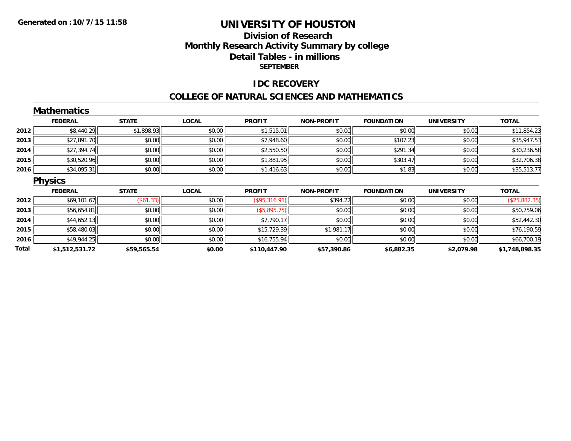# **Division of ResearchMonthly Research Activity Summary by college Detail Tables - in millions SEPTEMBER**

### **IDC RECOVERY**

#### **COLLEGE OF NATURAL SCIENCES AND MATHEMATICS**

|       | <b>Mathematics</b> |              |              |               |                   |                   |                   |                |
|-------|--------------------|--------------|--------------|---------------|-------------------|-------------------|-------------------|----------------|
|       | <b>FEDERAL</b>     | <b>STATE</b> | <b>LOCAL</b> | <b>PROFIT</b> | <b>NON-PROFIT</b> | <b>FOUNDATION</b> | <b>UNIVERSITY</b> | <b>TOTAL</b>   |
| 2012  | \$8,440.29         | \$1,898.93   | \$0.00       | \$1,515.01    | \$0.00            | \$0.00            | \$0.00            | \$11,854.23    |
| 2013  | \$27,891.70        | \$0.00       | \$0.00       | \$7,948.60    | \$0.00            | \$107.23          | \$0.00            | \$35,947.53    |
| 2014  | \$27,394.74        | \$0.00       | \$0.00       | \$2,550.50    | \$0.00            | \$291.34          | \$0.00            | \$30,236.58    |
| 2015  | \$30,520.96        | \$0.00       | \$0.00       | \$1,881.95    | \$0.00            | \$303.47          | \$0.00            | \$32,706.38    |
| 2016  | \$34,095.31        | \$0.00       | \$0.00       | \$1,416.63    | \$0.00            | \$1.83            | \$0.00            | \$35,513.77    |
|       | <b>Physics</b>     |              |              |               |                   |                   |                   |                |
|       | <b>FEDERAL</b>     | <b>STATE</b> | <b>LOCAL</b> | <b>PROFIT</b> | <b>NON-PROFIT</b> | <b>FOUNDATION</b> | <b>UNIVERSITY</b> | <b>TOTAL</b>   |
| 2012  | \$69,101.67        | (\$61.33)    | \$0.00       | (\$95,316.91) | \$394.22          | \$0.00            | \$0.00            | (\$25,882.35)  |
| 2013  | \$56,654.81        | \$0.00       | \$0.00       | (\$5,895.75)  | \$0.00            | \$0.00            | \$0.00            | \$50,759.06    |
| 2014  | \$44,652.13        | \$0.00       | \$0.00       | \$7,790.17    | \$0.00            | \$0.00            | \$0.00            | \$52,442.30    |
| 2015  | \$58,480.03        | \$0.00       | \$0.00       | \$15,729.39   | \$1,981.17        | \$0.00            | \$0.00            | \$76,190.59    |
| 2016  | \$49,944.25        | \$0.00       | \$0.00       | \$16,755.94   | \$0.00            | \$0.00            | \$0.00            | \$66,700.19    |
| Total | \$1,512,531.72     | \$59,565.54  | \$0.00       | \$110,447.90  | \$57,390.86       | \$6,882.35        | \$2,079.98        | \$1,748,898.35 |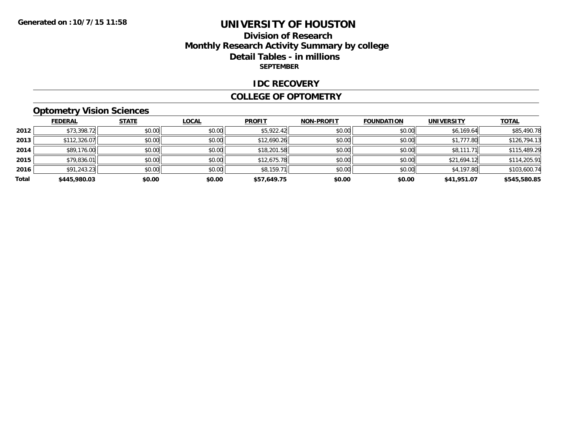# **Division of Research Monthly Research Activity Summary by college Detail Tables - in millions SEPTEMBER**

#### **IDC RECOVERY**

#### **COLLEGE OF OPTOMETRY**

# **Optometry Vision Sciences**

|       | <b>FEDERAL</b> | <b>STATE</b> | <b>LOCAL</b> | <b>PROFIT</b> | <b>NON-PROFIT</b> | <b>FOUNDATION</b> | <b>UNIVERSITY</b> | <b>TOTAL</b> |
|-------|----------------|--------------|--------------|---------------|-------------------|-------------------|-------------------|--------------|
| 2012  | \$73,398.72    | \$0.00       | \$0.00       | \$5,922.42    | \$0.00            | \$0.00            | \$6,169.64        | \$85,490.78  |
| 2013  | \$112,326.07   | \$0.00       | \$0.00       | \$12,690.26   | \$0.00            | \$0.00            | \$1,777.80        | \$126,794.13 |
| 2014  | \$89,176.00    | \$0.00       | \$0.00       | \$18,201.58   | \$0.00            | \$0.00            | \$8,111.71        | \$115,489.29 |
| 2015  | \$79,836.01    | \$0.00       | \$0.00       | \$12,675.78   | \$0.00            | \$0.00            | \$21,694.12       | \$114,205.91 |
| 2016  | \$91,243.23    | \$0.00       | \$0.00       | \$8,159.71    | \$0.00            | \$0.00            | \$4,197.80        | \$103,600.74 |
| Total | \$445,980.03   | \$0.00       | \$0.00       | \$57,649.75   | \$0.00            | \$0.00            | \$41,951.07       | \$545,580.85 |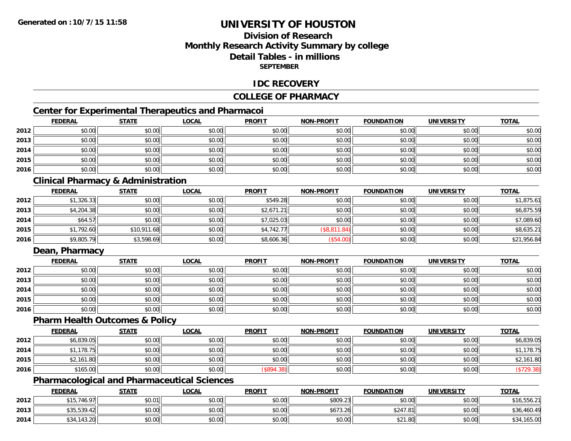# **Division of ResearchMonthly Research Activity Summary by college Detail Tables - in millionsSEPTEMBER**

### **IDC RECOVERY**

### **COLLEGE OF PHARMACY**

# **Center for Experimental Therapeutics and Pharmacoi**

|      | <b>FEDERAL</b> | <b>STATE</b> | <b>LOCAL</b> | <b>PROFIT</b> | <b>NON-PROFIT</b> | <b>FOUNDATION</b> | <b>UNIVERSITY</b> | <b>TOTAL</b> |
|------|----------------|--------------|--------------|---------------|-------------------|-------------------|-------------------|--------------|
| 2012 | \$0.00         | \$0.00       | \$0.00       | \$0.00        | \$0.00            | \$0.00            | \$0.00            | \$0.00       |
| 2013 | \$0.00         | \$0.00       | \$0.00       | \$0.00        | \$0.00            | \$0.00            | \$0.00            | \$0.00       |
| 2014 | \$0.00         | \$0.00       | \$0.00       | \$0.00        | \$0.00            | \$0.00            | \$0.00            | \$0.00       |
| 2015 | \$0.00         | \$0.00       | \$0.00       | \$0.00        | \$0.00            | \$0.00            | \$0.00            | \$0.00       |
| 2016 | \$0.00         | \$0.00       | \$0.00       | \$0.00        | \$0.00            | \$0.00            | \$0.00            | \$0.00       |

# **Clinical Pharmacy & Administration**

|      | <b>FEDERAL</b> | <b>STATE</b> | <b>LOCAL</b> | <b>PROFIT</b> | <b>NON-PROFIT</b> | <b>FOUNDATION</b> | <b>UNIVERSITY</b> | <b>TOTAL</b> |
|------|----------------|--------------|--------------|---------------|-------------------|-------------------|-------------------|--------------|
| 2012 | \$1,326.33     | \$0.00       | \$0.00       | \$549.28      | \$0.00            | \$0.00            | \$0.00            | \$1,875.61   |
| 2013 | \$4,204.38     | \$0.00       | \$0.00       | \$2,671.21    | \$0.00            | \$0.00            | \$0.00            | \$6,875.59   |
| 2014 | \$64.57        | \$0.00       | \$0.00       | \$7,025.03    | \$0.00            | \$0.00            | \$0.00            | \$7,089.60   |
| 2015 | \$1,792.60     | \$10,911.68  | \$0.00       | \$4,742.77    | (\$8,811.84)      | \$0.00            | \$0.00            | \$8,635.21   |
| 2016 | \$9,805.79     | \$3,598.69   | \$0.00       | \$8,606.36    | \$54.00           | \$0.00            | \$0.00            | \$21,956.84  |

# **Dean, Pharmacy**

|      | <b>FEDERAL</b> | <b>STATE</b> | <u>LOCAL</u> | <b>PROFIT</b> | <b>NON-PROFIT</b> | <b>FOUNDATION</b> | <b>UNIVERSITY</b> | <b>TOTAL</b> |
|------|----------------|--------------|--------------|---------------|-------------------|-------------------|-------------------|--------------|
| 2012 | \$0.00         | \$0.00       | \$0.00       | \$0.00        | \$0.00            | \$0.00            | \$0.00            | \$0.00       |
| 2013 | \$0.00         | \$0.00       | \$0.00       | \$0.00        | \$0.00            | \$0.00            | \$0.00            | \$0.00       |
| 2014 | \$0.00         | \$0.00       | \$0.00       | \$0.00        | \$0.00            | \$0.00            | \$0.00            | \$0.00       |
| 2015 | \$0.00         | \$0.00       | \$0.00       | \$0.00        | \$0.00            | \$0.00            | \$0.00            | \$0.00       |
| 2016 | \$0.00         | \$0.00       | \$0.00       | \$0.00        | \$0.00            | \$0.00            | \$0.00            | \$0.00       |

#### **Pharm Health Outcomes & Policy**

|      | <b>FEDERAL</b> | <u>STATE</u> | <b>LOCAL</b> | <b>PROFIT</b> | <b>NON-PROFIT</b> | <b>FOUNDATION</b> | <b>UNIVERSITY</b> | <u>TOTAL</u> |
|------|----------------|--------------|--------------|---------------|-------------------|-------------------|-------------------|--------------|
| 2012 | \$6,839.05     | \$0.00       | \$0.00       | \$0.00        | \$0.00            | \$0.00            | \$0.00            | \$6,839.05   |
| 2014 | ا 1,178.75∣ ہ  | \$0.00       | \$0.00       | \$0.00        | \$0.00            | \$0.00            | \$0.00            | \$1,178.75   |
| 2015 | \$2,161.80     | \$0.00       | \$0.00       | \$0.00        | \$0.00            | \$0.00            | \$0.00            | \$2,161.80   |
| 2016 | \$165.00       | \$0.00       | \$0.00       | \$894.38      | \$0.00            | \$0.00            | \$0.00            | (\$729.38)   |

# **Pharmacological and Pharmaceutical Sciences**

|      | <b>FEDERAL</b> | <b>STATE</b> | <u>LOCAL</u> | <b>PROFIT</b> | <b>NON-PROFIT</b> | <b>FOUNDATION</b> | <b>UNIVERSITY</b> | <b>TOTAL</b> |
|------|----------------|--------------|--------------|---------------|-------------------|-------------------|-------------------|--------------|
| 2012 | \$15,746.97    | \$0.01       | \$0.00       | \$0.00        | \$809.23          | \$0.00            | \$0.00            | \$16,556.21  |
| 2013 | \$35,539.42    | \$0.00       | \$0.00       | \$0.00        | \$673.26          | \$247.81          | \$0.00            | \$36,460.49  |
| 2014 | \$34,143.20    | \$0.00       | \$0.00       | \$0.00        | \$0.00            | \$21.80           | \$0.00            | \$34,165.00  |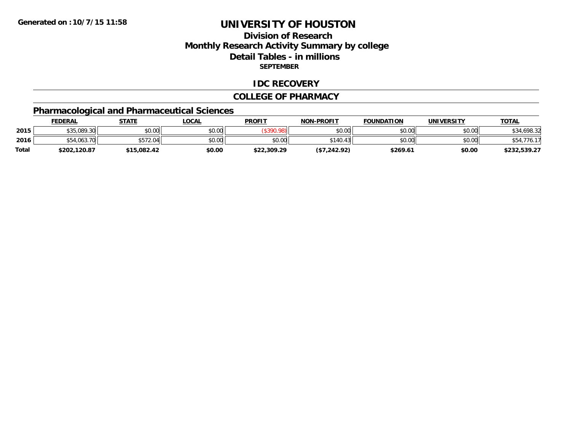# **Division of ResearchMonthly Research Activity Summary by college Detail Tables - in millions SEPTEMBER**

#### **IDC RECOVERY**

#### **COLLEGE OF PHARMACY**

# **Pharmacological and Pharmaceutical Sciences**

|       | <b>FEDERAL</b> | STATE       | _OCAL  | <b>PROFIT</b> | <b>NON-PROFIT</b> | <b>FOUNDATION</b> | UNIVERSITY | <u>TOTAL</u>    |
|-------|----------------|-------------|--------|---------------|-------------------|-------------------|------------|-----------------|
| 2015  | \$35,089.30    | \$0.00      | \$0.00 |               | \$0.00            | \$0.00            | \$0.00     | .698.32<br>\$34 |
| 2016  |                | \$572.04    | \$0.00 | \$0.00        | $^{\circ}140.43$  | \$0.00            | \$0.00     |                 |
| Total | \$202,120.87   | \$15.082.42 | \$0.00 | \$22,309.29   | (\$7,242.92)      | \$269.61          | \$0.00     | \$232,539.27    |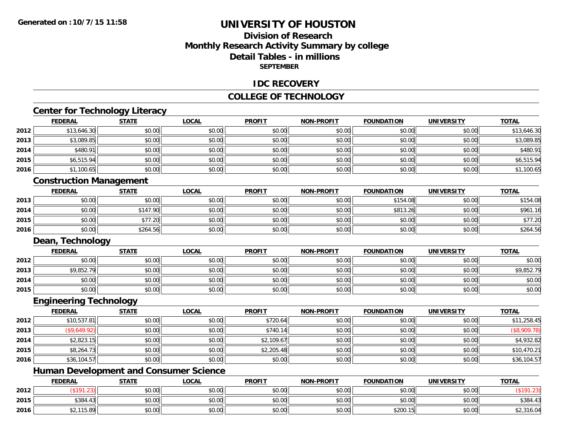**2015**

**2016**

# **UNIVERSITY OF HOUSTON**

# **Division of ResearchMonthly Research Activity Summary by college Detail Tables - in millions SEPTEMBER**

### **IDC RECOVERY**

#### **COLLEGE OF TECHNOLOGY**

# **Center for Technology Literacy**

|      | <b>FEDERAL</b>                                | <b>STATE</b> | <b>LOCAL</b> | <b>PROFIT</b> | <b>NON-PROFIT</b> | <b>FOUNDATION</b> | <b>UNIVERSITY</b> | <b>TOTAL</b> |
|------|-----------------------------------------------|--------------|--------------|---------------|-------------------|-------------------|-------------------|--------------|
| 2012 | \$13,646.30                                   | \$0.00       | \$0.00       | \$0.00        | \$0.00            | \$0.00            | \$0.00            | \$13,646.30  |
| 2013 | \$3,089.85                                    | \$0.00       | \$0.00       | \$0.00        | \$0.00            | \$0.00            | \$0.00            | \$3,089.85   |
| 2014 | \$480.91                                      | \$0.00       | \$0.00       | \$0.00        | \$0.00            | \$0.00            | \$0.00            | \$480.91     |
| 2015 | \$6,515.94                                    | \$0.00       | \$0.00       | \$0.00        | \$0.00            | \$0.00            | \$0.00            | \$6,515.94   |
| 2016 | \$1,100.65                                    | \$0.00       | \$0.00       | \$0.00        | \$0.00            | \$0.00            | \$0.00            | \$1,100.65   |
|      | <b>Construction Management</b>                |              |              |               |                   |                   |                   |              |
|      | <b>FEDERAL</b>                                | <b>STATE</b> | <b>LOCAL</b> | <b>PROFIT</b> | <b>NON-PROFIT</b> | <b>FOUNDATION</b> | <b>UNIVERSITY</b> | <b>TOTAL</b> |
| 2013 | \$0.00                                        | \$0.00       | \$0.00       | \$0.00        | \$0.00            | \$154.08          | \$0.00            | \$154.08     |
| 2014 | \$0.00                                        | \$147.90     | \$0.00       | \$0.00        | \$0.00            | \$813.26          | \$0.00            | \$961.16     |
| 2015 | \$0.00                                        | \$77.20      | \$0.00       | \$0.00        | \$0.00            | \$0.00            | \$0.00            | \$77.20      |
| 2016 | \$0.00                                        | \$264.56     | \$0.00       | \$0.00        | \$0.00            | \$0.00            | \$0.00            | \$264.56     |
|      | Dean, Technology                              |              |              |               |                   |                   |                   |              |
|      | <b>FEDERAL</b>                                | <b>STATE</b> | <b>LOCAL</b> | <b>PROFIT</b> | <b>NON-PROFIT</b> | <b>FOUNDATION</b> | <b>UNIVERSITY</b> | <b>TOTAL</b> |
| 2012 | \$0.00                                        | \$0.00       | \$0.00       | \$0.00        | \$0.00            | \$0.00            | \$0.00            | \$0.00       |
| 2013 | \$9,852.79                                    | \$0.00       | \$0.00       | \$0.00        | \$0.00            | \$0.00            | \$0.00            | \$9,852.79   |
| 2014 | \$0.00                                        | \$0.00       | \$0.00       | \$0.00        | \$0.00            | \$0.00            | \$0.00            | \$0.00       |
| 2015 | \$0.00                                        | \$0.00       | \$0.00       | \$0.00        | \$0.00            | \$0.00            | \$0.00            | \$0.00       |
|      | <b>Engineering Technology</b>                 |              |              |               |                   |                   |                   |              |
|      | <b>FEDERAL</b>                                | <b>STATE</b> | <b>LOCAL</b> | <b>PROFIT</b> | <b>NON-PROFIT</b> | <b>FOUNDATION</b> | <b>UNIVERSITY</b> | <b>TOTAL</b> |
| 2012 | \$10,537.81                                   | \$0.00       | \$0.00       | \$720.64      | \$0.00            | \$0.00            | \$0.00            | \$11,258.45  |
| 2013 | (\$9,649.92)                                  | \$0.00       | \$0.00       | \$740.14      | \$0.00            | \$0.00            | \$0.00            | (\$8,909.78) |
| 2014 | \$2,823.15                                    | \$0.00       | \$0.00       | \$2,109.67    | \$0.00            | \$0.00            | \$0.00            | \$4,932.82   |
| 2015 | \$8,264.73                                    | \$0.00       | \$0.00       | \$2,205.48    | \$0.00            | \$0.00            | \$0.00            | \$10,470.21  |
| 2016 | \$36,104.57                                   | \$0.00       | \$0.00       | \$0.00        | \$0.00            | \$0.00            | \$0.00            | \$36,104.57  |
|      | <b>Human Development and Consumer Science</b> |              |              |               |                   |                   |                   |              |
|      | <b>FEDERAL</b>                                | <b>STATE</b> | <b>LOCAL</b> | <b>PROFIT</b> | <b>NON-PROFIT</b> | <b>FOUNDATION</b> | <b>UNIVERSITY</b> | <b>TOTAL</b> |
| 2012 | (\$191.23)                                    | \$0.00       | \$0.00       | \$0.00        | \$0.00            | \$0.00            | \$0.00            | (\$191.23)   |

(\$191.23) \$0.00 \$0.00 \$0.00 \$0.00 \$0.00 \$0.00 (\$191.23)

\$384.43 \$0.00 \$0.00 \$0.00 \$0.00 \$0.00 \$0.00 \$384.43

6 \$2,115.89 \$0.00 \$0.00 \$0.00 \$0.00 \$0.00 \$0.00 \$0.00 \$0.00 \$0.00 \$2,316.04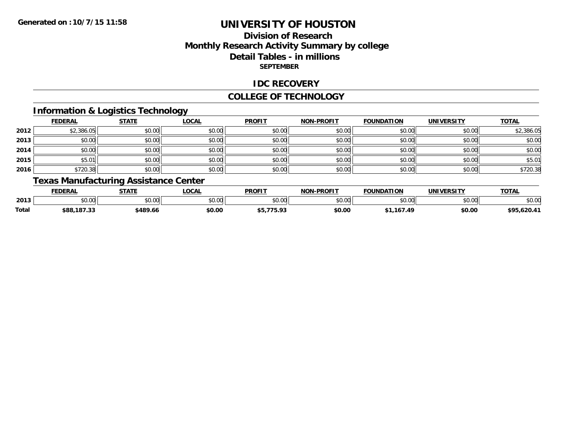# **Division of ResearchMonthly Research Activity Summary by college Detail Tables - in millions SEPTEMBER**

### **IDC RECOVERY**

#### **COLLEGE OF TECHNOLOGY**

# **Information & Logistics Technology**

|      | <b>FEDERAL</b> | <b>STATE</b> | <u>LOCAL</u> | <b>PROFIT</b> | <b>NON-PROFIT</b> | <b>FOUNDATION</b> | <b>UNIVERSITY</b> | <b>TOTAL</b> |
|------|----------------|--------------|--------------|---------------|-------------------|-------------------|-------------------|--------------|
| 2012 | \$2,386.05     | \$0.00       | \$0.00       | \$0.00        | \$0.00            | \$0.00            | \$0.00            | \$2,386.05   |
| 2013 | \$0.00         | \$0.00       | \$0.00       | \$0.00        | \$0.00            | \$0.00            | \$0.00            | \$0.00       |
| 2014 | \$0.00         | \$0.00       | \$0.00       | \$0.00        | \$0.00            | \$0.00            | \$0.00            | \$0.00       |
| 2015 | \$5.01         | \$0.00       | \$0.00       | \$0.00        | \$0.00            | \$0.00            | \$0.00            | \$5.01       |
| 2016 | \$720.38       | \$0.00       | \$0.00       | \$0.00        | \$0.00            | \$0.00            | \$0.00            | \$720.38     |

# **Texas Manufacturing Assistance Center**

|       | FEDERAL            | <b>STATE</b>  | <b>OCAL</b> | <b>PROFIT</b>             | <b>NON-PROFIT</b> | <b>FOUNDATION</b> | <b>IINIIVEDCITV</b><br>$\mathbf{v}$ | <b>TOTAL</b>                     |
|-------|--------------------|---------------|-------------|---------------------------|-------------------|-------------------|-------------------------------------|----------------------------------|
| 2013  | $\sim$ 00<br>JU.UU | 0000<br>JU.UU | JU.UU       | 0000<br>JU.UU             | \$0.00            | ሶስ ሰሰ             | 0000<br>JU.UU                       | ት ባ ሰ<br>\$U.UU                  |
| Total | \$88,187.33        | \$489.66      | \$0.00      | <b>775.03</b><br>.<br>. . | \$0.00            | 16749<br>167.4    | \$0.00                              | <b>TOL</b><br>1.2011<br>73.949.7 |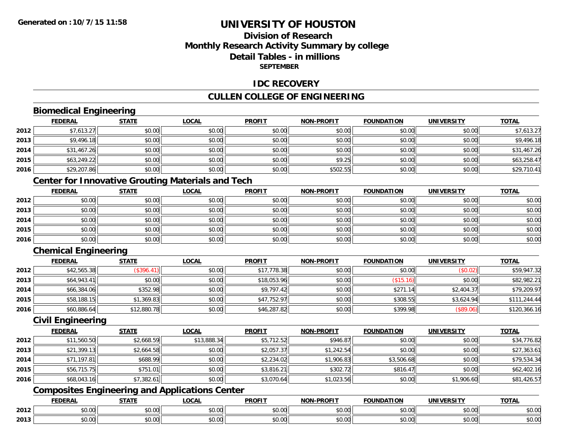# **Division of ResearchMonthly Research Activity Summary by college Detail Tables - in millionsSEPTEMBER**

## **IDC RECOVERY**

# **CULLEN COLLEGE OF ENGINEERING**

# **Biomedical Engineering**

|      | <b>FEDERAL</b> | <b>STATE</b> | <u>LOCAL</u> | <b>PROFIT</b> | <b>NON-PROFIT</b> | <b>FOUNDATION</b> | <b>UNIVERSITY</b> | <b>TOTAL</b> |
|------|----------------|--------------|--------------|---------------|-------------------|-------------------|-------------------|--------------|
| 2012 | \$7,613.27     | \$0.00       | \$0.00       | \$0.00        | \$0.00            | \$0.00            | \$0.00            | \$7,613.27   |
| 2013 | \$9,496.18     | \$0.00       | \$0.00       | \$0.00        | \$0.00            | \$0.00            | \$0.00            | \$9,496.18   |
| 2014 | \$31,467.26    | \$0.00       | \$0.00       | \$0.00        | \$0.00            | \$0.00            | \$0.00            | \$31,467.26  |
| 2015 | \$63,249.22    | \$0.00       | \$0.00       | \$0.00        | \$9.25            | \$0.00            | \$0.00            | \$63,258.47  |
| 2016 | \$29,207.86    | \$0.00       | \$0.00       | \$0.00        | \$502.55          | \$0.00            | \$0.00            | \$29,710.41  |

# **Center for Innovative Grouting Materials and Tech**

|      | <b>FEDERAL</b> | <b>STATE</b> | <u>LOCAL</u> | <b>PROFIT</b> | <b>NON-PROFIT</b> | <b>FOUNDATION</b> | <b>UNIVERSITY</b> | <b>TOTAL</b> |
|------|----------------|--------------|--------------|---------------|-------------------|-------------------|-------------------|--------------|
| 2012 | \$0.00         | \$0.00       | \$0.00       | \$0.00        | \$0.00            | \$0.00            | \$0.00            | \$0.00       |
| 2013 | \$0.00         | \$0.00       | \$0.00       | \$0.00        | \$0.00            | \$0.00            | \$0.00            | \$0.00       |
| 2014 | \$0.00         | \$0.00       | \$0.00       | \$0.00        | \$0.00            | \$0.00            | \$0.00            | \$0.00       |
| 2015 | \$0.00         | \$0.00       | \$0.00       | \$0.00        | \$0.00            | \$0.00            | \$0.00            | \$0.00       |
| 2016 | \$0.00         | \$0.00       | \$0.00       | \$0.00        | \$0.00            | \$0.00            | \$0.00            | \$0.00       |

# **Chemical Engineering**

|      | <b>FEDERAL</b> | <b>STATE</b> | <b>LOCAL</b> | <b>PROFIT</b> | <b>NON-PROFIT</b> | <b>FOUNDATION</b> | <b>UNIVERSITY</b> | <b>TOTAL</b> |
|------|----------------|--------------|--------------|---------------|-------------------|-------------------|-------------------|--------------|
| 2012 | \$42,565.38    | (\$396.41"   | \$0.00       | \$17,778.38   | \$0.00            | \$0.00            | (\$0.02)          | \$59,947.32  |
| 2013 | \$64,943.41    | \$0.00       | \$0.00       | \$18,053.96   | \$0.00            | (\$15.16)         | \$0.00            | \$82,982.21  |
| 2014 | \$66,384.06    | \$352.98     | \$0.00       | \$9,797.42    | \$0.00            | \$271<br>14 I     | \$2,404.37        | \$79,209.97  |
| 2015 | \$58,188.15    | \$1,369.83   | \$0.00       | \$47,752.97   | \$0.00            | \$308.55          | \$3,624.94        | \$111,244.44 |
| 2016 | \$60,886.64    | \$12,880.78  | \$0.00       | \$46,287.82   | \$0.00            | \$399.98          | (\$89.06)         | \$120,366.16 |

#### **Civil Engineering**

|      | <b>FEDERAL</b> | <u>STATE</u> | <u>LOCAL</u> | <b>PROFIT</b> | <b>NON-PROFIT</b> | <b>FOUNDATION</b> | <b>UNIVERSITY</b> | <b>TOTAL</b> |
|------|----------------|--------------|--------------|---------------|-------------------|-------------------|-------------------|--------------|
| 2012 | \$11,560.50    | \$2,668.59   | \$13,888.34  | \$5,712.52    | \$946.87          | \$0.00            | \$0.00            | \$34,776.82  |
| 2013 | \$21,399.13    | \$2,664.58   | \$0.00       | \$2,057.37    | \$1,242.54        | \$0.00            | \$0.00            | \$27,363.61  |
| 2014 | \$71,197.81    | \$688.99     | \$0.00       | \$2,234.02    | \$1,906.83        | \$3,506.68        | \$0.00            | \$79,534.34  |
| 2015 | \$56,715,75    | \$751.01     | \$0.00       | \$3,816.21    | \$302.72          | \$816.47          | \$0.00            | \$62,402.16  |
| 2016 | \$68,043.16    | \$7,382.61   | \$0.00       | \$3,070.64    | \$1,023.56        | \$0.00            | \$1,906.60        | \$81,426.57  |

# **Composites Engineering and Applications Center**

|      | ומם ח<br>ERA   | <b>CTATI</b>       | <b>_OCAI</b>       | <b>PROFIT</b>      | <b>DDAEIT</b><br><b>NON</b><br>зĸ.            | <b>INDA</b><br>.                           | i INIT<br>w     | <b>TOTAL</b> |
|------|----------------|--------------------|--------------------|--------------------|-----------------------------------------------|--------------------------------------------|-----------------|--------------|
| 2012 | 0.00           | $\sim$<br>טט.טע    | $\sim$ 00<br>pu.uu | $\sim$ 00<br>pu.uu | $\mathfrak{g}$ $\mathfrak{g}$<br><b>DU.UU</b> | $\mathsf{A} \cap \mathsf{A} \cap$<br>JU.UU | ADAO<br>vu.vu   | JU.UU        |
| 2013 | $\sim$<br>0.00 | $\triangle$<br>ט.ט | ሶስ ሰሰ<br>PU.UU     | $\sim$ 00<br>JU.UU | \$0.00                                        | $\cdots$<br>JU.UU                          | امہ مہ<br>vv.vv | JU.UL        |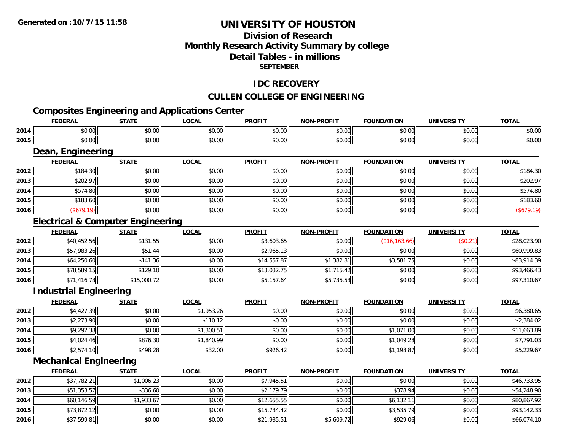# **Division of ResearchMonthly Research Activity Summary by college Detail Tables - in millions SEPTEMBER**

## **IDC RECOVERY**

# **CULLEN COLLEGE OF ENGINEERING**

# **Composites Engineering and Applications Center**

|      | <b>FEDERAL</b>                               | <b>STATE</b> | <b>LOCAL</b> | <b>PROFIT</b> | <b>NON-PROFIT</b> | <b>FOUNDATION</b> | <b>UNIVERSITY</b> | <b>TOTAL</b> |
|------|----------------------------------------------|--------------|--------------|---------------|-------------------|-------------------|-------------------|--------------|
| 2014 | \$0.00                                       | \$0.00       | \$0.00       | \$0.00        | \$0.00            | \$0.00            | \$0.00            | \$0.00       |
| 2015 | \$0.00                                       | \$0.00       | \$0.00       | \$0.00        | \$0.00            | \$0.00            | \$0.00            | \$0.00       |
|      | Dean, Engineering                            |              |              |               |                   |                   |                   |              |
|      | <b>FEDERAL</b>                               | <b>STATE</b> | <b>LOCAL</b> | <b>PROFIT</b> | <b>NON-PROFIT</b> | <b>FOUNDATION</b> | <b>UNIVERSITY</b> | <b>TOTAL</b> |
| 2012 | \$184.30                                     | \$0.00       | \$0.00       | \$0.00        | \$0.00            | \$0.00            | \$0.00            | \$184.30     |
| 2013 | \$202.97                                     | \$0.00       | \$0.00       | \$0.00        | \$0.00            | \$0.00            | \$0.00            | \$202.97     |
| 2014 | \$574.80                                     | \$0.00       | \$0.00       | \$0.00        | \$0.00            | \$0.00            | \$0.00            | \$574.80     |
| 2015 | \$183.60                                     | \$0.00       | \$0.00       | \$0.00        | \$0.00            | \$0.00            | \$0.00            | \$183.60     |
| 2016 | (\$679.19)                                   | \$0.00       | \$0.00       | \$0.00        | \$0.00            | \$0.00            | \$0.00            | (\$679.19)   |
|      | <b>Electrical &amp; Computer Engineering</b> |              |              |               |                   |                   |                   |              |
|      | <b>FEDERAL</b>                               | <b>STATE</b> | <b>LOCAL</b> | <b>PROFIT</b> | <b>NON-PROFIT</b> | <b>FOUNDATION</b> | <b>UNIVERSITY</b> | <b>TOTAL</b> |
| 2012 | \$40,452.56                                  | \$131.55     | \$0.00       | \$3,603.65    | \$0.00            | (\$16, 163.66)    | (\$0.21)          | \$28,023.90  |
| 2013 | \$57,983.26                                  | \$51.44      | \$0.00       | \$2,965.13    | \$0.00            | \$0.00            | \$0.00            | \$60,999.83  |
| 2014 | \$64,250.60                                  | \$141.36     | \$0.00       | \$14,557.87   | \$1,382.81        | \$3,581.75        | \$0.00            | \$83,914.39  |
| 2015 | \$78,589.15                                  | \$129.10     | \$0.00       | \$13,032.75   | \$1,715.42        | \$0.00            | \$0.00            | \$93,466.43  |
| 2016 | \$71,416.78                                  | \$15,000.72  | \$0.00       | \$5,157.64    | \$5,735.53        | \$0.00            | \$0.00            | \$97,310.67  |
|      | <b>Industrial Engineering</b>                |              |              |               |                   |                   |                   |              |
|      | <b>FEDERAL</b>                               | <b>STATE</b> | <b>LOCAL</b> | <b>PROFIT</b> | <b>NON-PROFIT</b> | <b>FOUNDATION</b> | <b>UNIVERSITY</b> | <b>TOTAL</b> |
| 2012 | \$4,427.39                                   | \$0.00       | \$1,953.26   | \$0.00        | \$0.00            | \$0.00            | \$0.00            | \$6,380.65   |
| 2013 | \$2,273.90                                   | \$0.00       | \$110.12     | \$0.00        | \$0.00            | \$0.00            | \$0.00            | \$2,384.02   |

**2014** \$9,292.38 \$0.00 \$1,300.51 \$0.00 \$0.00 \$1,071.00 \$0.00 \$11,663.89 **2015** \$4,024.46 \$876.30 \$1,840.99 \$0.00 \$0.00 \$1,049.28 \$0.00 \$7,791.03 **2016** $\bf{6}$   $\bf{5}$   $\bf{5}$   $\bf{5}$   $\bf{5}$   $\bf{6}$   $\bf{6}$   $\bf{5}$   $\bf{6}$   $\bf{6}$   $\bf{6}$   $\bf{6}$   $\bf{6}$   $\bf{6}$   $\bf{6}$   $\bf{6}$   $\bf{6}$   $\bf{6}$   $\bf{6}$   $\bf{6}$   $\bf{6}$   $\bf{6}$   $\bf{6}$   $\bf{6}$   $\bf{6}$   $\bf{6}$   $\bf{6}$   $\bf{6$ 

# **Mechanical Engineering**

|      | <b>FEDERAL</b> | <b>STATE</b> | <u>LOCAL</u> | <b>PROFIT</b> | <b>NON-PROFIT</b> | <b>FOUNDATION</b> | <b>UNIVERSITY</b> | <b>TOTAL</b> |
|------|----------------|--------------|--------------|---------------|-------------------|-------------------|-------------------|--------------|
| 2012 | \$37,782.21    | \$1,006.23   | \$0.00       | \$7,945.51    | \$0.00            | \$0.00            | \$0.00            | \$46,733.95  |
| 2013 | \$51,353.57    | \$336.60     | \$0.00       | \$2,179.79    | \$0.00            | \$378.94          | \$0.00            | \$54,248.90  |
| 2014 | \$60,146.59    | \$1,933.67   | \$0.00       | \$12,655.55   | \$0.00            | \$6,132.11        | \$0.00            | \$80,867.92  |
| 2015 | \$73,872.12    | \$0.00       | \$0.00       | \$15,734.42   | \$0.00            | \$3,535.79        | \$0.00            | \$93,142.33  |
| 2016 | \$37,599.81    | \$0.00       | \$0.00       | \$21,935.51   | $$5,609.72$       | \$929.06          | \$0.00            | \$66,074.10  |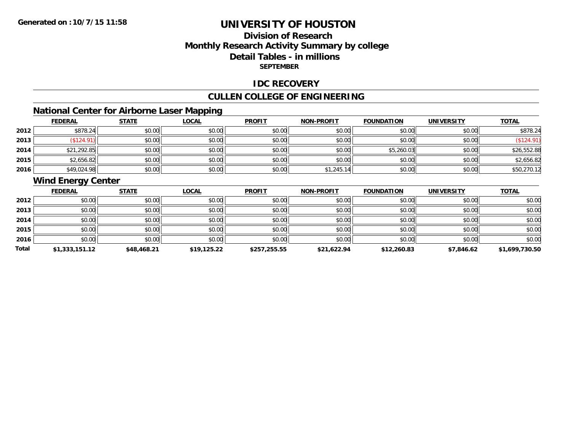# **Division of ResearchMonthly Research Activity Summary by college Detail Tables - in millions SEPTEMBER**

### **IDC RECOVERY**

# **CULLEN COLLEGE OF ENGINEERING**

# **National Center for Airborne Laser Mapping**

|      | <b>FEDERAL</b> | <b>STATE</b> | <b>LOCAL</b> | <b>PROFIT</b> | <b>NON-PROFIT</b> | <b>FOUNDATION</b> | <b>UNIVERSITY</b> | <b>TOTAL</b> |
|------|----------------|--------------|--------------|---------------|-------------------|-------------------|-------------------|--------------|
| 2012 | \$878.24       | \$0.00       | \$0.00       | \$0.00        | \$0.00            | \$0.00            | \$0.00            | \$878.24     |
| 2013 | \$124.91       | \$0.00       | \$0.00       | \$0.00        | \$0.00            | \$0.00            | \$0.00            |              |
| 2014 | \$21,292.85    | \$0.00       | \$0.00       | \$0.00        | \$0.00            | \$5,260.03        | \$0.00            | \$26,552.88  |
| 2015 | \$2,656.82     | \$0.00       | \$0.00       | \$0.00        | \$0.00            | \$0.00            | \$0.00            | \$2,656.82   |
| 2016 | \$49,024.98    | \$0.00       | \$0.00       | \$0.00        | \$1,245.1         | \$0.00            | \$0.00            | \$50,270.12  |

# **Wind Energy Center**

|       | <b>FEDERAL</b> | <b>STATE</b> | <b>LOCAL</b> | <b>PROFIT</b> | <b>NON-PROFIT</b> | <b>FOUNDATION</b> | <b>UNIVERSITY</b> | <b>TOTAL</b>   |
|-------|----------------|--------------|--------------|---------------|-------------------|-------------------|-------------------|----------------|
| 2012  | \$0.00         | \$0.00       | \$0.00       | \$0.00        | \$0.00            | \$0.00            | \$0.00            | \$0.00         |
| 2013  | \$0.00         | \$0.00       | \$0.00       | \$0.00        | \$0.00            | \$0.00            | \$0.00            | \$0.00         |
| 2014  | \$0.00         | \$0.00       | \$0.00       | \$0.00        | \$0.00            | \$0.00            | \$0.00            | \$0.00         |
| 2015  | \$0.00         | \$0.00       | \$0.00       | \$0.00        | \$0.00            | \$0.00            | \$0.00            | \$0.00         |
| 2016  | \$0.00         | \$0.00       | \$0.00       | \$0.00        | \$0.00            | \$0.00            | \$0.00            | \$0.00         |
| Total | \$1,333,151.12 | \$48,468.21  | \$19,125.22  | \$257,255.55  | \$21,622.94       | \$12,260.83       | \$7,846.62        | \$1,699,730.50 |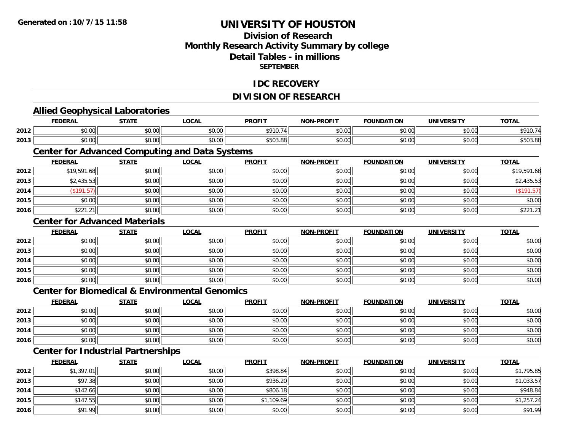# **Division of Research Monthly Research Activity Summary by college Detail Tables - in millions SEPTEMBER**

### **IDC RECOVERY**

# **DIVISION OF RESEARCH**

|      | <b>FEDERAL</b>                                            | <b>STATE</b> | <b>LOCAL</b> | <b>PROFIT</b> | <b>NON-PROFIT</b> | <b>FOUNDATION</b> | <b>UNIVERSITY</b> | <b>TOTAL</b> |
|------|-----------------------------------------------------------|--------------|--------------|---------------|-------------------|-------------------|-------------------|--------------|
| 2012 | \$0.00                                                    | \$0.00       | \$0.00       | \$910.74      | \$0.00            | \$0.00            | \$0.00            | \$910.74     |
| 2013 | \$0.00                                                    | \$0.00       | \$0.00       | \$503.88      | \$0.00            | \$0.00            | \$0.00            | \$503.88     |
|      | <b>Center for Advanced Computing and Data Systems</b>     |              |              |               |                   |                   |                   |              |
|      | <b>FEDERAL</b>                                            | <b>STATE</b> | <b>LOCAL</b> | <b>PROFIT</b> | <b>NON-PROFIT</b> | <b>FOUNDATION</b> | <b>UNIVERSITY</b> | <b>TOTAL</b> |
| 2012 | \$19,591.68                                               | \$0.00       | \$0.00       | \$0.00        | \$0.00            | \$0.00            | \$0.00            | \$19,591.68  |
| 2013 | \$2,435.53                                                | \$0.00       | \$0.00       | \$0.00        | \$0.00            | \$0.00            | \$0.00            | \$2,435.53   |
| 2014 | $($ \$191.57)                                             | \$0.00       | \$0.00       | \$0.00        | \$0.00            | \$0.00            | \$0.00            | (\$191.57)   |
| 2015 | \$0.00                                                    | \$0.00       | \$0.00       | \$0.00        | \$0.00            | \$0.00            | \$0.00            | \$0.00       |
| 2016 | \$221.21                                                  | \$0.00       | \$0.00       | \$0.00        | \$0.00            | \$0.00            | \$0.00            | \$221.21     |
|      | <b>Center for Advanced Materials</b>                      |              |              |               |                   |                   |                   |              |
|      | <b>FEDERAL</b>                                            | <b>STATE</b> | <b>LOCAL</b> | <b>PROFIT</b> | <b>NON-PROFIT</b> | <b>FOUNDATION</b> | <b>UNIVERSITY</b> | <b>TOTAL</b> |
| 2012 | \$0.00                                                    | \$0.00       | \$0.00       | \$0.00        | \$0.00            | \$0.00            | \$0.00            | \$0.00       |
| 2013 | \$0.00                                                    | \$0.00       | \$0.00       | \$0.00        | \$0.00            | \$0.00            | \$0.00            | \$0.00       |
| 2014 | \$0.00                                                    | \$0.00       | \$0.00       | \$0.00        | \$0.00            | \$0.00            | \$0.00            | \$0.00       |
| 2015 | \$0.00                                                    | \$0.00       | \$0.00       | \$0.00        | \$0.00            | \$0.00            | \$0.00            | \$0.00       |
| 2016 | \$0.00                                                    | \$0.00       | \$0.00       | \$0.00        | \$0.00            | \$0.00            | \$0.00            | \$0.00       |
|      | <b>Center for Biomedical &amp; Environmental Genomics</b> |              |              |               |                   |                   |                   |              |
|      | <b>FEDERAL</b>                                            | <b>STATE</b> | <b>LOCAL</b> | <b>PROFIT</b> | <b>NON-PROFIT</b> | <b>FOUNDATION</b> | <b>UNIVERSITY</b> | <b>TOTAL</b> |
| 2012 | \$0.00                                                    | \$0.00       | \$0.00       | \$0.00        | \$0.00            | \$0.00            | \$0.00            | \$0.00       |
| 2013 | \$0.00                                                    | \$0.00       | \$0.00       | \$0.00        | \$0.00            | \$0.00            | \$0.00            | \$0.00       |
| 2014 | \$0.00                                                    | \$0.00       | \$0.00       | \$0.00        | \$0.00            | \$0.00            | \$0.00            | \$0.00       |
| 2016 | \$0.00                                                    | \$0.00       | \$0.00       | \$0.00        | \$0.00            | \$0.00            | \$0.00            | \$0.00       |
|      | <b>Center for Industrial Partnerships</b>                 |              |              |               |                   |                   |                   |              |
|      | <b>FEDERAL</b>                                            | <b>STATE</b> | <b>LOCAL</b> | <b>PROFIT</b> | <b>NON-PROFIT</b> | <b>FOUNDATION</b> | <b>UNIVERSITY</b> | <b>TOTAL</b> |
| 2012 | \$1,397.01                                                | \$0.00       | \$0.00       | \$398.84      | \$0.00            | \$0.00            | \$0.00            | \$1,795.85   |
| 2013 | \$97.38                                                   | \$0.00       | \$0.00       | \$936.20      | \$0.00            | \$0.00            | \$0.00            | \$1,033.57   |
| 2014 | \$142.66                                                  | \$0.00       | \$0.00       | \$806.18      | \$0.00            | \$0.00            | \$0.00            | \$948.84     |
| 2015 | \$147.55                                                  | \$0.00       | \$0.00       | \$1,109.69    | \$0.00            | \$0.00            | \$0.00            | \$1,257.24   |
| 2016 | \$91.99                                                   | \$0.00       | \$0.00       | \$0.00        | \$0.00            | \$0.00            | \$0.00            | \$91.99      |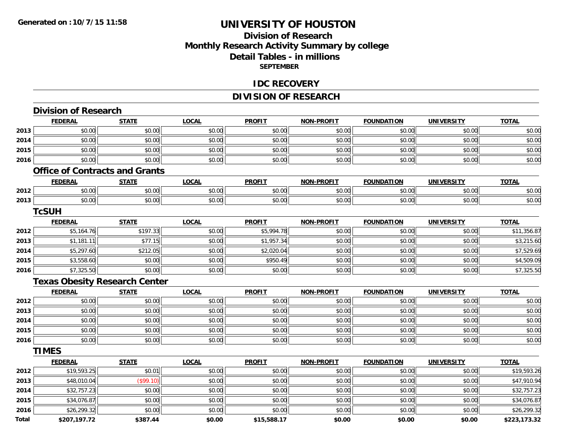# **Division of ResearchMonthly Research Activity Summary by college Detail Tables - in millions SEPTEMBER**

### **IDC RECOVERY**

# **DIVISION OF RESEARCH**

|              | <b>Division of Research</b>           |              |              |               |                   |                   |                   |              |
|--------------|---------------------------------------|--------------|--------------|---------------|-------------------|-------------------|-------------------|--------------|
|              | <b>FEDERAL</b>                        | <b>STATE</b> | <b>LOCAL</b> | <b>PROFIT</b> | <b>NON-PROFIT</b> | <b>FOUNDATION</b> | <b>UNIVERSITY</b> | <b>TOTAL</b> |
| 2013         | \$0.00                                | \$0.00       | \$0.00       | \$0.00        | \$0.00            | \$0.00            | \$0.00            | \$0.00       |
| 2014         | \$0.00                                | \$0.00       | \$0.00       | \$0.00        | \$0.00            | \$0.00            | \$0.00            | \$0.00       |
| 2015         | \$0.00                                | \$0.00       | \$0.00       | \$0.00        | \$0.00            | \$0.00            | \$0.00            | \$0.00       |
| 2016         | \$0.00                                | \$0.00       | \$0.00       | \$0.00        | \$0.00            | \$0.00            | \$0.00            | \$0.00       |
|              | <b>Office of Contracts and Grants</b> |              |              |               |                   |                   |                   |              |
|              | <b>FEDERAL</b>                        | <b>STATE</b> | <b>LOCAL</b> | <b>PROFIT</b> | <b>NON-PROFIT</b> | <b>FOUNDATION</b> | <b>UNIVERSITY</b> | <b>TOTAL</b> |
| 2012         | \$0.00                                | \$0.00       | \$0.00       | \$0.00        | \$0.00            | \$0.00            | \$0.00            | \$0.00       |
| 2013         | \$0.00                                | \$0.00       | \$0.00       | \$0.00        | \$0.00            | \$0.00            | \$0.00            | \$0.00       |
|              | <b>TcSUH</b>                          |              |              |               |                   |                   |                   |              |
|              | <b>FEDERAL</b>                        | <b>STATE</b> | <b>LOCAL</b> | <b>PROFIT</b> | <b>NON-PROFIT</b> | <b>FOUNDATION</b> | <b>UNIVERSITY</b> | <b>TOTAL</b> |
| 2012         | \$5,164.76                            | \$197.33     | \$0.00       | \$5,994.78    | \$0.00            | \$0.00            | \$0.00            | \$11,356.87  |
| 2013         | \$1,181.11                            | \$77.15      | \$0.00       | \$1,957.34    | \$0.00            | \$0.00            | \$0.00            | \$3,215.60   |
| 2014         | \$5,297.60                            | \$212.05     | \$0.00       | \$2,020.04    | \$0.00            | \$0.00            | \$0.00            | \$7,529.69   |
| 2015         | \$3,558.60                            | \$0.00       | \$0.00       | \$950.49      | \$0.00            | \$0.00            | \$0.00            | \$4,509.09   |
| 2016         | \$7,325.50                            | \$0.00       | \$0.00       | \$0.00        | \$0.00            | \$0.00            | \$0.00            | \$7,325.50   |
|              | <b>Texas Obesity Research Center</b>  |              |              |               |                   |                   |                   |              |
|              | <b>FEDERAL</b>                        | <b>STATE</b> | <b>LOCAL</b> | <b>PROFIT</b> | <b>NON-PROFIT</b> | <b>FOUNDATION</b> | <b>UNIVERSITY</b> | <b>TOTAL</b> |
| 2012         | \$0.00                                | \$0.00       | \$0.00       | \$0.00        | \$0.00            | \$0.00            | \$0.00            | \$0.00       |
| 2013         | \$0.00                                | \$0.00       | \$0.00       | \$0.00        | \$0.00            | \$0.00            | \$0.00            | \$0.00       |
| 2014         | \$0.00                                | \$0.00       | \$0.00       | \$0.00        | \$0.00            | \$0.00            | \$0.00            | \$0.00       |
| 2015         | \$0.00                                | \$0.00       | \$0.00       | \$0.00        | \$0.00            | \$0.00            | \$0.00            | \$0.00       |
| 2016         | \$0.00                                | \$0.00       | \$0.00       | \$0.00        | \$0.00            | \$0.00            | \$0.00            | \$0.00       |
|              | <b>TIMES</b>                          |              |              |               |                   |                   |                   |              |
|              | <b>FEDERAL</b>                        | <b>STATE</b> | <b>LOCAL</b> | <b>PROFIT</b> | <b>NON-PROFIT</b> | <b>FOUNDATION</b> | <b>UNIVERSITY</b> | <b>TOTAL</b> |
| 2012         | \$19,593.25                           | \$0.01       | \$0.00       | \$0.00        | \$0.00            | \$0.00            | \$0.00            | \$19,593.26  |
| 2013         | \$48,010.04                           | (\$99.10)    | \$0.00       | \$0.00        | \$0.00            | \$0.00            | \$0.00            | \$47,910.94  |
| 2014         | \$32,757.23                           | \$0.00       | \$0.00       | \$0.00        | \$0.00            | \$0.00            | \$0.00            | \$32,757.23  |
| 2015         | \$34,076.87                           | \$0.00       | \$0.00       | \$0.00        | \$0.00            | \$0.00            | \$0.00            | \$34,076.87  |
| 2016         | \$26,299.32                           | \$0.00       | \$0.00       | \$0.00        | \$0.00            | \$0.00            | \$0.00            | \$26,299.32  |
| <b>Total</b> | \$207,197.72                          | \$387.44     | \$0.00       | \$15,588.17   | \$0.00            | \$0.00            | \$0.00            | \$223,173.32 |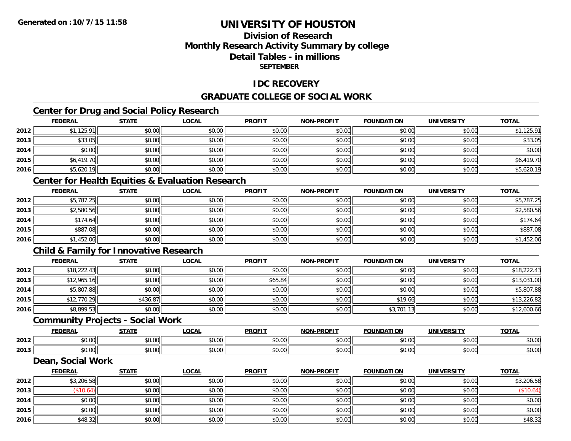# **Division of ResearchMonthly Research Activity Summary by college Detail Tables - in millionsSEPTEMBER**

### **IDC RECOVERY**

# **GRADUATE COLLEGE OF SOCIAL WORK**

# **Center for Drug and Social Policy Research**

|      | <b>FEDERAL</b> | <b>STATE</b> | <b>LOCAL</b> | <b>PROFIT</b> | <b>NON-PROFIT</b> | <b>FOUNDATION</b> | <b>UNIVERSITY</b> | <b>TOTAL</b> |
|------|----------------|--------------|--------------|---------------|-------------------|-------------------|-------------------|--------------|
| 2012 | \$1,125.91     | \$0.00       | \$0.00       | \$0.00        | \$0.00            | \$0.00            | \$0.00            | \$1,125.91   |
| 2013 | \$33.05        | \$0.00       | \$0.00       | \$0.00        | \$0.00            | \$0.00            | \$0.00            | \$33.05      |
| 2014 | \$0.00         | \$0.00       | \$0.00       | \$0.00        | \$0.00            | \$0.00            | \$0.00            | \$0.00       |
| 2015 | \$6,419.70     | \$0.00       | \$0.00       | \$0.00        | \$0.00            | \$0.00            | \$0.00            | \$6,419.70   |
| 2016 | \$5,620.19     | \$0.00       | \$0.00       | \$0.00        | \$0.00            | \$0.00            | \$0.00            | \$5,620.19   |

# **Center for Health Equities & Evaluation Research**

|      | <b>FEDERAL</b> | <b>STATE</b> | <b>LOCAL</b> | <b>PROFIT</b> | <b>NON-PROFIT</b> | <b>FOUNDATION</b> | <b>UNIVERSITY</b> | <b>TOTAL</b> |
|------|----------------|--------------|--------------|---------------|-------------------|-------------------|-------------------|--------------|
| 2012 | \$5,787.25     | \$0.00       | \$0.00       | \$0.00        | \$0.00            | \$0.00            | \$0.00            | \$5,787.25   |
| 2013 | \$2,580.56     | \$0.00       | \$0.00       | \$0.00        | \$0.00            | \$0.00            | \$0.00            | \$2,580.56   |
| 2014 | \$174.64       | \$0.00       | \$0.00       | \$0.00        | \$0.00            | \$0.00            | \$0.00            | \$174.64     |
| 2015 | \$887.08       | \$0.00       | \$0.00       | \$0.00        | \$0.00            | \$0.00            | \$0.00            | \$887.08     |
| 2016 | \$1,452.06     | \$0.00       | \$0.00       | \$0.00        | \$0.00            | \$0.00            | \$0.00            | \$1,452.06   |

# **Child & Family for Innovative Research**

|      | <b>FEDERAL</b> | <u>STATE</u> | <u>LOCAL</u> | <b>PROFIT</b> | <b>NON-PROFIT</b> | <b>FOUNDATION</b> | <b>UNIVERSITY</b> | <b>TOTAL</b> |
|------|----------------|--------------|--------------|---------------|-------------------|-------------------|-------------------|--------------|
| 2012 | \$18,222.43    | \$0.00       | \$0.00       | \$0.00        | \$0.00            | \$0.00            | \$0.00            | \$18,222.43  |
| 2013 | \$12,965.16    | \$0.00       | \$0.00       | \$65.84       | \$0.00            | \$0.00            | \$0.00            | \$13,031.00  |
| 2014 | \$5,807.88     | \$0.00       | \$0.00       | \$0.00        | \$0.00            | \$0.00            | \$0.00            | \$5,807.88   |
| 2015 | \$12,770.29    | \$436.87     | \$0.00       | \$0.00        | \$0.00            | \$19.66           | \$0.00            | \$13,226.82  |
| 2016 | \$8,899.53     | \$0.00       | \$0.00       | \$0.00        | \$0.00            | \$3,701.13        | \$0.00            | \$12,600.66  |

#### **Community Projects - Social Work**

|      | EENEDA<br>- IS 5         | 27.77               | $\sim$<br>.UUAI                              | <b>PROFIT</b>                          | -PROFIT<br>NON-         | <b>FOUNDATION</b>                        | <b>UNIVERSITY</b> | <b>TOTAL</b> |
|------|--------------------------|---------------------|----------------------------------------------|----------------------------------------|-------------------------|------------------------------------------|-------------------|--------------|
| 2012 | $\sim$ $\sim$<br>ิ ∪ ∪ ∪ | $\sim$ 00<br>טע, טע | $\sim$ $\sim$<br>vv.vv                       | $\sim$ $\sim$ $\sim$<br>JU.            | 0 <sup>n</sup><br>vv.vv | 0000<br>v.vv                             | \$0.00            | \$0.00       |
| 2013 | $\sim$ 00<br>vv.vv       | $\sim$ 00<br>טט.טע  | $\triangle$ $\triangle$ $\triangle$<br>pu.uu | $\overline{a}$ $\overline{a}$<br>JU.UU | 0000<br>JU.UU           | $\uparrow$ $\uparrow$ $\uparrow$<br>∪.∪∪ | \$0.00            | \$0.00       |

### **Dean, Social Work**

|      | <b>FEDERAL</b> | <b>STATE</b> | <b>LOCAL</b> | <b>PROFIT</b> | <b>NON-PROFIT</b> | <b>FOUNDATION</b> | <b>UNIVERSITY</b> | <b>TOTAL</b> |
|------|----------------|--------------|--------------|---------------|-------------------|-------------------|-------------------|--------------|
| 2012 | \$3,206.58     | \$0.00       | \$0.00       | \$0.00        | \$0.00            | \$0.00            | \$0.00            | \$3,206.58   |
| 2013 | (\$10.64)      | \$0.00       | \$0.00       | \$0.00        | \$0.00            | \$0.00            | \$0.00            | \$10.64      |
| 2014 | \$0.00         | \$0.00       | \$0.00       | \$0.00        | \$0.00            | \$0.00            | \$0.00            | \$0.00       |
| 2015 | \$0.00         | \$0.00       | \$0.00       | \$0.00        | \$0.00            | \$0.00            | \$0.00            | \$0.00       |
| 2016 | \$48.32        | \$0.00       | \$0.00       | \$0.00        | \$0.00            | \$0.00            | \$0.00            | \$48.32      |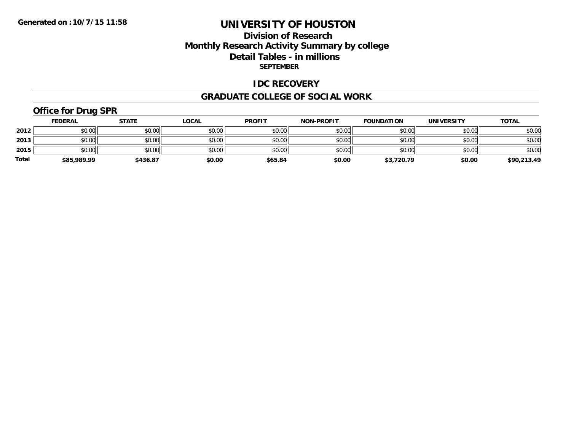# **Division of Research Monthly Research Activity Summary by college Detail Tables - in millions SEPTEMBER**

#### **IDC RECOVERY**

#### **GRADUATE COLLEGE OF SOCIAL WORK**

# **Office for Drug SPR**

|              | <b>FEDERAL</b> | <u>STATE</u> | <b>LOCAL</b> | <b>PROFIT</b> | <b>NON-PROFIT</b> | <b>FOUNDATION</b> | <b>UNIVERSITY</b> | <b>TOTAL</b> |
|--------------|----------------|--------------|--------------|---------------|-------------------|-------------------|-------------------|--------------|
| 2012         | \$0.00         | \$0.00       | \$0.00       | \$0.00        | \$0.00            | \$0.00            | \$0.00            | \$0.00       |
| 2013         | \$0.00         | \$0.00       | \$0.00       | \$0.00        | \$0.00            | \$0.00            | \$0.00            | \$0.00       |
| 2015         | \$0.00         | \$0.00       | \$0.00       | \$0.00        | \$0.00            | \$0.00            | \$0.00            | \$0.00       |
| <b>Total</b> | \$85,989.99    | \$436.87     | \$0.00       | \$65.84       | \$0.00            | \$3,720.79        | \$0.00            | \$90,213.49  |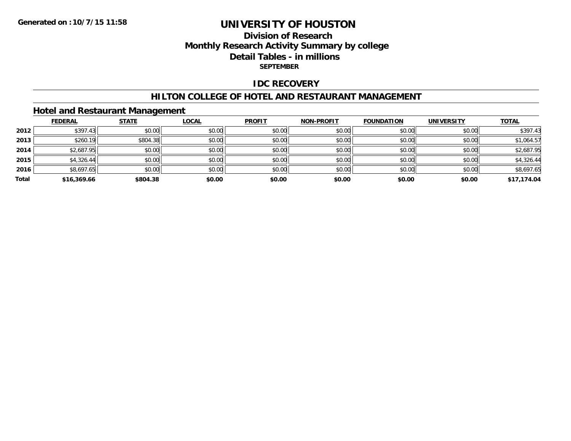# **Division of Research Monthly Research Activity Summary by college Detail Tables - in millions SEPTEMBER**

### **IDC RECOVERY**

#### **HILTON COLLEGE OF HOTEL AND RESTAURANT MANAGEMENT**

# **Hotel and Restaurant Management**

|       | <b>FEDERAL</b> | <b>STATE</b> | <u>LOCAL</u> | <b>PROFIT</b> | <b>NON-PROFIT</b> | <b>FOUNDATION</b> | <b>UNIVERSITY</b> | <b>TOTAL</b> |
|-------|----------------|--------------|--------------|---------------|-------------------|-------------------|-------------------|--------------|
| 2012  | \$397.43       | \$0.00       | \$0.00       | \$0.00        | \$0.00            | \$0.00            | \$0.00            | \$397.43     |
| 2013  | \$260.19       | \$804.38     | \$0.00       | \$0.00        | \$0.00            | \$0.00            | \$0.00            | \$1,064.57   |
| 2014  | \$2,687.95     | \$0.00       | \$0.00       | \$0.00        | \$0.00            | \$0.00            | \$0.00            | \$2,687.95   |
| 2015  | \$4,326.44     | \$0.00       | \$0.00       | \$0.00        | \$0.00            | \$0.00            | \$0.00            | \$4,326.44   |
| 2016  | \$8,697.65     | \$0.00       | \$0.00       | \$0.00        | \$0.00            | \$0.00            | \$0.00            | \$8,697.65   |
| Total | \$16,369.66    | \$804.38     | \$0.00       | \$0.00        | \$0.00            | \$0.00            | \$0.00            | \$17,174.04  |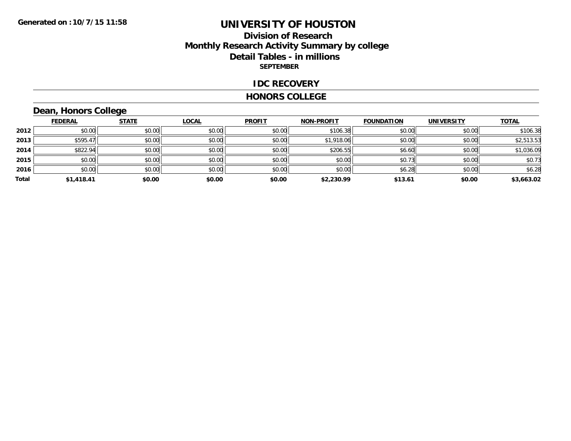## **Division of Research Monthly Research Activity Summary by college Detail Tables - in millions SEPTEMBER**

#### **IDC RECOVERY**

#### **HONORS COLLEGE**

# **Dean, Honors College**

|       | <b>FEDERAL</b> | <b>STATE</b> | <b>LOCAL</b> | <b>PROFIT</b> | <b>NON-PROFIT</b> | <b>FOUNDATION</b> | <b>UNIVERSITY</b> | <b>TOTAL</b> |
|-------|----------------|--------------|--------------|---------------|-------------------|-------------------|-------------------|--------------|
| 2012  | \$0.00         | \$0.00       | \$0.00       | \$0.00        | \$106.38          | \$0.00            | \$0.00            | \$106.38     |
| 2013  | \$595.47       | \$0.00       | \$0.00       | \$0.00        | \$1,918.06        | \$0.00            | \$0.00            | \$2,513.53   |
| 2014  | \$822.94       | \$0.00       | \$0.00       | \$0.00        | \$206.55          | \$6.60            | \$0.00            | \$1,036.09   |
| 2015  | \$0.00         | \$0.00       | \$0.00       | \$0.00        | \$0.00            | \$0.73            | \$0.00            | \$0.73       |
| 2016  | \$0.00         | \$0.00       | \$0.00       | \$0.00        | \$0.00            | \$6.28            | \$0.00            | \$6.28       |
| Total | \$1,418.41     | \$0.00       | \$0.00       | \$0.00        | \$2,230.99        | \$13.61           | \$0.00            | \$3,663.02   |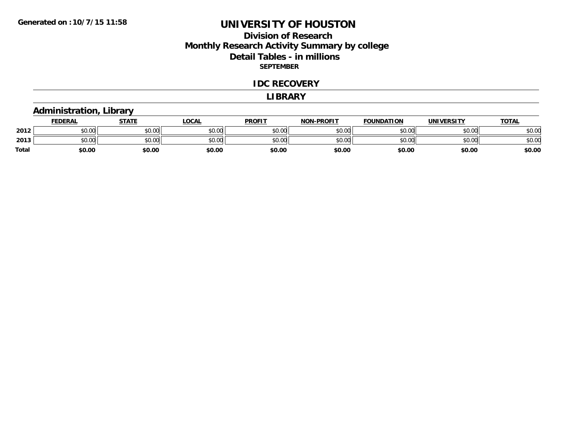# **Division of Research Monthly Research Activity Summary by college Detail Tables - in millions SEPTEMBER**

#### **IDC RECOVERY**

#### **LIBRARY**

# **Administration, Library**

|       | <b>FEDERAL</b>     | STATE  | LOCAL  | <b>PROFIT</b> | <b>NON-PROFIT</b> | <b>FOUNDATION</b> | <b>UNIVERSITY</b> | <u>TOTAL</u> |
|-------|--------------------|--------|--------|---------------|-------------------|-------------------|-------------------|--------------|
| 2012  | \$0.00             | \$0.00 | \$0.00 | \$0.00        | \$0.00            | \$0.00            | \$0.00            | \$0.00       |
| 2013  | $\sim$ 00<br>DU.UU | \$0.00 | \$0.00 | \$0.00        | \$0.00            | \$0.00            | \$0.00            | \$0.00       |
| Total | \$0.00             | \$0.00 | \$0.00 | \$0.00        | \$0.00            | \$0.00            | \$0.00            | \$0.00       |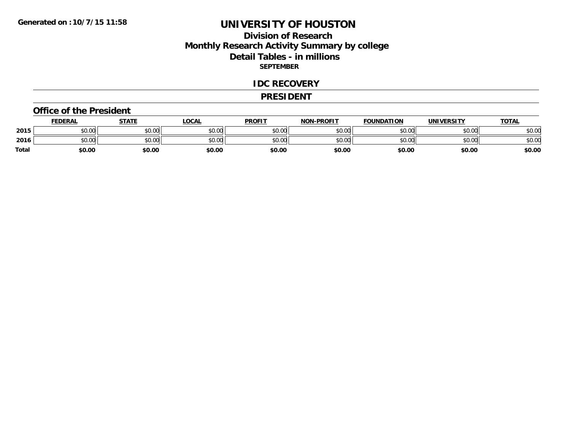# **Division of Research Monthly Research Activity Summary by college Detail Tables - in millions SEPTEMBER**

#### **IDC RECOVERY**

#### **PRESIDENT**

#### **Office of the President**

|       | <b>FEDERAL</b>     | <b>STATE</b> | LOCAL  | <b>PROFIT</b> | <b>NON-PROFIT</b> | <b>FOUNDATION</b> | <b>UNIVERSITY</b> | <u>TOTAL</u> |
|-------|--------------------|--------------|--------|---------------|-------------------|-------------------|-------------------|--------------|
| 2015  | ሐሴ ሰሰ<br>PU.UU     | \$0.00       | \$0.00 | \$0.00        | \$0.00            | \$0.00            | \$0.00            | \$0.00       |
| 2016  | $\sim$ 00<br>DU.UU | \$0.00       | \$0.00 | \$0.00        | \$0.00            | \$0.00            | \$0.00            | \$0.00       |
| Total | \$0.00             | \$0.00       | \$0.00 | \$0.00        | \$0.00            | \$0.00            | \$0.00            | \$0.00       |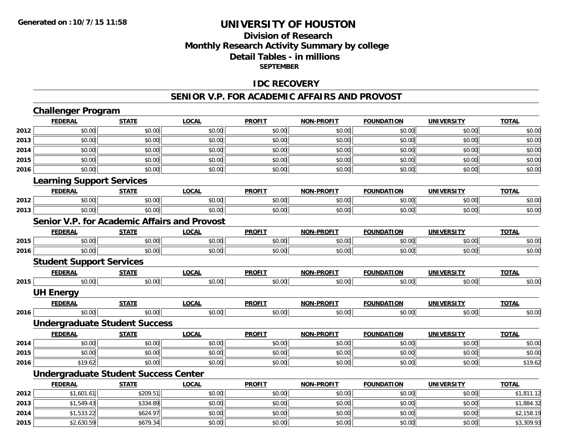# **Division of ResearchMonthly Research Activity Summary by college Detail Tables - in millions SEPTEMBER**

### **IDC RECOVERY**

#### **SENIOR V.P. FOR ACADEMIC AFFAIRS AND PROVOST**

|      | <b>Challenger Program</b>                   |              |                                                     |               |                   |                   |                   |              |
|------|---------------------------------------------|--------------|-----------------------------------------------------|---------------|-------------------|-------------------|-------------------|--------------|
|      | <b>FEDERAL</b>                              | <b>STATE</b> | <b>LOCAL</b>                                        | <b>PROFIT</b> | <b>NON-PROFIT</b> | <b>FOUNDATION</b> | <b>UNIVERSITY</b> | <b>TOTAL</b> |
| 2012 | \$0.00                                      | \$0.00       | \$0.00                                              | \$0.00        | \$0.00            | \$0.00            | \$0.00            | \$0.00       |
| 2013 | \$0.00                                      | \$0.00       | \$0.00                                              | \$0.00        | \$0.00            | \$0.00            | \$0.00            | \$0.00       |
| 2014 | \$0.00                                      | \$0.00       | \$0.00                                              | \$0.00        | \$0.00            | \$0.00            | \$0.00            | \$0.00       |
| 2015 | \$0.00                                      | \$0.00       | \$0.00                                              | \$0.00        | \$0.00            | \$0.00            | \$0.00            | \$0.00       |
| 2016 | \$0.00                                      | \$0.00       | \$0.00                                              | \$0.00        | \$0.00            | \$0.00            | \$0.00            | \$0.00       |
|      | <b>Learning Support Services</b>            |              |                                                     |               |                   |                   |                   |              |
|      | <b>FEDERAL</b>                              | <b>STATE</b> | <b>LOCAL</b>                                        | <b>PROFIT</b> | <b>NON-PROFIT</b> | <b>FOUNDATION</b> | <b>UNIVERSITY</b> | <b>TOTAL</b> |
| 2012 | \$0.00                                      | \$0.00       | \$0.00                                              | \$0.00        | \$0.00            | \$0.00            | \$0.00            | \$0.00       |
| 2013 | \$0.00                                      | \$0.00       | \$0.00                                              | \$0.00        | \$0.00            | \$0.00            | \$0.00            | \$0.00       |
|      |                                             |              | <b>Senior V.P. for Academic Affairs and Provost</b> |               |                   |                   |                   |              |
|      | <b>FEDERAL</b>                              | <b>STATE</b> | <b>LOCAL</b>                                        | <b>PROFIT</b> | <b>NON-PROFIT</b> | <b>FOUNDATION</b> | <b>UNIVERSITY</b> | <b>TOTAL</b> |
| 2015 | \$0.00                                      | \$0.00       | \$0.00                                              | \$0.00        | \$0.00            | \$0.00            | \$0.00            | \$0.00       |
| 2016 | \$0.00                                      | \$0.00       | \$0.00                                              | \$0.00        | \$0.00            | \$0.00            | \$0.00            | \$0.00       |
|      | <b>Student Support Services</b>             |              |                                                     |               |                   |                   |                   |              |
|      | <b>FEDERAL</b>                              | <b>STATE</b> | <b>LOCAL</b>                                        | <b>PROFIT</b> | <b>NON-PROFIT</b> | <b>FOUNDATION</b> | <b>UNIVERSITY</b> | <b>TOTAL</b> |
| 2015 | \$0.00                                      | \$0.00       | \$0.00                                              | \$0.00        | \$0.00            | \$0.00            | \$0.00            | \$0.00       |
|      | <b>UH Energy</b>                            |              |                                                     |               |                   |                   |                   |              |
|      | <b>FEDERAL</b>                              | <b>STATE</b> | <b>LOCAL</b>                                        | <b>PROFIT</b> | <b>NON-PROFIT</b> | <b>FOUNDATION</b> | <b>UNIVERSITY</b> | <b>TOTAL</b> |
| 2016 | \$0.00                                      | \$0.00       | \$0.00                                              | \$0.00        | \$0.00            | \$0.00            | \$0.00            | \$0.00       |
|      | <b>Undergraduate Student Success</b>        |              |                                                     |               |                   |                   |                   |              |
|      | <b>FEDERAL</b>                              | <b>STATE</b> | <b>LOCAL</b>                                        | <b>PROFIT</b> | <b>NON-PROFIT</b> | <b>FOUNDATION</b> | <b>UNIVERSITY</b> | <b>TOTAL</b> |
| 2014 | \$0.00                                      | \$0.00       | \$0.00                                              | \$0.00        | \$0.00            | \$0.00            | \$0.00            | \$0.00       |
| 2015 | \$0.00                                      | \$0.00       | \$0.00                                              | \$0.00        | \$0.00            | \$0.00            | \$0.00            | \$0.00       |
| 2016 | \$19.62                                     | \$0.00       | \$0.00                                              | \$0.00        | \$0.00            | \$0.00            | \$0.00            | \$19.62      |
|      | <b>Undergraduate Student Success Center</b> |              |                                                     |               |                   |                   |                   |              |
|      | <b>FEDERAL</b>                              | <b>STATE</b> | <b>LOCAL</b>                                        | <b>PROFIT</b> | <b>NON-PROFIT</b> | <b>FOUNDATION</b> | <b>UNIVERSITY</b> | <b>TOTAL</b> |
| 2012 | \$1,601.61                                  | \$209.51     | \$0.00                                              | \$0.00        | \$0.00            | \$0.00            | \$0.00            | \$1,811.12   |
| 2013 | \$1,549.43                                  | \$334.89     | \$0.00                                              | \$0.00        | \$0.00            | \$0.00            | \$0.00            | \$1,884.32   |
| 2014 | \$1,533.22                                  | \$624.97     | \$0.00                                              | \$0.00        | \$0.00            | \$0.00            | \$0.00            | \$2,158.19   |
| 2015 | \$2,630.59                                  | \$679.34     | \$0.00                                              | \$0.00        | \$0.00            | \$0.00            | \$0.00            | \$3,309.93   |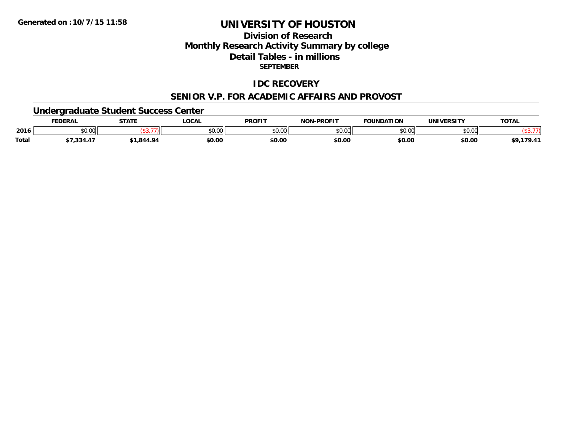# **Division of ResearchMonthly Research Activity Summary by college Detail Tables - in millions SEPTEMBER**

### **IDC RECOVERY**

#### **SENIOR V.P. FOR ACADEMIC AFFAIRS AND PROVOST**

### **Undergraduate Student Success Center**

|       | <b>FEDERAI</b> | <b>STATE</b><br>$\blacksquare$ | <b>LOCAL</b> | <b>PROFIT</b> | <b>NON-PROFIT</b> | <b>FOUNDATION</b>                | <b>UNIVERSITY</b> | <b>TOTAL</b> |
|-------|----------------|--------------------------------|--------------|---------------|-------------------|----------------------------------|-------------------|--------------|
| 2016  | 0000<br>PU.UU  |                                | \$0.00       | $\sim$ 00     | \$0.00            | $\circ$ $\circ$ $\circ$<br>DU.UU | \$0.00            |              |
| Total | , 334.4        | .844.94                        | \$0.00       | \$0.00        | \$0.00            | \$0.00                           | \$0.00            | 170.41       |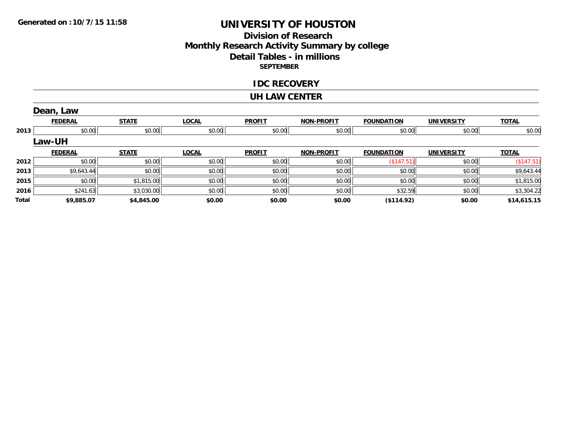# **Division of Research Monthly Research Activity Summary by college Detail Tables - in millions SEPTEMBER**

#### **IDC RECOVERY**

#### **UH LAW CENTER**

|       | Dean, Law      |              |              |               |                   |                   |                   |              |
|-------|----------------|--------------|--------------|---------------|-------------------|-------------------|-------------------|--------------|
|       | <b>FEDERAL</b> | <b>STATE</b> | <b>LOCAL</b> | <b>PROFIT</b> | <b>NON-PROFIT</b> | <b>FOUNDATION</b> | <b>UNIVERSITY</b> | <b>TOTAL</b> |
| 2013  | \$0.00         | \$0.00       | \$0.00       | \$0.00        | \$0.00            | \$0.00            | \$0.00            | \$0.00       |
|       | <b>Law-UH</b>  |              |              |               |                   |                   |                   |              |
|       | <b>FEDERAL</b> | <b>STATE</b> | <b>LOCAL</b> | <b>PROFIT</b> | <b>NON-PROFIT</b> | <b>FOUNDATION</b> | <b>UNIVERSITY</b> | <b>TOTAL</b> |
| 2012  | \$0.00         | \$0.00       | \$0.00       | \$0.00        | \$0.00            | ( \$147.51)       | \$0.00            | (\$147.51)   |
| 2013  | \$9,643.44     | \$0.00       | \$0.00       | \$0.00        | \$0.00            | \$0.00            | \$0.00            | \$9,643.44   |
| 2015  | \$0.00         | \$1,815.00   | \$0.00       | \$0.00        | \$0.00            | \$0.00            | \$0.00            | \$1,815.00   |
| 2016  | \$241.63       | \$3,030.00   | \$0.00       | \$0.00        | \$0.00            | \$32.59           | \$0.00            | \$3,304.22   |
| Total | \$9,885.07     | \$4,845.00   | \$0.00       | \$0.00        | \$0.00            | (\$114.92)        | \$0.00            | \$14,615.15  |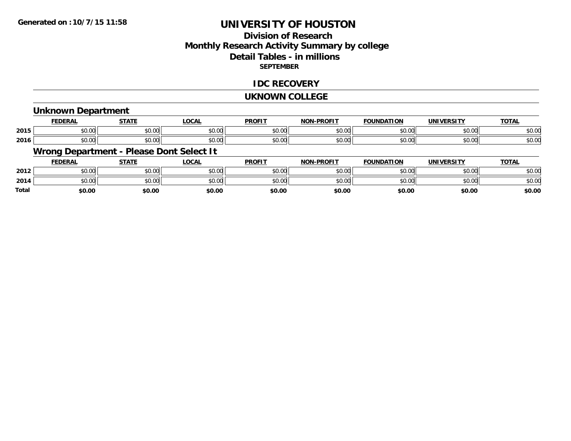# **Division of ResearchMonthly Research Activity Summary by college Detail Tables - in millions SEPTEMBER**

### **IDC RECOVERY**

#### **UKNOWN COLLEGE**

### **Unknown Department**

|      | <b>FEDERAL</b>                        | $   -$                 | <b>_OCAI</b> | <b>DDOFIT</b>            | <b>DRAFIT</b><br>יממ | וסו<br>IΊΔ             |                    | $T^{\prime}$<br>101r    |
|------|---------------------------------------|------------------------|--------------|--------------------------|----------------------|------------------------|--------------------|-------------------------|
| 2015 | $\sim$<br>ት ヘ<br>יש.ש                 | $\sim$ $\sim$<br>JU.UU | \$0.00       | $\epsilon$ n nr<br>JU.UV | $\sim$ 00<br>וטטוע   | $\sim$ $\sim$<br>טט.טע | 0.000<br>DU.UG     | $\sim$ $\sim$<br>50.UC  |
| 2016 | $\sim$ $\sim$<br>$\triangle$<br>JU.UU | $\sim$ $\sim$<br>JU.UU | \$0.00       | \$0.00                   | $\sim$ 00<br>וטטוע   | $\sim$ 00<br>JU.UU     | $\sim$ 00<br>JU.UU | $\sim$ $\sim$<br>\$U.UC |

# **Wrong Department - Please Dont Select It**

|              | <b>FEDERAL</b> | <b>STATE</b> | _OCAL  | <b>PROFIT</b>  | <b>NON-PROFIT</b> | <b>FOUNDATION</b> | UNIVERSITY | <u>TOTAL</u> |
|--------------|----------------|--------------|--------|----------------|-------------------|-------------------|------------|--------------|
| 2012         | 0000<br>JU.UU  | \$0.00       | \$0.00 | \$0.00         | \$0.00            | en uu<br>JU.UU    | \$0.00     | \$0.00       |
| 2014         | 0000<br>JU.UU  | \$0.00       | \$0.00 | ≮∩ ∩∩<br>JU.UU | \$0.00            | ሶስ ሰሰ             | \$0.00     | \$0.00       |
| <b>Total</b> | \$0.00         | \$0.00       | \$0.00 | \$0.00         | \$0.00            | \$0.00            | \$0.00     | \$0.00       |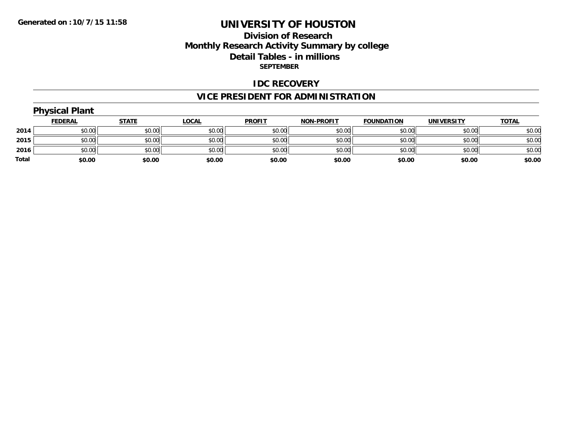# **Division of Research Monthly Research Activity Summary by college Detail Tables - in millions SEPTEMBER**

#### **IDC RECOVERY**

# **VICE PRESIDENT FOR ADMINISTRATION**

# **Physical Plant**

|              | <b>FEDERAL</b> | <b>STATE</b> | <u>LOCAL</u> | <b>PROFIT</b> | <b>NON-PROFIT</b> | <b>FOUNDATION</b> | <b>UNIVERSITY</b> | <b>TOTAL</b> |
|--------------|----------------|--------------|--------------|---------------|-------------------|-------------------|-------------------|--------------|
| 2014         | \$0.00         | \$0.00       | \$0.00       | \$0.00        | \$0.00            | \$0.00            | \$0.00            | \$0.00       |
| 2015         | \$0.00         | \$0.00       | \$0.00       | \$0.00        | \$0.00            | \$0.00            | \$0.00            | \$0.00       |
| 2016         | \$0.00         | \$0.00       | \$0.00       | \$0.00        | \$0.00            | \$0.00            | \$0.00            | \$0.00       |
| <b>Total</b> | \$0.00         | \$0.00       | \$0.00       | \$0.00        | \$0.00            | \$0.00            | \$0.00            | \$0.00       |